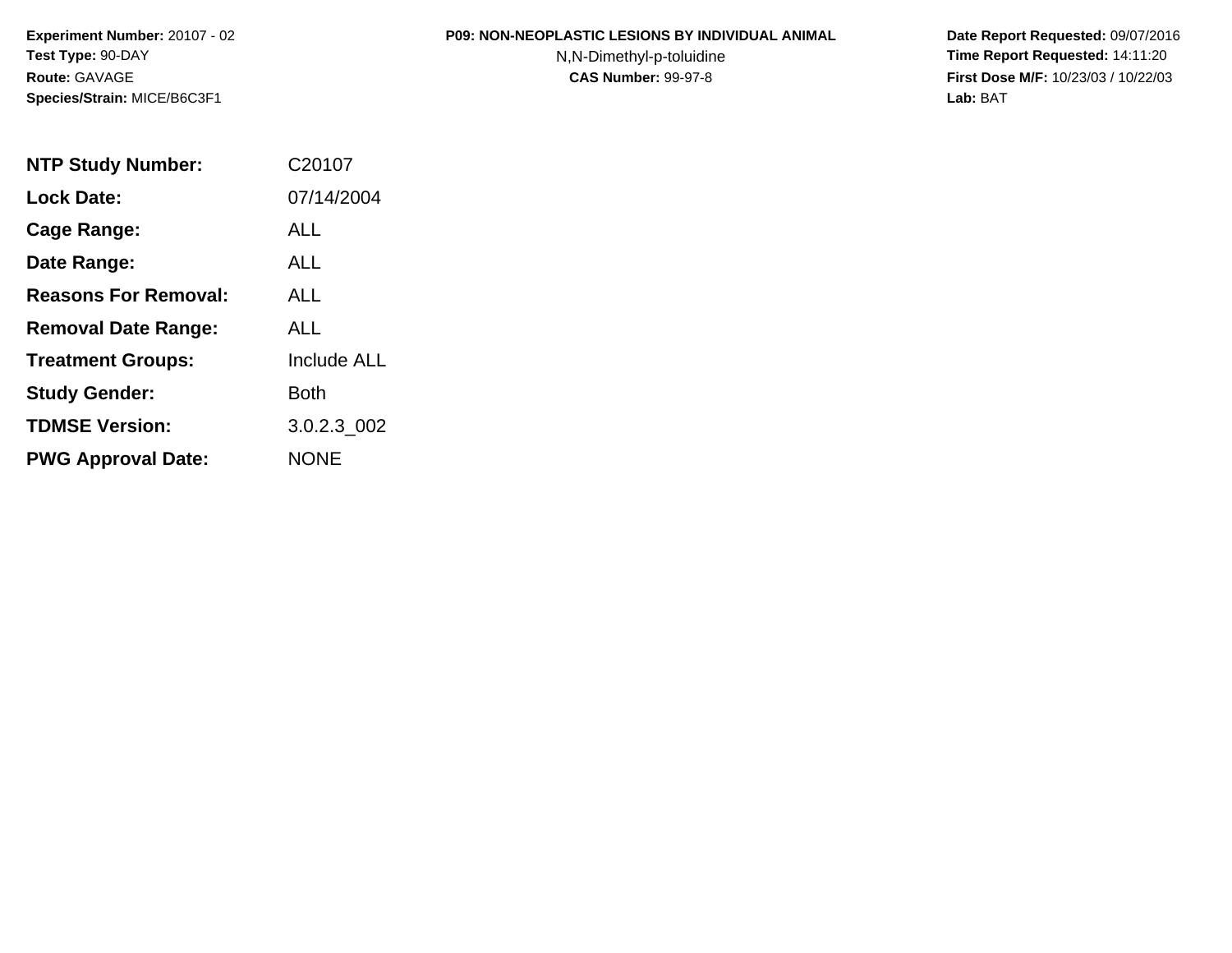#### **P09: NON-NEOPLASTIC LESIONS BY INDIVIDUAL ANIMAL**

N,N-Dimethyl-p-toluidine

| <b>NTP Study Number:</b>    | C20107             |
|-----------------------------|--------------------|
| <b>Lock Date:</b>           | 07/14/2004         |
| <b>Cage Range:</b>          | ALL                |
| Date Range:                 | ALL                |
| <b>Reasons For Removal:</b> | ALL.               |
| <b>Removal Date Range:</b>  | ALL                |
| <b>Treatment Groups:</b>    | <b>Include ALL</b> |
| <b>Study Gender:</b>        | Both               |
| <b>TDMSE Version:</b>       | 3.0.2.3 002        |
| <b>PWG Approval Date:</b>   | <b>NONE</b>        |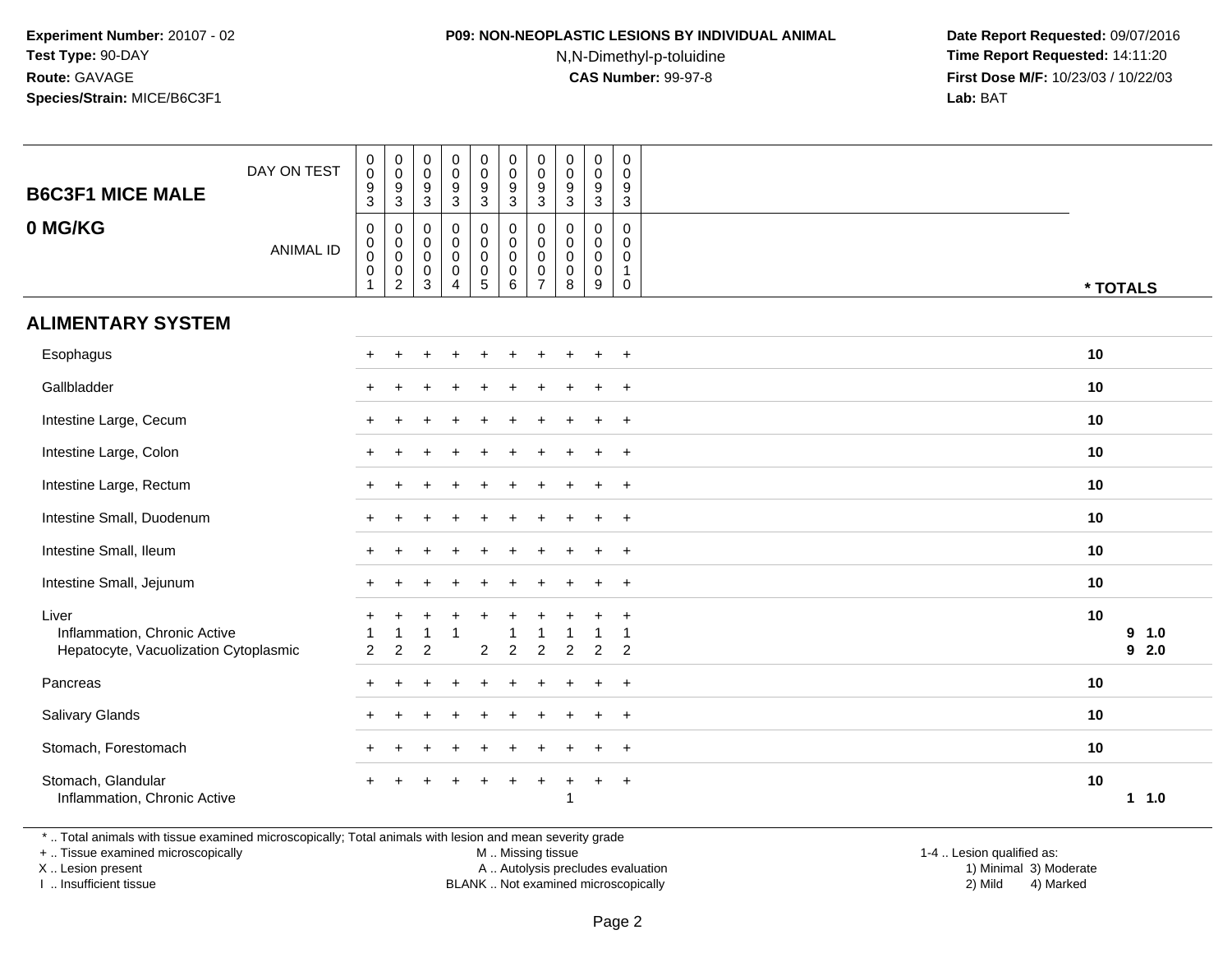## **P09: NON-NEOPLASTIC LESIONS BY INDIVIDUAL ANIMAL**

N,N-Dimethyl-p-toluidine

 **Date Report Requested:** 09/07/2016 **Time Report Requested:** 14:11:20 **First Dose M/F:** 10/23/03 / 10/22/03<br>**Lab:** BAT **Lab:** BAT

| <b>B6C3F1 MICE MALE</b><br>0 MG/KG                                             | DAY ON TEST<br><b>ANIMAL ID</b> | $\pmb{0}$<br>$\pmb{0}$<br>$\frac{9}{3}$<br>$\boldsymbol{0}$<br>$\begin{smallmatrix} 0\\0 \end{smallmatrix}$<br>$\pmb{0}$ | $\,0\,$<br>$\mathsf 0$<br>$\frac{9}{3}$<br>0<br>0<br>$\mathsf 0$<br>$\pmb{0}$ | 0<br>$\mathsf 0$<br>$\frac{9}{3}$<br>$\pmb{0}$<br>$\mathbf 0$<br>$\mathbf 0$<br>$\mathbf 0$ | $\pmb{0}$<br>$\pmb{0}$<br>$\frac{9}{3}$<br>$\pmb{0}$<br>$\pmb{0}$<br>$\pmb{0}$<br>$\pmb{0}$ | $_{\rm 0}^{\rm 0}$<br>$\frac{9}{3}$<br>$\mathbf 0$<br>$\begin{smallmatrix}0\\0\end{smallmatrix}$<br>$\pmb{0}$ | $\pmb{0}$<br>$\mathbf 0$<br>$\frac{9}{3}$<br>$\mathbf 0$<br>$\mathsf{O}\xspace$<br>$\mathbf 0$<br>$\mathbf 0$ | $\pmb{0}$<br>0<br>9<br>3<br>$\mathbf 0$<br>$\mathbf 0$<br>$\mathbf 0$<br>0 | $\pmb{0}$<br>$\mathbf 0$<br>$\frac{9}{3}$<br>0<br>$\mathbf 0$<br>$\mathbf 0$<br>$\mathbf 0$ | $\pmb{0}$<br>$\pmb{0}$<br>$\frac{9}{3}$<br>$\mathbf 0$<br>0<br>$\mathbf 0$<br>$\pmb{0}$ | $\pmb{0}$<br>$\mathbf 0$<br>9<br>$\overline{3}$<br>$\mathbf 0$<br>$\mathbf 0$<br>$\mathbf 0$<br>$\mathbf{1}$ |          |               |
|--------------------------------------------------------------------------------|---------------------------------|--------------------------------------------------------------------------------------------------------------------------|-------------------------------------------------------------------------------|---------------------------------------------------------------------------------------------|---------------------------------------------------------------------------------------------|---------------------------------------------------------------------------------------------------------------|---------------------------------------------------------------------------------------------------------------|----------------------------------------------------------------------------|---------------------------------------------------------------------------------------------|-----------------------------------------------------------------------------------------|--------------------------------------------------------------------------------------------------------------|----------|---------------|
|                                                                                |                                 | $\mathbf{1}$                                                                                                             | $\overline{c}$                                                                | 3                                                                                           | $\overline{4}$                                                                              | $\sqrt{5}$                                                                                                    | 6                                                                                                             | $\overline{7}$                                                             | 8                                                                                           | $\boldsymbol{9}$                                                                        | 0                                                                                                            | * TOTALS |               |
| <b>ALIMENTARY SYSTEM</b>                                                       |                                 |                                                                                                                          |                                                                               |                                                                                             |                                                                                             |                                                                                                               |                                                                                                               |                                                                            |                                                                                             |                                                                                         |                                                                                                              |          |               |
| Esophagus                                                                      |                                 |                                                                                                                          |                                                                               |                                                                                             |                                                                                             |                                                                                                               |                                                                                                               |                                                                            |                                                                                             |                                                                                         | $\div$                                                                                                       | 10       |               |
| Gallbladder                                                                    |                                 |                                                                                                                          |                                                                               |                                                                                             |                                                                                             |                                                                                                               |                                                                                                               |                                                                            |                                                                                             |                                                                                         | $\ddot{}$                                                                                                    | 10       |               |
| Intestine Large, Cecum                                                         |                                 |                                                                                                                          |                                                                               |                                                                                             |                                                                                             |                                                                                                               |                                                                                                               |                                                                            |                                                                                             |                                                                                         | $\ddot{}$                                                                                                    | 10       |               |
| Intestine Large, Colon                                                         |                                 |                                                                                                                          |                                                                               |                                                                                             |                                                                                             |                                                                                                               |                                                                                                               |                                                                            |                                                                                             |                                                                                         | $\ddot{}$                                                                                                    | 10       |               |
| Intestine Large, Rectum                                                        |                                 |                                                                                                                          |                                                                               |                                                                                             |                                                                                             |                                                                                                               |                                                                                                               |                                                                            |                                                                                             |                                                                                         | $+$                                                                                                          | 10       |               |
| Intestine Small, Duodenum                                                      |                                 |                                                                                                                          |                                                                               |                                                                                             |                                                                                             |                                                                                                               |                                                                                                               |                                                                            |                                                                                             | $\ddot{}$                                                                               | $+$                                                                                                          | 10       |               |
| Intestine Small, Ileum                                                         |                                 |                                                                                                                          |                                                                               |                                                                                             |                                                                                             |                                                                                                               |                                                                                                               |                                                                            |                                                                                             |                                                                                         | $\div$                                                                                                       | 10       |               |
| Intestine Small, Jejunum                                                       |                                 |                                                                                                                          |                                                                               |                                                                                             |                                                                                             |                                                                                                               |                                                                                                               |                                                                            |                                                                                             | $\ddot{}$                                                                               | $+$                                                                                                          | 10       |               |
| Liver<br>Inflammation, Chronic Active<br>Hepatocyte, Vacuolization Cytoplasmic |                                 | $\overline{2}$                                                                                                           | 1<br>$\overline{c}$                                                           | $\overline{2}$                                                                              |                                                                                             | $\overline{2}$                                                                                                | $\overline{2}$                                                                                                | $\overline{c}$                                                             | $\overline{2}$                                                                              | $\overline{2}$                                                                          | $\div$<br>2                                                                                                  | 10       | 9 1.0<br>92.0 |
| Pancreas                                                                       |                                 |                                                                                                                          |                                                                               |                                                                                             |                                                                                             |                                                                                                               |                                                                                                               |                                                                            |                                                                                             | $\mathbf +$                                                                             | $\div$                                                                                                       | 10       |               |
| Salivary Glands                                                                |                                 |                                                                                                                          |                                                                               |                                                                                             |                                                                                             |                                                                                                               |                                                                                                               |                                                                            |                                                                                             |                                                                                         | $+$                                                                                                          | 10       |               |
| Stomach, Forestomach                                                           |                                 |                                                                                                                          |                                                                               |                                                                                             |                                                                                             |                                                                                                               |                                                                                                               |                                                                            |                                                                                             |                                                                                         | $\div$                                                                                                       | 10       |               |
| Stomach, Glandular<br>Inflammation, Chronic Active                             |                                 |                                                                                                                          |                                                                               |                                                                                             |                                                                                             |                                                                                                               |                                                                                                               | ÷                                                                          |                                                                                             | $+$                                                                                     | $+$                                                                                                          | 10       | $1 1.0$       |

\* .. Total animals with tissue examined microscopically; Total animals with lesion and mean severity grade

+ .. Tissue examined microscopically

X .. Lesion present

I .. Insufficient tissue

M .. Missing tissue

Lesion present A .. Autolysis precludes evaluation 1) Minimal 3) Moderate

1-4 .. Lesion qualified as:<br>1) Minimal 3) Moderate BLANK .. Not examined microscopically 2) Mild 4) Marked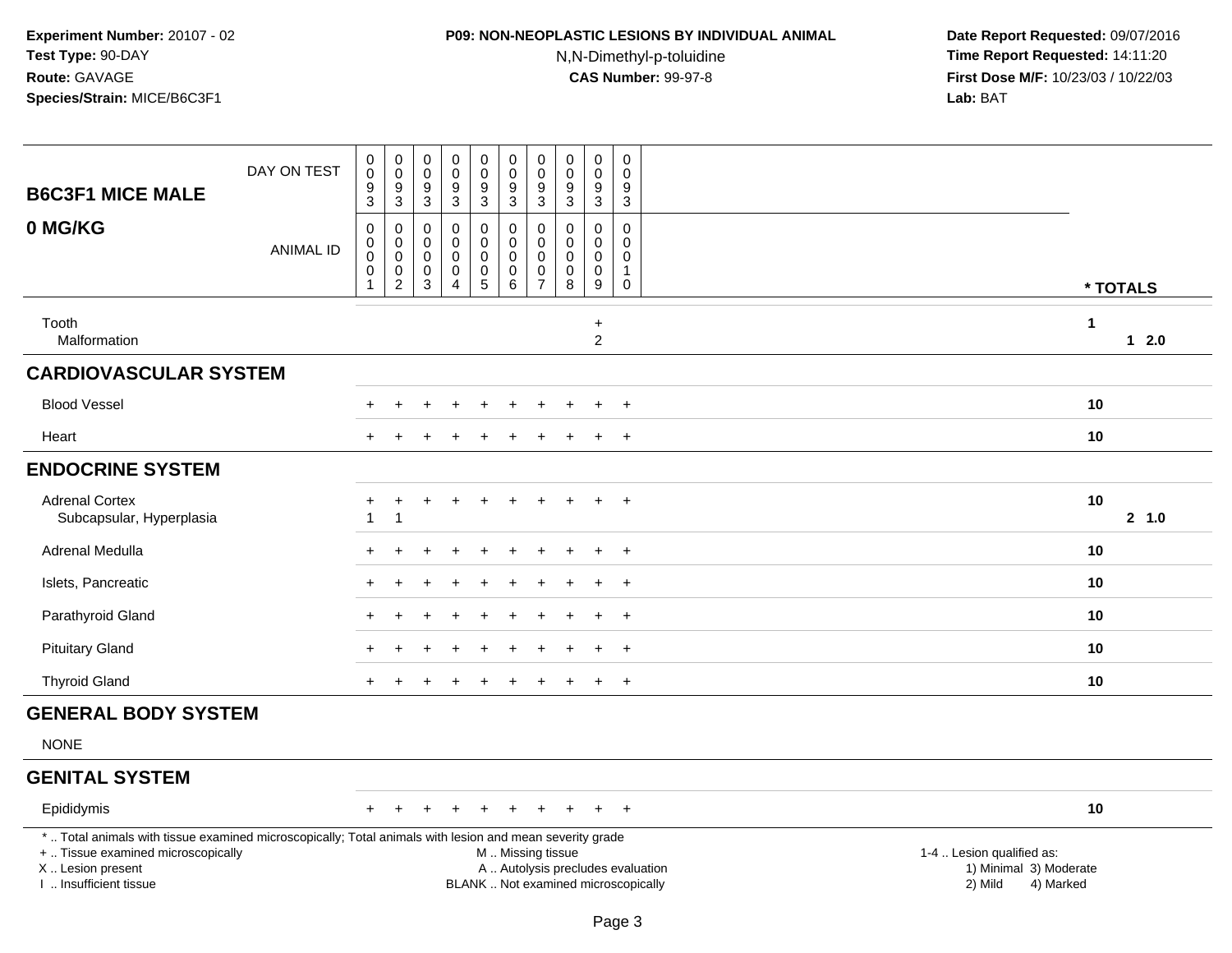### **P09: NON-NEOPLASTIC LESIONS BY INDIVIDUAL ANIMAL**

N,N-Dimethyl-p-toluidine

| <b>B6C3F1 MICE MALE</b>                                                                                                                                                                       | DAY ON TEST      | $\pmb{0}$<br>$\bar{0}$<br>$\boldsymbol{9}$<br>$\overline{3}$    | $_{\rm 0}^{\rm 0}$<br>$\frac{9}{3}$                        | $\pmb{0}$<br>$\overline{0}$<br>9<br>$\overline{3}$           | $\pmb{0}$<br>$\ddot{\mathbf{0}}$<br>$^9_3$                             | $\begin{smallmatrix} 0\\0 \end{smallmatrix}$<br>$\frac{9}{3}$            | 0<br>$\pmb{0}$<br>$\boldsymbol{9}$<br>$\overline{3}$ | $\mathbf 0$<br>$\mathbf 0$<br>9<br>$\sqrt{3}$                            | $\pmb{0}$<br>$\overline{0}$<br>$\boldsymbol{9}$<br>$\overline{3}$ | $\mathbf 0$<br>$\ddot{\mathbf{0}}$<br>$\frac{9}{3}$              | $\boldsymbol{0}$<br>$\mathbf 0$<br>9<br>$\overline{3}$      |                                                                                                                                                         |        |
|-----------------------------------------------------------------------------------------------------------------------------------------------------------------------------------------------|------------------|-----------------------------------------------------------------|------------------------------------------------------------|--------------------------------------------------------------|------------------------------------------------------------------------|--------------------------------------------------------------------------|------------------------------------------------------|--------------------------------------------------------------------------|-------------------------------------------------------------------|------------------------------------------------------------------|-------------------------------------------------------------|---------------------------------------------------------------------------------------------------------------------------------------------------------|--------|
| 0 MG/KG                                                                                                                                                                                       | <b>ANIMAL ID</b> | $\boldsymbol{0}$<br>0<br>$\mathbf 0$<br>$\,0\,$<br>$\mathbf{1}$ | $\pmb{0}$<br>0<br>$\pmb{0}$<br>$\pmb{0}$<br>$\overline{c}$ | 0<br>$\mathbf 0$<br>$\mathbf 0$<br>$\pmb{0}$<br>$\mathbf{3}$ | $\pmb{0}$<br>$\mathbf 0$<br>$\mathbf 0$<br>$\pmb{0}$<br>$\overline{4}$ | 0<br>$\mathbf 0$<br>$\mathbf 0$<br>$\begin{array}{c} 0 \\ 5 \end{array}$ | $\mathsf 0$<br>$\mathbf 0$<br>$\mathbf 0$<br>0<br>6  | $\mathbf 0$<br>$\mathbf 0$<br>$\mathbf 0$<br>$\pmb{0}$<br>$\overline{7}$ | 0<br>$\mathbf{0}$<br>$\mathbf 0$<br>$\pmb{0}$<br>8                | 0<br>$\mathbf 0$<br>$\mathbf 0$<br>$\mathbf 0$<br>$\overline{9}$ | 0<br>$\Omega$<br>$\mathbf 0$<br>$\mathbf{1}$<br>$\mathbf 0$ | * TOTALS                                                                                                                                                |        |
| Tooth<br>Malformation                                                                                                                                                                         |                  |                                                                 |                                                            |                                                              |                                                                        |                                                                          |                                                      |                                                                          |                                                                   | $\ddot{}$<br>$\overline{c}$                                      |                                                             | $\mathbf{1}$                                                                                                                                            | $12.0$ |
| <b>CARDIOVASCULAR SYSTEM</b>                                                                                                                                                                  |                  |                                                                 |                                                            |                                                              |                                                                        |                                                                          |                                                      |                                                                          |                                                                   |                                                                  |                                                             |                                                                                                                                                         |        |
| <b>Blood Vessel</b>                                                                                                                                                                           |                  |                                                                 |                                                            |                                                              |                                                                        |                                                                          |                                                      |                                                                          |                                                                   |                                                                  | $\ddot{}$                                                   | 10                                                                                                                                                      |        |
| Heart                                                                                                                                                                                         |                  |                                                                 |                                                            |                                                              |                                                                        |                                                                          |                                                      |                                                                          |                                                                   | ÷                                                                | $^+$                                                        | 10                                                                                                                                                      |        |
| <b>ENDOCRINE SYSTEM</b>                                                                                                                                                                       |                  |                                                                 |                                                            |                                                              |                                                                        |                                                                          |                                                      |                                                                          |                                                                   |                                                                  |                                                             |                                                                                                                                                         |        |
| <b>Adrenal Cortex</b><br>Subcapsular, Hyperplasia                                                                                                                                             |                  |                                                                 | $\ddot{}$<br>$\overline{1}$                                | $\ddot{}$                                                    | $\overline{+}$                                                         | $\ddot{}$                                                                | $\ddot{}$                                            |                                                                          |                                                                   |                                                                  | $\ddot{}$                                                   | 10                                                                                                                                                      | 2 1.0  |
| Adrenal Medulla                                                                                                                                                                               |                  |                                                                 |                                                            |                                                              |                                                                        |                                                                          |                                                      |                                                                          |                                                                   | $\div$                                                           | $\ddot{}$                                                   | 10                                                                                                                                                      |        |
| Islets, Pancreatic                                                                                                                                                                            |                  |                                                                 |                                                            |                                                              |                                                                        |                                                                          |                                                      |                                                                          |                                                                   |                                                                  | $\ddot{}$                                                   | 10                                                                                                                                                      |        |
| Parathyroid Gland                                                                                                                                                                             |                  |                                                                 |                                                            |                                                              |                                                                        |                                                                          |                                                      |                                                                          |                                                                   |                                                                  | $\ddot{}$                                                   | 10                                                                                                                                                      |        |
| <b>Pituitary Gland</b>                                                                                                                                                                        |                  |                                                                 |                                                            |                                                              |                                                                        |                                                                          |                                                      |                                                                          |                                                                   | $\ddot{}$                                                        | $+$                                                         | 10                                                                                                                                                      |        |
| <b>Thyroid Gland</b>                                                                                                                                                                          |                  |                                                                 |                                                            |                                                              |                                                                        |                                                                          |                                                      |                                                                          |                                                                   | $\ddot{}$                                                        | $+$                                                         | 10                                                                                                                                                      |        |
| <b>GENERAL BODY SYSTEM</b>                                                                                                                                                                    |                  |                                                                 |                                                            |                                                              |                                                                        |                                                                          |                                                      |                                                                          |                                                                   |                                                                  |                                                             |                                                                                                                                                         |        |
| <b>NONE</b>                                                                                                                                                                                   |                  |                                                                 |                                                            |                                                              |                                                                        |                                                                          |                                                      |                                                                          |                                                                   |                                                                  |                                                             |                                                                                                                                                         |        |
| <b>GENITAL SYSTEM</b>                                                                                                                                                                         |                  |                                                                 |                                                            |                                                              |                                                                        |                                                                          |                                                      |                                                                          |                                                                   |                                                                  |                                                             |                                                                                                                                                         |        |
| Epididymis                                                                                                                                                                                    |                  |                                                                 |                                                            |                                                              | $\overline{+}$                                                         | ÷                                                                        |                                                      |                                                                          |                                                                   | $\ddot{}$                                                        | $+$                                                         | 10                                                                                                                                                      |        |
| *  Total animals with tissue examined microscopically; Total animals with lesion and mean severity grade<br>+  Tissue examined microscopically<br>X  Lesion present<br>I. Insufficient tissue |                  |                                                                 |                                                            |                                                              |                                                                        |                                                                          | M  Missing tissue                                    |                                                                          |                                                                   |                                                                  |                                                             | 1-4  Lesion qualified as:<br>A  Autolysis precludes evaluation<br>1) Minimal 3) Moderate<br>BLANK  Not examined microscopically<br>2) Mild<br>4) Marked |        |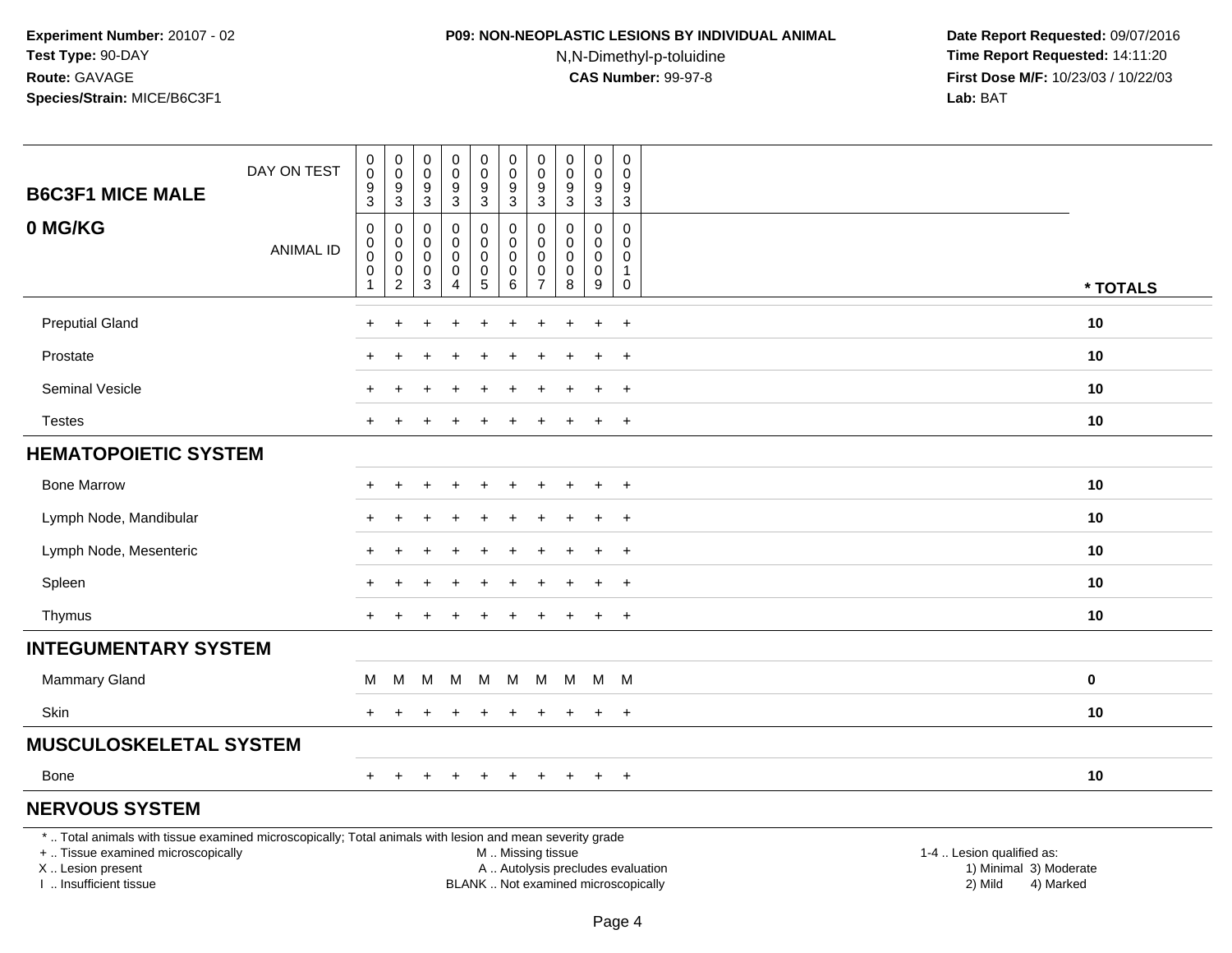# **P09: NON-NEOPLASTIC LESIONS BY INDIVIDUAL ANIMAL**

N,N-Dimethyl-p-toluidine

 **Date Report Requested:** 09/07/2016 **Time Report Requested:** 14:11:20 **First Dose M/F:** 10/23/03 / 10/22/03<br>**Lab:** BAT **Lab:** BAT

| <b>B6C3F1 MICE MALE</b>                                                                                  | DAY ON TEST      | $\pmb{0}$<br>$\boldsymbol{0}$<br>9<br>$\ensuremath{\mathsf{3}}$           | $\mathbf 0$<br>$\mathbf 0$<br>9<br>3  | $\mathbf 0$<br>0<br>9<br>3 | 0<br>$\pmb{0}$<br>$\frac{9}{3}$                             | 0<br>$\mathbf 0$<br>$\frac{9}{3}$                              | $\pmb{0}$<br>$\mathbf 0$<br>$\frac{9}{3}$                 | 0<br>$\mathbf 0$<br>9<br>3                             | $\pmb{0}$<br>0<br>9<br>3                         | 0<br>0<br>$\frac{9}{3}$       | 0<br>0<br>9<br>3                                  |          |
|----------------------------------------------------------------------------------------------------------|------------------|---------------------------------------------------------------------------|---------------------------------------|----------------------------|-------------------------------------------------------------|----------------------------------------------------------------|-----------------------------------------------------------|--------------------------------------------------------|--------------------------------------------------|-------------------------------|---------------------------------------------------|----------|
| 0 MG/KG                                                                                                  | <b>ANIMAL ID</b> | $\mathbf 0$<br>$\boldsymbol{0}$<br>$\pmb{0}$<br>$\pmb{0}$<br>$\mathbf{1}$ | 0<br>0<br>$\pmb{0}$<br>$\pmb{0}$<br>2 | 0<br>0<br>0<br>0<br>3      | 0<br>0<br>$\pmb{0}$<br>$\pmb{0}$<br>$\overline{\mathbf{4}}$ | 0<br>0<br>$\mathsf 0$<br>$\begin{array}{c} 0 \\ 5 \end{array}$ | $\pmb{0}$<br>$\mathbf 0$<br>$\mathbf 0$<br>$\pmb{0}$<br>6 | $\mathbf 0$<br>0<br>$\mathbf 0$<br>0<br>$\overline{7}$ | $\mathbf 0$<br>$\Omega$<br>$\mathbf 0$<br>0<br>8 | 0<br>0<br>0<br>$\pmb{0}$<br>9 | $\mathbf 0$<br>$\Omega$<br>0<br>$\mathbf{1}$<br>0 | * TOTALS |
| <b>Preputial Gland</b>                                                                                   |                  |                                                                           |                                       |                            |                                                             |                                                                |                                                           |                                                        |                                                  | $\ddot{}$                     | $+$                                               | 10       |
| Prostate                                                                                                 |                  |                                                                           |                                       |                            | ÷                                                           | ÷                                                              | $\ddot{}$                                                 | $\pm$                                                  |                                                  | $\ddot{}$                     | $+$                                               | 10       |
| Seminal Vesicle                                                                                          |                  |                                                                           |                                       |                            |                                                             |                                                                |                                                           |                                                        |                                                  | $\ddot{}$                     | $+$                                               | 10       |
| <b>Testes</b>                                                                                            |                  |                                                                           | ÷                                     |                            |                                                             |                                                                |                                                           |                                                        |                                                  | $\ddot{}$                     | $+$                                               | 10       |
| <b>HEMATOPOIETIC SYSTEM</b>                                                                              |                  |                                                                           |                                       |                            |                                                             |                                                                |                                                           |                                                        |                                                  |                               |                                                   |          |
| <b>Bone Marrow</b>                                                                                       |                  |                                                                           |                                       |                            | $\div$                                                      | ÷.                                                             |                                                           |                                                        |                                                  | $\div$                        | $+$                                               | 10       |
| Lymph Node, Mandibular                                                                                   |                  |                                                                           |                                       |                            |                                                             |                                                                |                                                           |                                                        |                                                  |                               | $\overline{+}$                                    | 10       |
| Lymph Node, Mesenteric                                                                                   |                  |                                                                           |                                       |                            |                                                             |                                                                |                                                           |                                                        |                                                  | $\div$                        | $+$                                               | 10       |
| Spleen                                                                                                   |                  |                                                                           |                                       |                            |                                                             |                                                                |                                                           |                                                        |                                                  |                               | $+$                                               | 10       |
| Thymus                                                                                                   |                  | $+$                                                                       |                                       |                            | +                                                           | $\div$                                                         |                                                           |                                                        |                                                  | $+$                           | $+$                                               | 10       |
| <b>INTEGUMENTARY SYSTEM</b>                                                                              |                  |                                                                           |                                       |                            |                                                             |                                                                |                                                           |                                                        |                                                  |                               |                                                   |          |
| Mammary Gland                                                                                            |                  | М                                                                         | M                                     | М                          | M                                                           | M                                                              | M                                                         | M                                                      | M                                                |                               | M M                                               | 0        |
| Skin                                                                                                     |                  |                                                                           | $\ddot{}$                             | $\pm$                      | $\ddot{}$                                                   | $\ddot{}$                                                      | $\ddot{}$                                                 | $\ddot{}$                                              |                                                  | $+$                           | $+$                                               | 10       |
| <b>MUSCULOSKELETAL SYSTEM</b>                                                                            |                  |                                                                           |                                       |                            |                                                             |                                                                |                                                           |                                                        |                                                  |                               |                                                   |          |
| <b>Bone</b>                                                                                              |                  | $+$                                                                       | $\ddot{}$                             |                            | $\ddot{}$                                                   | $\ddot{}$                                                      | $\ddot{}$                                                 | $\ddot{}$                                              | $\pm$                                            | $\ddot{}$                     | $+$                                               | 10       |
| <b>NERVOUS SYSTEM</b>                                                                                    |                  |                                                                           |                                       |                            |                                                             |                                                                |                                                           |                                                        |                                                  |                               |                                                   |          |
| *  Total animals with tissue examined microscopically; Total animals with lesion and mean severity grade |                  |                                                                           |                                       |                            |                                                             |                                                                |                                                           |                                                        |                                                  |                               |                                                   |          |

+ .. Tissue examined microscopically

X .. Lesion present

I .. Insufficient tissue

M .. Missing tissue

A .. Autolysis precludes evaluation 1999 (1999) 1999 (1999) 1999 (1999) 1999 (1999) Minimal 3) Minimal 3) Minimal 3) Minimal 3) Mild BLANK .. Not examined microscopically 2) Mild 4) Marked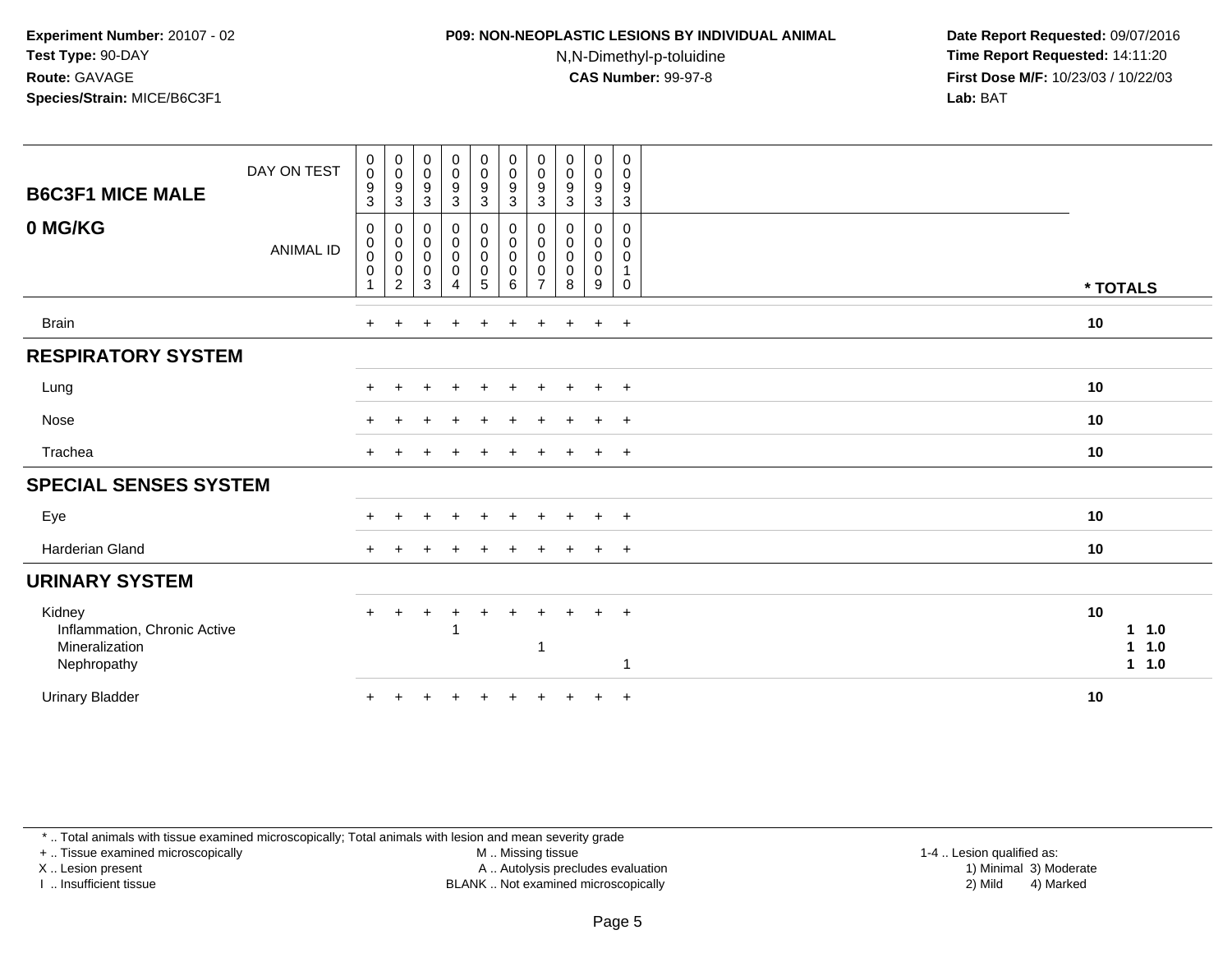# **P09: NON-NEOPLASTIC LESIONS BY INDIVIDUAL ANIMAL**

N,N-Dimethyl-p-toluidine

 **Date Report Requested:** 09/07/2016 **Time Report Requested:** 14:11:20 **First Dose M/F:** 10/23/03 / 10/22/03<br>**Lab:** BAT **Lab:** BAT

| <b>B6C3F1 MICE MALE</b>                                                 | DAY ON TEST      | $\mathbf 0$<br>$\mathbf 0$<br>$\frac{9}{3}$                      | $\mathbf 0$<br>$\mathbf 0$<br>$\frac{9}{3}$                                                       | $_{\rm 0}^{\rm 0}$<br>$\frac{9}{3}$           | $_{\rm 0}^{\rm 0}$<br>$\frac{9}{3}$                     | $\begin{smallmatrix} 0\\0 \end{smallmatrix}$<br>$\frac{9}{3}$                  | $\begin{smallmatrix} 0\\0 \end{smallmatrix}$<br>$\frac{9}{3}$ | $\pmb{0}$<br>$\mathbf 0$<br>$\boldsymbol{9}$<br>3 | $_{\rm 0}^{\rm 0}$<br>$\frac{9}{3}$                    | $\boldsymbol{0}$<br>$\pmb{0}$<br>$\frac{9}{3}$        | $\pmb{0}$<br>$\mathbf 0$<br>$\frac{9}{3}$                                |          |                                     |
|-------------------------------------------------------------------------|------------------|------------------------------------------------------------------|---------------------------------------------------------------------------------------------------|-----------------------------------------------|---------------------------------------------------------|--------------------------------------------------------------------------------|---------------------------------------------------------------|---------------------------------------------------|--------------------------------------------------------|-------------------------------------------------------|--------------------------------------------------------------------------|----------|-------------------------------------|
| 0 MG/KG                                                                 | <b>ANIMAL ID</b> | $\mathbf 0$<br>$\mathbf 0$<br>0<br>$\mathbf 0$<br>$\overline{A}$ | 0<br>$\begin{smallmatrix} 0\\0 \end{smallmatrix}$<br>$\begin{smallmatrix} 0\\2 \end{smallmatrix}$ | $\pmb{0}$<br>$\overline{0}$<br>$\pmb{0}$<br>3 | 0<br>$\overline{0}$<br>0<br>$\pmb{0}$<br>$\overline{4}$ | $\pmb{0}$<br>$\mathsf 0$<br>$\ddot{\mathbf{0}}$<br>$\pmb{0}$<br>$\overline{5}$ | $\pmb{0}$<br>$_{\rm 0}^{\rm 0}$<br>$\pmb{0}$<br>$6^{\circ}$   | 0<br>0<br>0<br>0<br>$\overline{ }$                | 0<br>$\mathbf 0$<br>$\pmb{0}$<br>$\boldsymbol{0}$<br>8 | 0<br>$\mathbf 0$<br>$\mathbf 0$<br>$\pmb{0}$<br>$9\,$ | $\mathbf 0$<br>$\mathbf 0$<br>$\mathbf 0$<br>$\mathbf{1}$<br>$\mathbf 0$ | * TOTALS |                                     |
| <b>Brain</b>                                                            |                  | $+$                                                              | $\ddot{}$                                                                                         |                                               | $\ddot{}$                                               | $\ddot{}$                                                                      | $\ddot{}$                                                     | $\ddot{}$                                         | $\ddot{}$                                              | $+$                                                   | $+$                                                                      | 10       |                                     |
| <b>RESPIRATORY SYSTEM</b>                                               |                  |                                                                  |                                                                                                   |                                               |                                                         |                                                                                |                                                               |                                                   |                                                        |                                                       |                                                                          |          |                                     |
| Lung                                                                    |                  | $\pm$                                                            | ÷                                                                                                 |                                               | $\ddot{}$                                               |                                                                                | $\ddot{}$                                                     | $\pm$                                             | $\pm$                                                  | $+$                                                   | $+$                                                                      | 10       |                                     |
| Nose                                                                    |                  | +                                                                |                                                                                                   |                                               |                                                         |                                                                                | ÷                                                             |                                                   |                                                        | $\ddot{}$                                             | $^{+}$                                                                   | 10       |                                     |
| Trachea                                                                 |                  |                                                                  |                                                                                                   |                                               |                                                         |                                                                                |                                                               |                                                   |                                                        | $\pm$                                                 | $+$                                                                      | 10       |                                     |
| <b>SPECIAL SENSES SYSTEM</b>                                            |                  |                                                                  |                                                                                                   |                                               |                                                         |                                                                                |                                                               |                                                   |                                                        |                                                       |                                                                          |          |                                     |
| Eye                                                                     |                  |                                                                  |                                                                                                   |                                               |                                                         |                                                                                |                                                               |                                                   |                                                        | $\ddot{}$                                             | $\ddot{}$                                                                | 10       |                                     |
| Harderian Gland                                                         |                  | $+$                                                              |                                                                                                   |                                               |                                                         |                                                                                |                                                               |                                                   |                                                        | $\ddot{}$                                             | $^{+}$                                                                   | 10       |                                     |
| <b>URINARY SYSTEM</b>                                                   |                  |                                                                  |                                                                                                   |                                               |                                                         |                                                                                |                                                               |                                                   |                                                        |                                                       |                                                                          |          |                                     |
| Kidney<br>Inflammation, Chronic Active<br>Mineralization<br>Nephropathy |                  | $+$                                                              |                                                                                                   |                                               | $\ddot{}$<br>1                                          |                                                                                | $\ddot{}$                                                     | -1                                                |                                                        | $\ddot{}$                                             | $+$<br>1                                                                 | 10       | 11.0<br>1.0<br>$\mathbf 1$<br>1 1.0 |
| <b>Urinary Bladder</b>                                                  |                  | $\ddot{}$                                                        |                                                                                                   |                                               |                                                         |                                                                                |                                                               |                                                   |                                                        | $\ddot{}$                                             | $+$                                                                      | 10       |                                     |

\* .. Total animals with tissue examined microscopically; Total animals with lesion and mean severity grade

+ .. Tissue examined microscopically

X .. Lesion present

I .. Insufficient tissue

M .. Missing tissue

Lesion present A .. Autolysis precludes evaluation 1) Minimal 3) Moderate

1-4 .. Lesion qualified as:<br>1) Minimal 3) Moderate BLANK .. Not examined microscopically 2) Mild 4) Marked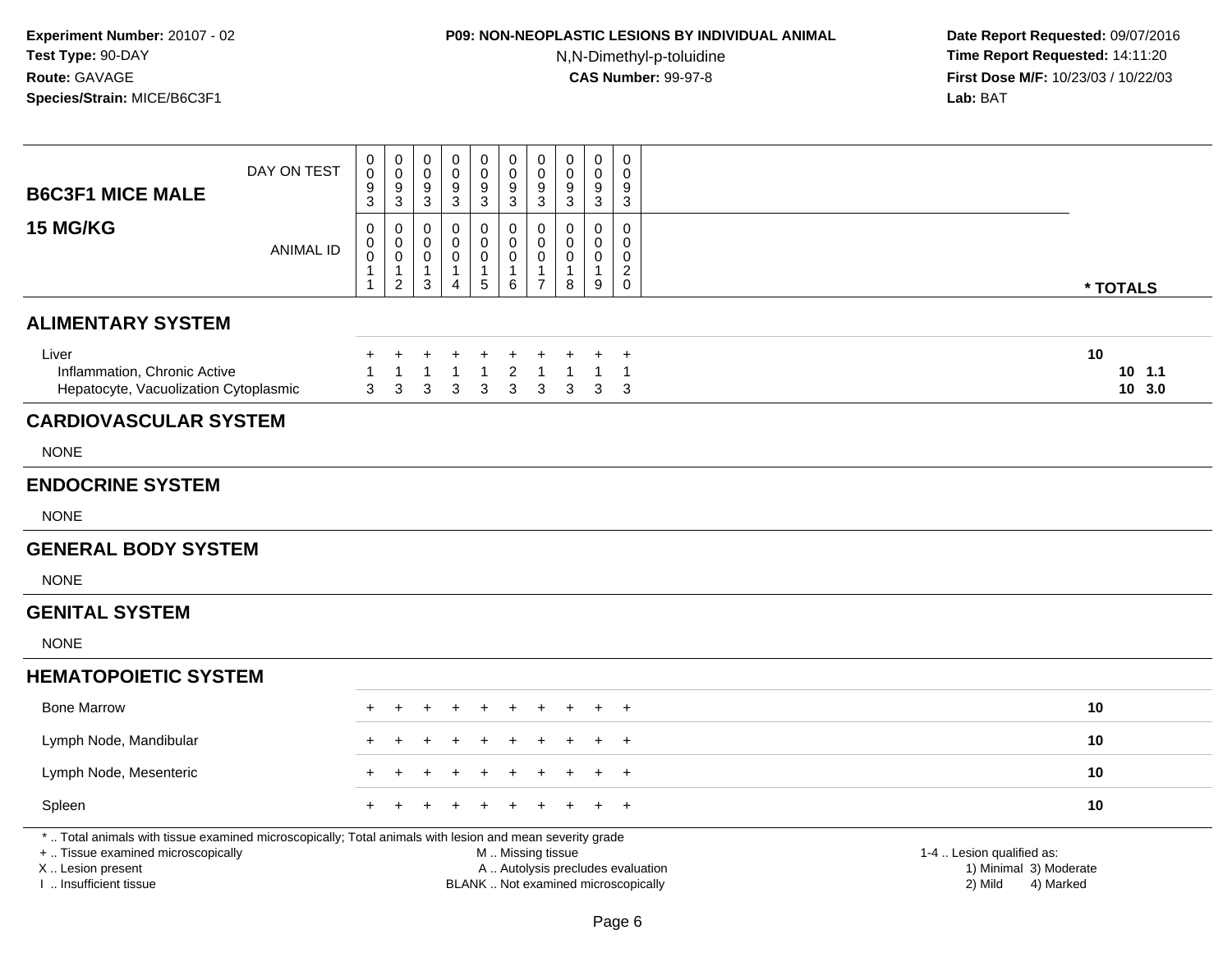## **P09: NON-NEOPLASTIC LESIONS BY INDIVIDUAL ANIMAL**N,N-Dimethyl-p-toluidine

| <b>B6C3F1 MICE MALE</b>                                                                                                                                                                       | DAY ON TEST      | 0<br>0<br>9<br>3                | $\boldsymbol{0}$<br>$\mathbf 0$<br>$\boldsymbol{9}$<br>3        | $\mathbf 0$<br>$\mathbf 0$<br>9<br>3       | $\pmb{0}$<br>0<br>9<br>$\mathbf{3}$           | $\mathsf 0$<br>$\pmb{0}$<br>$\boldsymbol{9}$<br>3        | $\pmb{0}$<br>$\mathbf 0$<br>$\boldsymbol{9}$<br>3          | $\pmb{0}$<br>$\mathbf 0$<br>$\boldsymbol{9}$<br>3                 | $\boldsymbol{0}$<br>$\mathbf 0$<br>9<br>3                                | $\pmb{0}$<br>0<br>$9\,$<br>3                       | $\mathbf 0$<br>$\Omega$<br>9<br>3                                  |                                                                             |  |
|-----------------------------------------------------------------------------------------------------------------------------------------------------------------------------------------------|------------------|---------------------------------|-----------------------------------------------------------------|--------------------------------------------|-----------------------------------------------|----------------------------------------------------------|------------------------------------------------------------|-------------------------------------------------------------------|--------------------------------------------------------------------------|----------------------------------------------------|--------------------------------------------------------------------|-----------------------------------------------------------------------------|--|
| <b>15 MG/KG</b>                                                                                                                                                                               | <b>ANIMAL ID</b> | 0<br>0<br>$\mathbf 0$<br>1<br>1 | 0<br>$\pmb{0}$<br>$\mathbf 0$<br>$\mathbf{1}$<br>$\overline{2}$ | 0<br>0<br>$\mathbf 0$<br>$\mathbf{1}$<br>3 | 0<br>0<br>0<br>$\mathbf{1}$<br>$\overline{4}$ | $\mathbf 0$<br>$\pmb{0}$<br>$\pmb{0}$<br>1<br>$\sqrt{5}$ | 0<br>$\pmb{0}$<br>$\mathsf{O}\xspace$<br>$\mathbf{1}$<br>6 | 0<br>$\mathbf 0$<br>$\mathbf 0$<br>$\mathbf{1}$<br>$\overline{7}$ | $\mathbf 0$<br>$\Omega$<br>0<br>1<br>8                                   | 0<br>$\pmb{0}$<br>$\mathbf 0$<br>$\mathbf{1}$<br>9 | $\mathbf 0$<br>$\mathbf 0$<br>$\mathbf 0$<br>$\boldsymbol{2}$<br>0 | * TOTALS                                                                    |  |
| <b>ALIMENTARY SYSTEM</b>                                                                                                                                                                      |                  |                                 |                                                                 |                                            |                                               |                                                          |                                                            |                                                                   |                                                                          |                                                    |                                                                    |                                                                             |  |
| Liver<br>Inflammation, Chronic Active<br>Hepatocyte, Vacuolization Cytoplasmic                                                                                                                |                  | $\ddot{}$<br>3                  | 1<br>$\mathbf{3}$                                               | ٠<br>1<br>3                                | 1<br>3                                        | $\mathbf{1}$<br>$\sqrt{3}$                               | $\overline{c}$<br>$\sqrt{3}$                               | $\overline{1}$<br>3                                               | $\overline{1}$<br>3                                                      | 1<br>3                                             | $\ddot{}$<br>$\mathbf{1}$<br>3                                     | 10<br>$10$ 1.1<br>10 3.0                                                    |  |
| <b>CARDIOVASCULAR SYSTEM</b>                                                                                                                                                                  |                  |                                 |                                                                 |                                            |                                               |                                                          |                                                            |                                                                   |                                                                          |                                                    |                                                                    |                                                                             |  |
| <b>NONE</b>                                                                                                                                                                                   |                  |                                 |                                                                 |                                            |                                               |                                                          |                                                            |                                                                   |                                                                          |                                                    |                                                                    |                                                                             |  |
| <b>ENDOCRINE SYSTEM</b>                                                                                                                                                                       |                  |                                 |                                                                 |                                            |                                               |                                                          |                                                            |                                                                   |                                                                          |                                                    |                                                                    |                                                                             |  |
| <b>NONE</b>                                                                                                                                                                                   |                  |                                 |                                                                 |                                            |                                               |                                                          |                                                            |                                                                   |                                                                          |                                                    |                                                                    |                                                                             |  |
| <b>GENERAL BODY SYSTEM</b>                                                                                                                                                                    |                  |                                 |                                                                 |                                            |                                               |                                                          |                                                            |                                                                   |                                                                          |                                                    |                                                                    |                                                                             |  |
| <b>NONE</b>                                                                                                                                                                                   |                  |                                 |                                                                 |                                            |                                               |                                                          |                                                            |                                                                   |                                                                          |                                                    |                                                                    |                                                                             |  |
| <b>GENITAL SYSTEM</b>                                                                                                                                                                         |                  |                                 |                                                                 |                                            |                                               |                                                          |                                                            |                                                                   |                                                                          |                                                    |                                                                    |                                                                             |  |
| <b>NONE</b>                                                                                                                                                                                   |                  |                                 |                                                                 |                                            |                                               |                                                          |                                                            |                                                                   |                                                                          |                                                    |                                                                    |                                                                             |  |
| <b>HEMATOPOIETIC SYSTEM</b>                                                                                                                                                                   |                  |                                 |                                                                 |                                            |                                               |                                                          |                                                            |                                                                   |                                                                          |                                                    |                                                                    |                                                                             |  |
| <b>Bone Marrow</b>                                                                                                                                                                            |                  |                                 |                                                                 |                                            |                                               |                                                          |                                                            |                                                                   |                                                                          |                                                    | $\pm$                                                              | 10                                                                          |  |
| Lymph Node, Mandibular                                                                                                                                                                        |                  |                                 |                                                                 |                                            |                                               |                                                          |                                                            |                                                                   |                                                                          |                                                    | $\overline{+}$                                                     | 10                                                                          |  |
| Lymph Node, Mesenteric                                                                                                                                                                        |                  |                                 |                                                                 |                                            |                                               |                                                          |                                                            |                                                                   |                                                                          |                                                    | $\overline{+}$                                                     | 10                                                                          |  |
| Spleen                                                                                                                                                                                        |                  |                                 |                                                                 |                                            |                                               |                                                          |                                                            |                                                                   |                                                                          |                                                    | $\overline{1}$                                                     | 10                                                                          |  |
| *  Total animals with tissue examined microscopically; Total animals with lesion and mean severity grade<br>+  Tissue examined microscopically<br>X  Lesion present<br>I. Insufficient tissue |                  |                                 |                                                                 |                                            |                                               |                                                          | M  Missing tissue                                          |                                                                   | A  Autolysis precludes evaluation<br>BLANK  Not examined microscopically |                                                    |                                                                    | 1-4  Lesion qualified as:<br>1) Minimal 3) Moderate<br>2) Mild<br>4) Marked |  |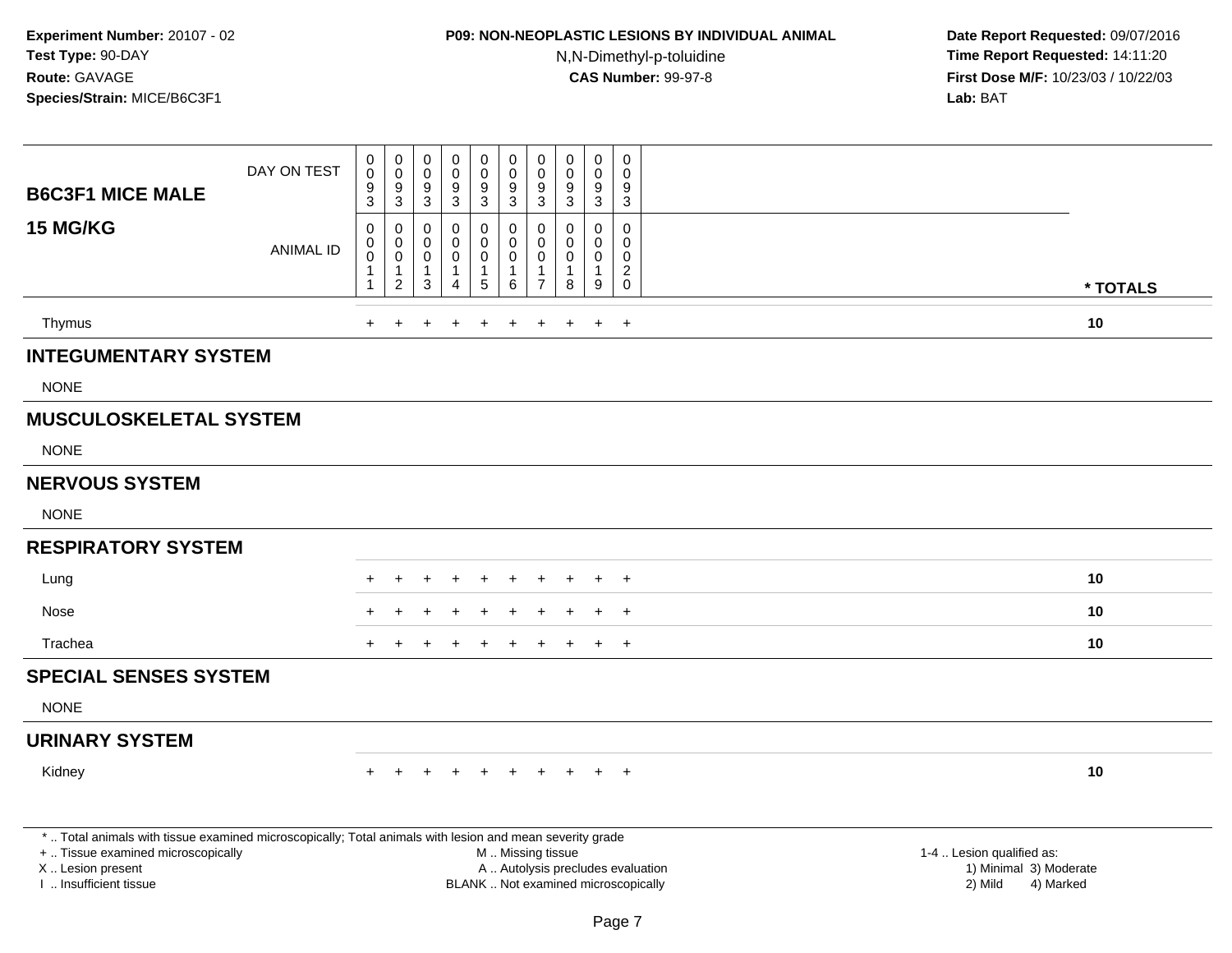## **P09: NON-NEOPLASTIC LESIONS BY INDIVIDUAL ANIMAL**N,N-Dimethyl-p-toluidine

| <b>B6C3F1 MICE MALE</b>                                                                                                                                                                       | DAY ON TEST      | $\mathsf 0$<br>$\pmb{0}$<br>$\frac{9}{3}$                              | $\mathbf 0$<br>$\overline{0}$<br>$\boldsymbol{9}$<br>3                           | $\boldsymbol{0}$<br>$\mathbf 0$<br>$9\,$<br>3                  | $\pmb{0}$<br>$\mathbf 0$<br>9<br>3                   | $\pmb{0}$<br>$\boldsymbol{0}$<br>9<br>3       | $\mathsf{O}\xspace$<br>$\mathbf 0$<br>9<br>3   | $\pmb{0}$<br>$\ddot{\mathbf{0}}$<br>$\boldsymbol{9}$<br>$\mathbf{3}$   | $\mathbf 0$<br>$\mathbf 0$<br>9<br>$\mathbf{3}$                         | $\mathbf 0$<br>$\mathbf 0$<br>9<br>3                           | 0<br>$\Omega$<br>9<br>3                                             |                                                                                                                  |
|-----------------------------------------------------------------------------------------------------------------------------------------------------------------------------------------------|------------------|------------------------------------------------------------------------|----------------------------------------------------------------------------------|----------------------------------------------------------------|------------------------------------------------------|-----------------------------------------------|------------------------------------------------|------------------------------------------------------------------------|-------------------------------------------------------------------------|----------------------------------------------------------------|---------------------------------------------------------------------|------------------------------------------------------------------------------------------------------------------|
| 15 MG/KG                                                                                                                                                                                      | <b>ANIMAL ID</b> | $\mathbf 0$<br>$\mathbf 0$<br>$\ddot{\mathbf{0}}$<br>$\mathbf 1$<br>-1 | $\pmb{0}$<br>$\mathsf{O}\xspace$<br>$\overline{0}$<br>$\mathbf{1}$<br>$\sqrt{2}$ | $\mathbf 0$<br>$\mathbf 0$<br>$\mathbf 0$<br>$\mathbf{1}$<br>3 | $\Omega$<br>$\Omega$<br>$\mathbf 0$<br>1<br>$\Delta$ | 0<br>0<br>$\mathsf 0$<br>1<br>$5\phantom{.0}$ | $\pmb{0}$<br>0<br>$\mathbf 0$<br>-1<br>$\,6\,$ | $\boldsymbol{0}$<br>$\mathbf 0$<br>$\mathbf 0$<br>-1<br>$\overline{7}$ | $\mathbf{0}$<br>$\mathbf{0}$<br>$\mathbf 0$<br>$\overline{1}$<br>$\bf8$ | $\mathbf 0$<br>$\mathbf 0$<br>$\mathbf 0$<br>$\mathbf{1}$<br>9 | 0<br>$\mathbf{0}$<br>$\mathbf 0$<br>$\boldsymbol{2}$<br>$\mathbf 0$ | * TOTALS                                                                                                         |
| Thymus                                                                                                                                                                                        |                  | $+$                                                                    |                                                                                  |                                                                |                                                      | $\div$                                        | $\ddot{}$                                      | $\ddot{}$                                                              | $\ddot{}$                                                               | $\ddot{}$                                                      | $+$                                                                 | 10                                                                                                               |
| <b>INTEGUMENTARY SYSTEM</b>                                                                                                                                                                   |                  |                                                                        |                                                                                  |                                                                |                                                      |                                               |                                                |                                                                        |                                                                         |                                                                |                                                                     |                                                                                                                  |
| <b>NONE</b>                                                                                                                                                                                   |                  |                                                                        |                                                                                  |                                                                |                                                      |                                               |                                                |                                                                        |                                                                         |                                                                |                                                                     |                                                                                                                  |
| <b>MUSCULOSKELETAL SYSTEM</b>                                                                                                                                                                 |                  |                                                                        |                                                                                  |                                                                |                                                      |                                               |                                                |                                                                        |                                                                         |                                                                |                                                                     |                                                                                                                  |
| <b>NONE</b>                                                                                                                                                                                   |                  |                                                                        |                                                                                  |                                                                |                                                      |                                               |                                                |                                                                        |                                                                         |                                                                |                                                                     |                                                                                                                  |
| <b>NERVOUS SYSTEM</b>                                                                                                                                                                         |                  |                                                                        |                                                                                  |                                                                |                                                      |                                               |                                                |                                                                        |                                                                         |                                                                |                                                                     |                                                                                                                  |
| <b>NONE</b>                                                                                                                                                                                   |                  |                                                                        |                                                                                  |                                                                |                                                      |                                               |                                                |                                                                        |                                                                         |                                                                |                                                                     |                                                                                                                  |
| <b>RESPIRATORY SYSTEM</b>                                                                                                                                                                     |                  |                                                                        |                                                                                  |                                                                |                                                      |                                               |                                                |                                                                        |                                                                         |                                                                |                                                                     |                                                                                                                  |
| Lung                                                                                                                                                                                          |                  |                                                                        |                                                                                  |                                                                |                                                      |                                               |                                                |                                                                        |                                                                         | ÷                                                              | $+$                                                                 | 10                                                                                                               |
| Nose                                                                                                                                                                                          |                  |                                                                        |                                                                                  |                                                                |                                                      |                                               |                                                |                                                                        |                                                                         |                                                                | $\ddot{}$                                                           | 10                                                                                                               |
| Trachea                                                                                                                                                                                       |                  |                                                                        |                                                                                  |                                                                |                                                      |                                               |                                                |                                                                        |                                                                         |                                                                | $+$                                                                 | 10                                                                                                               |
| <b>SPECIAL SENSES SYSTEM</b>                                                                                                                                                                  |                  |                                                                        |                                                                                  |                                                                |                                                      |                                               |                                                |                                                                        |                                                                         |                                                                |                                                                     |                                                                                                                  |
| <b>NONE</b>                                                                                                                                                                                   |                  |                                                                        |                                                                                  |                                                                |                                                      |                                               |                                                |                                                                        |                                                                         |                                                                |                                                                     |                                                                                                                  |
| <b>URINARY SYSTEM</b>                                                                                                                                                                         |                  |                                                                        |                                                                                  |                                                                |                                                      |                                               |                                                |                                                                        |                                                                         |                                                                |                                                                     |                                                                                                                  |
| Kidney                                                                                                                                                                                        |                  |                                                                        |                                                                                  |                                                                |                                                      |                                               |                                                |                                                                        |                                                                         |                                                                | $+$                                                                 | 10                                                                                                               |
| *  Total animals with tissue examined microscopically; Total animals with lesion and mean severity grade<br>+  Tissue examined microscopically<br>X  Lesion present<br>I  Insufficient tissue |                  |                                                                        |                                                                                  |                                                                | BLANK  Not examined microscopically                  |                                               |                                                | M  Missing tissue                                                      |                                                                         |                                                                |                                                                     | 1-4  Lesion qualified as:<br>A  Autolysis precludes evaluation<br>1) Minimal 3) Moderate<br>2) Mild<br>4) Marked |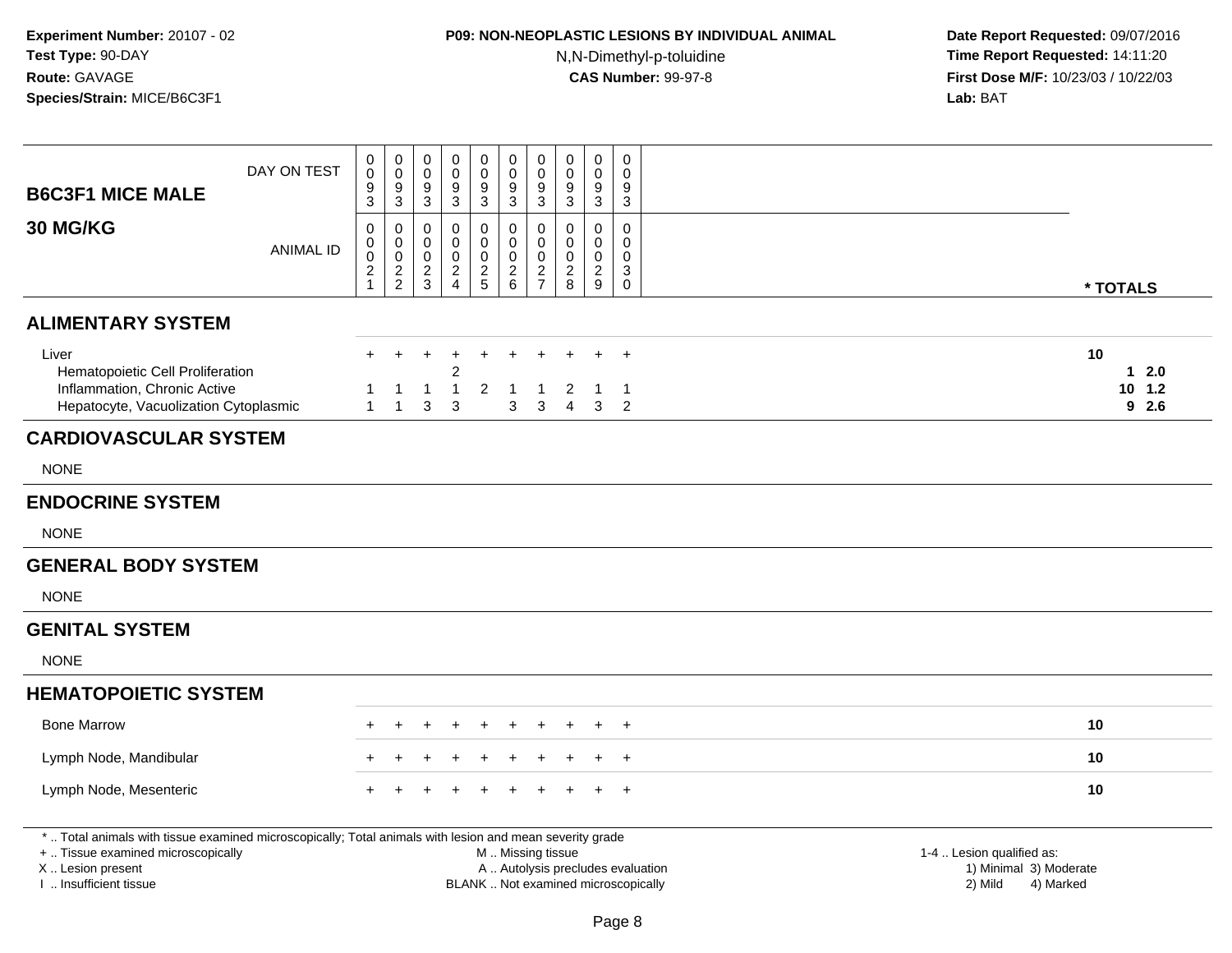# **P09: NON-NEOPLASTIC LESIONS BY INDIVIDUAL ANIMAL**

N,N-Dimethyl-p-toluidine

| <b>B6C3F1 MICE MALE</b>                                                                                                                                                                       | DAY ON TEST      | 0<br>$\mathbf 0$<br>9<br>3           | $\pmb{0}$<br>$\mathbf 0$<br>$\boldsymbol{9}$<br>$\mathbf{3}$ | $\mathbf 0$<br>$\mathbf 0$<br>9<br>$\overline{3}$ | $\boldsymbol{0}$<br>$\mathbf 0$<br>9<br>$\sqrt{3}$         | $\pmb{0}$<br>$\pmb{0}$<br>$\boldsymbol{9}$<br>$\mathfrak{Z}$ | $\mathbf 0$<br>$\mathbf 0$<br>9<br>$\mathbf{3}$                                               | $\pmb{0}$<br>$\mathbf 0$<br>$\boldsymbol{9}$<br>$\mathbf{3}$  | 0<br>$\mathbf 0$<br>9<br>3                    | $\mathsf 0$<br>$\mathbf 0$<br>9<br>$\mathbf{3}$            | $\mathbf 0$<br>$\Omega$<br>9<br>3      |                                                                             |                                    |
|-----------------------------------------------------------------------------------------------------------------------------------------------------------------------------------------------|------------------|--------------------------------------|--------------------------------------------------------------|---------------------------------------------------|------------------------------------------------------------|--------------------------------------------------------------|-----------------------------------------------------------------------------------------------|---------------------------------------------------------------|-----------------------------------------------|------------------------------------------------------------|----------------------------------------|-----------------------------------------------------------------------------|------------------------------------|
| <b>30 MG/KG</b>                                                                                                                                                                               | <b>ANIMAL ID</b> | 0<br>0<br>$\pmb{0}$<br>$\frac{2}{1}$ | 0<br>$\pmb{0}$<br>$\pmb{0}$<br>$\frac{2}{2}$                 | 0<br>$\mathbf 0$<br>$\mathbf 0$<br>$\frac{2}{3}$  | $\mathbf 0$<br>$\mathbf 0$<br>$\mathbf 0$<br>$\frac{2}{4}$ | 0<br>$\mathbf 0$<br>$\pmb{0}$<br>$\frac{2}{5}$               | $\mathbf 0$<br>$\overline{0}$<br>$\mathbf 0$<br>$\begin{array}{c} 2 \\ 6 \end{array}$         | $\mathbf 0$<br>$\pmb{0}$<br>$\boldsymbol{0}$<br>$\frac{2}{7}$ | 0<br>$\Omega$<br>$\mathbf 0$<br>$\frac{2}{8}$ | $\mathbf 0$<br>$\mathbf 0$<br>$\mathbf 0$<br>$\frac{2}{9}$ | 0<br>$\Omega$<br>0<br>3<br>$\mathbf 0$ |                                                                             | * TOTALS                           |
| <b>ALIMENTARY SYSTEM</b>                                                                                                                                                                      |                  |                                      |                                                              |                                                   |                                                            |                                                              |                                                                                               |                                                               |                                               |                                                            |                                        |                                                                             |                                    |
| Liver<br>Hematopoietic Cell Proliferation<br>Inflammation, Chronic Active<br>Hepatocyte, Vacuolization Cytoplasmic                                                                            |                  | $\pm$<br>$\mathbf{1}$                | $\overline{1}$                                               | $\mathbf 1$<br>$\sqrt{3}$                         | 2<br>3                                                     | $\div$<br>2                                                  | $\mathbf{3}$                                                                                  | -1<br>$\mathbf{3}$                                            | 2<br>$\overline{4}$                           | +<br>3                                                     | $+$<br>-1<br>$\overline{2}$            |                                                                             | 10<br>$12.0$<br>$10$ $1.2$<br>92.6 |
| <b>CARDIOVASCULAR SYSTEM</b>                                                                                                                                                                  |                  |                                      |                                                              |                                                   |                                                            |                                                              |                                                                                               |                                                               |                                               |                                                            |                                        |                                                                             |                                    |
| <b>NONE</b>                                                                                                                                                                                   |                  |                                      |                                                              |                                                   |                                                            |                                                              |                                                                                               |                                                               |                                               |                                                            |                                        |                                                                             |                                    |
| <b>ENDOCRINE SYSTEM</b>                                                                                                                                                                       |                  |                                      |                                                              |                                                   |                                                            |                                                              |                                                                                               |                                                               |                                               |                                                            |                                        |                                                                             |                                    |
| <b>NONE</b>                                                                                                                                                                                   |                  |                                      |                                                              |                                                   |                                                            |                                                              |                                                                                               |                                                               |                                               |                                                            |                                        |                                                                             |                                    |
| <b>GENERAL BODY SYSTEM</b>                                                                                                                                                                    |                  |                                      |                                                              |                                                   |                                                            |                                                              |                                                                                               |                                                               |                                               |                                                            |                                        |                                                                             |                                    |
| <b>NONE</b>                                                                                                                                                                                   |                  |                                      |                                                              |                                                   |                                                            |                                                              |                                                                                               |                                                               |                                               |                                                            |                                        |                                                                             |                                    |
| <b>GENITAL SYSTEM</b>                                                                                                                                                                         |                  |                                      |                                                              |                                                   |                                                            |                                                              |                                                                                               |                                                               |                                               |                                                            |                                        |                                                                             |                                    |
| <b>NONE</b>                                                                                                                                                                                   |                  |                                      |                                                              |                                                   |                                                            |                                                              |                                                                                               |                                                               |                                               |                                                            |                                        |                                                                             |                                    |
| <b>HEMATOPOIETIC SYSTEM</b>                                                                                                                                                                   |                  |                                      |                                                              |                                                   |                                                            |                                                              |                                                                                               |                                                               |                                               |                                                            |                                        |                                                                             |                                    |
| <b>Bone Marrow</b>                                                                                                                                                                            |                  |                                      |                                                              |                                                   |                                                            |                                                              |                                                                                               |                                                               |                                               |                                                            | $\ddot{}$                              |                                                                             | 10                                 |
| Lymph Node, Mandibular                                                                                                                                                                        |                  |                                      |                                                              |                                                   |                                                            |                                                              |                                                                                               |                                                               |                                               |                                                            | $+$                                    |                                                                             | 10                                 |
| Lymph Node, Mesenteric                                                                                                                                                                        |                  |                                      |                                                              |                                                   |                                                            |                                                              |                                                                                               |                                                               |                                               |                                                            | $+$                                    |                                                                             | 10                                 |
| *  Total animals with tissue examined microscopically; Total animals with lesion and mean severity grade<br>+  Tissue examined microscopically<br>X  Lesion present<br>I. Insufficient tissue |                  |                                      |                                                              |                                                   |                                                            |                                                              | M  Missing tissue<br>A  Autolysis precludes evaluation<br>BLANK  Not examined microscopically |                                                               |                                               |                                                            |                                        | 1-4  Lesion qualified as:<br>1) Minimal 3) Moderate<br>2) Mild<br>4) Marked |                                    |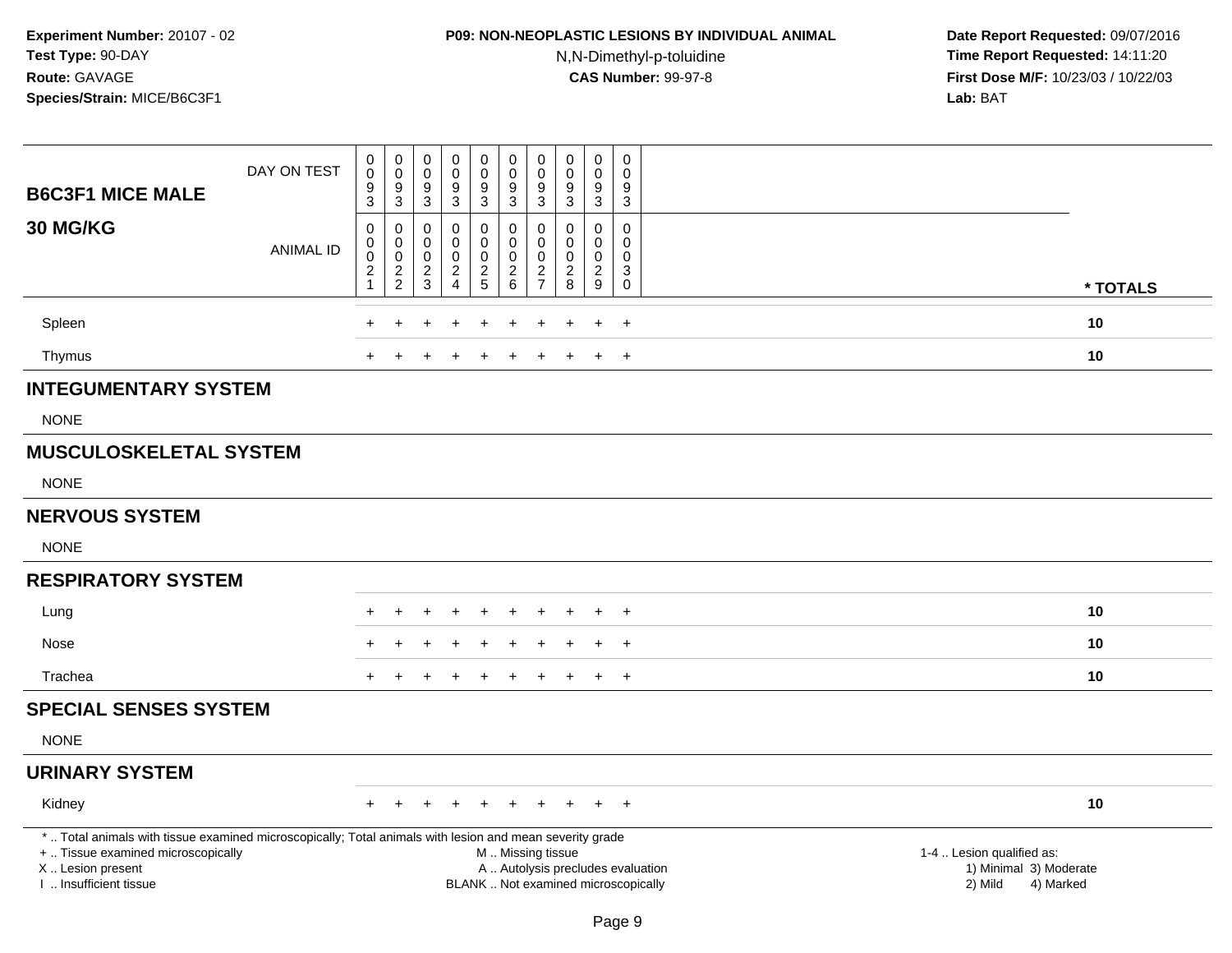## **P09: NON-NEOPLASTIC LESIONS BY INDIVIDUAL ANIMAL**N,N-Dimethyl-p-toluidine

| <b>B6C3F1 MICE MALE</b>                                                                                  | DAY ON TEST      | $_{\rm 0}^{\rm 0}$<br>$\frac{9}{3}$            | $\begin{smallmatrix} 0\\0 \end{smallmatrix}$<br>$\frac{9}{3}$ | $\begin{smallmatrix} 0\\0 \end{smallmatrix}$<br>$\frac{9}{3}$   | $\pmb{0}$<br>0<br>$\frac{9}{3}$        | $_{\rm 0}^{\rm 0}$<br>$\frac{9}{3}$                    | $\begin{smallmatrix}0\0\0\end{smallmatrix}$<br>$\frac{9}{3}$ | $_{\rm 0}^{\rm 0}$<br>$\frac{9}{3}$                        | 0<br>$\mathbf 0$<br>$\frac{9}{3}$                | $\begin{smallmatrix} 0\\0 \end{smallmatrix}$<br>$\frac{9}{3}$ | $\mathbf 0$<br>$\Omega$<br>9<br>3                                  |                                                     |          |
|----------------------------------------------------------------------------------------------------------|------------------|------------------------------------------------|---------------------------------------------------------------|-----------------------------------------------------------------|----------------------------------------|--------------------------------------------------------|--------------------------------------------------------------|------------------------------------------------------------|--------------------------------------------------|---------------------------------------------------------------|--------------------------------------------------------------------|-----------------------------------------------------|----------|
| 30 MG/KG                                                                                                 | <b>ANIMAL ID</b> | $\mathbf 0$<br>0<br>$\pmb{0}$<br>$\frac{2}{1}$ | 0<br>$\mathbf 0$<br>$\ddot{\mathbf{0}}$<br>$\frac{2}{2}$      | $\mathbf 0$<br>$\mathbf 0$<br>$\boldsymbol{0}$<br>$\frac{2}{3}$ | 0<br>0<br>$\mathbf 0$<br>$\frac{2}{4}$ | $\mathbf 0$<br>$\pmb{0}$<br>$\pmb{0}$<br>$\frac{2}{5}$ | 0<br>0<br>$\pmb{0}$<br>$\frac{2}{6}$                         | $\mathbf 0$<br>$\mathbf 0$<br>$\mathbf 0$<br>$\frac{2}{7}$ | 0<br>$\mathbf 0$<br>$\mathbf 0$<br>$\frac{2}{8}$ | $\mathbf 0$<br>0<br>$\ddot{\mathbf{0}}$<br>$\frac{2}{9}$      | $\mathbf 0$<br>$\Omega$<br>$\mathbf 0$<br>3<br>$\mathsf{O}\xspace$ |                                                     | * TOTALS |
|                                                                                                          |                  |                                                |                                                               |                                                                 |                                        |                                                        |                                                              |                                                            |                                                  |                                                               |                                                                    |                                                     |          |
| Spleen                                                                                                   |                  |                                                |                                                               |                                                                 |                                        |                                                        |                                                              |                                                            |                                                  |                                                               | $\overline{+}$                                                     |                                                     | 10       |
| Thymus                                                                                                   |                  |                                                |                                                               |                                                                 |                                        |                                                        |                                                              |                                                            |                                                  |                                                               | $\ddot{}$                                                          |                                                     | 10       |
| <b>INTEGUMENTARY SYSTEM</b>                                                                              |                  |                                                |                                                               |                                                                 |                                        |                                                        |                                                              |                                                            |                                                  |                                                               |                                                                    |                                                     |          |
| <b>NONE</b>                                                                                              |                  |                                                |                                                               |                                                                 |                                        |                                                        |                                                              |                                                            |                                                  |                                                               |                                                                    |                                                     |          |
| <b>MUSCULOSKELETAL SYSTEM</b>                                                                            |                  |                                                |                                                               |                                                                 |                                        |                                                        |                                                              |                                                            |                                                  |                                                               |                                                                    |                                                     |          |
| <b>NONE</b>                                                                                              |                  |                                                |                                                               |                                                                 |                                        |                                                        |                                                              |                                                            |                                                  |                                                               |                                                                    |                                                     |          |
| <b>NERVOUS SYSTEM</b>                                                                                    |                  |                                                |                                                               |                                                                 |                                        |                                                        |                                                              |                                                            |                                                  |                                                               |                                                                    |                                                     |          |
| <b>NONE</b>                                                                                              |                  |                                                |                                                               |                                                                 |                                        |                                                        |                                                              |                                                            |                                                  |                                                               |                                                                    |                                                     |          |
| <b>RESPIRATORY SYSTEM</b>                                                                                |                  |                                                |                                                               |                                                                 |                                        |                                                        |                                                              |                                                            |                                                  |                                                               |                                                                    |                                                     |          |
| Lung                                                                                                     |                  |                                                |                                                               | $\ddot{}$                                                       | +                                      |                                                        | $\ddot{}$                                                    |                                                            |                                                  | $+$                                                           | $+$                                                                |                                                     | 10       |
| Nose                                                                                                     |                  |                                                |                                                               |                                                                 |                                        |                                                        |                                                              |                                                            |                                                  |                                                               | $\overline{+}$                                                     |                                                     | 10       |
| Trachea                                                                                                  |                  |                                                |                                                               |                                                                 |                                        |                                                        |                                                              |                                                            |                                                  |                                                               | $+$                                                                |                                                     | 10       |
| <b>SPECIAL SENSES SYSTEM</b>                                                                             |                  |                                                |                                                               |                                                                 |                                        |                                                        |                                                              |                                                            |                                                  |                                                               |                                                                    |                                                     |          |
| <b>NONE</b>                                                                                              |                  |                                                |                                                               |                                                                 |                                        |                                                        |                                                              |                                                            |                                                  |                                                               |                                                                    |                                                     |          |
| <b>URINARY SYSTEM</b>                                                                                    |                  |                                                |                                                               |                                                                 |                                        |                                                        |                                                              |                                                            |                                                  |                                                               |                                                                    |                                                     |          |
| Kidney                                                                                                   |                  | $+$                                            | $\pm$                                                         | $\ddot{}$                                                       | ÷.                                     | $\ddot{}$                                              | $+$                                                          | $+$                                                        | $+$                                              |                                                               | $+$ $+$                                                            |                                                     | 10       |
| *  Total animals with tissue examined microscopically; Total animals with lesion and mean severity grade |                  |                                                |                                                               |                                                                 |                                        |                                                        |                                                              |                                                            |                                                  |                                                               |                                                                    |                                                     |          |
| +  Tissue examined microscopically<br>X  Lesion present                                                  |                  |                                                |                                                               |                                                                 |                                        |                                                        | M  Missing tissue                                            |                                                            | A  Autolysis precludes evaluation                |                                                               |                                                                    | 1-4  Lesion qualified as:<br>1) Minimal 3) Moderate |          |
| I  Insufficient tissue                                                                                   |                  |                                                |                                                               |                                                                 |                                        |                                                        |                                                              |                                                            | BLANK  Not examined microscopically              |                                                               |                                                                    | 2) Mild<br>4) Marked                                |          |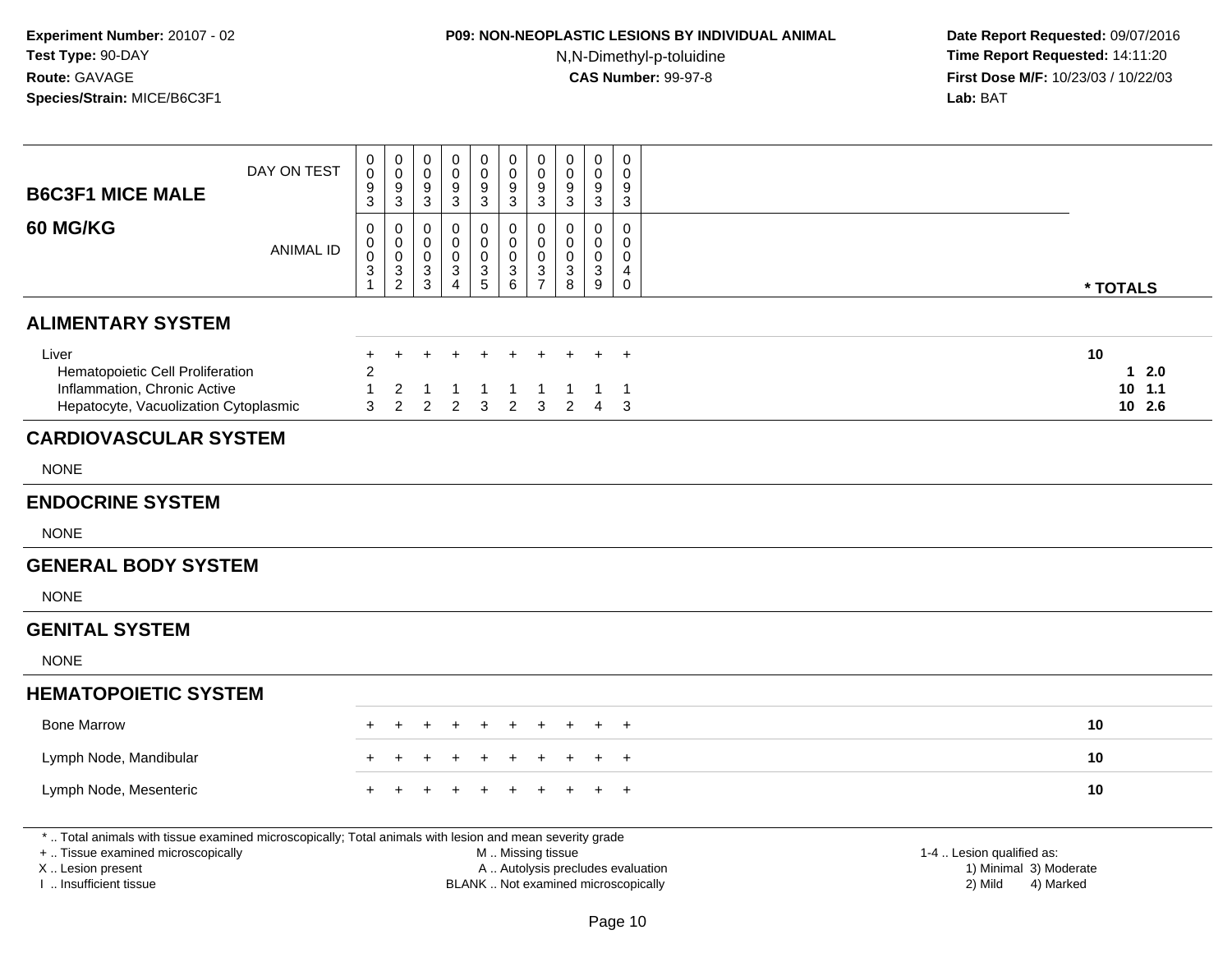## **P09: NON-NEOPLASTIC LESIONS BY INDIVIDUAL ANIMAL**N,N-Dimethyl-p-toluidine

| <b>B6C3F1 MICE MALE</b>                                                                                                                                                                       | DAY ON TEST      | 0<br>$\mathbf 0$<br>9<br>3                       | 0<br>$\mathbf 0$<br>9<br>$\mathbf{3}$                                             | $\mathbf 0$<br>$\mathbf 0$<br>9<br>3           | 0<br>$\mathbf 0$<br>9<br>$\mathbf{3}$                          | $\pmb{0}$<br>$\pmb{0}$<br>$\boldsymbol{9}$<br>$\mathfrak{Z}$ | $\mathbf 0$<br>$\mathbf 0$<br>9<br>3                                                          | $\pmb{0}$<br>$\mathbf 0$<br>9<br>$\mathbf{3}$                 | $\mathbf 0$<br>$\mathbf 0$<br>9<br>3   | $\pmb{0}$<br>$\mathbf 0$<br>9<br>$\mathbf{3}$         | $\mathbf 0$<br>$\Omega$<br>9<br>3             |                                                                             |
|-----------------------------------------------------------------------------------------------------------------------------------------------------------------------------------------------|------------------|--------------------------------------------------|-----------------------------------------------------------------------------------|------------------------------------------------|----------------------------------------------------------------|--------------------------------------------------------------|-----------------------------------------------------------------------------------------------|---------------------------------------------------------------|----------------------------------------|-------------------------------------------------------|-----------------------------------------------|-----------------------------------------------------------------------------|
| 60 MG/KG                                                                                                                                                                                      | <b>ANIMAL ID</b> | 0<br>$\,0\,$<br>$\mathbf 0$<br>3<br>$\mathbf{1}$ | 0<br>$\boldsymbol{0}$<br>$\pmb{0}$<br>$\ensuremath{\mathsf{3}}$<br>$\overline{2}$ | 0<br>$\mathbf 0$<br>$\boldsymbol{0}$<br>3<br>3 | $\Omega$<br>0<br>$\mathbf 0$<br>$\mathbf{3}$<br>$\overline{4}$ | $\mathbf 0$<br>$\mathbf 0$<br>$\pmb{0}$<br>$\frac{3}{5}$     | $\mathbf 0$<br>$\mathbf 0$<br>$\mathbf 0$<br>$\mathsf 3$<br>$6\phantom{1}$                    | $\mathbf 0$<br>$\boldsymbol{0}$<br>$\pmb{0}$<br>$\frac{3}{7}$ | $\Omega$<br>0<br>$\mathbf 0$<br>3<br>8 | $\mathbf 0$<br>$\mathbf 0$<br>$\mathbf 0$<br>3<br>$9$ | $\Omega$<br>0<br>$\Omega$<br>4<br>$\mathbf 0$ | * TOTALS                                                                    |
| <b>ALIMENTARY SYSTEM</b>                                                                                                                                                                      |                  |                                                  |                                                                                   |                                                |                                                                |                                                              |                                                                                               |                                                               |                                        |                                                       |                                               |                                                                             |
| Liver<br>Hematopoietic Cell Proliferation<br>Inflammation, Chronic Active<br>Hepatocyte, Vacuolization Cytoplasmic                                                                            |                  | $+$<br>$\overline{c}$<br>1<br>3                  | $\div$<br>2<br>$\overline{2}$                                                     | $\div$<br>2                                    | 2                                                              | $\pm$<br>3                                                   | $\ddot{}$<br>$\overline{2}$                                                                   | 3                                                             | 2                                      | 4                                                     | $\ddot{}$<br>-1<br>3                          | 10<br>$12.0$<br>$10$ 1.1<br>$10$ 2.6                                        |
| <b>CARDIOVASCULAR SYSTEM</b>                                                                                                                                                                  |                  |                                                  |                                                                                   |                                                |                                                                |                                                              |                                                                                               |                                                               |                                        |                                                       |                                               |                                                                             |
| <b>NONE</b>                                                                                                                                                                                   |                  |                                                  |                                                                                   |                                                |                                                                |                                                              |                                                                                               |                                                               |                                        |                                                       |                                               |                                                                             |
| <b>ENDOCRINE SYSTEM</b>                                                                                                                                                                       |                  |                                                  |                                                                                   |                                                |                                                                |                                                              |                                                                                               |                                                               |                                        |                                                       |                                               |                                                                             |
| <b>NONE</b>                                                                                                                                                                                   |                  |                                                  |                                                                                   |                                                |                                                                |                                                              |                                                                                               |                                                               |                                        |                                                       |                                               |                                                                             |
| <b>GENERAL BODY SYSTEM</b>                                                                                                                                                                    |                  |                                                  |                                                                                   |                                                |                                                                |                                                              |                                                                                               |                                                               |                                        |                                                       |                                               |                                                                             |
| <b>NONE</b>                                                                                                                                                                                   |                  |                                                  |                                                                                   |                                                |                                                                |                                                              |                                                                                               |                                                               |                                        |                                                       |                                               |                                                                             |
| <b>GENITAL SYSTEM</b>                                                                                                                                                                         |                  |                                                  |                                                                                   |                                                |                                                                |                                                              |                                                                                               |                                                               |                                        |                                                       |                                               |                                                                             |
| <b>NONE</b>                                                                                                                                                                                   |                  |                                                  |                                                                                   |                                                |                                                                |                                                              |                                                                                               |                                                               |                                        |                                                       |                                               |                                                                             |
| <b>HEMATOPOIETIC SYSTEM</b>                                                                                                                                                                   |                  |                                                  |                                                                                   |                                                |                                                                |                                                              |                                                                                               |                                                               |                                        |                                                       |                                               |                                                                             |
| <b>Bone Marrow</b>                                                                                                                                                                            |                  |                                                  |                                                                                   |                                                |                                                                |                                                              |                                                                                               |                                                               |                                        |                                                       |                                               | 10                                                                          |
| Lymph Node, Mandibular                                                                                                                                                                        |                  |                                                  |                                                                                   |                                                |                                                                |                                                              |                                                                                               |                                                               |                                        |                                                       | $\div$                                        | 10                                                                          |
| Lymph Node, Mesenteric                                                                                                                                                                        |                  |                                                  |                                                                                   |                                                |                                                                |                                                              |                                                                                               |                                                               |                                        |                                                       | $+$                                           | 10                                                                          |
| *  Total animals with tissue examined microscopically; Total animals with lesion and mean severity grade<br>+  Tissue examined microscopically<br>X  Lesion present<br>I  Insufficient tissue |                  |                                                  |                                                                                   |                                                |                                                                |                                                              | M  Missing tissue<br>A  Autolysis precludes evaluation<br>BLANK  Not examined microscopically |                                                               |                                        |                                                       |                                               | 1-4  Lesion qualified as:<br>1) Minimal 3) Moderate<br>2) Mild<br>4) Marked |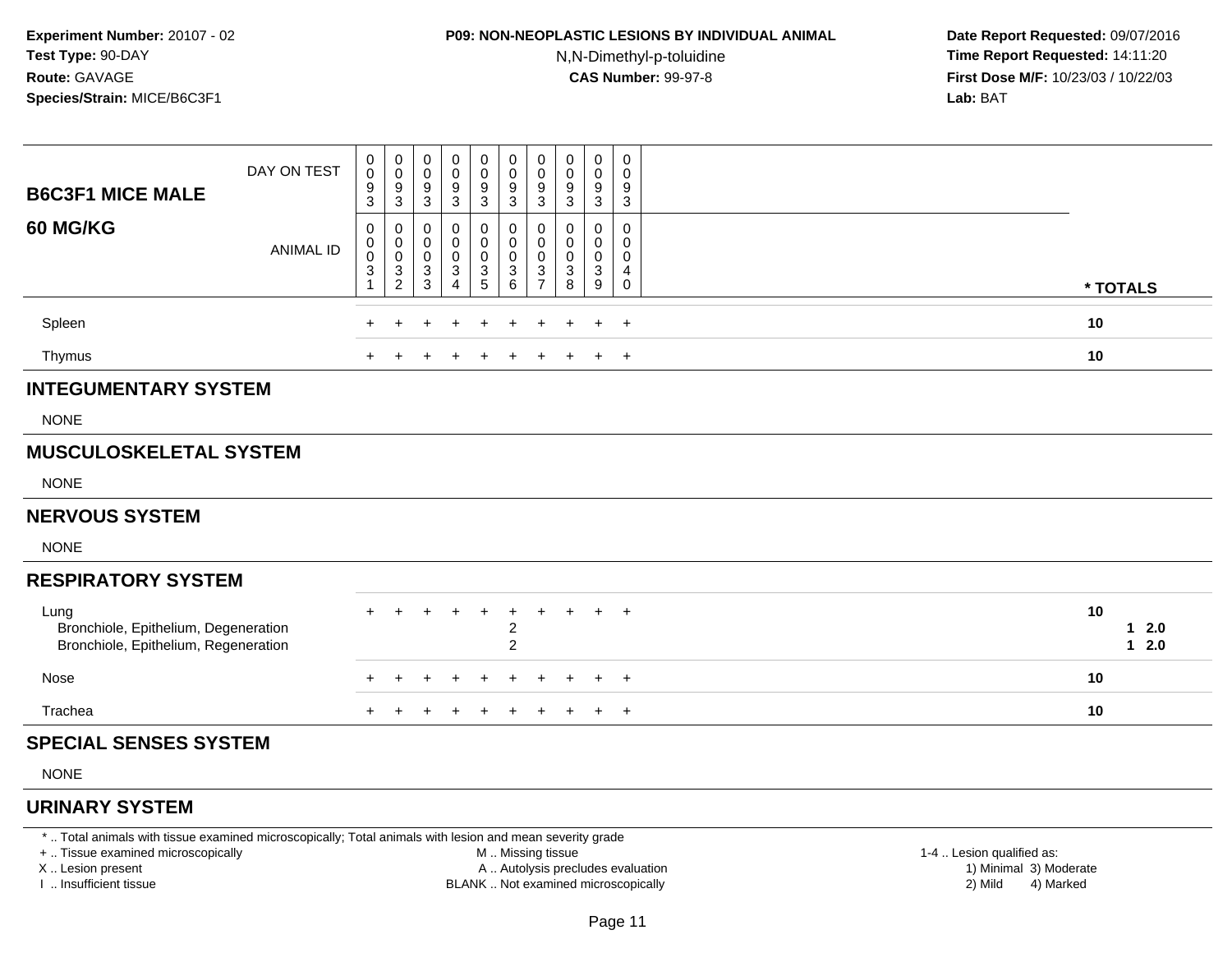# **P09: NON-NEOPLASTIC LESIONS BY INDIVIDUAL ANIMAL**

N,N-Dimethyl-p-toluidine

 **Date Report Requested:** 09/07/2016 **Time Report Requested:** 14:11:20 **First Dose M/F:** 10/23/03 / 10/22/03<br>**Lab:** BAT **Lab:** BAT

| <b>B6C3F1 MICE MALE</b>                                                              | DAY ON TEST      | 0<br>$\boldsymbol{0}$<br>$\boldsymbol{9}$<br>$\overline{3}$ | 0<br>$\boldsymbol{0}$<br>$\frac{9}{3}$               | 0<br>$\pmb{0}$<br>$\frac{9}{3}$                                  | 0<br>0<br>$\frac{9}{3}$                     | $\mathbf 0$<br>$\mathsf 0$<br>$\frac{9}{3}$  | 0<br>$\pmb{0}$<br>$\frac{9}{3}$               | 0<br>$\pmb{0}$<br>$9\,$<br>$\overline{3}$      | 0<br>0<br>9<br>$\sqrt{3}$       | 0<br>0<br>$\boldsymbol{9}$<br>$\mathbf{3}$                                     | 0<br>0<br>9<br>$\overline{3}$                               |                        |
|--------------------------------------------------------------------------------------|------------------|-------------------------------------------------------------|------------------------------------------------------|------------------------------------------------------------------|---------------------------------------------|----------------------------------------------|-----------------------------------------------|------------------------------------------------|---------------------------------|--------------------------------------------------------------------------------|-------------------------------------------------------------|------------------------|
| 60 MG/KG                                                                             | <b>ANIMAL ID</b> | 0<br>0<br>$\mathsf 0$<br>3<br>$\mathbf{1}$                  | 0<br>$\begin{array}{c} 0 \\ 0 \\ 3 \\ 2 \end{array}$ | 0<br>0<br>$\pmb{0}$<br>$\ensuremath{\mathsf{3}}$<br>$\mathbf{3}$ | 0<br>0<br>0<br>$\sqrt{3}$<br>$\overline{4}$ | 0<br>$\pmb{0}$<br>$\pmb{0}$<br>$\frac{3}{5}$ | 0<br>$\mathsf 0$<br>$\mathsf 0$<br>$^3$ 6     | 0<br>$\mathbf 0$<br>$\pmb{0}$<br>$\frac{3}{7}$ | 0<br>$\mathbf 0$<br>0<br>3<br>8 | 0<br>$\mathbf 0$<br>$\pmb{0}$<br>$\ensuremath{\mathsf{3}}$<br>$\boldsymbol{9}$ | $\mathbf 0$<br>$\mathbf 0$<br>0<br>4<br>$\mathsf{O}\xspace$ | * TOTALS               |
| Spleen                                                                               |                  |                                                             |                                                      | $\ddot{}$                                                        | +                                           | $\div$                                       | $\ddot{}$                                     | $\ddot{}$                                      | ÷                               | $+$                                                                            | $+$                                                         | 10                     |
| Thymus                                                                               |                  |                                                             |                                                      |                                                                  |                                             |                                              |                                               |                                                |                                 | $+$                                                                            | $+$                                                         | 10                     |
| <b>INTEGUMENTARY SYSTEM</b>                                                          |                  |                                                             |                                                      |                                                                  |                                             |                                              |                                               |                                                |                                 |                                                                                |                                                             |                        |
| <b>NONE</b>                                                                          |                  |                                                             |                                                      |                                                                  |                                             |                                              |                                               |                                                |                                 |                                                                                |                                                             |                        |
| <b>MUSCULOSKELETAL SYSTEM</b>                                                        |                  |                                                             |                                                      |                                                                  |                                             |                                              |                                               |                                                |                                 |                                                                                |                                                             |                        |
| <b>NONE</b>                                                                          |                  |                                                             |                                                      |                                                                  |                                             |                                              |                                               |                                                |                                 |                                                                                |                                                             |                        |
| <b>NERVOUS SYSTEM</b>                                                                |                  |                                                             |                                                      |                                                                  |                                             |                                              |                                               |                                                |                                 |                                                                                |                                                             |                        |
| <b>NONE</b>                                                                          |                  |                                                             |                                                      |                                                                  |                                             |                                              |                                               |                                                |                                 |                                                                                |                                                             |                        |
| <b>RESPIRATORY SYSTEM</b>                                                            |                  |                                                             |                                                      |                                                                  |                                             |                                              |                                               |                                                |                                 |                                                                                |                                                             |                        |
| Lung<br>Bronchiole, Epithelium, Degeneration<br>Bronchiole, Epithelium, Regeneration |                  |                                                             |                                                      |                                                                  |                                             |                                              | $\ddot{}$<br>$\overline{c}$<br>$\overline{2}$ |                                                |                                 | $+$                                                                            | $+$                                                         | 10<br>$12.0$<br>$12.0$ |
| Nose                                                                                 |                  |                                                             |                                                      |                                                                  |                                             |                                              |                                               |                                                |                                 | $\pm$                                                                          | $+$                                                         | 10                     |
| Trachea                                                                              |                  | $+$                                                         |                                                      |                                                                  |                                             |                                              | $\ddot{}$                                     |                                                | $\ddot{}$                       | $+$                                                                            | $+$                                                         | 10                     |
| <b>SPECIAL SENSES SYSTEM</b>                                                         |                  |                                                             |                                                      |                                                                  |                                             |                                              |                                               |                                                |                                 |                                                                                |                                                             |                        |
| <b>NONE</b>                                                                          |                  |                                                             |                                                      |                                                                  |                                             |                                              |                                               |                                                |                                 |                                                                                |                                                             |                        |
| <b>URINARY SYSTEM</b>                                                                |                  |                                                             |                                                      |                                                                  |                                             |                                              |                                               |                                                |                                 |                                                                                |                                                             |                        |

\* .. Total animals with tissue examined microscopically; Total animals with lesion and mean severity grade

+ .. Tissue examined microscopically

X .. Lesion present

I .. Insufficient tissue

M .. Missing tissue

A .. Autolysis precludes evaluation

BLANK .. Not examined microscopically 2) Mild 4) Marked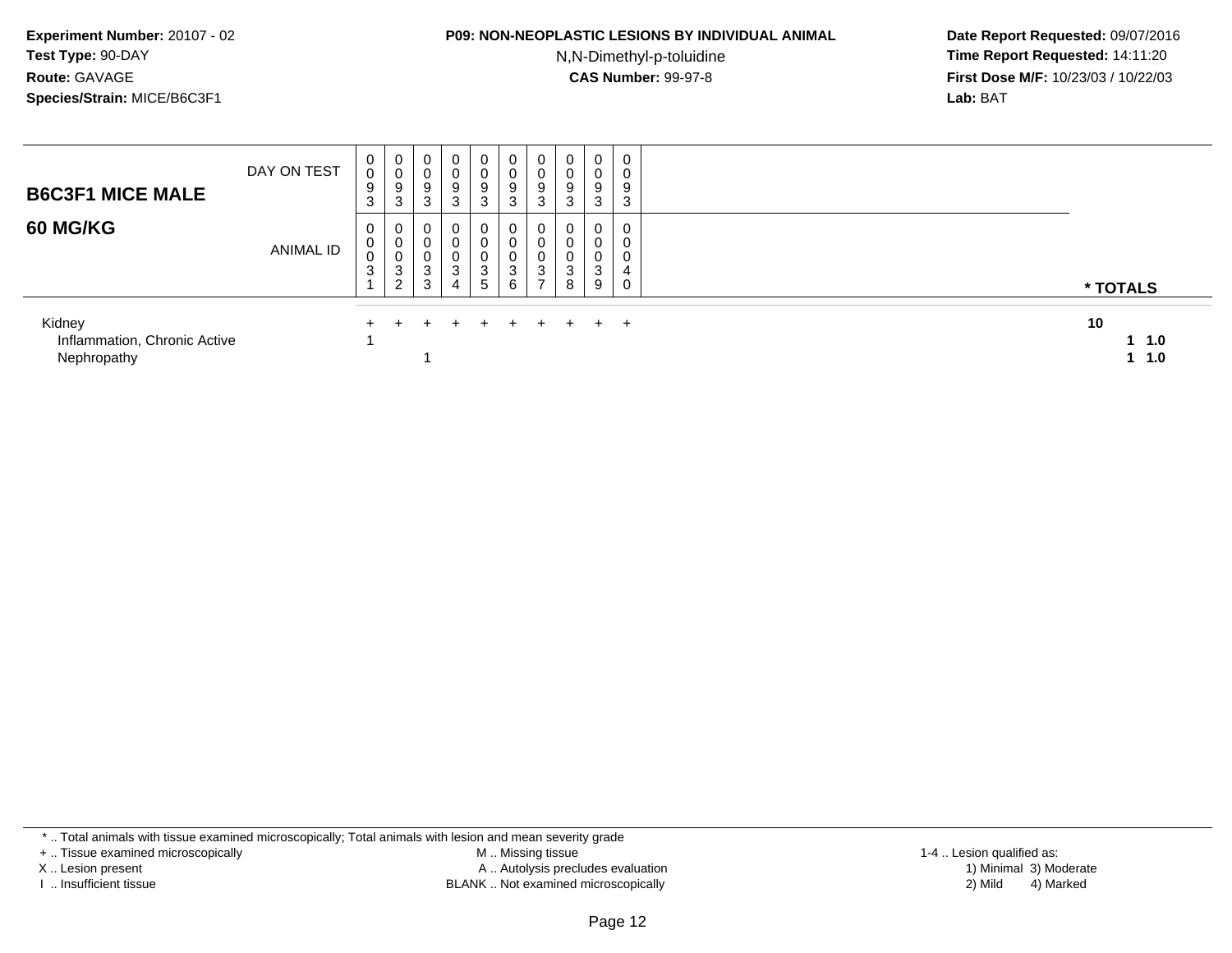#### **P09: NON-NEOPLASTIC LESIONS BY INDIVIDUAL ANIMAL**

N,N-Dimethyl-p-toluidine

 **Date Report Requested:** 09/07/2016 **Time Report Requested:** 14:11:20 **First Dose M/F:** 10/23/03 / 10/22/03<br>**Lab:** BAT **Lab:** BAT

| <b>B6C3F1 MICE MALE</b>                               | DAY ON TEST      | $\mathbf 0$<br>$\mathsf{O}$<br>9<br>3 | $\mathbf 0$<br>0<br>9<br>3 | $\mathbf 0$<br>0<br>9<br>3 | $\mathbf 0$<br>0<br>9<br>3 | $\overline{0}$<br>0<br>9<br>3      | 0<br>0<br>9<br>3      | 0<br>v<br>9<br>3                  | 0<br>$\sim$<br>U<br>9<br>3          | 0<br>ν<br>9<br>$\sim$<br>C | 0<br>U<br>9<br>3 |    |                  |
|-------------------------------------------------------|------------------|---------------------------------------|----------------------------|----------------------------|----------------------------|------------------------------------|-----------------------|-----------------------------------|-------------------------------------|----------------------------|------------------|----|------------------|
| <b>60 MG/KG</b>                                       | <b>ANIMAL ID</b> | 0<br>0<br>0<br>3                      | 0<br>0<br>0<br>3<br>ົ<br>∼ | 0<br>0<br>0<br>3<br>3      | 0<br>0<br>0<br>3<br>4      | 0<br>0<br>0<br>3<br>5 <sub>5</sub> | 0<br>0<br>0<br>3<br>6 | U<br>υ<br>U<br>3<br>$\rightarrow$ | 0<br>0<br>$\sqrt{2}$<br>U<br>3<br>8 | ∩<br>U<br>⌒<br>3<br>9      | 0                |    | * TOTALS         |
| Kidney<br>Inflammation, Chronic Active<br>Nephropathy |                  |                                       |                            |                            |                            | $+$                                | $+$                   |                                   | $+$                                 | $+$ $+$                    |                  | 10 | $1 \t1.0$<br>1.0 |

\* .. Total animals with tissue examined microscopically; Total animals with lesion and mean severity grade

+ .. Tissue examined microscopically

X .. Lesion present

I .. Insufficient tissue

 M .. Missing tissueA .. Autolysis precludes evaluation

BLANK .. Not examined microscopically 2) Mild 4) Marked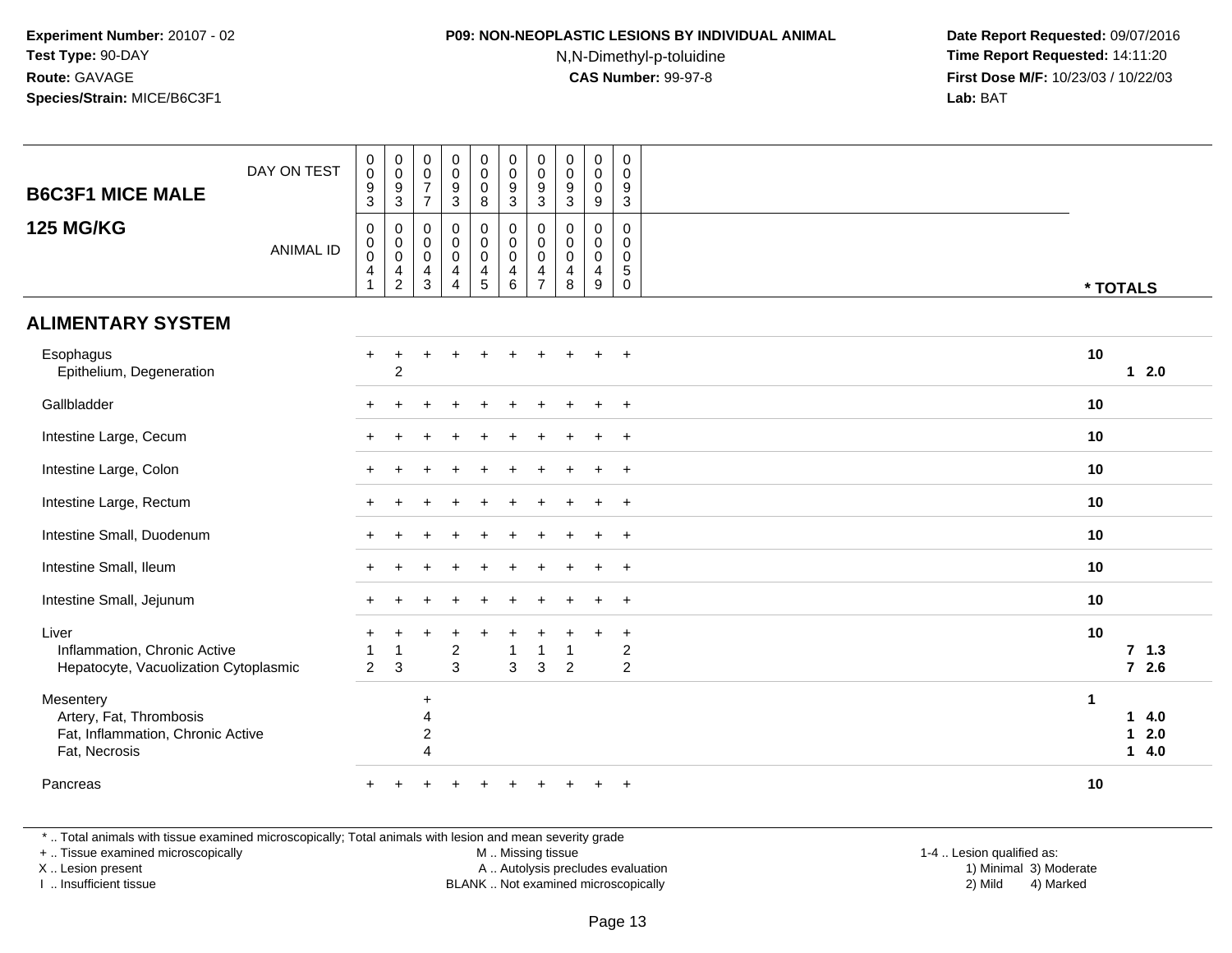## **P09: NON-NEOPLASTIC LESIONS BY INDIVIDUAL ANIMAL**

N,N-Dimethyl-p-toluidine

 **Date Report Requested:** 09/07/2016 **Time Report Requested:** 14:11:20 **First Dose M/F:** 10/23/03 / 10/22/03<br>**Lab:** BAT **Lab:** BAT

| <b>B6C3F1 MICE MALE</b>                                                                    | DAY ON TEST      | $_{\rm 0}^{\rm 0}$<br>$\frac{9}{3}$                  | $_{\rm 0}^{\rm 0}$<br>$\frac{9}{3}$                         | $\begin{smallmatrix} 0\\0 \end{smallmatrix}$<br>$\overline{7}$<br>$\overline{7}$  | $\begin{smallmatrix} 0\\0 \end{smallmatrix}$<br>$\frac{9}{3}$            | $\begin{smallmatrix} 0\\0 \end{smallmatrix}$<br>$\mathbf 0$<br>8       | $\pmb{0}$<br>$\mathsf{O}\xspace$<br>$\frac{9}{3}$ | $\mathbf 0$<br>$\mathbf 0$<br>$\frac{9}{3}$                         | $_{\rm 0}^{\rm 0}$<br>$\boldsymbol{9}$<br>$\overline{3}$ | $\begin{smallmatrix} 0\\0 \end{smallmatrix}$<br>$\pmb{0}$<br>$\overline{9}$ | $\mathbf 0$<br>$\mathbf 0$<br>9<br>$\overline{3}$                     |                      |                                     |
|--------------------------------------------------------------------------------------------|------------------|------------------------------------------------------|-------------------------------------------------------------|-----------------------------------------------------------------------------------|--------------------------------------------------------------------------|------------------------------------------------------------------------|---------------------------------------------------|---------------------------------------------------------------------|----------------------------------------------------------|-----------------------------------------------------------------------------|-----------------------------------------------------------------------|----------------------|-------------------------------------|
| <b>125 MG/KG</b>                                                                           | <b>ANIMAL ID</b> | $\mathbf 0$<br>$\mathsf{O}\xspace$<br>$\pmb{0}$<br>4 | 0<br>$_{\rm 0}^{\rm 0}$<br>$\overline{4}$<br>$\overline{c}$ | $\mathsf{O}\xspace$<br>$\pmb{0}$<br>$\mathbf 0$<br>$\overline{4}$<br>$\mathbf{3}$ | $\mathbf 0$<br>$\mathsf{O}\xspace$<br>$\mathbf 0$<br>4<br>$\overline{4}$ | $\pmb{0}$<br>$\mathbf 0$<br>$\mathsf{O}\xspace$<br>$\overline{4}$<br>5 | 0<br>$\mathbf 0$<br>$\mathbf 0$<br>4<br>6         | 0<br>$\mathbf 0$<br>$\mathbf 0$<br>$\overline{4}$<br>$\overline{7}$ | $\mathbf 0$<br>0<br>$\pmb{0}$<br>$\overline{4}$<br>8     | $\mathbf 0$<br>$\mathbf 0$<br>$\mathbf 0$<br>$\overline{4}$<br>9            | $\mathbf 0$<br>$\Omega$<br>$\mathbf 0$<br>$5\phantom{.0}$<br>$\Omega$ |                      | * TOTALS                            |
| <b>ALIMENTARY SYSTEM</b>                                                                   |                  |                                                      |                                                             |                                                                                   |                                                                          |                                                                        |                                                   |                                                                     |                                                          |                                                                             |                                                                       |                      |                                     |
| Esophagus<br>Epithelium, Degeneration                                                      |                  | $\pm$                                                | $\ddot{}$<br>$\overline{c}$                                 |                                                                                   | ÷                                                                        |                                                                        |                                                   |                                                                     |                                                          |                                                                             | $+$                                                                   | 10                   | $12.0$                              |
| Gallbladder                                                                                |                  |                                                      |                                                             |                                                                                   |                                                                          |                                                                        |                                                   |                                                                     |                                                          |                                                                             | $\ddot{}$                                                             | 10                   |                                     |
| Intestine Large, Cecum                                                                     |                  |                                                      |                                                             |                                                                                   |                                                                          |                                                                        |                                                   |                                                                     |                                                          |                                                                             | $\ddot{}$                                                             | 10                   |                                     |
| Intestine Large, Colon                                                                     |                  |                                                      |                                                             |                                                                                   |                                                                          |                                                                        |                                                   |                                                                     |                                                          |                                                                             | $+$                                                                   | 10                   |                                     |
| Intestine Large, Rectum                                                                    |                  |                                                      |                                                             |                                                                                   |                                                                          |                                                                        |                                                   |                                                                     |                                                          |                                                                             | $+$                                                                   | 10                   |                                     |
| Intestine Small, Duodenum                                                                  |                  |                                                      |                                                             |                                                                                   |                                                                          |                                                                        |                                                   |                                                                     |                                                          |                                                                             | $\overline{+}$                                                        | 10                   |                                     |
| Intestine Small, Ileum                                                                     |                  |                                                      |                                                             |                                                                                   |                                                                          |                                                                        |                                                   |                                                                     |                                                          |                                                                             | $+$                                                                   | 10                   |                                     |
| Intestine Small, Jejunum                                                                   |                  |                                                      |                                                             |                                                                                   |                                                                          |                                                                        |                                                   |                                                                     |                                                          |                                                                             | $\overline{+}$                                                        | 10                   |                                     |
| Liver<br>Inflammation, Chronic Active<br>Hepatocyte, Vacuolization Cytoplasmic             |                  | $\overline{1}$<br>2                                  | $\overline{1}$<br>3                                         |                                                                                   | $\ddot{}$<br>$\overline{c}$<br>3                                         |                                                                        | 1<br>3                                            | 3                                                                   | $\overline{2}$                                           |                                                                             | $\ddot{}$<br>$\overline{c}$<br>$\overline{2}$                         | 10                   | 7, 1.3<br>$72.6$                    |
| Mesentery<br>Artery, Fat, Thrombosis<br>Fat, Inflammation, Chronic Active<br>Fat, Necrosis |                  |                                                      |                                                             | $\ddot{}$<br>$\boldsymbol{\Delta}$<br>2<br>4                                      |                                                                          |                                                                        |                                                   |                                                                     |                                                          |                                                                             |                                                                       | $\blacktriangleleft$ | 14.0<br>2.0<br>$\mathbf{1}$<br>14.0 |
| Pancreas                                                                                   |                  |                                                      |                                                             |                                                                                   |                                                                          |                                                                        |                                                   |                                                                     |                                                          |                                                                             | $\ddot{}$                                                             | 10                   |                                     |

\* .. Total animals with tissue examined microscopically; Total animals with lesion and mean severity grade

+ .. Tissue examined microscopically

X .. Lesion present

I .. Insufficient tissue

M .. Missing tissue

Lesion present A .. Autolysis precludes evaluation 1) Minimal 3) Moderate

BLANK .. Not examined microscopically 2) Mild 4) Marked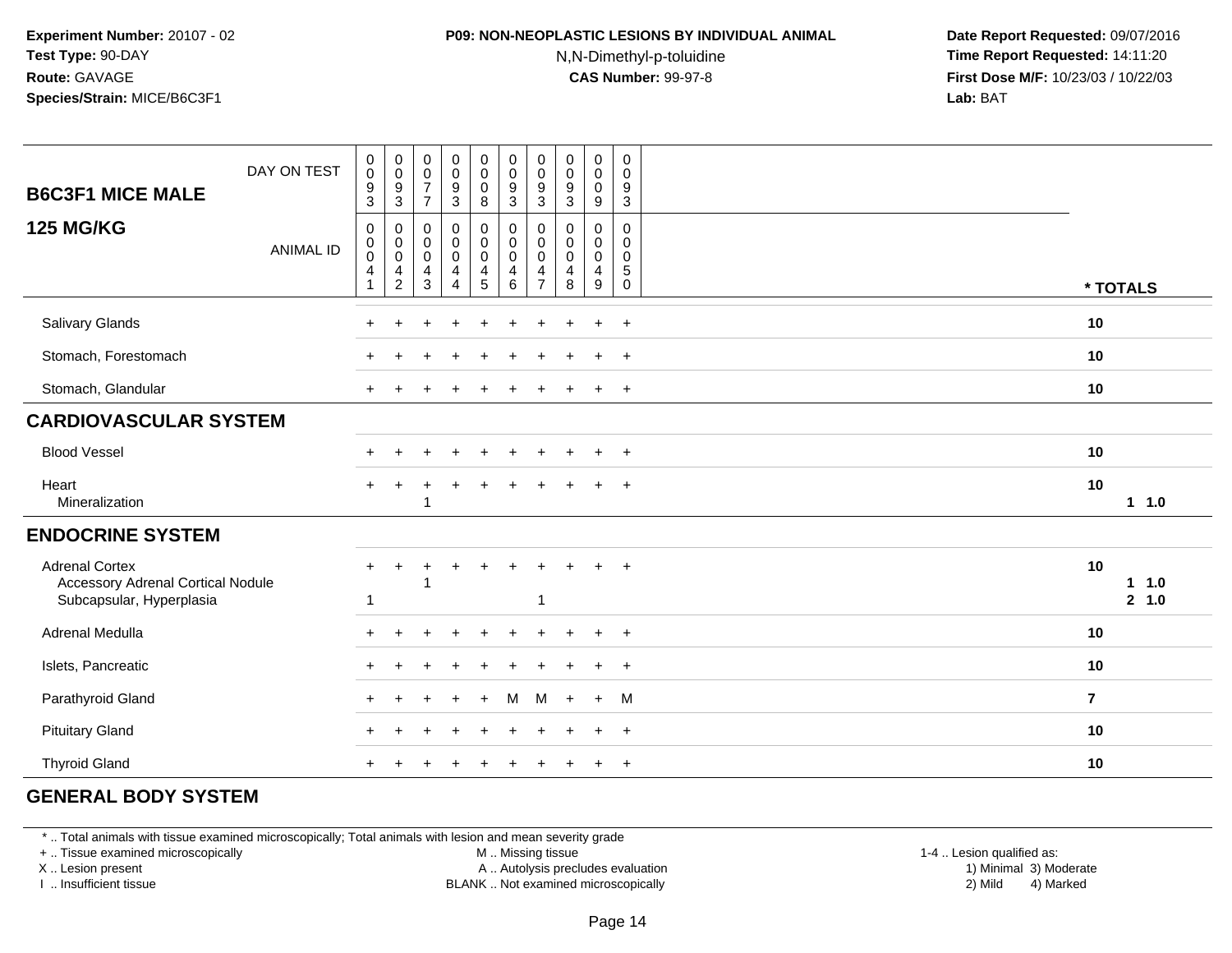## **P09: NON-NEOPLASTIC LESIONS BY INDIVIDUAL ANIMAL**

N,N-Dimethyl-p-toluidine

 **Date Report Requested:** 09/07/2016 **Time Report Requested:** 14:11:20 **First Dose M/F:** 10/23/03 / 10/22/03<br>**Lab:** BAT **Lab:** BAT

| DAY ON TEST<br><b>B6C3F1 MICE MALE</b>                                                        | $_{\rm 0}^{\rm 0}$<br>$\boldsymbol{9}$<br>3 | $_{\rm 0}^{\rm 0}$<br>$\frac{9}{3}$                                                            | $_{\rm 0}^{\rm 0}$<br>$\overline{7}$<br>$\overline{7}$                      | $\begin{smallmatrix}0\0\0\end{smallmatrix}$<br>$\boldsymbol{9}$<br>$\mathfrak{S}$ | $\begin{smallmatrix} 0\\0 \end{smallmatrix}$<br>$\mathbf 0$<br>8 | $\begin{smallmatrix} 0\\0 \end{smallmatrix}$<br>$\boldsymbol{9}$<br>3 | $\pmb{0}$<br>$\pmb{0}$<br>$\boldsymbol{9}$<br>$\mathbf{3}$ | $\begin{smallmatrix} 0\\0 \end{smallmatrix}$<br>$\boldsymbol{9}$<br>$\mathbf{3}$ | $_{\rm 0}^{\rm 0}$<br>$\mathbf 0$<br>9                                    | $\pmb{0}$<br>0<br>9<br>$\sqrt{3}$ |                      |
|-----------------------------------------------------------------------------------------------|---------------------------------------------|------------------------------------------------------------------------------------------------|-----------------------------------------------------------------------------|-----------------------------------------------------------------------------------|------------------------------------------------------------------|-----------------------------------------------------------------------|------------------------------------------------------------|----------------------------------------------------------------------------------|---------------------------------------------------------------------------|-----------------------------------|----------------------|
| <b>125 MG/KG</b><br><b>ANIMAL ID</b>                                                          | 0<br>0<br>$\pmb{0}$<br>4<br>1               | 0<br>$\begin{smallmatrix} 0\\0 \end{smallmatrix}$<br>$\overline{\mathbf{r}}$<br>$\overline{c}$ | $\pmb{0}$<br>$_{\rm 0}^{\rm 0}$<br>$\overline{\mathcal{A}}$<br>$\mathbf{3}$ | $_0^0$<br>$\mathbf 0$<br>4<br>4                                                   | 0<br>$\mathbf 0$<br>$\mathbf 0$<br>$\frac{4}{5}$                 | 0<br>$\mathsf{O}\xspace$<br>$\tilde{0}$<br>4<br>$\,6\,$               | 0<br>0<br>$\mathbf 0$<br>4<br>$\overline{7}$               | $\mathbf 0$<br>$\pmb{0}$<br>$\pmb{0}$<br>4<br>8                                  | 0<br>$\overline{0}$<br>$\mathsf{O}$<br>$\overline{4}$<br>$\boldsymbol{9}$ | 0<br>0<br>0<br>5<br>$\mathbf 0$   | * TOTALS             |
| Salivary Glands                                                                               |                                             |                                                                                                |                                                                             | ÷.                                                                                |                                                                  |                                                                       |                                                            |                                                                                  | $\ddot{}$                                                                 | $\overline{ }$                    | 10                   |
| Stomach, Forestomach                                                                          |                                             |                                                                                                |                                                                             |                                                                                   |                                                                  |                                                                       |                                                            |                                                                                  | $\ddot{}$                                                                 | $^{+}$                            | 10                   |
| Stomach, Glandular                                                                            |                                             |                                                                                                |                                                                             |                                                                                   |                                                                  |                                                                       |                                                            |                                                                                  | $\ddot{}$                                                                 | $\overline{+}$                    | 10                   |
| <b>CARDIOVASCULAR SYSTEM</b>                                                                  |                                             |                                                                                                |                                                                             |                                                                                   |                                                                  |                                                                       |                                                            |                                                                                  |                                                                           |                                   |                      |
| <b>Blood Vessel</b>                                                                           |                                             |                                                                                                |                                                                             |                                                                                   |                                                                  |                                                                       |                                                            |                                                                                  | $\div$                                                                    | $\overline{+}$                    | 10                   |
| Heart<br>Mineralization                                                                       | $\ddot{}$                                   | $\pm$                                                                                          | 1                                                                           |                                                                                   |                                                                  |                                                                       |                                                            |                                                                                  |                                                                           |                                   | 10<br>1 1.0          |
| <b>ENDOCRINE SYSTEM</b>                                                                       |                                             |                                                                                                |                                                                             |                                                                                   |                                                                  |                                                                       |                                                            |                                                                                  |                                                                           |                                   |                      |
| <b>Adrenal Cortex</b><br><b>Accessory Adrenal Cortical Nodule</b><br>Subcapsular, Hyperplasia | $\ddot{}$<br>-1                             | ٠                                                                                              |                                                                             |                                                                                   |                                                                  |                                                                       |                                                            |                                                                                  |                                                                           | $\overline{+}$                    | 10<br>11.0<br>2, 1.0 |
| Adrenal Medulla                                                                               |                                             |                                                                                                |                                                                             |                                                                                   |                                                                  |                                                                       |                                                            |                                                                                  |                                                                           | $\pm$                             | 10                   |
| Islets, Pancreatic                                                                            |                                             |                                                                                                |                                                                             |                                                                                   |                                                                  |                                                                       |                                                            |                                                                                  |                                                                           | $\overline{ }$                    | 10                   |
| Parathyroid Gland                                                                             |                                             |                                                                                                |                                                                             |                                                                                   |                                                                  | м                                                                     | м                                                          |                                                                                  | $+$                                                                       | M                                 | $\overline{7}$       |
| <b>Pituitary Gland</b>                                                                        |                                             |                                                                                                |                                                                             |                                                                                   |                                                                  |                                                                       |                                                            |                                                                                  | $\div$                                                                    | $\div$                            | 10                   |
| <b>Thyroid Gland</b>                                                                          |                                             |                                                                                                |                                                                             |                                                                                   |                                                                  |                                                                       |                                                            |                                                                                  |                                                                           | $\overline{+}$                    | 10                   |

### **GENERAL BODY SYSTEM**

\* .. Total animals with tissue examined microscopically; Total animals with lesion and mean severity grade

+ .. Tissue examined microscopically

X .. Lesion present

I .. Insufficient tissue

M .. Missing tissue

A .. Autolysis precludes evaluation

BLANK .. Not examined microscopically 2) Mild 4) Marked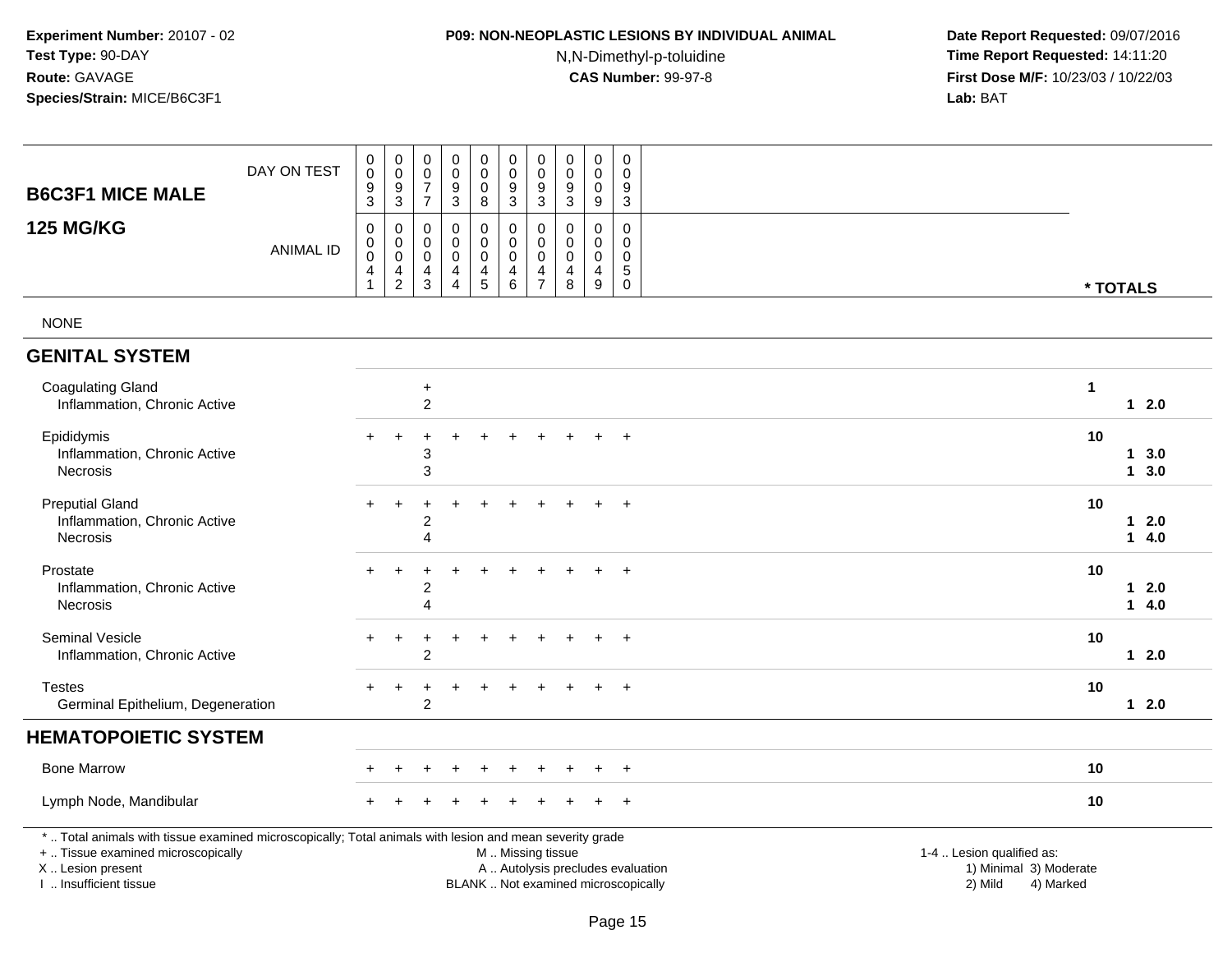### **P09: NON-NEOPLASTIC LESIONS BY INDIVIDUAL ANIMAL**

N,N-Dimethyl-p-toluidine

┯

┯ ┱

| DAY ON TEST<br><b>B6C3F1 MICE MALE</b>                                                                                                                                                        |                  | 0<br>$\mathbf 0$<br>$\frac{9}{3}$                                    | $_{\rm 0}^{\rm 0}$<br>$\frac{9}{3}$                                      | $\pmb{0}$<br>$\mathbf 0$<br>$\overline{7}$<br>$\overline{7}$ | $\pmb{0}$<br>$\mathbf 0$<br>9<br>$\overline{3}$                  | $\pmb{0}$<br>$\pmb{0}$<br>$\mathbf 0$<br>8 | $\pmb{0}$<br>$\mathsf{O}\xspace$<br>$\frac{9}{3}$                                             | $\pmb{0}$<br>$\mathbf 0$<br>9<br>$\overline{3}$                     | 0<br>$\mathbf 0$<br>9<br>$\overline{3}$ | $\pmb{0}$<br>$\mathbf 0$<br>$\boldsymbol{0}$<br>$9\,$            | 0<br>$\mathbf 0$<br>9<br>$\sqrt{3}$                           |                                                                             |                                  |  |
|-----------------------------------------------------------------------------------------------------------------------------------------------------------------------------------------------|------------------|----------------------------------------------------------------------|--------------------------------------------------------------------------|--------------------------------------------------------------|------------------------------------------------------------------|--------------------------------------------|-----------------------------------------------------------------------------------------------|---------------------------------------------------------------------|-----------------------------------------|------------------------------------------------------------------|---------------------------------------------------------------|-----------------------------------------------------------------------------|----------------------------------|--|
| <b>125 MG/KG</b>                                                                                                                                                                              | <b>ANIMAL ID</b> | $\pmb{0}$<br>$\boldsymbol{0}$<br>$\mathbf 0$<br>$\overline{4}$<br>-1 | $\mathbf 0$<br>$\mathbf 0$<br>$\mathsf{O}\xspace$<br>4<br>$\overline{c}$ | $\mathbf 0$<br>0<br>$\mathbf 0$<br>$\overline{4}$<br>3       | $\mathbf 0$<br>$\mathbf 0$<br>$\mathbf 0$<br>4<br>$\overline{4}$ | 0<br>$\mathbf 0$<br>$\pmb{0}$<br>4<br>5    | $\pmb{0}$<br>$\mathsf 0$<br>$\pmb{0}$<br>4<br>6                                               | 0<br>$\mathbf 0$<br>$\mathbf 0$<br>$\overline{4}$<br>$\overline{7}$ | 0<br>$\mathbf 0$<br>0<br>4<br>8         | $\mathbf 0$<br>$\mathbf 0$<br>$\mathbf 0$<br>$\overline{4}$<br>9 | $\mathbf 0$<br>$\mathbf 0$<br>$\mathbf 0$<br>5<br>$\mathsf 0$ |                                                                             | * TOTALS                         |  |
| <b>NONE</b>                                                                                                                                                                                   |                  |                                                                      |                                                                          |                                                              |                                                                  |                                            |                                                                                               |                                                                     |                                         |                                                                  |                                                               |                                                                             |                                  |  |
| <b>GENITAL SYSTEM</b>                                                                                                                                                                         |                  |                                                                      |                                                                          |                                                              |                                                                  |                                            |                                                                                               |                                                                     |                                         |                                                                  |                                                               |                                                                             |                                  |  |
| <b>Coagulating Gland</b><br>Inflammation, Chronic Active                                                                                                                                      |                  |                                                                      |                                                                          | $\ddot{}$<br>$\overline{\mathbf{c}}$                         |                                                                  |                                            |                                                                                               |                                                                     |                                         |                                                                  |                                                               |                                                                             | $\mathbf{1}$<br>$12.0$           |  |
| Epididymis<br>Inflammation, Chronic Active<br>Necrosis                                                                                                                                        |                  |                                                                      | $\ddot{}$                                                                | 3<br>3                                                       |                                                                  |                                            |                                                                                               |                                                                     |                                         |                                                                  | $\ddot{}$                                                     |                                                                             | 10<br>13.0<br>13.0               |  |
| <b>Preputial Gland</b><br>Inflammation, Chronic Active<br>Necrosis                                                                                                                            |                  |                                                                      | $\ddot{}$                                                                | 2<br>4                                                       |                                                                  |                                            |                                                                                               |                                                                     |                                         |                                                                  | $\ddot{}$                                                     |                                                                             | 10<br>$12.0$<br>$1 \quad 4.0$    |  |
| Prostate<br>Inflammation, Chronic Active<br>Necrosis                                                                                                                                          |                  |                                                                      | $\ddot{}$                                                                | 2<br>4                                                       |                                                                  |                                            |                                                                                               |                                                                     |                                         |                                                                  | $\ddot{}$                                                     |                                                                             | 10<br>2.0<br>$\mathbf 1$<br>14.0 |  |
| Seminal Vesicle<br>Inflammation, Chronic Active                                                                                                                                               |                  |                                                                      | $\ddot{}$                                                                | 2                                                            |                                                                  |                                            |                                                                                               |                                                                     |                                         |                                                                  | $\ddot{}$                                                     |                                                                             | 10<br>$12.0$                     |  |
| <b>Testes</b><br>Germinal Epithelium, Degeneration                                                                                                                                            |                  |                                                                      |                                                                          | $\overline{\mathbf{c}}$                                      |                                                                  |                                            |                                                                                               |                                                                     |                                         |                                                                  |                                                               |                                                                             | 10<br>$12.0$                     |  |
| <b>HEMATOPOIETIC SYSTEM</b>                                                                                                                                                                   |                  |                                                                      |                                                                          |                                                              |                                                                  |                                            |                                                                                               |                                                                     |                                         |                                                                  |                                                               |                                                                             |                                  |  |
| <b>Bone Marrow</b>                                                                                                                                                                            |                  |                                                                      |                                                                          |                                                              |                                                                  |                                            |                                                                                               |                                                                     |                                         |                                                                  | $\ddot{}$                                                     |                                                                             | 10                               |  |
| Lymph Node, Mandibular                                                                                                                                                                        |                  |                                                                      |                                                                          |                                                              |                                                                  |                                            |                                                                                               |                                                                     |                                         |                                                                  | $+$                                                           |                                                                             | 10                               |  |
| *  Total animals with tissue examined microscopically; Total animals with lesion and mean severity grade<br>+  Tissue examined microscopically<br>X  Lesion present<br>I. Insufficient tissue |                  |                                                                      |                                                                          |                                                              |                                                                  |                                            | M  Missing tissue<br>A  Autolysis precludes evaluation<br>BLANK  Not examined microscopically |                                                                     |                                         |                                                                  |                                                               | 1-4  Lesion qualified as:<br>1) Minimal 3) Moderate<br>2) Mild<br>4) Marked |                                  |  |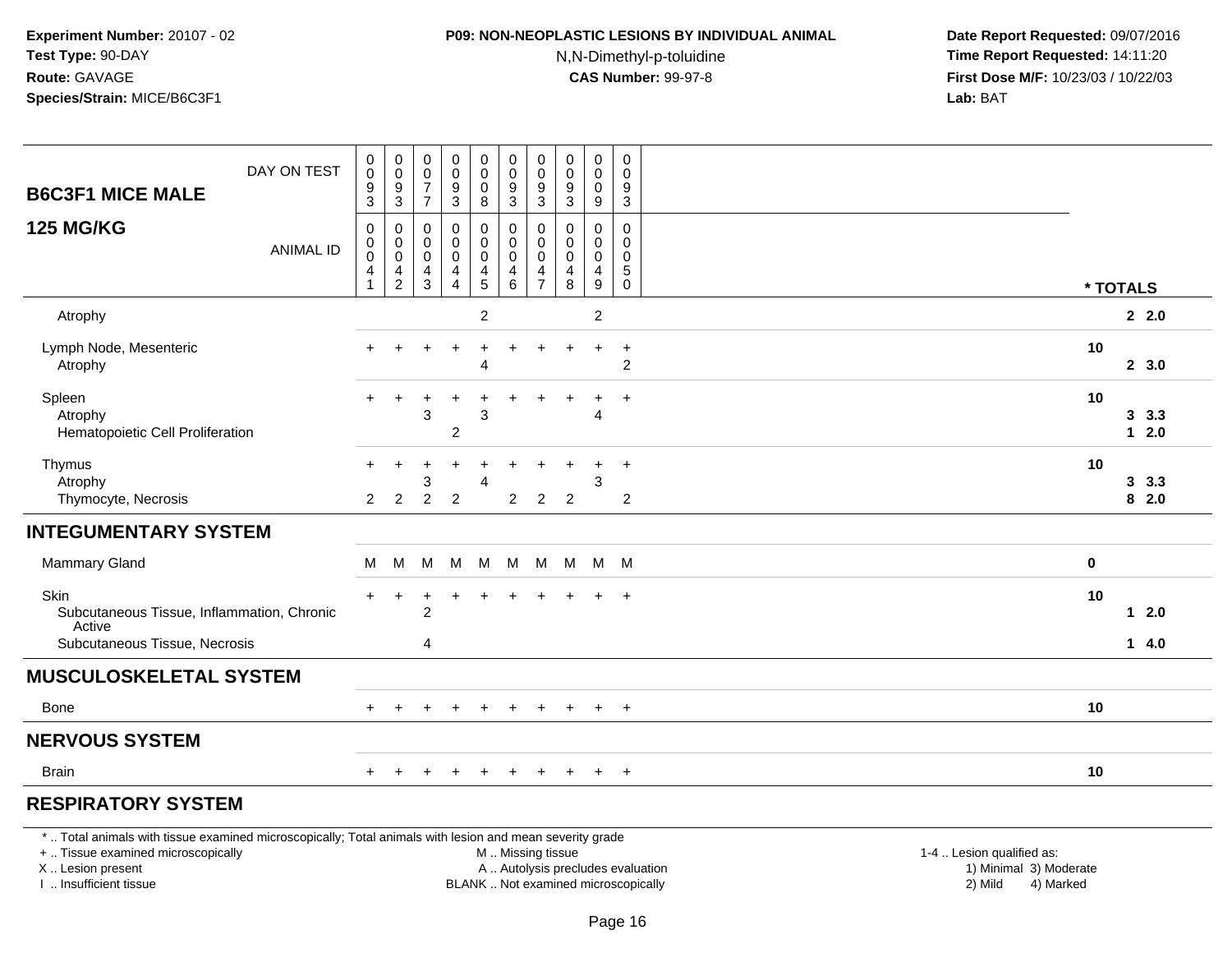### **P09: NON-NEOPLASTIC LESIONS BY INDIVIDUAL ANIMAL**

N,N-Dimethyl-p-toluidine

| DAY ON TEST<br><b>B6C3F1 MICE MALE</b>                                                                                                                                                        | $\pmb{0}$<br>$\overline{0}$<br>$\boldsymbol{9}$<br>$\overline{3}$             | $\pmb{0}$<br>$\,0\,$<br>$\boldsymbol{9}$<br>$\overline{3}$                  | $\,0\,$<br>$\ddot{\mathbf{0}}$<br>$\overline{7}$<br>$\overline{7}$ | $\pmb{0}$<br>$\ddot{\mathbf{0}}$<br>$\frac{9}{3}$     | $\pmb{0}$<br>$\ddot{\mathbf{0}}$<br>0<br>8                                  | $\pmb{0}$<br>$\overline{0}$<br>$9\,$<br>$\overline{3}$       | 0<br>$\pmb{0}$<br>9<br>3                                | 0<br>$\pmb{0}$<br>$\boldsymbol{9}$<br>$\overline{3}$          | $\pmb{0}$<br>$\pmb{0}$<br>$\mathbf 0$<br>$\overline{9}$     | 0<br>$\mathbf 0$<br>9<br>$\overline{3}$                                  |                                                                |           |                |  |
|-----------------------------------------------------------------------------------------------------------------------------------------------------------------------------------------------|-------------------------------------------------------------------------------|-----------------------------------------------------------------------------|--------------------------------------------------------------------|-------------------------------------------------------|-----------------------------------------------------------------------------|--------------------------------------------------------------|---------------------------------------------------------|---------------------------------------------------------------|-------------------------------------------------------------|--------------------------------------------------------------------------|----------------------------------------------------------------|-----------|----------------|--|
| <b>125 MG/KG</b><br><b>ANIMAL ID</b>                                                                                                                                                          | $\boldsymbol{0}$<br>$\boldsymbol{0}$<br>$\overline{0}$<br>$\overline{4}$<br>1 | $\pmb{0}$<br>$\mathbf 0$<br>$\mathbf 0$<br>$\overline{4}$<br>$\overline{c}$ | $\mathbf 0$<br>$\mathbf 0$<br>0<br>4<br>3                          | $\mathsf{O}$<br>$\mathsf{O}$<br>$\mathbf 0$<br>4<br>4 | 0<br>$\mathbf 0$<br>$\ddot{\mathbf{0}}$<br>$\overline{4}$<br>$\overline{5}$ | $\pmb{0}$<br>$\mathbf 0$<br>$\pmb{0}$<br>$\overline{4}$<br>6 | 0<br>$\mathbf{0}$<br>$\mathbf 0$<br>4<br>$\overline{7}$ | $\mathbf 0$<br>$\Omega$<br>$\mathbf 0$<br>$\overline{4}$<br>8 | 0<br>$\mathbf 0$<br>0<br>$\overline{4}$<br>$\boldsymbol{9}$ | $\mathsf 0$<br>$\mathbf 0$<br>$\mathbf 0$<br>$\sqrt{5}$<br>$\mathbf 0$   |                                                                | * TOTALS  |                |  |
| Atrophy                                                                                                                                                                                       |                                                                               |                                                                             |                                                                    |                                                       | $\overline{c}$                                                              |                                                              |                                                         |                                                               | $\overline{2}$                                              |                                                                          |                                                                |           | 2.0            |  |
| Lymph Node, Mesenteric<br>Atrophy                                                                                                                                                             |                                                                               |                                                                             |                                                                    | $\overline{1}$                                        | $\ddot{}$<br>4                                                              | $\ddot{}$                                                    | +                                                       |                                                               | $\ddot{}$                                                   | $\ddot{}$<br>$\overline{c}$                                              |                                                                | 10        | 2, 3.0         |  |
| Spleen<br>Atrophy<br>Hematopoietic Cell Proliferation                                                                                                                                         | $+$                                                                           | $\ddot{}$                                                                   | 3                                                                  | $\ddot{}$<br>$\overline{c}$                           | $\ddot{}$<br>3                                                              |                                                              |                                                         |                                                               | $\div$<br>$\overline{A}$                                    | $\ddot{}$                                                                |                                                                | 10        | 3.3<br>$12.0$  |  |
| Thymus<br>Atrophy<br>Thymocyte, Necrosis                                                                                                                                                      | $\pm$<br>$\overline{2}$                                                       | $\ddot{}$<br>$\overline{2}$                                                 | $\ddot{}$<br>3<br>$\overline{2}$                                   | $\ddot{}$<br>$\overline{2}$                           | $\ddot{}$<br>4                                                              | 2                                                            | $\overline{2}$                                          | $\overline{2}$                                                | $\ddot{}$<br>3                                              | $+$<br>$\overline{2}$                                                    |                                                                | 10        | 3, 3.3<br>82.0 |  |
| <b>INTEGUMENTARY SYSTEM</b>                                                                                                                                                                   |                                                                               |                                                                             |                                                                    |                                                       |                                                                             |                                                              |                                                         |                                                               |                                                             |                                                                          |                                                                |           |                |  |
| <b>Mammary Gland</b>                                                                                                                                                                          | M                                                                             | M                                                                           | M                                                                  | M                                                     | M                                                                           |                                                              | M M                                                     |                                                               | M M M                                                       |                                                                          |                                                                | 0         |                |  |
| Skin<br>Subcutaneous Tissue, Inflammation, Chronic<br>Active                                                                                                                                  |                                                                               |                                                                             | 2                                                                  |                                                       |                                                                             |                                                              |                                                         |                                                               | $+$                                                         | $+$                                                                      |                                                                | 10        | $12.0$         |  |
| Subcutaneous Tissue, Necrosis                                                                                                                                                                 |                                                                               |                                                                             | 4                                                                  |                                                       |                                                                             |                                                              |                                                         |                                                               |                                                             |                                                                          |                                                                |           | 14.0           |  |
| <b>MUSCULOSKELETAL SYSTEM</b>                                                                                                                                                                 |                                                                               |                                                                             |                                                                    |                                                       |                                                                             |                                                              |                                                         |                                                               |                                                             |                                                                          |                                                                |           |                |  |
| <b>Bone</b>                                                                                                                                                                                   | $+$                                                                           |                                                                             |                                                                    |                                                       | ÷                                                                           | <b>+</b>                                                     | $\pm$                                                   |                                                               | $\ddot{}$                                                   | $+$                                                                      |                                                                | 10        |                |  |
| <b>NERVOUS SYSTEM</b>                                                                                                                                                                         |                                                                               |                                                                             |                                                                    |                                                       |                                                                             |                                                              |                                                         |                                                               |                                                             |                                                                          |                                                                |           |                |  |
| <b>Brain</b>                                                                                                                                                                                  | $\pm$                                                                         |                                                                             |                                                                    |                                                       |                                                                             |                                                              |                                                         |                                                               | $\ddot{}$                                                   | $+$                                                                      |                                                                | 10        |                |  |
| <b>RESPIRATORY SYSTEM</b>                                                                                                                                                                     |                                                                               |                                                                             |                                                                    |                                                       |                                                                             |                                                              |                                                         |                                                               |                                                             |                                                                          |                                                                |           |                |  |
| *  Total animals with tissue examined microscopically; Total animals with lesion and mean severity grade<br>+  Tissue examined microscopically<br>X  Lesion present<br>I  Insufficient tissue |                                                                               |                                                                             |                                                                    |                                                       |                                                                             | M  Missing tissue                                            |                                                         |                                                               |                                                             | A  Autolysis precludes evaluation<br>BLANK  Not examined microscopically | 1-4  Lesion qualified as:<br>1) Minimal 3) Moderate<br>2) Mild | 4) Marked |                |  |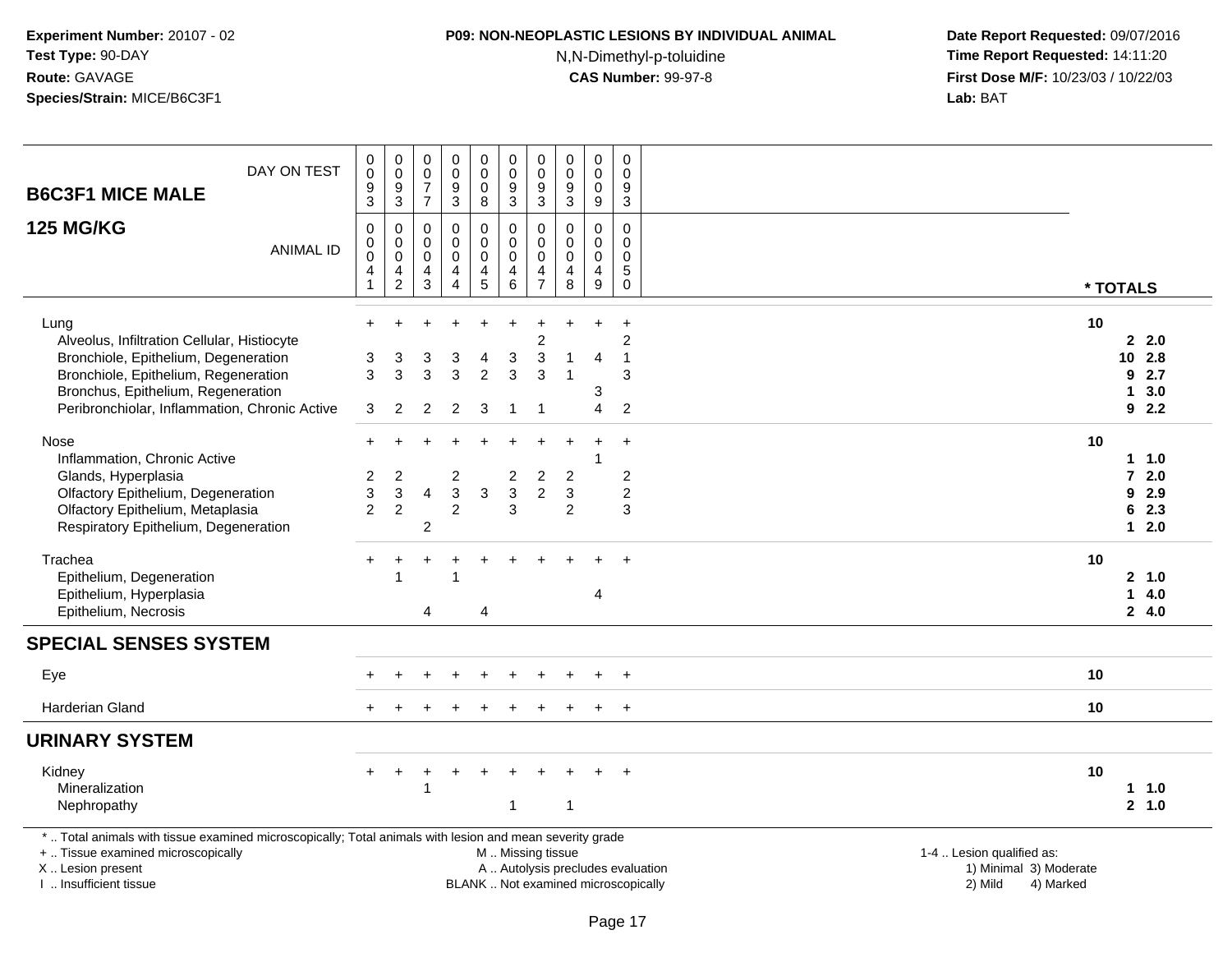### **P09: NON-NEOPLASTIC LESIONS BY INDIVIDUAL ANIMAL**

N,N-Dimethyl-p-toluidine

| DAY ON TEST<br><b>B6C3F1 MICE MALE</b>                                                                                                                                                        | $\mathbf 0$<br>$\mathbf 0$<br>9<br>3                          | $\pmb{0}$<br>$\mathbf 0$<br>9<br>$\mathbf{3}$        | 0<br>0<br>$\overline{7}$<br>$\overline{7}$ | $\pmb{0}$<br>$\pmb{0}$<br>$\boldsymbol{9}$<br>$\mathbf{3}$     | $\pmb{0}$<br>$\mathbf 0$<br>$\mathbf 0$<br>8                    | 0<br>$\mathbf 0$<br>9<br>$\mathbf{3}$          | $\mathbf 0$<br>$\mathbf 0$<br>9<br>3                          | $\pmb{0}$<br>$\mathbf 0$<br>$\boldsymbol{9}$<br>3 | $\mathbf 0$<br>$\mathbf 0$<br>$\mathbf 0$<br>9   | $\mathbf 0$<br>$\Omega$<br>9<br>$\mathbf{3}$   |                                                                                                                                                         |
|-----------------------------------------------------------------------------------------------------------------------------------------------------------------------------------------------|---------------------------------------------------------------|------------------------------------------------------|--------------------------------------------|----------------------------------------------------------------|-----------------------------------------------------------------|------------------------------------------------|---------------------------------------------------------------|---------------------------------------------------|--------------------------------------------------|------------------------------------------------|---------------------------------------------------------------------------------------------------------------------------------------------------------|
| <b>125 MG/KG</b><br><b>ANIMAL ID</b>                                                                                                                                                          | $\Omega$<br>$\mathbf 0$<br>$\mathbf 0$<br>4<br>$\overline{1}$ | 0<br>$\pmb{0}$<br>$\mathbf 0$<br>4<br>$\overline{c}$ | $\Omega$<br>0<br>0<br>4<br>3               | $\mathbf 0$<br>$\pmb{0}$<br>$\mathbf 0$<br>4<br>$\overline{4}$ | 0<br>$\mathbf 0$<br>$\mathbf 0$<br>$\overline{4}$<br>$\sqrt{5}$ | $\Omega$<br>$\pmb{0}$<br>$\mathbf 0$<br>4<br>6 | $\Omega$<br>$\mathbf 0$<br>$\mathbf 0$<br>4<br>$\overline{7}$ | 0<br>0<br>$\mathbf 0$<br>4<br>8                   | $\Omega$<br>$\mathbf 0$<br>$\mathbf 0$<br>4<br>9 | $\Omega$<br>0<br>0<br>$\mathbf 5$<br>$\pmb{0}$ | * TOTALS                                                                                                                                                |
| Lung<br>Alveolus, Infiltration Cellular, Histiocyte                                                                                                                                           | $+$<br>3                                                      |                                                      |                                            |                                                                |                                                                 | ÷                                              | $\overline{c}$                                                | 1                                                 | $\overline{4}$                                   | $\ddot{}$<br>$\overline{c}$<br>1               | 10<br>2.2.0<br>2.8                                                                                                                                      |
| Bronchiole, Epithelium, Degeneration<br>Bronchiole, Epithelium, Regeneration<br>Bronchus, Epithelium, Regeneration<br>Peribronchiolar, Inflammation, Chronic Active                           | 3<br>3                                                        | 3<br>3<br>2                                          | 3<br>3<br>$\overline{2}$                   | 3<br>$\mathbf{3}$<br>$\overline{2}$                            | 4<br>$\overline{2}$<br>3                                        | 3<br>3<br>$\overline{1}$                       | 3<br>3<br>$\overline{1}$                                      |                                                   | 3<br>$\overline{4}$                              | 3<br>$\overline{2}$                            | 10<br>2.7<br>9<br>3.0<br>1<br>92.2                                                                                                                      |
| Nose<br>Inflammation, Chronic Active<br>Glands, Hyperplasia<br>Olfactory Epithelium, Degeneration                                                                                             | 2<br>3                                                        | $\overline{c}$<br>$\ensuremath{\mathsf{3}}$          | 4                                          | $\overline{c}$<br>$\mathsf 3$                                  | $\mathsf 3$                                                     | $\overline{2}$<br>$\mathbf{3}$                 | ÷<br>$\boldsymbol{2}$<br>$\overline{c}$                       | $\overline{2}$<br>3                               | $\ddot{}$<br>$\overline{1}$                      | $+$<br>$\overline{c}$<br>$\overline{c}$        | 10<br>1 1.0<br>2.0<br>$\mathbf{7}$<br>9<br>2.9                                                                                                          |
| Olfactory Epithelium, Metaplasia<br>Respiratory Epithelium, Degeneration                                                                                                                      | $\overline{2}$                                                | $\overline{2}$                                       | $\overline{c}$                             | $\overline{c}$                                                 |                                                                 | 3                                              |                                                               | 2                                                 |                                                  | 3                                              | 2.3<br>6<br>$12.0$                                                                                                                                      |
| Trachea<br>Epithelium, Degeneration<br>Epithelium, Hyperplasia<br>Epithelium, Necrosis                                                                                                        |                                                               | $\div$<br>1                                          | ÷<br>$\overline{4}$                        | $\overline{ }$                                                 | ÷<br>4                                                          |                                                |                                                               |                                                   | 4                                                | $+$                                            | 10<br>2, 1.0<br>1<br>4.0<br>24.0                                                                                                                        |
| <b>SPECIAL SENSES SYSTEM</b>                                                                                                                                                                  |                                                               |                                                      |                                            |                                                                |                                                                 |                                                |                                                               |                                                   |                                                  |                                                |                                                                                                                                                         |
| Eye                                                                                                                                                                                           |                                                               |                                                      |                                            |                                                                |                                                                 |                                                |                                                               |                                                   |                                                  |                                                | 10                                                                                                                                                      |
| <b>Harderian Gland</b>                                                                                                                                                                        |                                                               |                                                      |                                            |                                                                |                                                                 |                                                |                                                               |                                                   | $\pm$                                            | $+$                                            | 10                                                                                                                                                      |
| <b>URINARY SYSTEM</b>                                                                                                                                                                         |                                                               |                                                      |                                            |                                                                |                                                                 |                                                |                                                               |                                                   |                                                  |                                                |                                                                                                                                                         |
| Kidney<br>Mineralization<br>Nephropathy                                                                                                                                                       |                                                               | $\div$                                               |                                            | $\pm$                                                          |                                                                 | -1                                             |                                                               | $\mathbf{1}$                                      |                                                  | $\overline{+}$                                 | 10<br>11.0<br>2, 1.0                                                                                                                                    |
| *  Total animals with tissue examined microscopically; Total animals with lesion and mean severity grade<br>+  Tissue examined microscopically<br>X  Lesion present<br>I  Insufficient tissue |                                                               |                                                      |                                            |                                                                |                                                                 | M  Missing tissue                              |                                                               |                                                   |                                                  |                                                | 1-4  Lesion qualified as:<br>A  Autolysis precludes evaluation<br>1) Minimal 3) Moderate<br>BLANK  Not examined microscopically<br>2) Mild<br>4) Marked |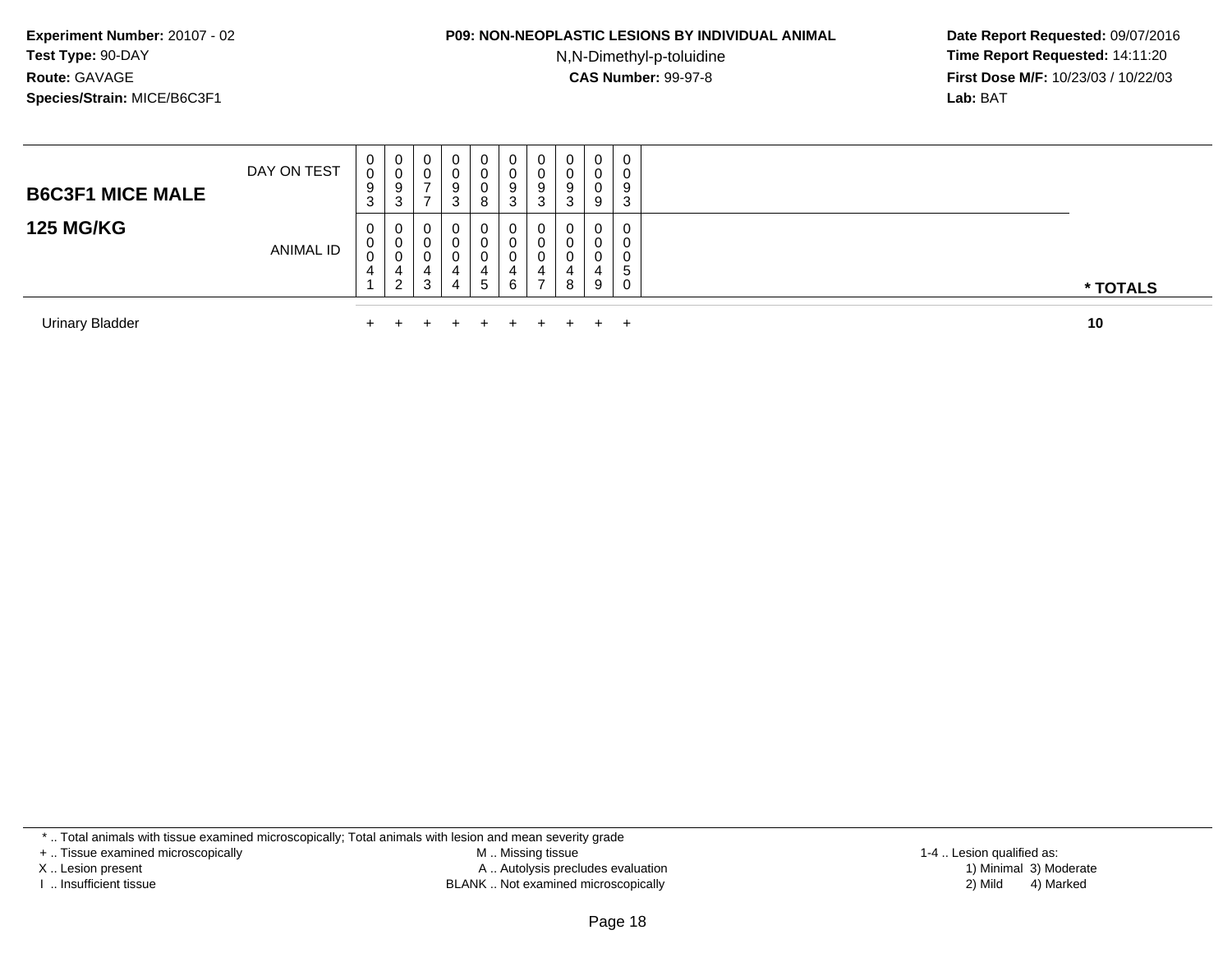### **P09: NON-NEOPLASTIC LESIONS BY INDIVIDUAL ANIMAL**

N,N-Dimethyl-p-toluidine

 **Date Report Requested:** 09/07/2016 **Time Report Requested:** 14:11:20 **First Dose M/F:** 10/23/03 / 10/22/03<br>**Lab:** BAT **Lab:** BAT

| <b>B6C3F1 MICE MALE</b> | DAY ON TEST      | U<br>0<br>9<br>◠ | 0<br>U<br>9<br>3                 | 0<br>U           | 0<br>0<br>9<br>ు      | 0<br>U<br>8                | 0<br>υ<br>9<br>3 | J | 0<br>$\sqrt{2}$<br>-3 | $\mathbf{0}$<br>0<br>υ<br>9 | 0<br>0<br>9<br>3      |          |
|-------------------------|------------------|------------------|----------------------------------|------------------|-----------------------|----------------------------|------------------|---|-----------------------|-----------------------------|-----------------------|----------|
| <b>125 MG/KG</b>        | <b>ANIMAL ID</b> | U<br>v<br>U      | $\mathbf{0}$<br>0<br>U<br>ົ<br>∠ | 0<br>U<br>U<br>3 | 0<br>0<br>0<br>4<br>4 | 0<br>v<br>4<br>$5^{\circ}$ | 0<br>υ<br>4<br>6 |   | 0<br>8                | 0<br>0<br>0<br>9            | 0<br>0<br>0<br>5<br>0 | * TOTALS |
| <b>Urinary Bladder</b>  |                  |                  |                                  |                  |                       |                            |                  |   |                       | ÷                           |                       | 10       |

\* .. Total animals with tissue examined microscopically; Total animals with lesion and mean severity grade

+ .. Tissue examined microscopically

X .. Lesion present

I .. Insufficient tissue

 M .. Missing tissueA .. Autolysis precludes evaluation

BLANK .. Not examined microscopically 2) Mild 4) Marked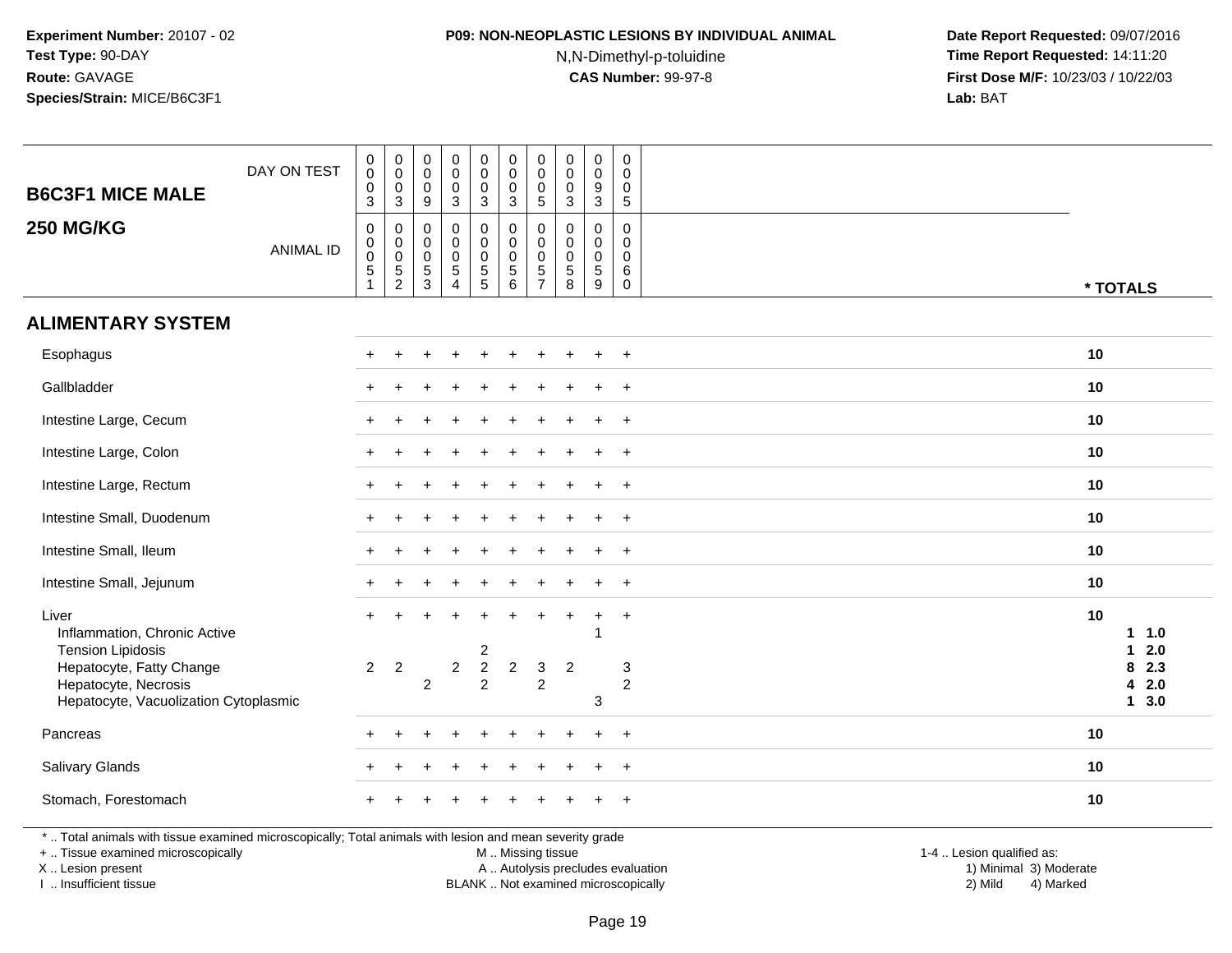## **P09: NON-NEOPLASTIC LESIONS BY INDIVIDUAL ANIMAL**

N,N-Dimethyl-p-toluidine

 **Date Report Requested:** 09/07/2016 **Time Report Requested:** 14:11:20 **First Dose M/F:** 10/23/03 / 10/22/03<br>**Lab:** BAT **Lab:** BAT

| <b>B6C3F1 MICE MALE</b>                                                                                                                        | DAY ON TEST      | $\pmb{0}$<br>$\mathsf 0$<br>0<br>3                 | $\pmb{0}$<br>$\pmb{0}$<br>$\boldsymbol{0}$<br>$\overline{3}$ | $\mathbf 0$<br>$\mathbf 0$<br>$\mathbf 0$<br>9 | $\pmb{0}$<br>$\mathbf 0$<br>$\mathbf 0$<br>3                                    | $\pmb{0}$<br>$\mathbf 0$<br>$\pmb{0}$<br>$\mathbf{3}$                    | $\pmb{0}$<br>0<br>0<br>$\mathbf{3}$              | $\pmb{0}$<br>$\mathbf 0$<br>$\mathbf 0$<br>$\sqrt{5}$  | $\mathbf 0$<br>$\mathbf 0$<br>0<br>$\mathbf{3}$                          | $\pmb{0}$<br>0<br>$\boldsymbol{9}$<br>$\overline{3}$ | $\mathbf 0$<br>$\mathbf 0$<br>$\mathbf 0$<br>$5\phantom{.0}$  |                           |                        |                   |
|------------------------------------------------------------------------------------------------------------------------------------------------|------------------|----------------------------------------------------|--------------------------------------------------------------|------------------------------------------------|---------------------------------------------------------------------------------|--------------------------------------------------------------------------|--------------------------------------------------|--------------------------------------------------------|--------------------------------------------------------------------------|------------------------------------------------------|---------------------------------------------------------------|---------------------------|------------------------|-------------------|
| <b>250 MG/KG</b>                                                                                                                               | <b>ANIMAL ID</b> | $\pmb{0}$<br>$\pmb{0}$<br>$\mathsf{O}\xspace$<br>5 | $\,0\,$<br>$\pmb{0}$<br>$\pmb{0}$<br>$\frac{5}{2}$           | 0<br>0<br>$\mathsf 0$<br>$\frac{5}{3}$         | $\mathbf 0$<br>$\mathbf 0$<br>$\pmb{0}$<br>$\sqrt{5}$<br>$\boldsymbol{\Lambda}$ | 0<br>$\mathbf 0$<br>$\mathsf 0$<br>$\begin{array}{c} 5 \\ 5 \end{array}$ | 0<br>$\mathbf 0$<br>$\pmb{0}$<br>$\sqrt{5}$<br>6 | 0<br>$\mathsf{O}\xspace$<br>$\pmb{0}$<br>$\frac{5}{7}$ | $\mathbf 0$<br>0<br>$\mathbf 0$<br>$\begin{array}{c} 5 \\ 8 \end{array}$ | 0<br>$\mathbf 0$<br>$\pmb{0}$<br>$\sqrt{5}$<br>$9\,$ | $\mathbf 0$<br>$\mathbf 0$<br>$\mathbf 0$<br>6<br>$\mathsf 0$ |                           | * TOTALS               |                   |
| <b>ALIMENTARY SYSTEM</b>                                                                                                                       |                  |                                                    |                                                              |                                                |                                                                                 |                                                                          |                                                  |                                                        |                                                                          |                                                      |                                                               |                           |                        |                   |
| Esophagus                                                                                                                                      |                  |                                                    |                                                              |                                                |                                                                                 |                                                                          |                                                  |                                                        |                                                                          | $\div$                                               | $+$                                                           |                           | 10                     |                   |
| Gallbladder                                                                                                                                    |                  |                                                    |                                                              |                                                |                                                                                 |                                                                          |                                                  |                                                        |                                                                          |                                                      | $\overline{+}$                                                |                           | 10                     |                   |
| Intestine Large, Cecum                                                                                                                         |                  |                                                    |                                                              |                                                |                                                                                 |                                                                          |                                                  |                                                        |                                                                          |                                                      | $\overline{+}$                                                |                           | 10                     |                   |
| Intestine Large, Colon                                                                                                                         |                  |                                                    |                                                              |                                                |                                                                                 |                                                                          |                                                  |                                                        |                                                                          |                                                      | $\overline{ }$                                                |                           | 10                     |                   |
| Intestine Large, Rectum                                                                                                                        |                  |                                                    |                                                              |                                                |                                                                                 |                                                                          |                                                  |                                                        |                                                                          |                                                      | $+$                                                           |                           | 10                     |                   |
| Intestine Small, Duodenum                                                                                                                      |                  |                                                    |                                                              |                                                |                                                                                 |                                                                          |                                                  |                                                        |                                                                          |                                                      | $\ddot{}$                                                     |                           | 10                     |                   |
| Intestine Small, Ileum                                                                                                                         |                  |                                                    |                                                              |                                                |                                                                                 |                                                                          |                                                  |                                                        |                                                                          |                                                      | $\ddot{}$                                                     |                           | 10                     |                   |
| Intestine Small, Jejunum                                                                                                                       |                  | $\pm$                                              |                                                              |                                                |                                                                                 |                                                                          |                                                  |                                                        |                                                                          | $\div$                                               | $+$                                                           |                           | 10                     |                   |
| Liver<br>Inflammation, Chronic Active<br><b>Tension Lipidosis</b>                                                                              |                  |                                                    |                                                              |                                                |                                                                                 | 2                                                                        |                                                  |                                                        |                                                                          | $\ddot{}$                                            | $+$                                                           |                           | 10<br>$\mathbf 1$<br>1 | 1.0<br>2.0        |
| Hepatocyte, Fatty Change<br>Hepatocyte, Necrosis<br>Hepatocyte, Vacuolization Cytoplasmic                                                      |                  | $\overline{2}$                                     | $\overline{2}$                                               | $\overline{c}$                                 | $\overline{c}$                                                                  | $\sqrt{2}$<br>$\overline{a}$                                             | $\overline{c}$                                   | 3<br>$\overline{c}$                                    | $\overline{2}$                                                           | $\ensuremath{\mathsf{3}}$                            | 3<br>$\overline{c}$                                           |                           | 8<br>4<br>$\mathbf{1}$ | 2.3<br>2.0<br>3.0 |
| Pancreas                                                                                                                                       |                  |                                                    |                                                              |                                                |                                                                                 |                                                                          |                                                  |                                                        |                                                                          |                                                      | $^{+}$                                                        |                           | 10                     |                   |
| Salivary Glands                                                                                                                                |                  |                                                    |                                                              |                                                |                                                                                 |                                                                          |                                                  |                                                        |                                                                          |                                                      | $\ddot{}$                                                     |                           | 10                     |                   |
| Stomach, Forestomach                                                                                                                           |                  |                                                    |                                                              |                                                |                                                                                 |                                                                          |                                                  |                                                        |                                                                          |                                                      | $\ddot{}$                                                     |                           | 10                     |                   |
| *  Total animals with tissue examined microscopically; Total animals with lesion and mean severity grade<br>+  Tissue examined microscopically |                  |                                                    |                                                              |                                                |                                                                                 |                                                                          | M  Missing tissue                                |                                                        |                                                                          |                                                      |                                                               | 1-4  Lesion qualified as: |                        |                   |

X .. Lesion present

I .. Insufficient tissue

BLANK .. Not examined microscopically

A .. Autolysis precludes evaluation and the series of the series of the series of the series of the series of the series of the series of the series of the series of the series of the series of the series of the series of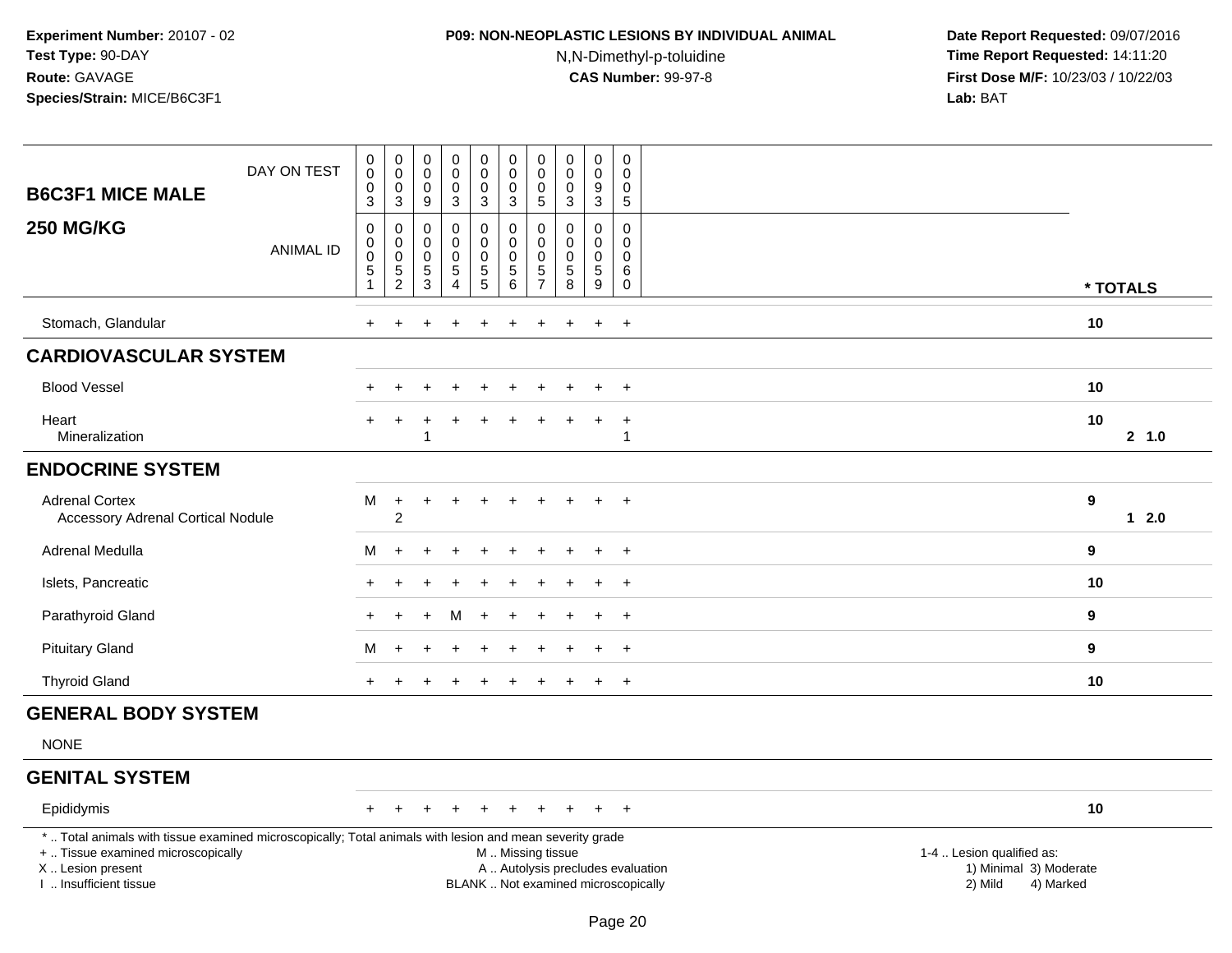### **P09: NON-NEOPLASTIC LESIONS BY INDIVIDUAL ANIMAL**

N,N-Dimethyl-p-toluidine

| <b>B6C3F1 MICE MALE</b>                                                                                                                                                                       | DAY ON TEST      | $_{\rm 0}^{\rm 0}$<br>$\pmb{0}$                                          | $_{\rm 0}^{\rm 0}$<br>$\mathsf 0$                              | $\boldsymbol{0}$<br>$\pmb{0}$<br>$\mathbf 0$                    | $\pmb{0}$<br>$\mathbf 0$<br>$\mathbf 0$                                              | $\pmb{0}$<br>$\ddot{\mathbf{0}}$<br>$\pmb{0}$                                  | $\pmb{0}$<br>$\ddot{\mathbf{0}}$<br>$\mathbf 0$                                                  | $\pmb{0}$<br>$\mathsf 0$<br>0                                      | $\pmb{0}$<br>$\mathsf 0$<br>0                                               | $\pmb{0}$<br>$\ddot{\mathbf{0}}$<br>$\boldsymbol{9}$                                        | $\mathbf 0$<br>$\mathbf 0$<br>0                                                  |                                                                             |          |
|-----------------------------------------------------------------------------------------------------------------------------------------------------------------------------------------------|------------------|--------------------------------------------------------------------------|----------------------------------------------------------------|-----------------------------------------------------------------|--------------------------------------------------------------------------------------|--------------------------------------------------------------------------------|--------------------------------------------------------------------------------------------------|--------------------------------------------------------------------|-----------------------------------------------------------------------------|---------------------------------------------------------------------------------------------|----------------------------------------------------------------------------------|-----------------------------------------------------------------------------|----------|
| <b>250 MG/KG</b>                                                                                                                                                                              | <b>ANIMAL ID</b> | $\overline{3}$<br>$\pmb{0}$<br>0<br>$\mathsf{O}\xspace$<br>$\frac{5}{1}$ | $\overline{3}$<br>0<br>$\,0\,$<br>$\mathbf 0$<br>$\frac{5}{2}$ | 9<br>$\mathbf 0$<br>$\mathbf 0$<br>$\mathbf 0$<br>$\frac{5}{3}$ | $\sqrt{3}$<br>$\mathbf 0$<br>$\Omega$<br>$\mathbf 0$<br>$\sqrt{5}$<br>$\overline{4}$ | $\overline{3}$<br>0<br>0<br>$\pmb{0}$<br>$\begin{array}{c} 5 \\ 5 \end{array}$ | $\mathbf{3}$<br>$\pmb{0}$<br>$\mathbf 0$<br>$\mathbf 0$<br>$\begin{array}{c} 5 \\ 6 \end{array}$ | $\overline{5}$<br>$\mathsf 0$<br>$\mathbf 0$<br>0<br>$\frac{5}{7}$ | $\mathbf{3}$<br>0<br>$\Omega$<br>0<br>$\begin{array}{c} 5 \\ 8 \end{array}$ | $\overline{3}$<br>$\mathbf 0$<br>$\mathbf 0$<br>$\mathbf 0$<br>$\sqrt{5}$<br>$\overline{9}$ | $\overline{5}$<br>$\mathbf 0$<br>$\mathbf{0}$<br>$\mathbf 0$<br>6<br>$\mathbf 0$ |                                                                             | * TOTALS |
| Stomach, Glandular                                                                                                                                                                            |                  | $+$                                                                      |                                                                |                                                                 |                                                                                      |                                                                                |                                                                                                  |                                                                    |                                                                             |                                                                                             | $\ddot{}$                                                                        | 10                                                                          |          |
| <b>CARDIOVASCULAR SYSTEM</b>                                                                                                                                                                  |                  |                                                                          |                                                                |                                                                 |                                                                                      |                                                                                |                                                                                                  |                                                                    |                                                                             |                                                                                             |                                                                                  |                                                                             |          |
| <b>Blood Vessel</b>                                                                                                                                                                           |                  | $\pm$                                                                    |                                                                |                                                                 | $\div$                                                                               | $\ddot{}$                                                                      | $\div$                                                                                           | $\pm$                                                              | $\div$                                                                      | $\div$                                                                                      | $^{+}$                                                                           | 10                                                                          |          |
| Heart<br>Mineralization                                                                                                                                                                       |                  | $+$                                                                      | $\ddot{}$                                                      | ÷                                                               | ÷                                                                                    | $\ddot{}$                                                                      | $\div$                                                                                           | $\div$                                                             | $\div$                                                                      | $\ddot{}$                                                                                   | $\ddot{}$<br>1                                                                   | 10                                                                          | 2, 1.0   |
| <b>ENDOCRINE SYSTEM</b>                                                                                                                                                                       |                  |                                                                          |                                                                |                                                                 |                                                                                      |                                                                                |                                                                                                  |                                                                    |                                                                             |                                                                                             |                                                                                  |                                                                             |          |
| <b>Adrenal Cortex</b><br><b>Accessory Adrenal Cortical Nodule</b>                                                                                                                             |                  | М                                                                        | $\ddot{}$<br>$\sqrt{2}$                                        | $\ddot{}$                                                       | $\pm$                                                                                | $\ddot{}$                                                                      |                                                                                                  |                                                                    |                                                                             |                                                                                             | $\ddot{}$                                                                        | $\boldsymbol{9}$                                                            | $12.0$   |
| Adrenal Medulla                                                                                                                                                                               |                  | M                                                                        | $+$                                                            |                                                                 |                                                                                      |                                                                                |                                                                                                  |                                                                    |                                                                             | ÷                                                                                           | $+$                                                                              | 9                                                                           |          |
| Islets, Pancreatic                                                                                                                                                                            |                  |                                                                          |                                                                |                                                                 |                                                                                      |                                                                                |                                                                                                  |                                                                    |                                                                             |                                                                                             | $\overline{1}$                                                                   | 10                                                                          |          |
| Parathyroid Gland                                                                                                                                                                             |                  | $\ddot{}$                                                                | $\ddot{}$                                                      |                                                                 | M                                                                                    | $\ddot{}$                                                                      |                                                                                                  |                                                                    |                                                                             |                                                                                             | $\overline{+}$                                                                   | 9                                                                           |          |
| <b>Pituitary Gland</b>                                                                                                                                                                        |                  | M                                                                        | $\div$                                                         |                                                                 |                                                                                      |                                                                                |                                                                                                  |                                                                    |                                                                             | $\ddot{}$                                                                                   | $+$                                                                              | 9                                                                           |          |
| <b>Thyroid Gland</b>                                                                                                                                                                          |                  | $+$                                                                      |                                                                |                                                                 |                                                                                      |                                                                                |                                                                                                  |                                                                    |                                                                             | $\ddot{}$                                                                                   | $+$                                                                              | 10                                                                          |          |
| <b>GENERAL BODY SYSTEM</b>                                                                                                                                                                    |                  |                                                                          |                                                                |                                                                 |                                                                                      |                                                                                |                                                                                                  |                                                                    |                                                                             |                                                                                             |                                                                                  |                                                                             |          |
| <b>NONE</b>                                                                                                                                                                                   |                  |                                                                          |                                                                |                                                                 |                                                                                      |                                                                                |                                                                                                  |                                                                    |                                                                             |                                                                                             |                                                                                  |                                                                             |          |
| <b>GENITAL SYSTEM</b>                                                                                                                                                                         |                  |                                                                          |                                                                |                                                                 |                                                                                      |                                                                                |                                                                                                  |                                                                    |                                                                             |                                                                                             |                                                                                  |                                                                             |          |
| Epididymis                                                                                                                                                                                    |                  | $+$                                                                      | $\pm$                                                          |                                                                 |                                                                                      | $\ddot{}$                                                                      |                                                                                                  |                                                                    |                                                                             | $+$                                                                                         | $+$                                                                              | 10                                                                          |          |
| *  Total animals with tissue examined microscopically; Total animals with lesion and mean severity grade<br>+  Tissue examined microscopically<br>X  Lesion present<br>I. Insufficient tissue |                  |                                                                          |                                                                |                                                                 |                                                                                      |                                                                                | M  Missing tissue<br>A  Autolysis precludes evaluation<br>BLANK  Not examined microscopically    |                                                                    |                                                                             |                                                                                             |                                                                                  | 1-4  Lesion qualified as:<br>1) Minimal 3) Moderate<br>2) Mild<br>4) Marked |          |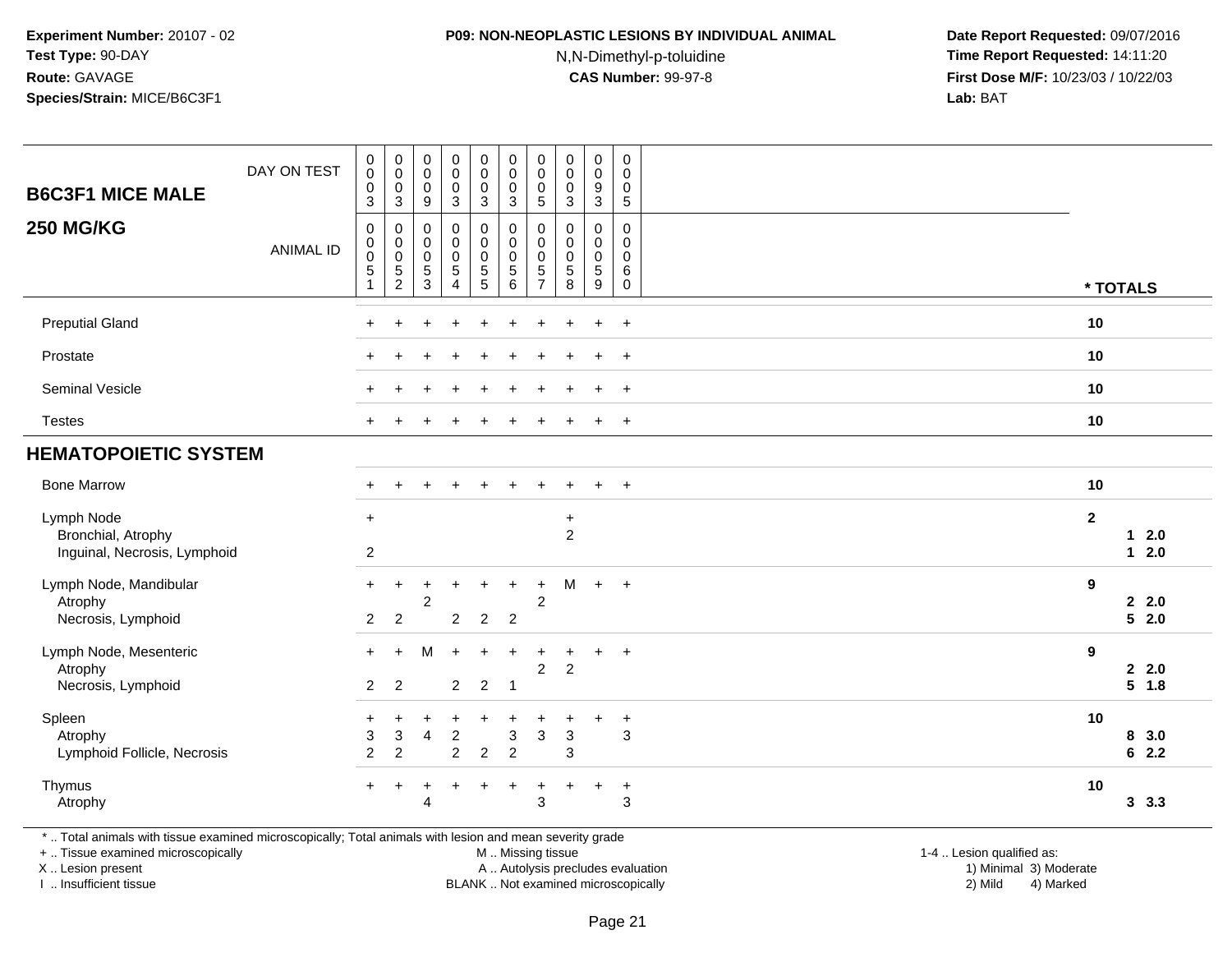### **P09: NON-NEOPLASTIC LESIONS BY INDIVIDUAL ANIMAL**

N,N-Dimethyl-p-toluidine

 **Date Report Requested:** 09/07/2016 **Time Report Requested:** 14:11:20 **First Dose M/F:** 10/23/03 / 10/22/03<br>**Lab:** BAT **Lab:** BAT

| <b>B6C3F1 MICE MALE</b>                                          | DAY ON TEST      | $\pmb{0}$<br>$\mathbf 0$<br>0<br>$\sqrt{3}$ | $_{\rm 0}^{\rm 0}$<br>$\pmb{0}$<br>$\mathbf 3$                   | $\pmb{0}$<br>$\pmb{0}$<br>$\mathbf 0$<br>$\boldsymbol{9}$                          | $\pmb{0}$<br>$\pmb{0}$<br>$\pmb{0}$<br>$\mathbf{3}$  | $\pmb{0}$<br>$\mathbf 0$<br>$\mathbf 0$<br>3    | $\pmb{0}$<br>$\mathbf 0$<br>$\pmb{0}$<br>$\sqrt{3}$                  | $\mathbf 0$<br>$\pmb{0}$<br>0<br>$\sqrt{5}$                               | $\pmb{0}$<br>$\mathbf 0$<br>$\mathbf 0$<br>$\ensuremath{\mathsf{3}}$ | 0<br>$\pmb{0}$<br>$\boldsymbol{9}$<br>3                        | $\pmb{0}$<br>0<br>0<br>$5\,$                        |              |             |                      |
|------------------------------------------------------------------|------------------|---------------------------------------------|------------------------------------------------------------------|------------------------------------------------------------------------------------|------------------------------------------------------|-------------------------------------------------|----------------------------------------------------------------------|---------------------------------------------------------------------------|----------------------------------------------------------------------|----------------------------------------------------------------|-----------------------------------------------------|--------------|-------------|----------------------|
| <b>250 MG/KG</b>                                                 | <b>ANIMAL ID</b> | 0<br>$\mathbf 0$<br>$\pmb{0}$<br>$\sqrt{5}$ | 0<br>$\mathsf{O}\xspace$<br>$\mathsf{O}\xspace$<br>$\frac{5}{2}$ | $\mathbf 0$<br>$\mathbf 0$<br>$\boldsymbol{0}$<br>$\overline{5}$<br>$\overline{3}$ | 0<br>$\pmb{0}$<br>$\mathbf 0$<br>$\overline{5}$<br>4 | 0<br>$\mathbf 0$<br>$\pmb{0}$<br>$\overline{5}$ | 0<br>$\mathsf 0$<br>$\mathbf 0$<br>$\overline{5}$<br>$6\overline{6}$ | $\mathbf 0$<br>$\mathbf 0$<br>$\mathbf 0$<br>$\sqrt{5}$<br>$\overline{7}$ | 0<br>$\Omega$<br>$\mathbf 0$<br>$\sqrt{5}$<br>8                      | 0<br>$\mathbf 0$<br>$\mathsf{O}\xspace$<br>5<br>$\overline{9}$ | 0<br>$\mathbf 0$<br>$\mathbf 0$<br>6<br>$\mathbf 0$ |              | * TOTALS    |                      |
| <b>Preputial Gland</b>                                           |                  | $\ddot{}$                                   | ÷                                                                |                                                                                    | $\ddot{}$                                            | $\ddot{}$                                       | $\ddot{}$                                                            | ÷                                                                         | ÷.                                                                   | $\ddot{}$                                                      | $+$                                                 | 10           |             |                      |
| Prostate                                                         |                  |                                             |                                                                  |                                                                                    |                                                      |                                                 |                                                                      |                                                                           |                                                                      | $\ddot{}$                                                      | $+$                                                 | 10           |             |                      |
| <b>Seminal Vesicle</b>                                           |                  |                                             |                                                                  |                                                                                    |                                                      |                                                 |                                                                      |                                                                           |                                                                      | $\ddot{}$                                                      | $\ddot{}$                                           | 10           |             |                      |
| <b>Testes</b>                                                    |                  |                                             |                                                                  |                                                                                    |                                                      |                                                 |                                                                      |                                                                           |                                                                      | $\ddot{}$                                                      | $+$                                                 | 10           |             |                      |
| <b>HEMATOPOIETIC SYSTEM</b>                                      |                  |                                             |                                                                  |                                                                                    |                                                      |                                                 |                                                                      |                                                                           |                                                                      |                                                                |                                                     |              |             |                      |
| <b>Bone Marrow</b>                                               |                  |                                             |                                                                  |                                                                                    |                                                      |                                                 |                                                                      |                                                                           |                                                                      |                                                                | $\ddot{}$                                           | 10           |             |                      |
| Lymph Node<br>Bronchial, Atrophy<br>Inguinal, Necrosis, Lymphoid |                  | $+$<br>$\overline{2}$                       |                                                                  |                                                                                    |                                                      |                                                 |                                                                      |                                                                           | $\ddot{}$<br>$\overline{2}$                                          |                                                                |                                                     | $\mathbf{2}$ | $\mathbf 1$ | 2.0<br>$1 \quad 2.0$ |
| Lymph Node, Mandibular<br>Atrophy<br>Necrosis, Lymphoid          |                  | $\ddot{}$<br>$\overline{2}$                 | $\ddot{}$<br>$\overline{2}$                                      | 2                                                                                  | $\overline{2}$                                       | $\overline{2}$                                  | $\ddot{}$<br>$\overline{2}$                                          | +<br>2                                                                    | M                                                                    | $\ddot{}$                                                      | $+$                                                 | 9            |             | 2.2.0<br>52.0        |
| Lymph Node, Mesenteric<br>Atrophy<br>Necrosis, Lymphoid          |                  | $+$<br>$\overline{2}$                       | $+$<br>$\overline{2}$                                            | M                                                                                  | $\ddot{}$<br>$\overline{2}$                          | $+$<br>$\overline{2}$                           | $\ddot{}$<br>$\overline{1}$                                          | $\ddot{}$<br>$\overline{a}$                                               | $\ddot{}$<br>$\overline{2}$                                          | $\ddot{}$                                                      | $+$                                                 | 9            |             | 2.2.0<br>$5 \t1.8$   |
| Spleen<br>Atrophy<br>Lymphoid Follicle, Necrosis                 |                  | $\ddot{}$<br>$\ensuremath{\mathsf{3}}$<br>2 | +<br>3<br>$\overline{c}$                                         | $\ddot{}$<br>4                                                                     | $\ddot{}$<br>$\overline{c}$<br>$\overline{c}$        | +<br>$\overline{2}$                             | $\ddot{}$<br>$\sqrt{3}$<br>$\overline{c}$                            | 3                                                                         | $\ddot{}$<br>$\mathbf{3}$<br>3                                       | +                                                              | $\ddot{}$<br>3                                      | 10           |             | 8, 3.0<br>62.2       |
| Thymus<br>Atrophy                                                |                  |                                             |                                                                  | 4                                                                                  |                                                      |                                                 | $\ddot{}$                                                            | $\mathfrak{S}$                                                            |                                                                      | $\ddot{}$                                                      | $\ddot{}$<br>$\mathbf{3}$                           | 10           |             | 3.3.3                |

+ .. Tissue examined microscopically

X .. Lesion present

I .. Insufficient tissue

M .. Missing tissue

A .. Autolysis precludes evaluation 1999 (1999) 1999 (1999) 1999 (1999) 1999 (1999) 1999 (1999) 1999 (1999) 1<br>1) Minimal 3) Mild 3) Mild 3) Mild 3) Mild 3, 2009 (1999) 1999 (1999) 1999 (1999) 1999 (1999) 1999 (1999) 199 BLANK .. Not examined microscopically 2) Mild 4) Marked

1-4 .. Lesion qualified as: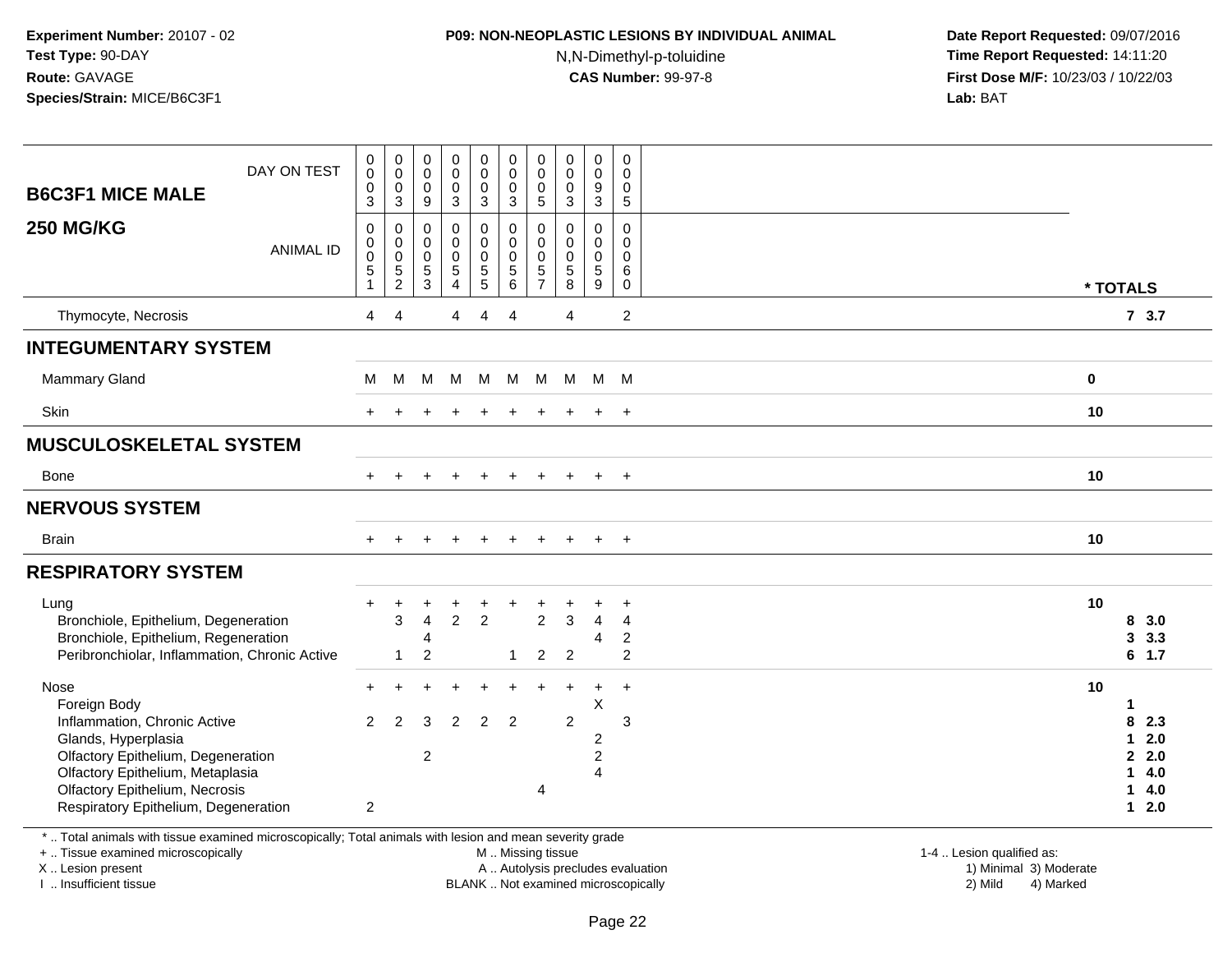# **P09: NON-NEOPLASTIC LESIONS BY INDIVIDUAL ANIMAL**

N,N-Dimethyl-p-toluidine

 **Date Report Requested:** 09/07/2016 **Time Report Requested:** 14:11:20 **First Dose M/F:** 10/23/03 / 10/22/03<br>**Lab:** BAT **Lab:** BAT

| <b>B6C3F1 MICE MALE</b><br><b>250 MG/KG</b>                                                                                                                                                                                            | DAY ON TEST<br><b>ANIMAL ID</b> | $\begin{smallmatrix} 0\\0 \end{smallmatrix}$<br>$\pmb{0}$<br>3<br>0<br>$\mathbf 0$<br>$\pmb{0}$<br>$\overline{5}$<br>1 | $\pmb{0}$<br>$\mathsf 0$<br>$\pmb{0}$<br>$\mathsf 3$<br>0<br>0<br>$\mathbf 0$<br>$\,$ 5 $\,$<br>2 | $\pmb{0}$<br>$\mathsf{O}$<br>$\mathbf 0$<br>$9\,$<br>$\mathbf 0$<br>$\pmb{0}$<br>$\mathbf 0$<br>$\sqrt{5}$<br>3 | $\begin{smallmatrix}0\0\0\end{smallmatrix}$<br>$\mathbf 0$<br>3<br>0<br>$\mathbf 0$<br>$\bar{0}$<br>$\overline{5}$<br>$\overline{4}$ | $\begin{smallmatrix}0\0\0\end{smallmatrix}$<br>$\mathsf{O}$<br>$\mathbf{3}$<br>$\pmb{0}$<br>$\mathsf{O}\xspace$<br>$\ddot{\mathbf{0}}$<br>$\frac{5}{5}$ | $_{\rm 0}^{\rm 0}$<br>$\pmb{0}$<br>$\mathbf{3}$<br>$\mathsf{O}\xspace$<br>$\pmb{0}$<br>$\pmb{0}$<br>$\overline{5}$ 6 | $\begin{smallmatrix} 0\\0 \end{smallmatrix}$<br>$\mathbf 0$<br>$\sqrt{5}$<br>0<br>$\mathbf 0$<br>$\mathbf 0$<br>$\,$ 5 $\,$<br>$\overline{7}$ | $\begin{smallmatrix}0\\0\end{smallmatrix}$<br>$\mathbf 0$<br>$\mathbf{3}$<br>$\mathbf 0$<br>$\mathbf 0$<br>$\ddot{\mathbf{0}}$<br>$\overline{5}$<br>8 | $\begin{smallmatrix}0\0\0\end{smallmatrix}$<br>9<br>3<br>0<br>$\mathbf 0$<br>$\mathbf 0$<br>5<br>9 | $\pmb{0}$<br>$\mathsf{O}\xspace$<br>$\mathsf{O}\xspace$<br>$5\,$<br>0<br>$\mathsf{O}\xspace$<br>0<br>6<br>$\mathbf 0$ |    | * TOTALS                    |                                        |
|----------------------------------------------------------------------------------------------------------------------------------------------------------------------------------------------------------------------------------------|---------------------------------|------------------------------------------------------------------------------------------------------------------------|---------------------------------------------------------------------------------------------------|-----------------------------------------------------------------------------------------------------------------|--------------------------------------------------------------------------------------------------------------------------------------|---------------------------------------------------------------------------------------------------------------------------------------------------------|----------------------------------------------------------------------------------------------------------------------|-----------------------------------------------------------------------------------------------------------------------------------------------|-------------------------------------------------------------------------------------------------------------------------------------------------------|----------------------------------------------------------------------------------------------------|-----------------------------------------------------------------------------------------------------------------------|----|-----------------------------|----------------------------------------|
| Thymocyte, Necrosis                                                                                                                                                                                                                    |                                 | 4                                                                                                                      | $\overline{4}$                                                                                    |                                                                                                                 | 4                                                                                                                                    | 4                                                                                                                                                       | $\overline{4}$                                                                                                       |                                                                                                                                               | 4                                                                                                                                                     |                                                                                                    | $\overline{2}$                                                                                                        |    |                             | 73.7                                   |
| <b>INTEGUMENTARY SYSTEM</b>                                                                                                                                                                                                            |                                 |                                                                                                                        |                                                                                                   |                                                                                                                 |                                                                                                                                      |                                                                                                                                                         |                                                                                                                      |                                                                                                                                               |                                                                                                                                                       |                                                                                                    |                                                                                                                       |    |                             |                                        |
| <b>Mammary Gland</b>                                                                                                                                                                                                                   |                                 | М                                                                                                                      | М                                                                                                 | M                                                                                                               | M                                                                                                                                    | M                                                                                                                                                       |                                                                                                                      | M M                                                                                                                                           | M M M                                                                                                                                                 |                                                                                                    |                                                                                                                       | 0  |                             |                                        |
| Skin                                                                                                                                                                                                                                   |                                 |                                                                                                                        |                                                                                                   |                                                                                                                 |                                                                                                                                      |                                                                                                                                                         |                                                                                                                      |                                                                                                                                               |                                                                                                                                                       | $\ddot{}$                                                                                          | $\overline{+}$                                                                                                        | 10 |                             |                                        |
| <b>MUSCULOSKELETAL SYSTEM</b>                                                                                                                                                                                                          |                                 |                                                                                                                        |                                                                                                   |                                                                                                                 |                                                                                                                                      |                                                                                                                                                         |                                                                                                                      |                                                                                                                                               |                                                                                                                                                       |                                                                                                    |                                                                                                                       |    |                             |                                        |
| Bone                                                                                                                                                                                                                                   |                                 |                                                                                                                        |                                                                                                   |                                                                                                                 |                                                                                                                                      |                                                                                                                                                         |                                                                                                                      |                                                                                                                                               |                                                                                                                                                       | $\ddot{}$                                                                                          | $+$                                                                                                                   | 10 |                             |                                        |
| <b>NERVOUS SYSTEM</b>                                                                                                                                                                                                                  |                                 |                                                                                                                        |                                                                                                   |                                                                                                                 |                                                                                                                                      |                                                                                                                                                         |                                                                                                                      |                                                                                                                                               |                                                                                                                                                       |                                                                                                    |                                                                                                                       |    |                             |                                        |
| <b>Brain</b>                                                                                                                                                                                                                           |                                 |                                                                                                                        |                                                                                                   |                                                                                                                 |                                                                                                                                      |                                                                                                                                                         |                                                                                                                      |                                                                                                                                               |                                                                                                                                                       | $\div$                                                                                             | $\overline{+}$                                                                                                        | 10 |                             |                                        |
| <b>RESPIRATORY SYSTEM</b>                                                                                                                                                                                                              |                                 |                                                                                                                        |                                                                                                   |                                                                                                                 |                                                                                                                                      |                                                                                                                                                         |                                                                                                                      |                                                                                                                                               |                                                                                                                                                       |                                                                                                    |                                                                                                                       |    |                             |                                        |
| Lung<br>Bronchiole, Epithelium, Degeneration<br>Bronchiole, Epithelium, Regeneration<br>Peribronchiolar, Inflammation, Chronic Active                                                                                                  |                                 |                                                                                                                        | 3<br>1                                                                                            | $\overline{4}$<br>4<br>2                                                                                        | $\overline{2}$                                                                                                                       | +<br>$\overline{2}$                                                                                                                                     | -1                                                                                                                   | $\overline{2}$<br>$\overline{2}$                                                                                                              | $\mathbf{3}$<br>2                                                                                                                                     | $\overline{4}$<br>$\overline{4}$                                                                   | $\overline{4}$<br>$\overline{c}$<br>$\overline{2}$                                                                    | 10 | 8<br>3                      | 3.0<br>3.3<br>$6$ 1.7                  |
| Nose<br>Foreign Body<br>Inflammation, Chronic Active<br>Glands, Hyperplasia<br>Olfactory Epithelium, Degeneration<br>Olfactory Epithelium, Metaplasia<br><b>Olfactory Epithelium, Necrosis</b><br>Respiratory Epithelium, Degeneration |                                 | $\mathcal{P}$<br>2                                                                                                     | $\mathfrak{p}$                                                                                    | 3<br>$\overline{2}$                                                                                             | $\overline{2}$                                                                                                                       | 2                                                                                                                                                       | $\overline{2}$                                                                                                       | 4                                                                                                                                             | $\overline{2}$                                                                                                                                        | $\ddot{}$<br>X<br>$\boldsymbol{2}$<br>$\overline{c}$<br>$\overline{4}$                             | $\ddot{}$<br>3                                                                                                        | 10 | 8<br>1<br>$\mathbf{2}$<br>1 | 2.3<br>2.0<br>2.0<br>4.0<br>4.0<br>2.0 |

\* .. Total animals with tissue examined microscopically; Total animals with lesion and mean severity grade

+ .. Tissue examined microscopically

X .. Lesion present

I .. Insufficient tissue

M .. Missing tissue

A .. Autolysis precludes evaluation

BLANK .. Not examined microscopically 2) Mild 4) Marked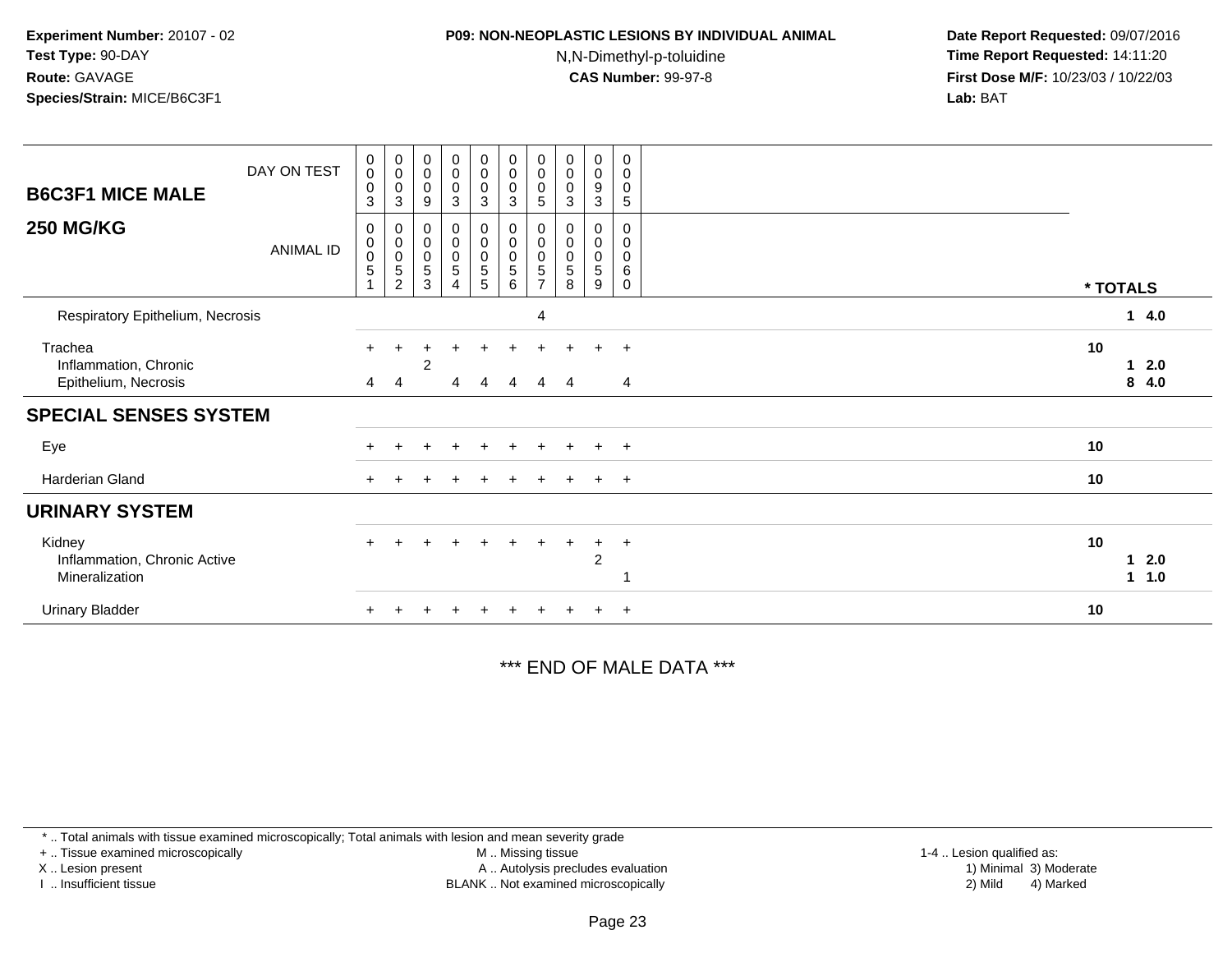## **P09: NON-NEOPLASTIC LESIONS BY INDIVIDUAL ANIMAL**

N,N-Dimethyl-p-toluidine

 **Date Report Requested:** 09/07/2016 **Time Report Requested:** 14:11:20 **First Dose M/F:** 10/23/03 / 10/22/03<br>**Lab:** BAT **Lab:** BAT

| <b>B6C3F1 MICE MALE</b><br><b>250 MG/KG</b>              | DAY ON TEST<br><b>ANIMAL ID</b> | $\pmb{0}$<br>$\mathbf 0$<br>$\mathbf 0$<br>3<br>0<br>0<br>$\pmb{0}$<br>$\overline{5}$ | $_{\rm 0}^{\rm 0}$<br>$\pmb{0}$<br>$\sqrt{3}$<br>$\begin{matrix} 0 \\ 0 \\ 0 \\ 5 \end{matrix}$<br>$\overline{2}$ | $_{\rm 0}^{\rm 0}$<br>$\pmb{0}$<br>9<br>0<br>$_{\rm 0}^{\rm 0}$<br>$\sqrt{5}$<br>3 | $\begin{smallmatrix}0\0\0\end{smallmatrix}$<br>$\pmb{0}$<br>$\mathbf{3}$<br>0<br>$\mathbf 0$<br>$\pmb{0}$<br>$\sqrt{5}$<br>4 | $\begin{smallmatrix}0\0\0\end{smallmatrix}$<br>$\pmb{0}$<br>$\sqrt{3}$<br>0<br>$\pmb{0}$<br>$\pmb{0}$<br>$\sqrt{5}$<br>$5\phantom{.0}$ | $_{\rm 0}^{\rm 0}$<br>$\pmb{0}$<br>$\sqrt{3}$<br>0<br>$\pmb{0}$<br>$\pmb{0}$<br>$\mathbf 5$<br>$\,6$ | $\begin{smallmatrix} 0\\0 \end{smallmatrix}$<br>$\pmb{0}$<br>$\,$ 5 $\,$<br>0<br>$\pmb{0}$<br>$\pmb{0}$<br>$\sqrt{5}$<br>$\overline{ }$ | $_{\rm 0}^{\rm 0}$<br>$\pmb{0}$<br>3<br>$\pmb{0}$<br>$\pmb{0}$<br>5<br>8 | $\mathbf 0$<br>$\bar{0}$<br>9<br>3<br>0<br>$\mathbf 0$<br>$\pmb{0}$<br>5<br>9 | $\mathbf 0$<br>$\mathbf 0$<br>0<br>5<br>0<br>0<br>0<br>6<br>$\mathbf 0$ | * TOTALS |              |
|----------------------------------------------------------|---------------------------------|---------------------------------------------------------------------------------------|-------------------------------------------------------------------------------------------------------------------|------------------------------------------------------------------------------------|------------------------------------------------------------------------------------------------------------------------------|----------------------------------------------------------------------------------------------------------------------------------------|------------------------------------------------------------------------------------------------------|-----------------------------------------------------------------------------------------------------------------------------------------|--------------------------------------------------------------------------|-------------------------------------------------------------------------------|-------------------------------------------------------------------------|----------|--------------|
| Respiratory Epithelium, Necrosis                         |                                 |                                                                                       |                                                                                                                   |                                                                                    |                                                                                                                              |                                                                                                                                        |                                                                                                      | 4                                                                                                                                       |                                                                          |                                                                               |                                                                         |          | 14.0         |
| Trachea<br>Inflammation, Chronic<br>Epithelium, Necrosis |                                 | 4                                                                                     | 4                                                                                                                 | 2                                                                                  | 4                                                                                                                            | 4                                                                                                                                      | 4                                                                                                    | 4                                                                                                                                       | 4                                                                        |                                                                               | $+$<br>4                                                                | 10       | 2.0<br>84.0  |
| <b>SPECIAL SENSES SYSTEM</b>                             |                                 |                                                                                       |                                                                                                                   |                                                                                    |                                                                                                                              |                                                                                                                                        |                                                                                                      |                                                                                                                                         |                                                                          |                                                                               |                                                                         |          |              |
| Eye                                                      |                                 |                                                                                       |                                                                                                                   |                                                                                    |                                                                                                                              |                                                                                                                                        |                                                                                                      |                                                                                                                                         |                                                                          |                                                                               | $\overline{+}$                                                          | 10       |              |
| Harderian Gland                                          |                                 |                                                                                       |                                                                                                                   |                                                                                    |                                                                                                                              |                                                                                                                                        |                                                                                                      |                                                                                                                                         |                                                                          | $\div$                                                                        | $+$                                                                     | 10       |              |
| <b>URINARY SYSTEM</b>                                    |                                 |                                                                                       |                                                                                                                   |                                                                                    |                                                                                                                              |                                                                                                                                        |                                                                                                      |                                                                                                                                         |                                                                          |                                                                               |                                                                         |          |              |
| Kidney<br>Inflammation, Chronic Active<br>Mineralization |                                 | $\ddot{}$                                                                             | $+$                                                                                                               |                                                                                    |                                                                                                                              | $+$                                                                                                                                    | $\ddot{}$                                                                                            | $\ddot{}$                                                                                                                               | $\pm$                                                                    | $+$<br>$\overline{c}$                                                         | $+$                                                                     | 10       | 2.0<br>1 1.0 |
| <b>Urinary Bladder</b>                                   |                                 |                                                                                       |                                                                                                                   |                                                                                    |                                                                                                                              |                                                                                                                                        |                                                                                                      |                                                                                                                                         |                                                                          |                                                                               | $\ddot{}$                                                               | 10       |              |

\*\*\* END OF MALE DATA \*\*\*

\* .. Total animals with tissue examined microscopically; Total animals with lesion and mean severity grade

+ .. Tissue examined microscopically

X .. Lesion present

I .. Insufficient tissue

 M .. Missing tissueA .. Autolysis precludes evaluation

BLANK .. Not examined microscopically 2) Mild 4) Marked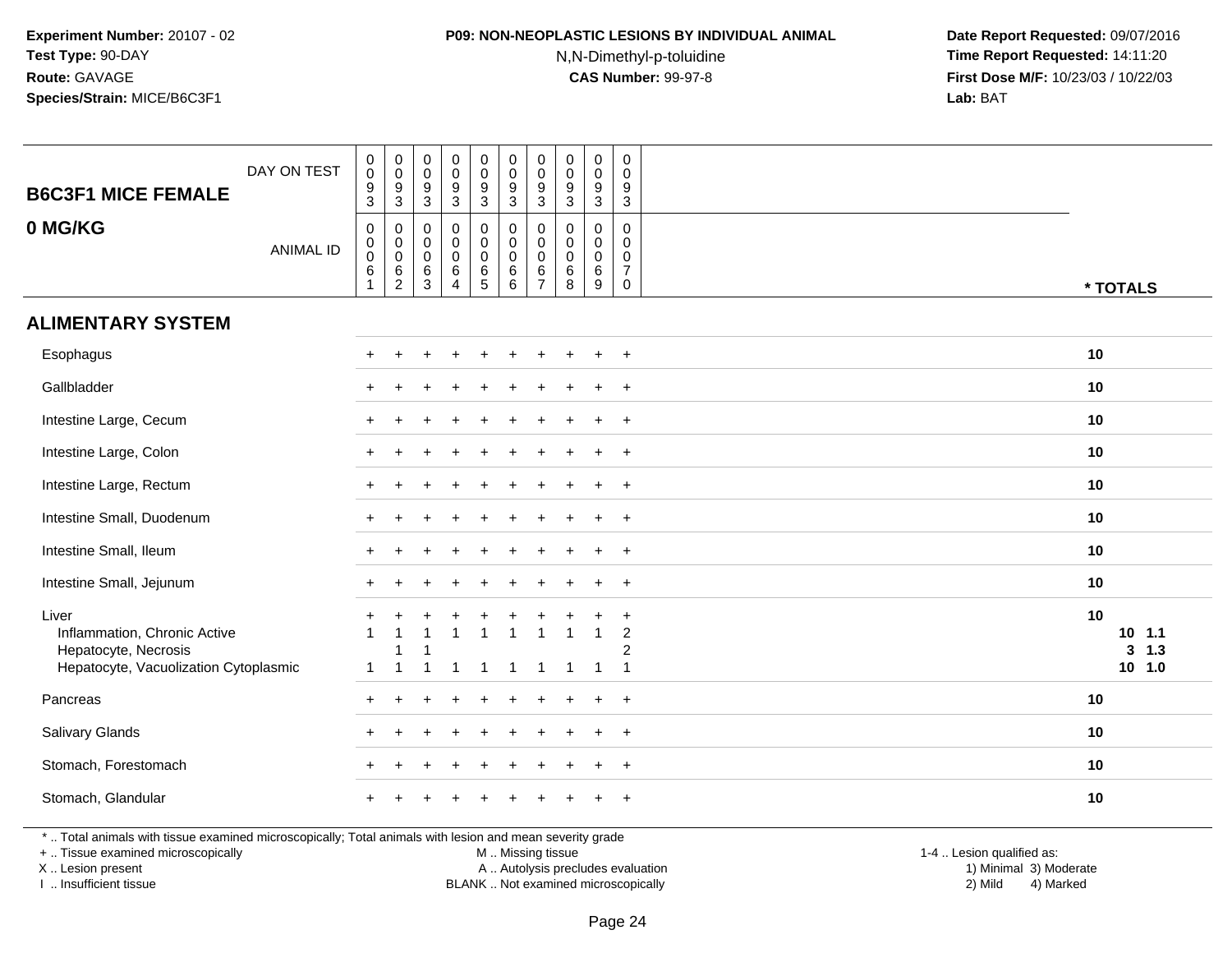## **P09: NON-NEOPLASTIC LESIONS BY INDIVIDUAL ANIMAL**

N,N-Dimethyl-p-toluidine

 **Date Report Requested:** 09/07/2016 **Time Report Requested:** 14:11:20 **First Dose M/F:** 10/23/03 / 10/22/03<br>**Lab:** BAT **Lab:** BAT

| <b>B6C3F1 MICE FEMALE</b>                                                                                | DAY ON TEST      | $_{\rm 0}^{\rm 0}$<br>$\frac{9}{3}$                                                          | $_{\rm 0}^{\rm 0}$<br>$\frac{9}{3}$                      | 0<br>$\mathsf{O}\xspace$<br>$\frac{9}{3}$                    | $_{\rm 0}^{\rm 0}$<br>$\frac{9}{3}$                                          | 0<br>$\mathsf{O}\xspace$<br>$\frac{9}{3}$ | $\pmb{0}$<br>$\pmb{0}$<br>$\boldsymbol{9}$<br>3         | $\mathbf 0$<br>$\pmb{0}$<br>$\frac{9}{3}$          | $\pmb{0}$<br>$\mathsf{O}\xspace$<br>9<br>$\overline{3}$             | $\pmb{0}$<br>$\pmb{0}$<br>$\boldsymbol{9}$<br>$\overline{3}$ | $\mathbf 0$<br>$\mathbf 0$<br>$\boldsymbol{9}$<br>$\sqrt{3}$            |                                      |
|----------------------------------------------------------------------------------------------------------|------------------|----------------------------------------------------------------------------------------------|----------------------------------------------------------|--------------------------------------------------------------|------------------------------------------------------------------------------|-------------------------------------------|---------------------------------------------------------|----------------------------------------------------|---------------------------------------------------------------------|--------------------------------------------------------------|-------------------------------------------------------------------------|--------------------------------------|
| 0 MG/KG                                                                                                  | <b>ANIMAL ID</b> | $\mathsf{O}\xspace$<br>$\mathsf{O}\xspace$<br>$\ddot{\mathbf{0}}$<br>$\,6$<br>$\overline{1}$ | $\boldsymbol{0}$<br>$\ddot{\mathbf{0}}$<br>$\frac{0}{6}$ | $\mathbf 0$<br>$\mathbf 0$<br>0<br>$\,6\,$<br>$\overline{3}$ | $\mathbf 0$<br>$\mathsf{O}\xspace$<br>$\pmb{0}$<br>$\,6\,$<br>$\overline{4}$ | 0<br>0<br>$\mathbf 0$<br>$\frac{6}{5}$    | $\mathbf 0$<br>$\mathbf 0$<br>$\mathbf 0$<br>$\,6$<br>6 | 0<br>$\mathbf 0$<br>0<br>$\,6\,$<br>$\overline{7}$ | $\mathbf 0$<br>$\Omega$<br>$\mathbf 0$<br>$\,6\,$<br>$\overline{8}$ | 0<br>$\mathbf 0$<br>0<br>$\,6\,$<br>$\overline{9}$           | $\mathbf 0$<br>$\Omega$<br>$\mathbf 0$<br>$\overline{7}$<br>$\mathbf 0$ | * TOTALS                             |
| <b>ALIMENTARY SYSTEM</b>                                                                                 |                  |                                                                                              |                                                          |                                                              |                                                                              |                                           |                                                         |                                                    |                                                                     |                                                              |                                                                         |                                      |
| Esophagus                                                                                                |                  |                                                                                              |                                                          |                                                              |                                                                              | $\ddot{}$                                 |                                                         |                                                    | ÷                                                                   | $\ddot{}$                                                    | $+$                                                                     | 10                                   |
| Gallbladder                                                                                              |                  |                                                                                              |                                                          |                                                              |                                                                              |                                           |                                                         |                                                    |                                                                     |                                                              | $\overline{1}$                                                          | 10                                   |
| Intestine Large, Cecum                                                                                   |                  |                                                                                              |                                                          |                                                              |                                                                              |                                           |                                                         |                                                    |                                                                     |                                                              | $\overline{+}$                                                          | 10                                   |
| Intestine Large, Colon                                                                                   |                  |                                                                                              |                                                          |                                                              |                                                                              |                                           |                                                         |                                                    |                                                                     |                                                              | $\ddot{}$                                                               | 10                                   |
| Intestine Large, Rectum                                                                                  |                  |                                                                                              |                                                          |                                                              |                                                                              |                                           |                                                         |                                                    |                                                                     | $\pm$                                                        | $+$                                                                     | 10                                   |
| Intestine Small, Duodenum                                                                                |                  |                                                                                              |                                                          |                                                              |                                                                              |                                           |                                                         |                                                    |                                                                     |                                                              | $\ddot{}$                                                               | 10                                   |
| Intestine Small, Ileum                                                                                   |                  |                                                                                              |                                                          |                                                              |                                                                              |                                           |                                                         |                                                    |                                                                     |                                                              | $\ddot{}$                                                               | 10                                   |
| Intestine Small, Jejunum                                                                                 |                  |                                                                                              |                                                          |                                                              |                                                                              |                                           |                                                         |                                                    |                                                                     |                                                              | $\ddot{}$                                                               | 10                                   |
| Liver<br>Inflammation, Chronic Active<br>Hepatocyte, Necrosis<br>Hepatocyte, Vacuolization Cytoplasmic   |                  | 1                                                                                            | 1<br>$\overline{\mathbf{1}}$                             |                                                              | -1                                                                           | -1                                        |                                                         | 1                                                  |                                                                     | -1                                                           | $\ddot{}$<br>$\overline{c}$<br>2<br>$\overline{1}$                      | 10<br>$10$ 1.1<br>3, 1.3<br>$10$ 1.0 |
| Pancreas                                                                                                 |                  |                                                                                              |                                                          |                                                              |                                                                              |                                           |                                                         |                                                    |                                                                     |                                                              | $\overline{+}$                                                          | 10                                   |
| <b>Salivary Glands</b>                                                                                   |                  |                                                                                              |                                                          |                                                              |                                                                              |                                           |                                                         |                                                    |                                                                     |                                                              | $+$                                                                     | 10                                   |
| Stomach, Forestomach                                                                                     |                  |                                                                                              |                                                          |                                                              |                                                                              |                                           |                                                         |                                                    |                                                                     | $\div$                                                       | $+$                                                                     | 10                                   |
| Stomach, Glandular                                                                                       |                  |                                                                                              |                                                          |                                                              |                                                                              |                                           |                                                         |                                                    |                                                                     |                                                              | $\ddot{}$                                                               | 10                                   |
| *  Total animals with tissue examined microscopically; Total animals with lesion and mean severity grade |                  |                                                                                              |                                                          |                                                              |                                                                              |                                           |                                                         |                                                    |                                                                     |                                                              |                                                                         |                                      |

+ .. Tissue examined microscopically

X .. Lesion present

I .. Insufficient tissue

M .. Missing tissue

Lesion present A .. Autolysis precludes evaluation 1) Minimal 3) Moderate

1-4 .. Lesion qualified as:<br>1) Minimal 3) Moderate BLANK .. Not examined microscopically 2) Mild 4) Marked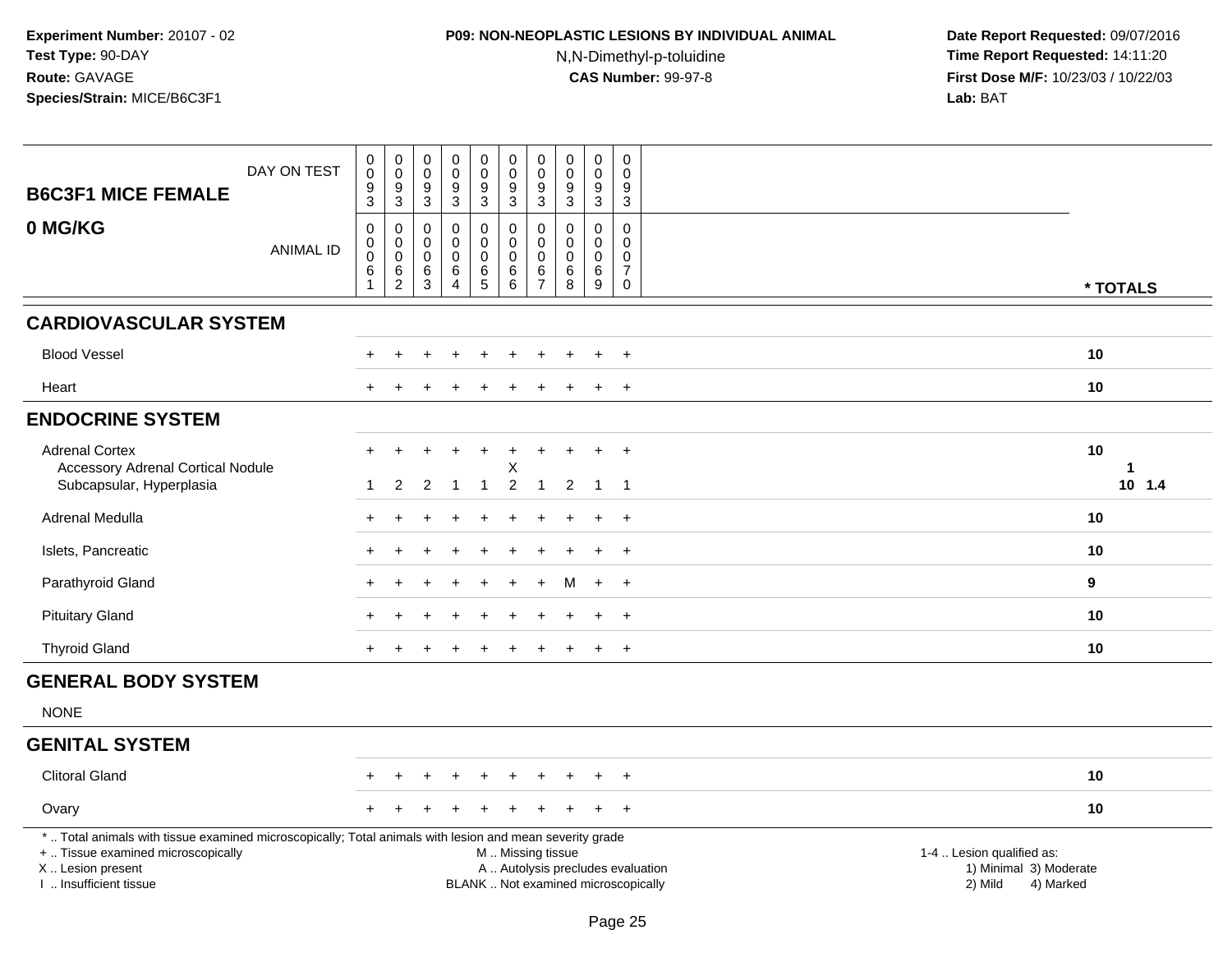## **P09: NON-NEOPLASTIC LESIONS BY INDIVIDUAL ANIMAL**

N,N-Dimethyl-p-toluidine

| <b>B6C3F1 MICE FEMALE</b>                                                                                                                                                                     | DAY ON TEST      | $\begin{smallmatrix} 0\\0 \end{smallmatrix}$<br>$\boldsymbol{9}$<br>3 | $_{\rm 0}^{\rm 0}$<br>$\boldsymbol{9}$<br>$\mathbf{3}$ | $\pmb{0}$<br>$\mathbf 0$<br>$\boldsymbol{9}$<br>$\mathbf{3}$ | $\begin{smallmatrix} 0\\0 \end{smallmatrix}$<br>$\boldsymbol{9}$<br>3 | $\begin{smallmatrix}0\0\0\end{smallmatrix}$<br>$\boldsymbol{9}$<br>3 | $\pmb{0}$<br>$\pmb{0}$<br>$\boldsymbol{9}$<br>$\mathbf{3}$ | $\mathbf 0$<br>$\pmb{0}$<br>9<br>$\mathbf{3}$                  | $\pmb{0}$<br>$\mathbf 0$<br>9<br>3                                | $\pmb{0}$<br>$\mathbf 0$<br>$\boldsymbol{9}$<br>$\mathbf{3}$           | $\mathsf 0$<br>$\mathbf 0$<br>9<br>$\mathbf{3}$                          |                                                                             |                            |
|-----------------------------------------------------------------------------------------------------------------------------------------------------------------------------------------------|------------------|-----------------------------------------------------------------------|--------------------------------------------------------|--------------------------------------------------------------|-----------------------------------------------------------------------|----------------------------------------------------------------------|------------------------------------------------------------|----------------------------------------------------------------|-------------------------------------------------------------------|------------------------------------------------------------------------|--------------------------------------------------------------------------|-----------------------------------------------------------------------------|----------------------------|
| 0 MG/KG                                                                                                                                                                                       | <b>ANIMAL ID</b> | 0<br>$\mathsf 0$<br>$\mathbf 0$<br>$\,6\,$<br>$\mathbf{1}$            | 0<br>$\mathsf 0$<br>$\mathbf 0$<br>$\frac{6}{2}$       | $\mathbf 0$<br>$\mathbf 0$<br>$\mathbf 0$<br>6<br>3          | 0<br>$\mathbf 0$<br>$\mathbf 0$<br>$\,6\,$<br>$\overline{4}$          | 0<br>$\mathbf 0$<br>$\mathbf 0$<br>$6\over 5$                        | 0<br>$\pmb{0}$<br>$\mathbf 0$<br>$\,6$<br>6                | $\Omega$<br>$\mathbf 0$<br>$\mathbf{0}$<br>6<br>$\overline{7}$ | $\mathbf 0$<br>$\mathbf 0$<br>$\mathbf 0$<br>$6\phantom{1}6$<br>8 | 0<br>$\mathsf{O}\xspace$<br>$\mathbf 0$<br>$\,6\,$<br>$\boldsymbol{9}$ | $\Omega$<br>$\mathbf 0$<br>$\mathbf{0}$<br>$\overline{7}$<br>$\mathbf 0$ |                                                                             | * TOTALS                   |
| <b>CARDIOVASCULAR SYSTEM</b>                                                                                                                                                                  |                  |                                                                       |                                                        |                                                              |                                                                       |                                                                      |                                                            |                                                                |                                                                   |                                                                        |                                                                          |                                                                             |                            |
| <b>Blood Vessel</b>                                                                                                                                                                           |                  |                                                                       |                                                        |                                                              |                                                                       |                                                                      |                                                            |                                                                |                                                                   |                                                                        | $\overline{1}$                                                           | 10                                                                          |                            |
| Heart                                                                                                                                                                                         |                  |                                                                       |                                                        |                                                              |                                                                       |                                                                      |                                                            |                                                                |                                                                   |                                                                        | $\overline{1}$                                                           | 10                                                                          |                            |
| <b>ENDOCRINE SYSTEM</b>                                                                                                                                                                       |                  |                                                                       |                                                        |                                                              |                                                                       |                                                                      |                                                            |                                                                |                                                                   |                                                                        |                                                                          |                                                                             |                            |
| <b>Adrenal Cortex</b><br>Accessory Adrenal Cortical Nodule<br>Subcapsular, Hyperplasia                                                                                                        |                  | $\div$                                                                | $\overline{2}$                                         | 2                                                            | $\ddot{}$<br>-1                                                       | $\ddot{}$<br>-1                                                      | Χ<br>$\overline{2}$                                        |                                                                | $\overline{2}$                                                    | $\div$<br>$\overline{1}$                                               | $\ddot{}$<br>-1                                                          | 10                                                                          | $\mathbf{1}$<br>$10$ $1.4$ |
| Adrenal Medulla                                                                                                                                                                               |                  |                                                                       |                                                        |                                                              |                                                                       |                                                                      |                                                            |                                                                |                                                                   |                                                                        | $\overline{+}$                                                           | 10                                                                          |                            |
| Islets, Pancreatic                                                                                                                                                                            |                  |                                                                       |                                                        |                                                              |                                                                       |                                                                      |                                                            |                                                                |                                                                   |                                                                        | $\ddot{}$                                                                | 10                                                                          |                            |
| Parathyroid Gland                                                                                                                                                                             |                  |                                                                       |                                                        |                                                              |                                                                       |                                                                      |                                                            |                                                                |                                                                   | $\ddot{+}$                                                             | $+$                                                                      | 9                                                                           |                            |
| <b>Pituitary Gland</b>                                                                                                                                                                        |                  |                                                                       |                                                        |                                                              |                                                                       |                                                                      |                                                            |                                                                |                                                                   |                                                                        | $\overline{1}$                                                           | 10                                                                          |                            |
| <b>Thyroid Gland</b>                                                                                                                                                                          |                  |                                                                       |                                                        |                                                              |                                                                       |                                                                      |                                                            |                                                                |                                                                   |                                                                        | $\overline{ }$                                                           | 10                                                                          |                            |
| <b>GENERAL BODY SYSTEM</b>                                                                                                                                                                    |                  |                                                                       |                                                        |                                                              |                                                                       |                                                                      |                                                            |                                                                |                                                                   |                                                                        |                                                                          |                                                                             |                            |
| <b>NONE</b>                                                                                                                                                                                   |                  |                                                                       |                                                        |                                                              |                                                                       |                                                                      |                                                            |                                                                |                                                                   |                                                                        |                                                                          |                                                                             |                            |
| <b>GENITAL SYSTEM</b>                                                                                                                                                                         |                  |                                                                       |                                                        |                                                              |                                                                       |                                                                      |                                                            |                                                                |                                                                   |                                                                        |                                                                          |                                                                             |                            |
| <b>Clitoral Gland</b>                                                                                                                                                                         |                  |                                                                       |                                                        |                                                              |                                                                       |                                                                      |                                                            |                                                                |                                                                   |                                                                        |                                                                          | 10                                                                          |                            |
| Ovary                                                                                                                                                                                         |                  |                                                                       |                                                        |                                                              |                                                                       |                                                                      |                                                            |                                                                |                                                                   |                                                                        | $\ddot{}$                                                                | 10                                                                          |                            |
| *  Total animals with tissue examined microscopically; Total animals with lesion and mean severity grade<br>+  Tissue examined microscopically<br>X  Lesion present<br>I. Insufficient tissue |                  |                                                                       |                                                        |                                                              |                                                                       |                                                                      | M  Missing tissue                                          |                                                                |                                                                   |                                                                        | A  Autolysis precludes evaluation<br>BLANK  Not examined microscopically | 1-4  Lesion qualified as:<br>1) Minimal 3) Moderate<br>2) Mild<br>4) Marked |                            |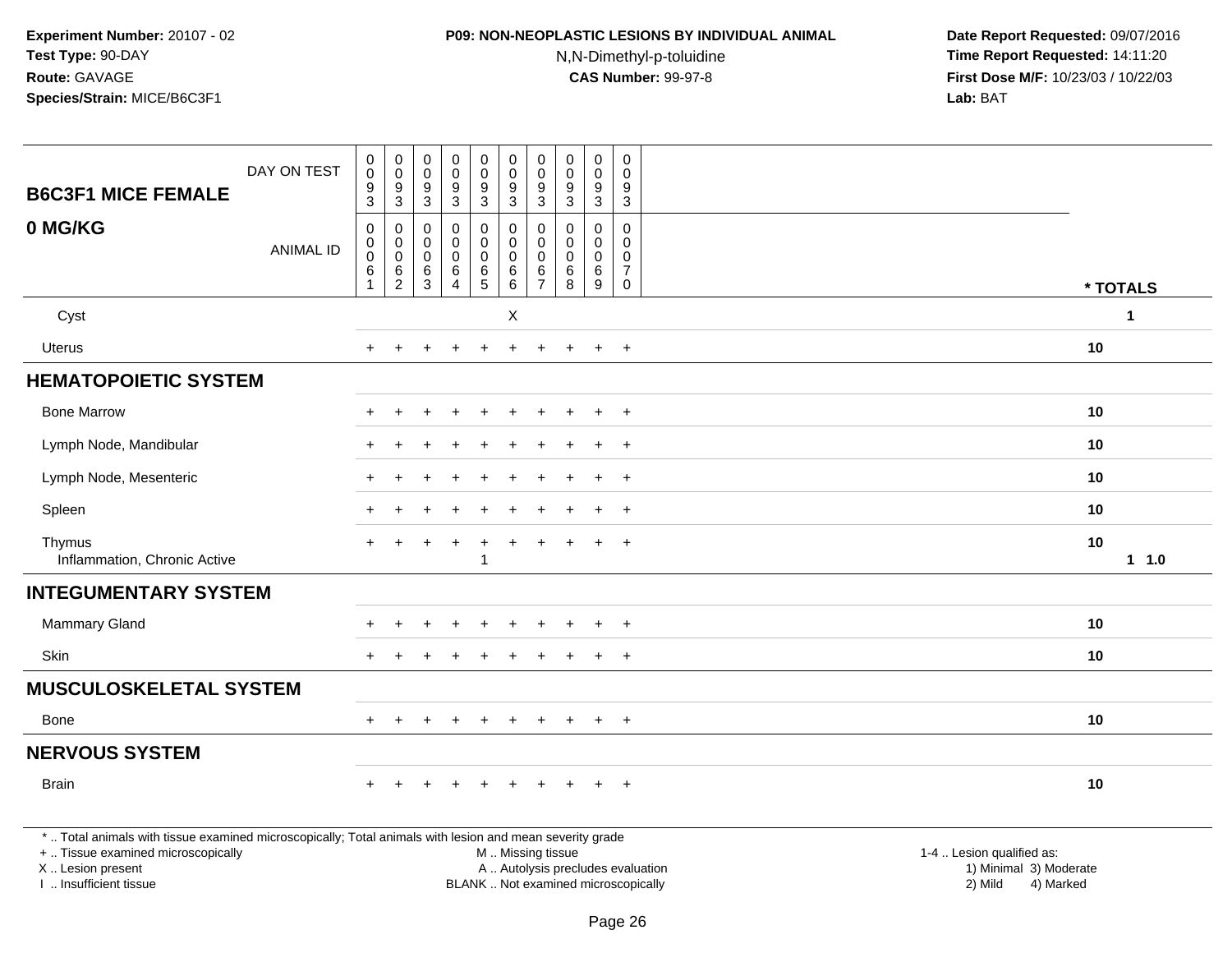### **P09: NON-NEOPLASTIC LESIONS BY INDIVIDUAL ANIMAL**

N,N-Dimethyl-p-toluidine

 **Date Report Requested:** 09/07/2016 **Time Report Requested:** 14:11:20 **First Dose M/F:** 10/23/03 / 10/22/03<br>**Lab:** BAT **Lab:** BAT

|                                                                                                                                                                                                                                                                                                                                                                                                                                                                                                                                                                                                                                                                                                                                                                                                                                                                                                                                                             | DAY ON TEST      | $\pmb{0}$<br>$\pmb{0}$<br>9                                  | $\pmb{0}$<br>$\mathbf 0$<br>9                                   | 0<br>0<br>9                     | $\pmb{0}$<br>$\mathsf 0$<br>$\boldsymbol{9}$ | $\pmb{0}$<br>0<br>9                                          | $\pmb{0}$<br>$\mathbf 0$<br>9                                     | $\pmb{0}$<br>$\mathbf 0$<br>9                                    | $\pmb{0}$<br>$\mathbf 0$<br>9                 | $\pmb{0}$<br>$\mathbf 0$<br>9                          | $\mathbf 0$<br>0<br>9                                             |    |  |
|-------------------------------------------------------------------------------------------------------------------------------------------------------------------------------------------------------------------------------------------------------------------------------------------------------------------------------------------------------------------------------------------------------------------------------------------------------------------------------------------------------------------------------------------------------------------------------------------------------------------------------------------------------------------------------------------------------------------------------------------------------------------------------------------------------------------------------------------------------------------------------------------------------------------------------------------------------------|------------------|--------------------------------------------------------------|-----------------------------------------------------------------|---------------------------------|----------------------------------------------|--------------------------------------------------------------|-------------------------------------------------------------------|------------------------------------------------------------------|-----------------------------------------------|--------------------------------------------------------|-------------------------------------------------------------------|----|--|
| 0 MG/KG                                                                                                                                                                                                                                                                                                                                                                                                                                                                                                                                                                                                                                                                                                                                                                                                                                                                                                                                                     | <b>ANIMAL ID</b> | $\mathbf 0$<br>$\pmb{0}$<br>$\mathbf 0$<br>6<br>$\mathbf{1}$ | $\mathbf 0$<br>0<br>$\boldsymbol{0}$<br>$\,6$<br>$\overline{2}$ | 0<br>0<br>$\mathbf 0$<br>6<br>3 | 0<br>0<br>$\mathbf 0$<br>6<br>$\overline{4}$ | 0<br>$\mathbf 0$<br>$\mathbf 0$<br>$\,6\,$<br>$\overline{5}$ | $\mathbf 0$<br>$\mathbf 0$<br>$\mathbf 0$<br>6<br>$6\overline{6}$ | $\mathbf 0$<br>$\mathbf 0$<br>$\mathbf 0$<br>6<br>$\overline{7}$ | $\Omega$<br>$\Omega$<br>$\mathbf 0$<br>6<br>8 | $\Omega$<br>0<br>$\mathbf 0$<br>$\,6\,$<br>$\mathsf g$ | $\mathbf 0$<br>$\Omega$<br>$\Omega$<br>$\overline{7}$<br>$\Omega$ |    |  |
| Cyst                                                                                                                                                                                                                                                                                                                                                                                                                                                                                                                                                                                                                                                                                                                                                                                                                                                                                                                                                        |                  |                                                              |                                                                 |                                 |                                              |                                                              | $\boldsymbol{\mathsf{X}}$                                         |                                                                  |                                               |                                                        |                                                                   |    |  |
| <b>Uterus</b>                                                                                                                                                                                                                                                                                                                                                                                                                                                                                                                                                                                                                                                                                                                                                                                                                                                                                                                                               |                  |                                                              |                                                                 |                                 |                                              |                                                              |                                                                   |                                                                  |                                               | $\div$                                                 | $+$                                                               | 10 |  |
|                                                                                                                                                                                                                                                                                                                                                                                                                                                                                                                                                                                                                                                                                                                                                                                                                                                                                                                                                             |                  |                                                              |                                                                 |                                 |                                              |                                                              |                                                                   |                                                                  |                                               |                                                        |                                                                   |    |  |
| * TOTALS<br>$\mathbf{1}$<br><b>HEMATOPOIETIC SYSTEM</b><br><b>Bone Marrow</b><br>10<br>$+$<br>$\ddot{}$<br>÷<br>$\div$<br>10<br>Lymph Node, Mandibular<br>$\ddot{}$<br>Lymph Node, Mesenteric<br>10<br>$\pm$<br>Spleen<br>10<br>$\ddot{}$<br>$+$<br>10<br>Thymus<br>$\ddot{}$<br>Inflammation, Chronic Active<br>11.0<br><b>INTEGUMENTARY SYSTEM</b><br>10<br><b>Mammary Gland</b><br>$\ddot{}$<br>Skin<br>10<br>÷<br>$+$<br><b>MUSCULOSKELETAL SYSTEM</b><br>10<br>Bone<br>$\ddot{}$<br>$\ddot{}$<br>$+$<br>$\div$<br>$\div$<br>$\div$<br>10<br><b>Brain</b><br>$\ddot{}$<br>*  Total animals with tissue examined microscopically; Total animals with lesion and mean severity grade<br>+  Tissue examined microscopically<br>M  Missing tissue<br>1-4  Lesion qualified as:<br>A  Autolysis precludes evaluation<br>1) Minimal 3) Moderate<br>X  Lesion present<br>BLANK  Not examined microscopically<br>I  Insufficient tissue<br>2) Mild<br>4) Marked |                  |                                                              |                                                                 |                                 |                                              |                                                              |                                                                   |                                                                  |                                               |                                                        |                                                                   |    |  |
|                                                                                                                                                                                                                                                                                                                                                                                                                                                                                                                                                                                                                                                                                                                                                                                                                                                                                                                                                             |                  |                                                              |                                                                 |                                 |                                              |                                                              |                                                                   |                                                                  |                                               |                                                        |                                                                   |    |  |
|                                                                                                                                                                                                                                                                                                                                                                                                                                                                                                                                                                                                                                                                                                                                                                                                                                                                                                                                                             |                  |                                                              |                                                                 |                                 |                                              |                                                              |                                                                   |                                                                  |                                               |                                                        |                                                                   |    |  |
|                                                                                                                                                                                                                                                                                                                                                                                                                                                                                                                                                                                                                                                                                                                                                                                                                                                                                                                                                             |                  |                                                              |                                                                 |                                 |                                              |                                                              |                                                                   |                                                                  |                                               |                                                        |                                                                   |    |  |
|                                                                                                                                                                                                                                                                                                                                                                                                                                                                                                                                                                                                                                                                                                                                                                                                                                                                                                                                                             |                  |                                                              |                                                                 |                                 |                                              |                                                              |                                                                   |                                                                  |                                               |                                                        |                                                                   |    |  |
|                                                                                                                                                                                                                                                                                                                                                                                                                                                                                                                                                                                                                                                                                                                                                                                                                                                                                                                                                             |                  |                                                              |                                                                 |                                 |                                              |                                                              |                                                                   |                                                                  |                                               |                                                        |                                                                   |    |  |
| <b>B6C3F1 MICE FEMALE</b><br>$\overline{3}$<br>$\mathsf 3$<br>$\sqrt{3}$<br>3<br>$\mathbf{3}$<br>$\mathbf{3}$<br>3<br>$\mathbf{3}$<br>$\mathbf{3}$<br>3                                                                                                                                                                                                                                                                                                                                                                                                                                                                                                                                                                                                                                                                                                                                                                                                     |                  |                                                              |                                                                 |                                 |                                              |                                                              |                                                                   |                                                                  |                                               |                                                        |                                                                   |    |  |
|                                                                                                                                                                                                                                                                                                                                                                                                                                                                                                                                                                                                                                                                                                                                                                                                                                                                                                                                                             |                  |                                                              |                                                                 |                                 |                                              |                                                              |                                                                   |                                                                  |                                               |                                                        |                                                                   |    |  |
|                                                                                                                                                                                                                                                                                                                                                                                                                                                                                                                                                                                                                                                                                                                                                                                                                                                                                                                                                             |                  |                                                              |                                                                 |                                 |                                              |                                                              |                                                                   |                                                                  |                                               |                                                        |                                                                   |    |  |
|                                                                                                                                                                                                                                                                                                                                                                                                                                                                                                                                                                                                                                                                                                                                                                                                                                                                                                                                                             |                  |                                                              |                                                                 |                                 |                                              |                                                              |                                                                   |                                                                  |                                               |                                                        |                                                                   |    |  |
| <b>NERVOUS SYSTEM</b>                                                                                                                                                                                                                                                                                                                                                                                                                                                                                                                                                                                                                                                                                                                                                                                                                                                                                                                                       |                  |                                                              |                                                                 |                                 |                                              |                                                              |                                                                   |                                                                  |                                               |                                                        |                                                                   |    |  |
|                                                                                                                                                                                                                                                                                                                                                                                                                                                                                                                                                                                                                                                                                                                                                                                                                                                                                                                                                             |                  |                                                              |                                                                 |                                 |                                              |                                                              |                                                                   |                                                                  |                                               |                                                        |                                                                   |    |  |
|                                                                                                                                                                                                                                                                                                                                                                                                                                                                                                                                                                                                                                                                                                                                                                                                                                                                                                                                                             |                  |                                                              |                                                                 |                                 |                                              |                                                              |                                                                   |                                                                  |                                               |                                                        |                                                                   |    |  |

I .. Insufficient tissue

Page 26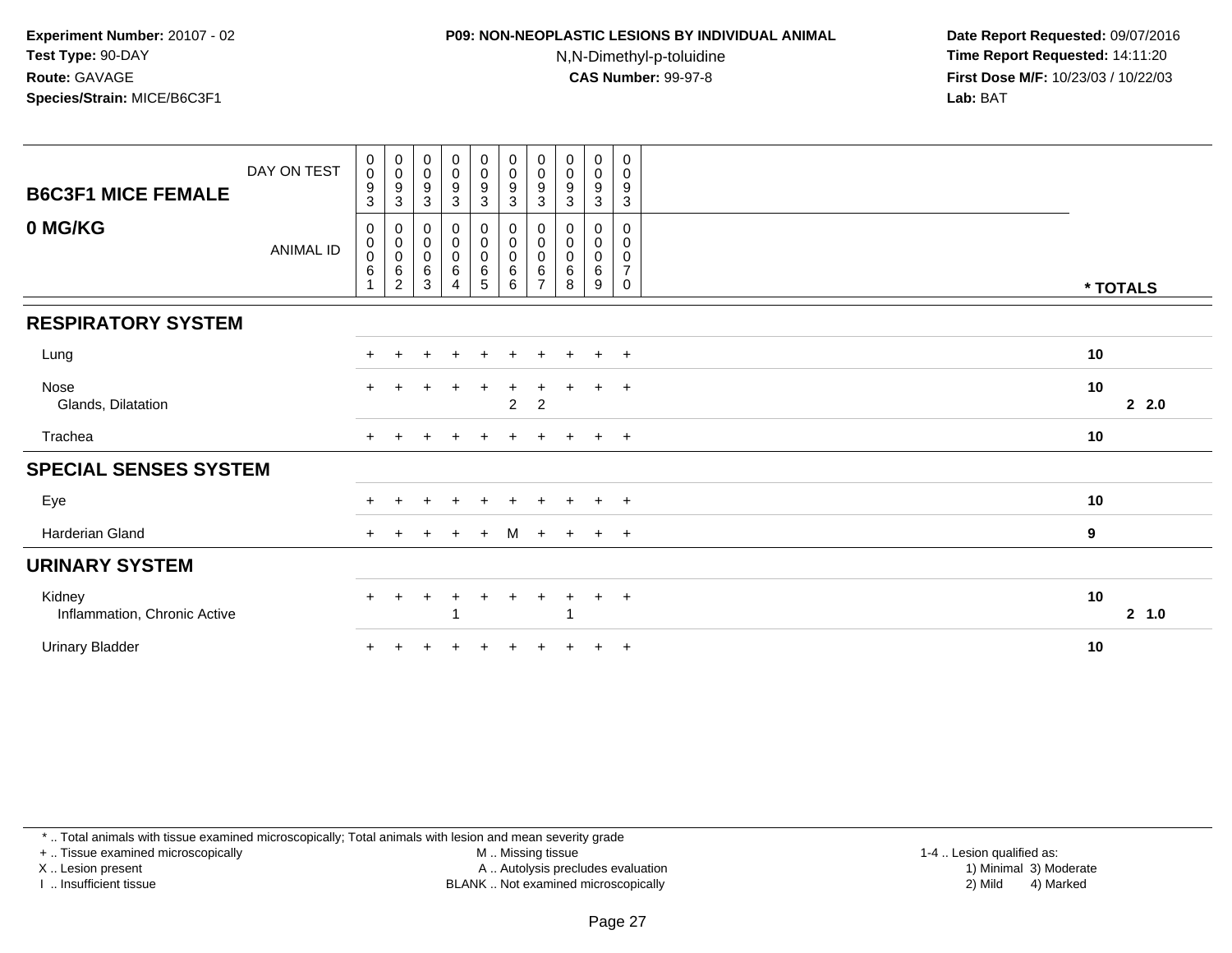# **P09: NON-NEOPLASTIC LESIONS BY INDIVIDUAL ANIMAL**

N,N-Dimethyl-p-toluidine

 **Date Report Requested:** 09/07/2016 **Time Report Requested:** 14:11:20 **First Dose M/F:** 10/23/03 / 10/22/03<br>**Lab:** BAT **Lab:** BAT

| <b>B6C3F1 MICE FEMALE</b>              | DAY ON TEST | $\begin{smallmatrix}0\\0\end{smallmatrix}$<br>$\boldsymbol{9}$<br>$\mathbf{3}$ | $_{\rm 0}^{\rm 0}$<br>$\boldsymbol{9}$<br>$\sqrt{3}$     | $\pmb{0}$<br>$\pmb{0}$<br>$\boldsymbol{9}$<br>3 | $\pmb{0}$<br>$\pmb{0}$<br>9<br>$\mathbf{3}$ | $\begin{smallmatrix}0\0\0\9\end{smallmatrix}$<br>$\mathsf 3$ | $\begin{smallmatrix} 0\\0 \end{smallmatrix}$<br>$\boldsymbol{9}$<br>$\mathbf{3}$ | $\pmb{0}$<br>$\mathbf 0$<br>9<br>3                   | $\pmb{0}$<br>$\pmb{0}$<br>9<br>3     | $\mathbf 0$<br>$\mathbf 0$<br>$\boldsymbol{9}$<br>3 | $\pmb{0}$<br>0<br>$\boldsymbol{9}$<br>$\mathsf 3$ |              |  |
|----------------------------------------|-------------|--------------------------------------------------------------------------------|----------------------------------------------------------|-------------------------------------------------|---------------------------------------------|--------------------------------------------------------------|----------------------------------------------------------------------------------|------------------------------------------------------|--------------------------------------|-----------------------------------------------------|---------------------------------------------------|--------------|--|
| 0 MG/KG                                | ANIMAL ID   | 0<br>$\pmb{0}$<br>$\pmb{0}$<br>$\,6$                                           | 0<br>$\pmb{0}$<br>$\pmb{0}$<br>$\,6\,$<br>$\overline{2}$ | 0<br>$\,0\,$<br>$\pmb{0}$<br>$\,6$<br>3         | 0<br>$\pmb{0}$<br>$\pmb{0}$<br>6<br>4       | $_{\rm 0}^{\rm 0}$<br>$\pmb{0}$<br>6<br>5                    | 0<br>$\pmb{0}$<br>$\pmb{0}$<br>$\,6\,$<br>$\,6\,$                                | 0<br>$\pmb{0}$<br>$\mathbf 0$<br>6<br>$\overline{ }$ | 0<br>0<br>$\boldsymbol{0}$<br>6<br>8 | 0<br>0<br>$\mathbf 0$<br>$\,6\,$<br>9               | 0<br>0<br>0<br>$\overline{7}$<br>0                | * TOTALS     |  |
| <b>RESPIRATORY SYSTEM</b>              |             |                                                                                |                                                          |                                                 |                                             |                                                              |                                                                                  |                                                      |                                      |                                                     |                                                   |              |  |
| Lung                                   |             |                                                                                |                                                          |                                                 | $\ddot{}$                                   | $+$                                                          | $\pm$                                                                            |                                                      |                                      | $+$                                                 | $+$                                               | 10           |  |
| Nose<br>Glands, Dilatation             |             | $\ddot{}$                                                                      |                                                          |                                                 |                                             | $\ddot{}$                                                    | $\ddot{}$<br>$\boldsymbol{2}$                                                    | +<br>$\boldsymbol{2}$                                | ÷                                    | $\ddot{}$                                           | $+$                                               | 10<br>22.0   |  |
| Trachea                                |             | $\pm$                                                                          |                                                          |                                                 |                                             | $\pm$                                                        | $\div$                                                                           |                                                      | $+$                                  | $+$ $+$                                             |                                                   | 10           |  |
| <b>SPECIAL SENSES SYSTEM</b>           |             |                                                                                |                                                          |                                                 |                                             |                                                              |                                                                                  |                                                      |                                      |                                                     |                                                   |              |  |
| Eye                                    |             | $+$                                                                            | $\ddot{}$                                                | ÷                                               | $\ddot{}$                                   | $\ddot{}$                                                    | $\pm$                                                                            | $\pm$                                                | $+$                                  | $\ddot{}$                                           | $+$                                               | 10           |  |
| Harderian Gland                        |             | $\pm$                                                                          |                                                          |                                                 | $\div$                                      | $+$                                                          | M                                                                                | $+$                                                  | $+$                                  | $+$                                                 | $+$                                               | 9            |  |
| <b>URINARY SYSTEM</b>                  |             |                                                                                |                                                          |                                                 |                                             |                                                              |                                                                                  |                                                      |                                      |                                                     |                                                   |              |  |
| Kidney<br>Inflammation, Chronic Active |             | $+$                                                                            | $+$                                                      | $\pm$                                           | $\ddot{}$                                   | $+$                                                          | $\ddot{}$                                                                        | $+$                                                  | $+$<br>-1                            | $+$                                                 | $+$                                               | 10<br>2, 1.0 |  |
| <b>Urinary Bladder</b>                 |             | $\ddot{}$                                                                      |                                                          |                                                 |                                             |                                                              |                                                                                  |                                                      |                                      | $\pm$                                               | $+$                                               | 10           |  |

\* .. Total animals with tissue examined microscopically; Total animals with lesion and mean severity grade

+ .. Tissue examined microscopically

X .. Lesion present

I .. Insufficient tissue

M .. Missing tissue

Lesion present A .. Autolysis precludes evaluation 1) Minimal 3) Moderate

1-4 .. Lesion qualified as:<br>1) Minimal 3) Moderate BLANK .. Not examined microscopically 2) Mild 4) Marked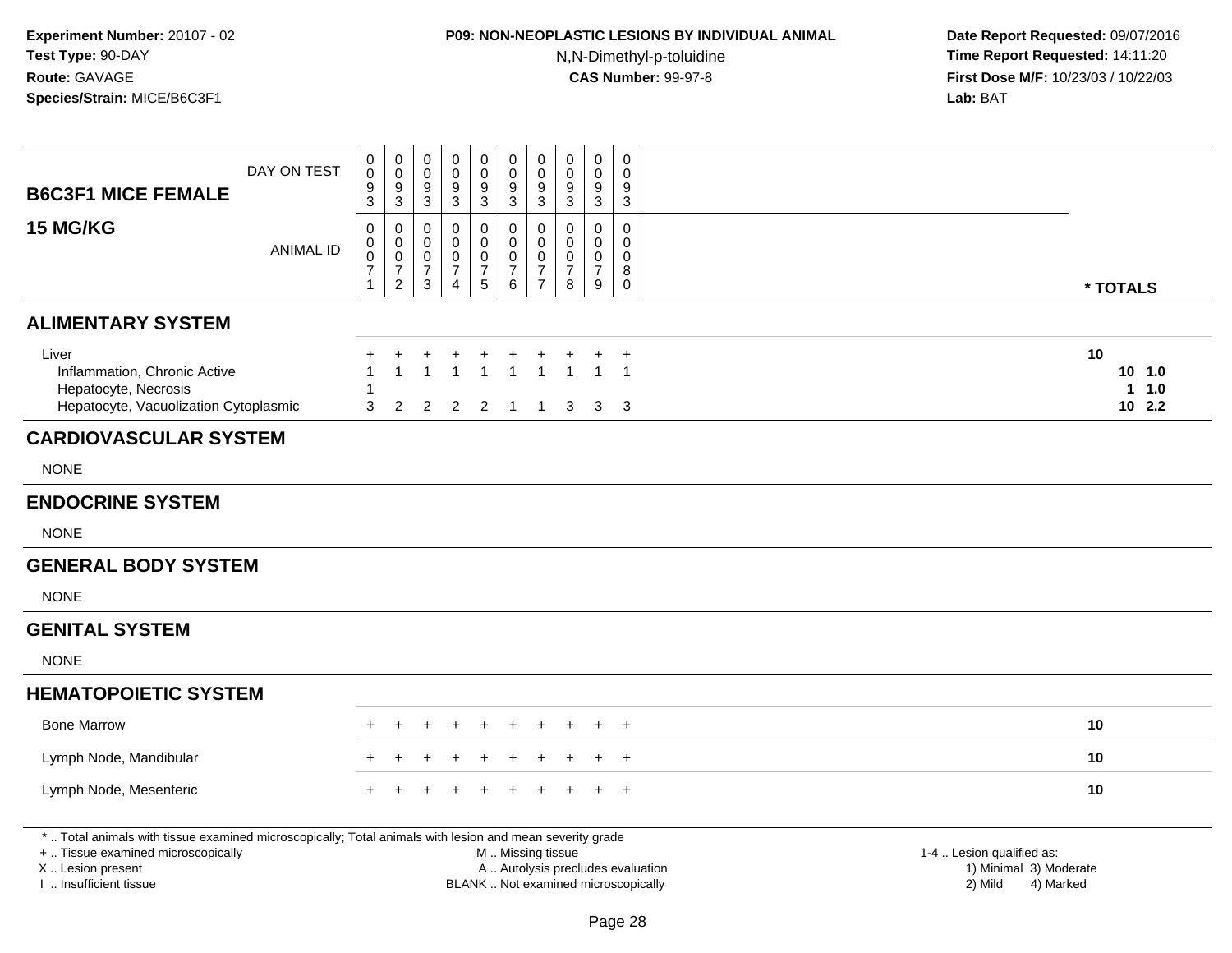## **P09: NON-NEOPLASTIC LESIONS BY INDIVIDUAL ANIMAL**N,N-Dimethyl-p-toluidine

| <b>B6C3F1 MICE FEMALE</b>                                                                                                                                                                     | DAY ON TEST      | $\pmb{0}$<br>$\pmb{0}$<br>$\boldsymbol{9}$<br>3               | $\mathbf 0$<br>$\mathsf 0$<br>$\boldsymbol{9}$<br>$\sqrt{3}$                          | $\pmb{0}$<br>$\mathbf 0$<br>9<br>$\mathfrak{S}$         | 0<br>$\mathbf 0$<br>9<br>$\sqrt{3}$                              | $\pmb{0}$<br>$\pmb{0}$<br>9<br>$\overline{3}$                  | $\mathsf 0$<br>$\mathbf 0$<br>$9\,$<br>$\mathbf{3}$                                           | $\pmb{0}$<br>$\pmb{0}$<br>$\boldsymbol{9}$<br>$\mathbf{3}$                  | 0<br>$\mathbf 0$<br>9<br>3                                 | $\mathsf 0$<br>$\mathbf 0$<br>9<br>$\sqrt{3}$                      | 0<br>$\Omega$<br>9<br>3                |                                                                             |                                        |
|-----------------------------------------------------------------------------------------------------------------------------------------------------------------------------------------------|------------------|---------------------------------------------------------------|---------------------------------------------------------------------------------------|---------------------------------------------------------|------------------------------------------------------------------|----------------------------------------------------------------|-----------------------------------------------------------------------------------------------|-----------------------------------------------------------------------------|------------------------------------------------------------|--------------------------------------------------------------------|----------------------------------------|-----------------------------------------------------------------------------|----------------------------------------|
| <b>15 MG/KG</b>                                                                                                                                                                               | <b>ANIMAL ID</b> | 0<br>$\,0\,$<br>$\mathbf 0$<br>$\overline{7}$<br>$\mathbf{1}$ | $\mathbf 0$<br>$\pmb{0}$<br>$\mathbf 0$<br>$\overline{\mathcal{I}}$<br>$\overline{2}$ | 0<br>$\mathbf 0$<br>0<br>$\overline{7}$<br>$\mathbf{3}$ | 0<br>$\Omega$<br>$\mathbf 0$<br>$\overline{7}$<br>$\overline{4}$ | $\mathbf 0$<br>$\mathbf 0$<br>$\pmb{0}$<br>$\overline{7}$<br>5 | 0<br>$\mathbf 0$<br>$\mathsf 0$<br>$\boldsymbol{7}$<br>$6\phantom{a}$                         | $\mathbf 0$<br>$\pmb{0}$<br>$\mathbf 0$<br>$\overline{7}$<br>$\overline{7}$ | $\Omega$<br>$\Omega$<br>$\mathbf 0$<br>$\overline{7}$<br>8 | $\mathbf 0$<br>$\Omega$<br>$\boldsymbol{0}$<br>$\overline{7}$<br>9 | 0<br>$\Omega$<br>0<br>8<br>$\mathbf 0$ |                                                                             | * TOTALS                               |
| <b>ALIMENTARY SYSTEM</b>                                                                                                                                                                      |                  |                                                               |                                                                                       |                                                         |                                                                  |                                                                |                                                                                               |                                                                             |                                                            |                                                                    |                                        |                                                                             |                                        |
| Liver<br>Inflammation, Chronic Active<br>Hepatocyte, Necrosis<br>Hepatocyte, Vacuolization Cytoplasmic                                                                                        |                  | 3                                                             | $\overline{2}$                                                                        | 1<br>2                                                  | $\overline{2}$                                                   | $\overline{1}$<br>$\overline{2}$                               | $\overline{1}$<br>$\overline{1}$                                                              | $\overline{1}$<br>$\overline{1}$                                            | $\overline{1}$<br>3                                        | $\mathbf{1}$<br>3                                                  | $\overline{1}$<br>- 3                  |                                                                             | 10<br>10, 1.0<br>$1 \t1.0$<br>$10$ 2.2 |
| <b>CARDIOVASCULAR SYSTEM</b>                                                                                                                                                                  |                  |                                                               |                                                                                       |                                                         |                                                                  |                                                                |                                                                                               |                                                                             |                                                            |                                                                    |                                        |                                                                             |                                        |
| <b>NONE</b>                                                                                                                                                                                   |                  |                                                               |                                                                                       |                                                         |                                                                  |                                                                |                                                                                               |                                                                             |                                                            |                                                                    |                                        |                                                                             |                                        |
| <b>ENDOCRINE SYSTEM</b>                                                                                                                                                                       |                  |                                                               |                                                                                       |                                                         |                                                                  |                                                                |                                                                                               |                                                                             |                                                            |                                                                    |                                        |                                                                             |                                        |
| <b>NONE</b>                                                                                                                                                                                   |                  |                                                               |                                                                                       |                                                         |                                                                  |                                                                |                                                                                               |                                                                             |                                                            |                                                                    |                                        |                                                                             |                                        |
| <b>GENERAL BODY SYSTEM</b>                                                                                                                                                                    |                  |                                                               |                                                                                       |                                                         |                                                                  |                                                                |                                                                                               |                                                                             |                                                            |                                                                    |                                        |                                                                             |                                        |
| <b>NONE</b>                                                                                                                                                                                   |                  |                                                               |                                                                                       |                                                         |                                                                  |                                                                |                                                                                               |                                                                             |                                                            |                                                                    |                                        |                                                                             |                                        |
| <b>GENITAL SYSTEM</b>                                                                                                                                                                         |                  |                                                               |                                                                                       |                                                         |                                                                  |                                                                |                                                                                               |                                                                             |                                                            |                                                                    |                                        |                                                                             |                                        |
| <b>NONE</b>                                                                                                                                                                                   |                  |                                                               |                                                                                       |                                                         |                                                                  |                                                                |                                                                                               |                                                                             |                                                            |                                                                    |                                        |                                                                             |                                        |
| <b>HEMATOPOIETIC SYSTEM</b>                                                                                                                                                                   |                  |                                                               |                                                                                       |                                                         |                                                                  |                                                                |                                                                                               |                                                                             |                                                            |                                                                    |                                        |                                                                             |                                        |
| <b>Bone Marrow</b>                                                                                                                                                                            |                  |                                                               |                                                                                       |                                                         |                                                                  |                                                                |                                                                                               |                                                                             |                                                            |                                                                    | $\div$                                 |                                                                             | 10                                     |
| Lymph Node, Mandibular                                                                                                                                                                        |                  |                                                               |                                                                                       |                                                         |                                                                  |                                                                |                                                                                               |                                                                             |                                                            |                                                                    | $+$                                    |                                                                             | 10                                     |
| Lymph Node, Mesenteric                                                                                                                                                                        |                  |                                                               |                                                                                       |                                                         |                                                                  |                                                                |                                                                                               |                                                                             |                                                            |                                                                    | $+$                                    |                                                                             | 10                                     |
| *  Total animals with tissue examined microscopically; Total animals with lesion and mean severity grade<br>+  Tissue examined microscopically<br>X  Lesion present<br>I. Insufficient tissue |                  |                                                               |                                                                                       |                                                         |                                                                  |                                                                | M  Missing tissue<br>A  Autolysis precludes evaluation<br>BLANK  Not examined microscopically |                                                                             |                                                            |                                                                    |                                        | 1-4  Lesion qualified as:<br>1) Minimal 3) Moderate<br>2) Mild<br>4) Marked |                                        |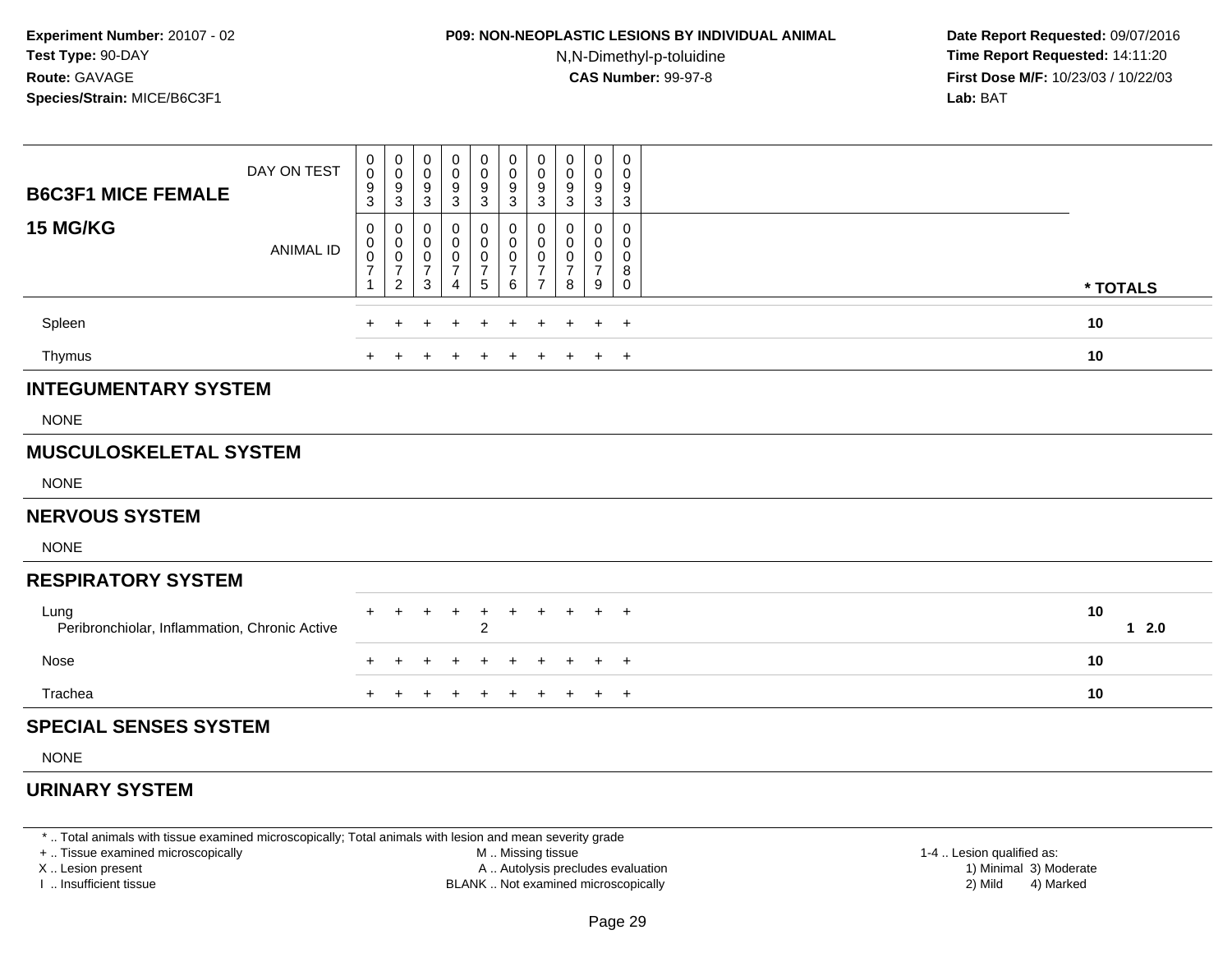# **P09: NON-NEOPLASTIC LESIONS BY INDIVIDUAL ANIMAL**

N,N-Dimethyl-p-toluidine

 **Date Report Requested:** 09/07/2016 **Time Report Requested:** 14:11:20 **First Dose M/F:** 10/23/03 / 10/22/03<br>**Lab:** BAT **Lab:** BAT

| <b>B6C3F1 MICE FEMALE</b>                             | DAY ON TEST      | 0<br>$\mathsf 0$<br>$\frac{9}{3}$               | $\mathbf 0$<br>$\,0\,$<br>$\frac{9}{3}$                             | 0<br>0<br>9<br>$\ensuremath{\mathsf{3}}$ | 0<br>0<br>9<br>$\sqrt{3}$                       | 0<br>$\pmb{0}$<br>$\frac{9}{3}$                          | 0<br>0<br>$\frac{9}{3}$                       | 0<br>$\pmb{0}$<br>$\frac{9}{3}$                                   | 0<br>$\mathbf 0$<br>9<br>$\ensuremath{\mathsf{3}}$ | 0<br>0<br>9<br>$\mathbf{3}$                  | 0<br>$\mathbf 0$<br>9<br>3      |              |
|-------------------------------------------------------|------------------|-------------------------------------------------|---------------------------------------------------------------------|------------------------------------------|-------------------------------------------------|----------------------------------------------------------|-----------------------------------------------|-------------------------------------------------------------------|----------------------------------------------------|----------------------------------------------|---------------------------------|--------------|
| <b>15 MG/KG</b>                                       | <b>ANIMAL ID</b> | 0<br>0<br>$\mathsf{O}\xspace$<br>$\overline{7}$ | 0<br>$\mathbf 0$<br>$\pmb{0}$<br>$\boldsymbol{7}$<br>$\overline{2}$ | 0<br>0<br>0<br>$\overline{7}$<br>3       | 0<br>0<br>0<br>$\overline{7}$<br>$\overline{4}$ | 0<br>0<br>$\pmb{0}$<br>$\overline{7}$<br>$5\phantom{.0}$ | 0<br>0<br>$\mathsf{O}$<br>$\overline{7}$<br>6 | 0<br>$\mathbf 0$<br>$\pmb{0}$<br>$\overline{7}$<br>$\overline{7}$ | 0<br>0<br>0<br>$\overline{7}$<br>8                 | 0<br>0<br>$\mathbf 0$<br>$\overline{7}$<br>9 | 0<br>0<br>$\mathbf 0$<br>8<br>0 | * TOTALS     |
| Spleen                                                |                  |                                                 |                                                                     |                                          |                                                 | $\ddot{}$                                                | $\ddot{}$                                     | $\div$                                                            | $\pm$                                              | $\pm$                                        | $+$                             | 10           |
| Thymus                                                |                  |                                                 |                                                                     | ÷                                        |                                                 | $\pm$                                                    | $\pm$                                         | $\pm$                                                             | ÷.                                                 | $+$                                          | $+$                             | 10           |
| <b>INTEGUMENTARY SYSTEM</b>                           |                  |                                                 |                                                                     |                                          |                                                 |                                                          |                                               |                                                                   |                                                    |                                              |                                 |              |
| <b>NONE</b>                                           |                  |                                                 |                                                                     |                                          |                                                 |                                                          |                                               |                                                                   |                                                    |                                              |                                 |              |
| <b>MUSCULOSKELETAL SYSTEM</b>                         |                  |                                                 |                                                                     |                                          |                                                 |                                                          |                                               |                                                                   |                                                    |                                              |                                 |              |
| <b>NONE</b>                                           |                  |                                                 |                                                                     |                                          |                                                 |                                                          |                                               |                                                                   |                                                    |                                              |                                 |              |
| <b>NERVOUS SYSTEM</b>                                 |                  |                                                 |                                                                     |                                          |                                                 |                                                          |                                               |                                                                   |                                                    |                                              |                                 |              |
| <b>NONE</b>                                           |                  |                                                 |                                                                     |                                          |                                                 |                                                          |                                               |                                                                   |                                                    |                                              |                                 |              |
| <b>RESPIRATORY SYSTEM</b>                             |                  |                                                 |                                                                     |                                          |                                                 |                                                          |                                               |                                                                   |                                                    |                                              |                                 |              |
| Lung<br>Peribronchiolar, Inflammation, Chronic Active |                  |                                                 |                                                                     |                                          |                                                 | $\ddot{}$<br>$\overline{2}$                              | $\ddot{}$                                     |                                                                   | $\pm$                                              | $+$                                          | $+$                             | 10<br>$12.0$ |
| Nose                                                  |                  |                                                 |                                                                     |                                          |                                                 | $\pm$                                                    | $\div$                                        |                                                                   | ÷                                                  |                                              | $+$                             | 10           |
| Trachea                                               |                  |                                                 |                                                                     |                                          |                                                 |                                                          | ÷                                             | $\div$                                                            | $\pm$                                              | $\pm$                                        | $+$                             | 10           |
| <b>SPECIAL SENSES SYSTEM</b>                          |                  |                                                 |                                                                     |                                          |                                                 |                                                          |                                               |                                                                   |                                                    |                                              |                                 |              |
| <b>NONE</b>                                           |                  |                                                 |                                                                     |                                          |                                                 |                                                          |                                               |                                                                   |                                                    |                                              |                                 |              |
| <b>URINARY SYSTEM</b>                                 |                  |                                                 |                                                                     |                                          |                                                 |                                                          |                                               |                                                                   |                                                    |                                              |                                 |              |

\* .. Total animals with tissue examined microscopically; Total animals with lesion and mean severity grade

+ .. Tissue examined microscopically

X .. Lesion present

I .. Insufficient tissue

 M .. Missing tissueA .. Autolysis precludes evaluation

1-4 .. Lesion qualified as:<br>1) Minimal 3) Moderate BLANK .. Not examined microscopically 2) Mild 4) Marked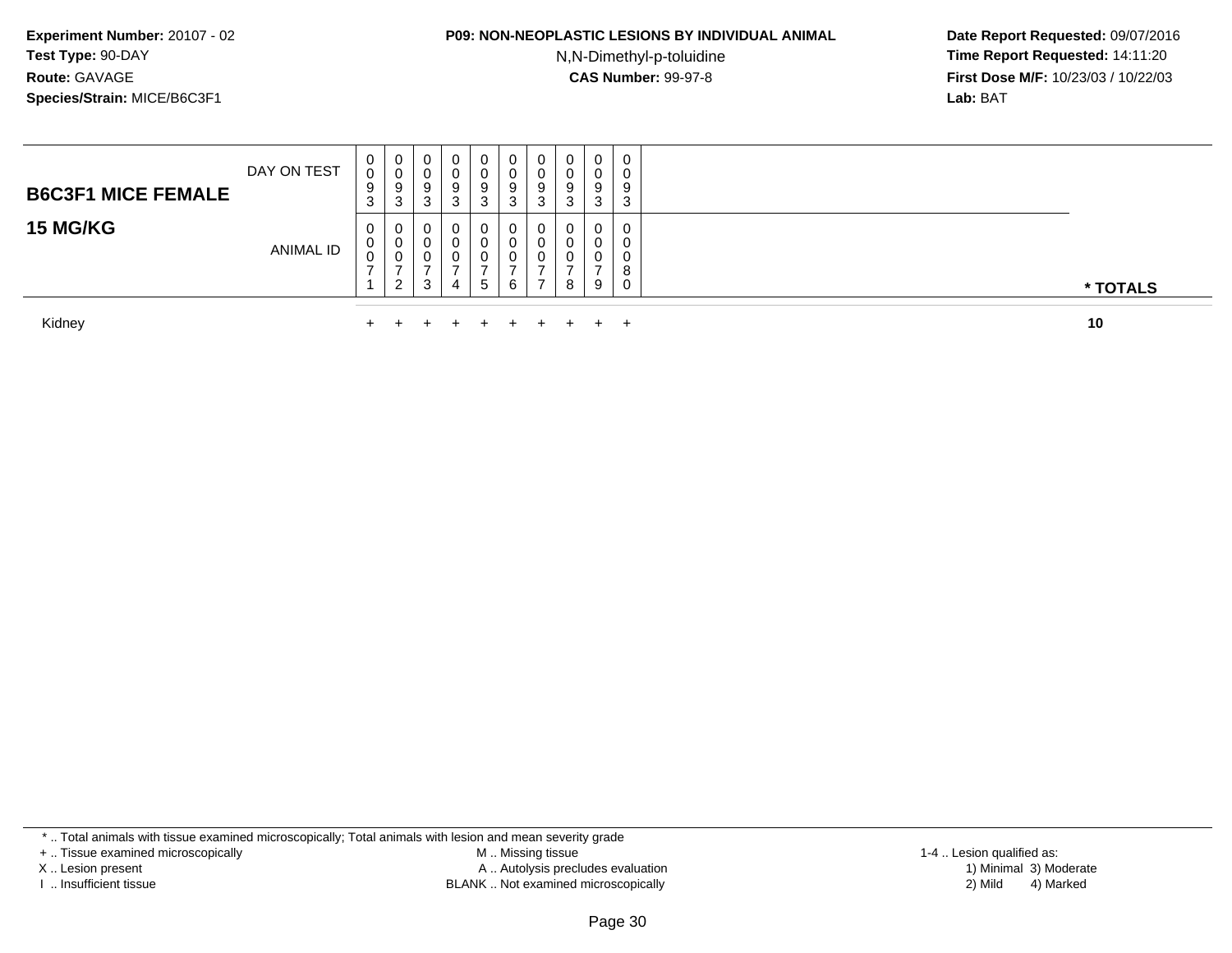#### **P09: NON-NEOPLASTIC LESIONS BY INDIVIDUAL ANIMAL**

N,N-Dimethyl-p-toluidine

 **Date Report Requested:** 09/07/2016 **Time Report Requested:** 14:11:20 **First Dose M/F:** 10/23/03 / 10/22/03<br>**Lab:** BAT **Lab:** BAT

| <b>B6C3F1 MICE FEMALE</b><br><b>15 MG/KG</b> | DAY ON TEST | $\mathbf{0}$<br>0<br>9<br>3<br>0 | U<br>v<br>9<br>3<br>U   | $\overline{0}$<br>0<br>9<br>3<br>0 | $\mathbf 0$<br>0<br>9<br>3<br>0 | 0<br>U<br>9<br>3<br>0 | U<br>v<br>9<br>3 | $\overline{0}$<br>◡<br>9<br>ົ<br>చ<br>$\mathbf{0}$ | 0<br>v<br>9<br>3<br>0 | 0<br>0<br>9<br>3<br>0 | 0<br>ν<br>9<br>ົ<br>J.<br>0 |          |
|----------------------------------------------|-------------|----------------------------------|-------------------------|------------------------------------|---------------------------------|-----------------------|------------------|----------------------------------------------------|-----------------------|-----------------------|-----------------------------|----------|
|                                              | ANIMAL ID   | 0<br>U                           | U<br>v<br>ി<br><u>_</u> | 0<br>0<br>3                        | 0<br>0<br>-<br>4                | 0<br>0<br>5           | 6                | υ                                                  | 8                     | 0<br>0<br>9           | O                           | * TOTALS |
| Kidnev                                       |             | $\ddot{\phantom{1}}$             | $+$                     |                                    | $+$ $-$                         | $+$ $-$               | $+$ $-$          | $+$                                                | $+$ $-$               | $+$                   |                             | 10       |

Kidney $\mathsf y$ 

\* .. Total animals with tissue examined microscopically; Total animals with lesion and mean severity grade

+ .. Tissue examined microscopically

X .. Lesion present

I .. Insufficient tissue

 M .. Missing tissueA .. Autolysis precludes evaluation

BLANK .. Not examined microscopically 2) Mild 4) Marked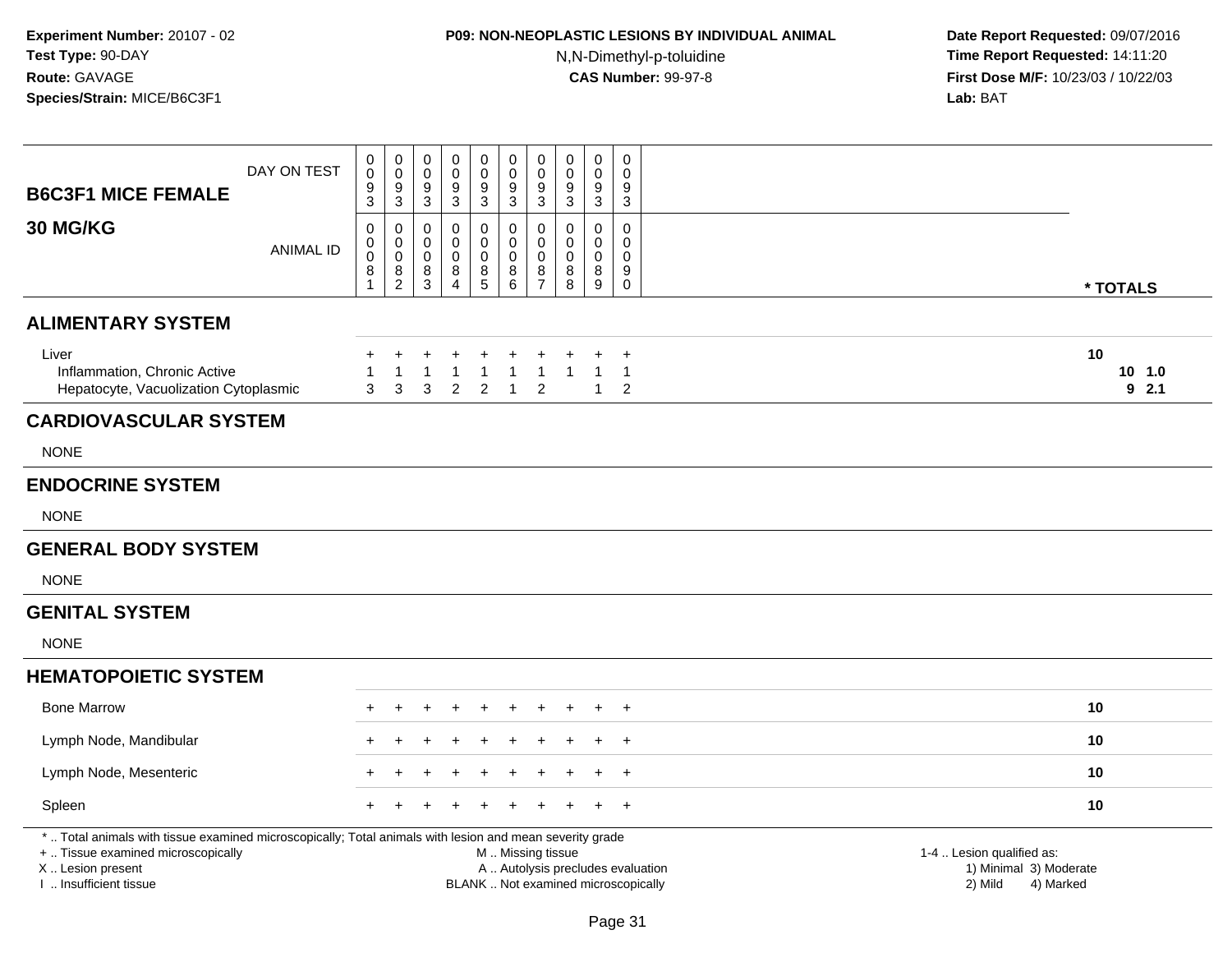## **P09: NON-NEOPLASTIC LESIONS BY INDIVIDUAL ANIMAL**

N,N-Dimethyl-p-toluidine

| <b>B6C3F1 MICE FEMALE</b>                                                                                                                                                                     | DAY ON TEST      | 0<br>$\pmb{0}$<br>9<br>3                                     | $\mathbf 0$<br>$\mathbf 0$<br>9<br>$\sqrt{3}$           | 0<br>$\mathbf 0$<br>9<br>$\mathbf{3}$   | 0<br>0<br>9<br>$\sqrt{3}$       | $\pmb{0}$<br>$\pmb{0}$<br>$\boldsymbol{9}$<br>$\overline{3}$ | $\mathbf 0$<br>$\mathbf 0$<br>9<br>$\overline{3}$                                             | $\boldsymbol{0}$<br>$\boldsymbol{0}$<br>9<br>$\mathbf{3}$                  | $\mathbf 0$<br>$\mathbf 0$<br>9<br>$\mathbf{3}$ | $\pmb{0}$<br>$\mathbf 0$<br>9<br>$\mathbf{3}$  | $\pmb{0}$<br>0<br>9<br>$\mathbf{3}$                         |                                                                             |  |
|-----------------------------------------------------------------------------------------------------------------------------------------------------------------------------------------------|------------------|--------------------------------------------------------------|---------------------------------------------------------|-----------------------------------------|---------------------------------|--------------------------------------------------------------|-----------------------------------------------------------------------------------------------|----------------------------------------------------------------------------|-------------------------------------------------|------------------------------------------------|-------------------------------------------------------------|-----------------------------------------------------------------------------|--|
| 30 MG/KG                                                                                                                                                                                      | <b>ANIMAL ID</b> | $\mathbf 0$<br>$\pmb{0}$<br>$\mathbf 0$<br>8<br>$\mathbf{1}$ | 0<br>$\mathbf 0$<br>$\boldsymbol{0}$<br>8<br>$\sqrt{2}$ | 0<br>0<br>$\mathsf{O}\xspace$<br>8<br>3 | $\mathbf 0$<br>0<br>0<br>8<br>Δ | $\mathbf 0$<br>0<br>$\mathbf 0$<br>$^8_5$                    | $\mathbf 0$<br>0<br>$\mathbf 0$<br>8<br>$6\phantom{1}$                                        | $\boldsymbol{0}$<br>$\mathbf 0$<br>$\boldsymbol{0}$<br>8<br>$\overline{7}$ | 0<br>$\mathbf 0$<br>$\mathbf 0$<br>8<br>8       | $\mathbf 0$<br>$\Omega$<br>$\pmb{0}$<br>8<br>9 | 0<br>$\mathbf 0$<br>$\mathbf 0$<br>9<br>$\mathsf{O}\xspace$ | * TOTALS                                                                    |  |
| <b>ALIMENTARY SYSTEM</b>                                                                                                                                                                      |                  |                                                              |                                                         |                                         |                                 |                                                              |                                                                                               |                                                                            |                                                 |                                                |                                                             |                                                                             |  |
| Liver<br>Inflammation, Chronic Active<br>Hepatocyte, Vacuolization Cytoplasmic                                                                                                                |                  | +<br>1<br>3                                                  | $\ddot{}$<br>1<br>3                                     | $\ddot{}$<br>$\mathbf{1}$<br>3          | $\overline{2}$                  | $\mathbf 1$<br>$\overline{c}$                                | $\mathbf{1}$<br>$\mathbf{1}$                                                                  | $\overline{1}$<br>$\overline{2}$                                           | $\mathbf{1}$                                    | 1                                              | $\ddot{}$<br>$\mathbf{1}$<br>2                              | 10<br>10, 1.0<br>92.1                                                       |  |
| <b>CARDIOVASCULAR SYSTEM</b>                                                                                                                                                                  |                  |                                                              |                                                         |                                         |                                 |                                                              |                                                                                               |                                                                            |                                                 |                                                |                                                             |                                                                             |  |
| <b>NONE</b>                                                                                                                                                                                   |                  |                                                              |                                                         |                                         |                                 |                                                              |                                                                                               |                                                                            |                                                 |                                                |                                                             |                                                                             |  |
| <b>ENDOCRINE SYSTEM</b>                                                                                                                                                                       |                  |                                                              |                                                         |                                         |                                 |                                                              |                                                                                               |                                                                            |                                                 |                                                |                                                             |                                                                             |  |
| <b>NONE</b>                                                                                                                                                                                   |                  |                                                              |                                                         |                                         |                                 |                                                              |                                                                                               |                                                                            |                                                 |                                                |                                                             |                                                                             |  |
| <b>GENERAL BODY SYSTEM</b>                                                                                                                                                                    |                  |                                                              |                                                         |                                         |                                 |                                                              |                                                                                               |                                                                            |                                                 |                                                |                                                             |                                                                             |  |
| <b>NONE</b>                                                                                                                                                                                   |                  |                                                              |                                                         |                                         |                                 |                                                              |                                                                                               |                                                                            |                                                 |                                                |                                                             |                                                                             |  |
| <b>GENITAL SYSTEM</b>                                                                                                                                                                         |                  |                                                              |                                                         |                                         |                                 |                                                              |                                                                                               |                                                                            |                                                 |                                                |                                                             |                                                                             |  |
| <b>NONE</b>                                                                                                                                                                                   |                  |                                                              |                                                         |                                         |                                 |                                                              |                                                                                               |                                                                            |                                                 |                                                |                                                             |                                                                             |  |
| <b>HEMATOPOIETIC SYSTEM</b>                                                                                                                                                                   |                  |                                                              |                                                         |                                         |                                 |                                                              |                                                                                               |                                                                            |                                                 |                                                |                                                             |                                                                             |  |
| <b>Bone Marrow</b>                                                                                                                                                                            |                  |                                                              |                                                         |                                         |                                 |                                                              |                                                                                               |                                                                            |                                                 |                                                |                                                             | 10                                                                          |  |
| Lymph Node, Mandibular                                                                                                                                                                        |                  |                                                              |                                                         |                                         |                                 |                                                              |                                                                                               |                                                                            |                                                 |                                                | $\pm$                                                       | 10                                                                          |  |
| Lymph Node, Mesenteric                                                                                                                                                                        |                  |                                                              |                                                         |                                         |                                 |                                                              |                                                                                               |                                                                            |                                                 |                                                | $\ddot{}$                                                   | 10                                                                          |  |
| Spleen                                                                                                                                                                                        |                  |                                                              |                                                         |                                         |                                 |                                                              |                                                                                               |                                                                            |                                                 |                                                | $\overline{+}$                                              | 10                                                                          |  |
| *  Total animals with tissue examined microscopically; Total animals with lesion and mean severity grade<br>+  Tissue examined microscopically<br>X  Lesion present<br>I. Insufficient tissue |                  |                                                              |                                                         |                                         |                                 |                                                              | M  Missing tissue<br>A  Autolysis precludes evaluation<br>BLANK  Not examined microscopically |                                                                            |                                                 |                                                |                                                             | 1-4  Lesion qualified as:<br>1) Minimal 3) Moderate<br>2) Mild<br>4) Marked |  |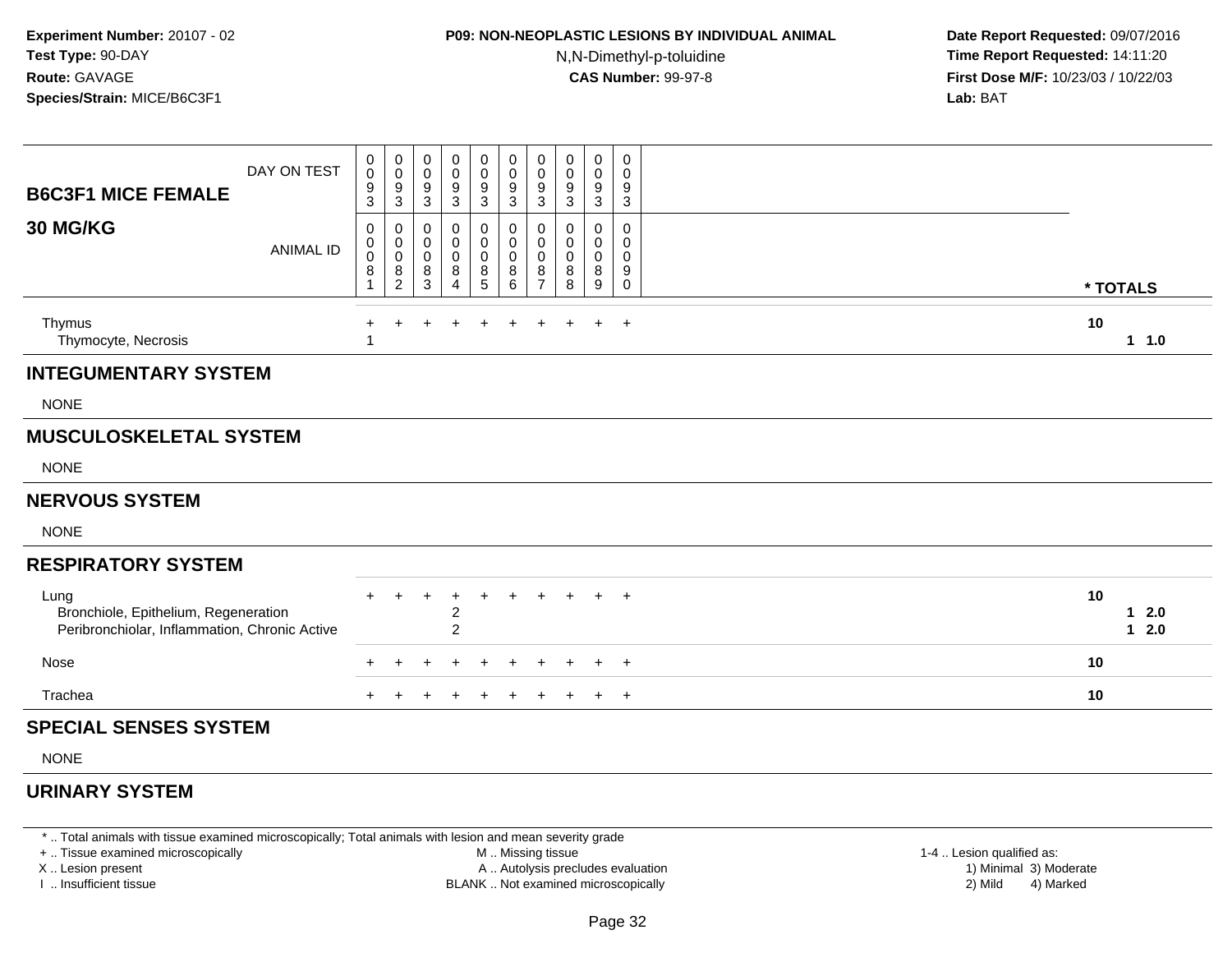## **P09: NON-NEOPLASTIC LESIONS BY INDIVIDUAL ANIMAL**

N,N-Dimethyl-p-toluidine

 **Date Report Requested:** 09/07/2016 **Time Report Requested:** 14:11:20 **First Dose M/F:** 10/23/03 / 10/22/03<br>**Lab:** BAT **Lab:** BAT

| <b>B6C3F1 MICE FEMALE</b>                                                                     | DAY ON TEST      | 0<br>$\mathbf 0$<br>9<br>3 | 0<br>$\pmb{0}$<br>$\overline{9}$<br>$\sqrt{3}$                               | 0<br>$\mathbf 0$<br>9<br>$\overline{3}$ | 0<br>0<br>9<br>$\mathbf{3}$                    | $\boldsymbol{0}$<br>$\pmb{0}$<br>$\frac{9}{3}$ | 0<br>$\mathbf 0$<br>9<br>$\sqrt{3}$ | 0<br>$\mathbf 0$<br>$9\,$<br>$\sqrt{3}$                      | 0<br>$\mathbf 0$<br>9<br>$\mathbf{3}$ | 0<br>0<br>9<br>$\mathbf{3}$ | 0<br>$\mathbf 0$<br>9<br>$\ensuremath{\mathsf{3}}$ |                        |
|-----------------------------------------------------------------------------------------------|------------------|----------------------------|------------------------------------------------------------------------------|-----------------------------------------|------------------------------------------------|------------------------------------------------|-------------------------------------|--------------------------------------------------------------|---------------------------------------|-----------------------------|----------------------------------------------------|------------------------|
| 30 MG/KG                                                                                      | <b>ANIMAL ID</b> | 0<br>0<br>$\pmb{0}$<br>8   | 0<br>$\mathsf{O}$<br>$\overline{0}$<br>$\begin{array}{c} 8 \\ 2 \end{array}$ | 0<br>0<br>$\pmb{0}$<br>$\bf8$<br>3      | 0<br>0<br>0<br>8<br>$\overline{\mathbf{4}}$    | 0<br>$\pmb{0}$<br>$\pmb{0}$<br>$\bf 8$<br>5    | 0<br>0<br>$\pmb{0}$<br>$\bf 8$<br>6 | 0<br>$\mathbf 0$<br>$\mathbf 0$<br>$\bf 8$<br>$\overline{7}$ | 0<br>$\mathbf 0$<br>0<br>8<br>8       | 0<br>0<br>0<br>8<br>9       | $\mathbf 0$<br>0<br>0<br>$\boldsymbol{9}$<br>0     | * TOTALS               |
| Thymus<br>Thymocyte, Necrosis                                                                 |                  |                            |                                                                              |                                         |                                                |                                                |                                     |                                                              |                                       |                             | $\ddot{}$                                          | 10<br>11.0             |
| <b>INTEGUMENTARY SYSTEM</b>                                                                   |                  |                            |                                                                              |                                         |                                                |                                                |                                     |                                                              |                                       |                             |                                                    |                        |
| <b>NONE</b>                                                                                   |                  |                            |                                                                              |                                         |                                                |                                                |                                     |                                                              |                                       |                             |                                                    |                        |
| <b>MUSCULOSKELETAL SYSTEM</b>                                                                 |                  |                            |                                                                              |                                         |                                                |                                                |                                     |                                                              |                                       |                             |                                                    |                        |
| <b>NONE</b>                                                                                   |                  |                            |                                                                              |                                         |                                                |                                                |                                     |                                                              |                                       |                             |                                                    |                        |
| <b>NERVOUS SYSTEM</b>                                                                         |                  |                            |                                                                              |                                         |                                                |                                                |                                     |                                                              |                                       |                             |                                                    |                        |
| <b>NONE</b>                                                                                   |                  |                            |                                                                              |                                         |                                                |                                                |                                     |                                                              |                                       |                             |                                                    |                        |
| <b>RESPIRATORY SYSTEM</b>                                                                     |                  |                            |                                                                              |                                         |                                                |                                                |                                     |                                                              |                                       |                             |                                                    |                        |
| Lung<br>Bronchiole, Epithelium, Regeneration<br>Peribronchiolar, Inflammation, Chronic Active |                  |                            |                                                                              | $\ddot{}$                               | ÷<br>$\overline{\mathbf{c}}$<br>$\overline{c}$ |                                                | $\ddot{}$                           | $\ddot{}$                                                    | $\ddot{}$                             |                             | $+$ $+$                                            | 10<br>$12.0$<br>$12.0$ |
| Nose                                                                                          |                  | $\div$                     |                                                                              |                                         |                                                |                                                | $\ddot{}$                           |                                                              |                                       | $+$                         | $+$                                                | 10                     |
| Trachea                                                                                       |                  |                            |                                                                              |                                         |                                                |                                                |                                     |                                                              |                                       |                             | $+$                                                | 10                     |
| <b>SPECIAL SENSES SYSTEM</b>                                                                  |                  |                            |                                                                              |                                         |                                                |                                                |                                     |                                                              |                                       |                             |                                                    |                        |
| <b>NONE</b>                                                                                   |                  |                            |                                                                              |                                         |                                                |                                                |                                     |                                                              |                                       |                             |                                                    |                        |

### **URINARY SYSTEM**

\* .. Total animals with tissue examined microscopically; Total animals with lesion and mean severity grade

+ .. Tissue examined microscopically

X .. Lesion present

I .. Insufficient tissue

 M .. Missing tissueA .. Autolysis precludes evaluation

BLANK .. Not examined microscopically 2) Mild 4) Marked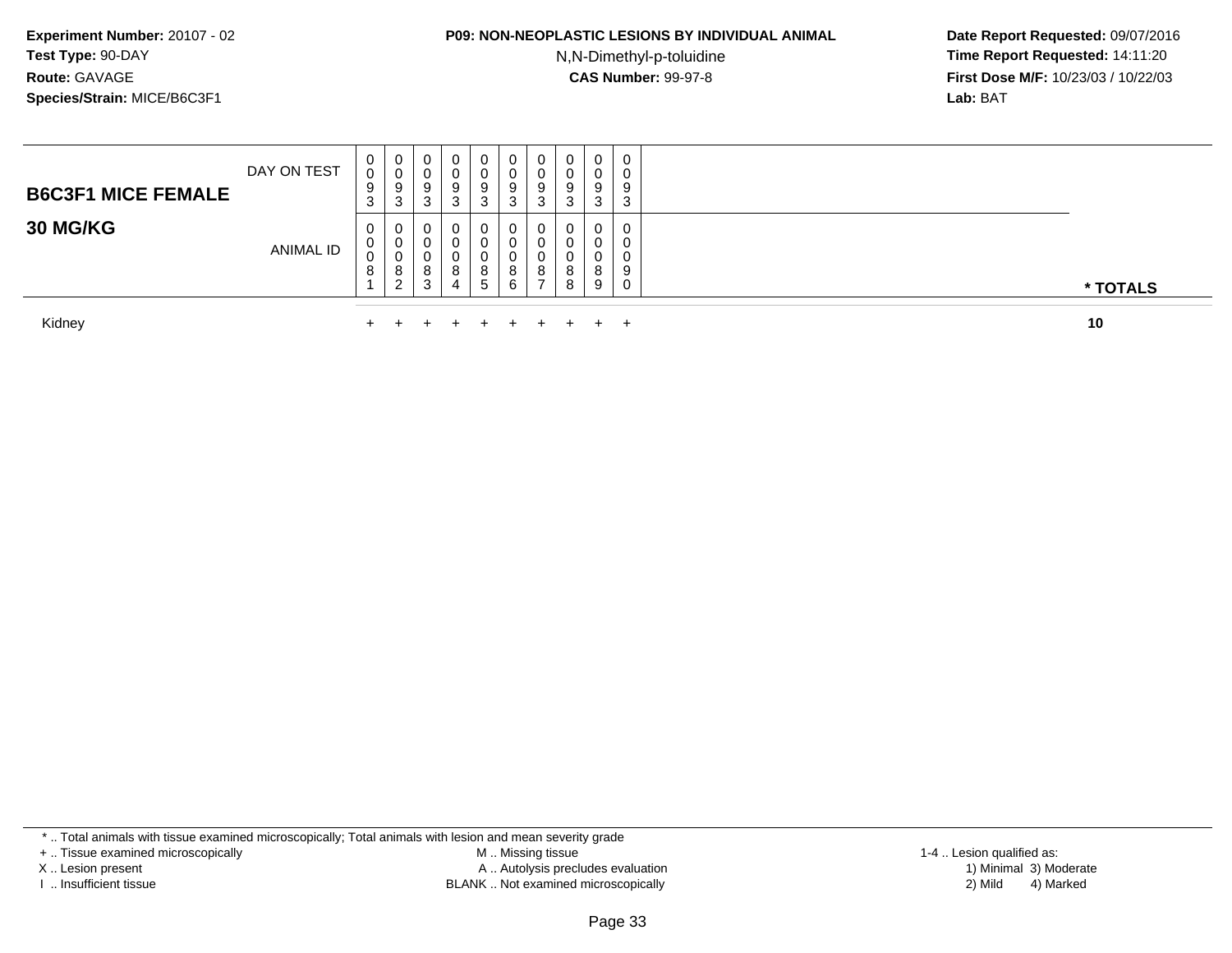#### **P09: NON-NEOPLASTIC LESIONS BY INDIVIDUAL ANIMAL**

N,N-Dimethyl-p-toluidine

 **Date Report Requested:** 09/07/2016 **Time Report Requested:** 14:11:20 **First Dose M/F:** 10/23/03 / 10/22/03<br>**Lab:** BAT **Lab:** BAT

| Kidnev                    |             | $+$               | $\pm$                             |                       | $\pm$                 | $\pm$ $\pm$                      | $+$ $-$     | $+$              | $+$ $-$                        | $+$                              |                       | 10       |
|---------------------------|-------------|-------------------|-----------------------------------|-----------------------|-----------------------|----------------------------------|-------------|------------------|--------------------------------|----------------------------------|-----------------------|----------|
| 30 MG/KG                  | ANIMAL ID   | 0<br>J<br>$\circ$ | 0<br>U<br>ν<br>8<br>ົ<br><u>_</u> | 0<br>0<br>U<br>o<br>3 | 0<br>0<br>0<br>8<br>4 | 0<br>0<br>0<br>8<br>$\mathbf{c}$ | 6           | ັ<br>8           | 0<br>8                         | $\mathbf{0}$<br>0<br>0<br>8<br>9 | 0<br>0<br>0<br>9<br>0 | * TOTALS |
| <b>B6C3F1 MICE FEMALE</b> | DAY ON TEST | 0<br>U<br>9<br>3  | 0<br>v<br>9<br>3                  | 0<br>U<br>9<br>ు      | 0<br>0<br>9<br>3      | 0<br>0<br>9<br>3                 | ν<br>9<br>3 | v<br>ັ<br>9<br>C | 0<br>u<br>9<br>$\sqrt{2}$<br>చ | $\mathbf{0}$<br>0<br>9<br>3      | 0<br>0<br>9<br>3      |          |

Kidney $\mathsf y$ 

\* .. Total animals with tissue examined microscopically; Total animals with lesion and mean severity grade

+ .. Tissue examined microscopically

X .. Lesion present

I .. Insufficient tissue

 M .. Missing tissueA .. Autolysis precludes evaluation

BLANK .. Not examined microscopically 2) Mild 4) Marked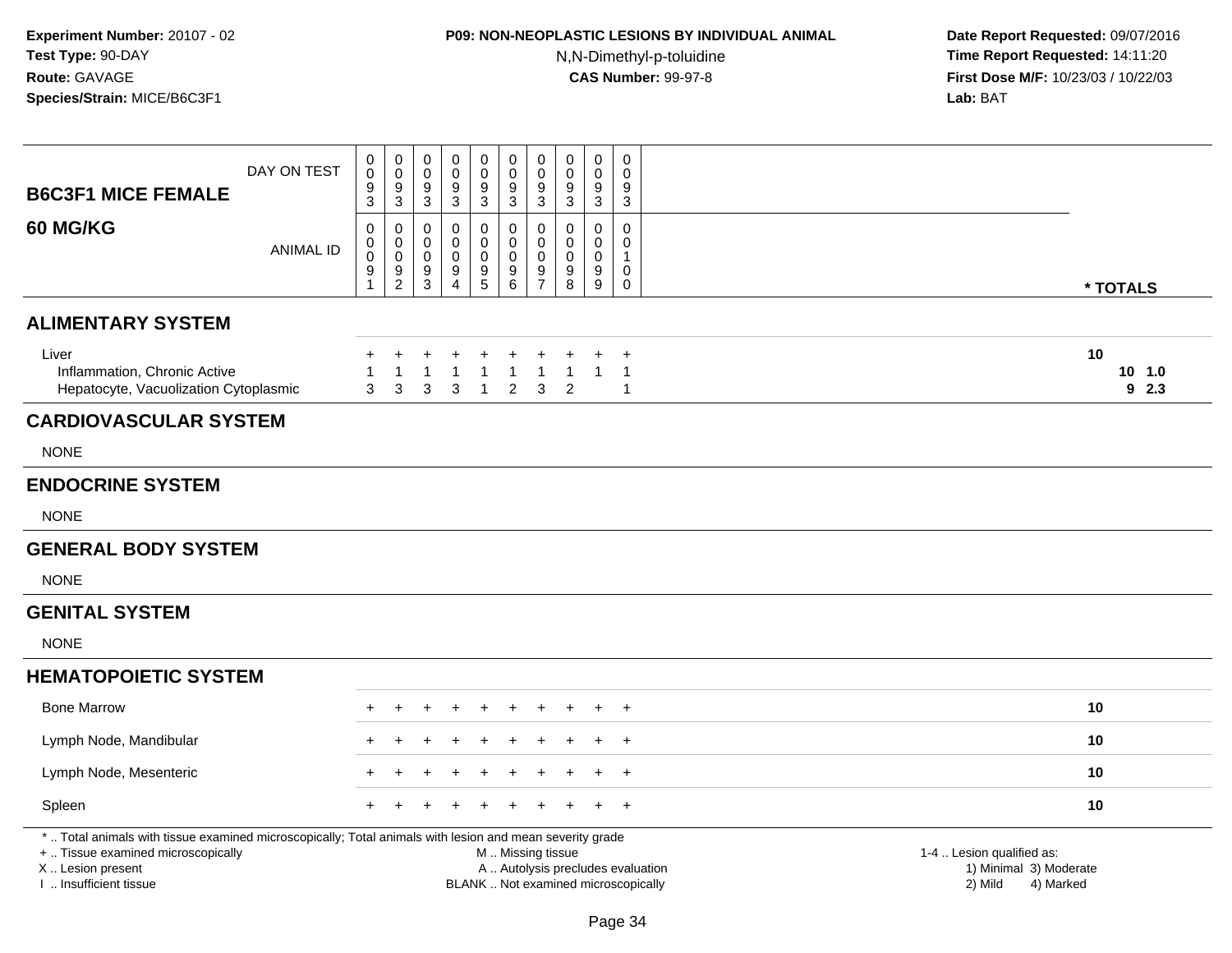## **P09: NON-NEOPLASTIC LESIONS BY INDIVIDUAL ANIMAL**

N,N-Dimethyl-p-toluidine

| <b>B6C3F1 MICE FEMALE</b>                                                                                                                                                                     | DAY ON TEST      | 0<br>$\boldsymbol{0}$<br>9<br>3         | $\boldsymbol{0}$<br>$\mathbf 0$<br>9<br>$\mathbf{3}$                        | 0<br>$\mathbf 0$<br>9<br>3         | $\pmb{0}$<br>$\mathbf 0$<br>9<br>$\overline{3}$ | $\pmb{0}$<br>$\mathbf 0$<br>$\boldsymbol{9}$<br>$\mathfrak{S}$ | $\pmb{0}$<br>$\pmb{0}$<br>$\boldsymbol{9}$<br>$\overline{3}$ | $\mathbf 0$<br>$\mathbf 0$<br>9<br>$\mathbf 3$         | $\mathbf 0$<br>$\mathbf 0$<br>9<br>3                                     | 0<br>$\mathbf 0$<br>9<br>3      | $\mathbf 0$<br>$\mathbf 0$<br>9<br>$\mathbf{3}$ |                                                                             |  |
|-----------------------------------------------------------------------------------------------------------------------------------------------------------------------------------------------|------------------|-----------------------------------------|-----------------------------------------------------------------------------|------------------------------------|-------------------------------------------------|----------------------------------------------------------------|--------------------------------------------------------------|--------------------------------------------------------|--------------------------------------------------------------------------|---------------------------------|-------------------------------------------------|-----------------------------------------------------------------------------|--|
| 60 MG/KG                                                                                                                                                                                      | <b>ANIMAL ID</b> | 0<br>0<br>$\ddot{\mathbf{0}}$<br>9<br>1 | 0<br>$\pmb{0}$<br>$\ddot{\mathbf{0}}$<br>$\boldsymbol{9}$<br>$\overline{2}$ | 0<br>0<br>0<br>9<br>$\overline{3}$ | 0<br>0<br>0<br>9<br>$\overline{4}$              | 0<br>0<br>$\pmb{0}$<br>$\begin{array}{c} 9 \\ 5 \end{array}$   | 0<br>$\mathbf 0$<br>$\pmb{0}$<br>$^9$ 6                      | 0<br>$\mathbf 0$<br>$\mathbf 0$<br>9<br>$\overline{7}$ | 0<br>$\mathbf 0$<br>0<br>9<br>8                                          | 0<br>0<br>$\mathbf 0$<br>9<br>9 | 0<br>$\mathbf 0$<br>$\mathbf{1}$<br>0<br>0      | * TOTALS                                                                    |  |
| <b>ALIMENTARY SYSTEM</b>                                                                                                                                                                      |                  |                                         |                                                                             |                                    |                                                 |                                                                |                                                              |                                                        |                                                                          |                                 |                                                 |                                                                             |  |
| Liver<br>Inflammation, Chronic Active<br>Hepatocyte, Vacuolization Cytoplasmic                                                                                                                |                  | $\ddot{}$<br>3                          | $\mathbf{1}$<br>3                                                           | $\ddot{}$<br>$\mathbf{1}$<br>3     | 1<br>3                                          | $\mathbf{1}$<br>$\overline{1}$                                 | $\mathbf{1}$<br>$\overline{2}$                               | $\overline{1}$<br>3                                    | $\mathbf{1}$<br>2                                                        | $\mathbf{1}$                    | $\ddot{}$<br>$\overline{1}$<br>$\mathbf{1}$     | 10<br>10, 1.0<br>92.3                                                       |  |
| <b>CARDIOVASCULAR SYSTEM</b>                                                                                                                                                                  |                  |                                         |                                                                             |                                    |                                                 |                                                                |                                                              |                                                        |                                                                          |                                 |                                                 |                                                                             |  |
| <b>NONE</b>                                                                                                                                                                                   |                  |                                         |                                                                             |                                    |                                                 |                                                                |                                                              |                                                        |                                                                          |                                 |                                                 |                                                                             |  |
| <b>ENDOCRINE SYSTEM</b>                                                                                                                                                                       |                  |                                         |                                                                             |                                    |                                                 |                                                                |                                                              |                                                        |                                                                          |                                 |                                                 |                                                                             |  |
| <b>NONE</b>                                                                                                                                                                                   |                  |                                         |                                                                             |                                    |                                                 |                                                                |                                                              |                                                        |                                                                          |                                 |                                                 |                                                                             |  |
| <b>GENERAL BODY SYSTEM</b>                                                                                                                                                                    |                  |                                         |                                                                             |                                    |                                                 |                                                                |                                                              |                                                        |                                                                          |                                 |                                                 |                                                                             |  |
| <b>NONE</b>                                                                                                                                                                                   |                  |                                         |                                                                             |                                    |                                                 |                                                                |                                                              |                                                        |                                                                          |                                 |                                                 |                                                                             |  |
| <b>GENITAL SYSTEM</b>                                                                                                                                                                         |                  |                                         |                                                                             |                                    |                                                 |                                                                |                                                              |                                                        |                                                                          |                                 |                                                 |                                                                             |  |
| <b>NONE</b>                                                                                                                                                                                   |                  |                                         |                                                                             |                                    |                                                 |                                                                |                                                              |                                                        |                                                                          |                                 |                                                 |                                                                             |  |
| <b>HEMATOPOIETIC SYSTEM</b>                                                                                                                                                                   |                  |                                         |                                                                             |                                    |                                                 |                                                                |                                                              |                                                        |                                                                          |                                 |                                                 |                                                                             |  |
| <b>Bone Marrow</b>                                                                                                                                                                            |                  |                                         |                                                                             |                                    |                                                 |                                                                |                                                              |                                                        |                                                                          |                                 | $\ddot{}$                                       | 10                                                                          |  |
| Lymph Node, Mandibular                                                                                                                                                                        |                  |                                         |                                                                             |                                    |                                                 |                                                                |                                                              |                                                        |                                                                          |                                 | $\ddot{}$                                       | 10                                                                          |  |
| Lymph Node, Mesenteric                                                                                                                                                                        |                  |                                         |                                                                             |                                    |                                                 |                                                                |                                                              |                                                        |                                                                          |                                 | $\ddot{}$                                       | 10                                                                          |  |
| Spleen                                                                                                                                                                                        |                  |                                         |                                                                             |                                    |                                                 |                                                                |                                                              |                                                        |                                                                          |                                 | $\ddot{}$                                       | 10                                                                          |  |
| *  Total animals with tissue examined microscopically; Total animals with lesion and mean severity grade<br>+  Tissue examined microscopically<br>X  Lesion present<br>I. Insufficient tissue |                  |                                         |                                                                             |                                    |                                                 |                                                                | M  Missing tissue                                            |                                                        | A  Autolysis precludes evaluation<br>BLANK  Not examined microscopically |                                 |                                                 | 1-4  Lesion qualified as:<br>1) Minimal 3) Moderate<br>2) Mild<br>4) Marked |  |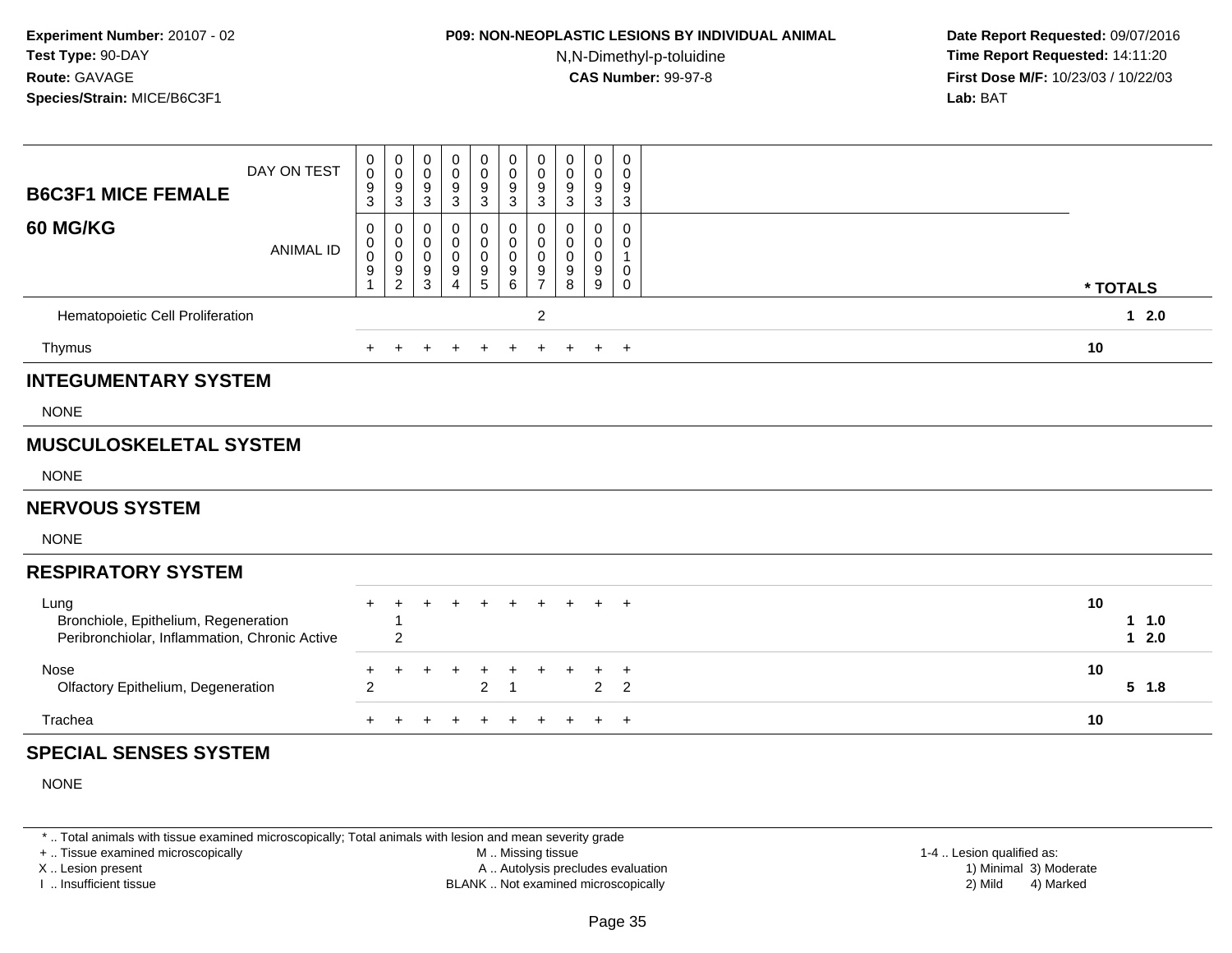## **P09: NON-NEOPLASTIC LESIONS BY INDIVIDUAL ANIMAL**

N,N-Dimethyl-p-toluidine

 **Date Report Requested:** 09/07/2016 **Time Report Requested:** 14:11:20 **First Dose M/F:** 10/23/03 / 10/22/03<br>**Lab:** BAT **Lab:** BAT

| DAY ON TEST<br><b>B6C3F1 MICE FEMALE</b>                                                      | 0<br>$\mathbf 0$<br>$\boldsymbol{9}$<br>3                        | 0<br>$\pmb{0}$<br>$\frac{9}{3}$                  | $\mathbf 0$<br>$\pmb{0}$<br>9<br>$\sqrt{3}$                       | 0<br>0<br>$\frac{9}{3}$                                    | 0<br>$\pmb{0}$<br>9<br>$\mathbf 3$                                 | 0<br>$\pmb{0}$<br>$\frac{9}{3}$                                      | 0<br>$\pmb{0}$<br>9<br>3                   | 0<br>$\pmb{0}$<br>9<br>$\sqrt{3}$    | 0<br>0<br>9<br>$\mathbf{3}$                           | $\pmb{0}$<br>$\pmb{0}$<br>9<br>$\ensuremath{\mathsf{3}}$             |    |                |
|-----------------------------------------------------------------------------------------------|------------------------------------------------------------------|--------------------------------------------------|-------------------------------------------------------------------|------------------------------------------------------------|--------------------------------------------------------------------|----------------------------------------------------------------------|--------------------------------------------|--------------------------------------|-------------------------------------------------------|----------------------------------------------------------------------|----|----------------|
| <b>60 MG/KG</b><br><b>ANIMAL ID</b>                                                           | 0<br>$\mathbf 0$<br>$\ddot{\mathbf{0}}$<br>$\boldsymbol{9}$<br>1 | $\pmb{0}$<br>$_{\rm 0}^{\rm 0}$<br>$\frac{9}{2}$ | 0<br>$\pmb{0}$<br>$\mathbf 0$<br>$\boldsymbol{9}$<br>$\mathbf{3}$ | 0<br>$\mathbf 0$<br>$\mathbf 0$<br>$9\,$<br>$\overline{4}$ | $\mathbf 0$<br>$\mathbf 0$<br>$\mathbf 0$<br>$\boldsymbol{9}$<br>5 | 0<br>$\pmb{0}$<br>$\pmb{0}$<br>$\begin{array}{c} 9 \\ 6 \end{array}$ | 0<br>$\pmb{0}$<br>0<br>9<br>$\overline{7}$ | 0<br>0<br>0<br>$\boldsymbol{9}$<br>8 | $\Omega$<br>0<br>$\mathbf 0$<br>9<br>$\boldsymbol{9}$ | $\mathbf 0$<br>$\mathbf 0$<br>$\mathbf{1}$<br>$\pmb{0}$<br>$\pmb{0}$ |    | * TOTALS       |
| Hematopoietic Cell Proliferation                                                              |                                                                  |                                                  |                                                                   |                                                            |                                                                    |                                                                      | $\overline{c}$                             |                                      |                                                       |                                                                      |    | $12.0$         |
| Thymus                                                                                        | $\ddot{}$                                                        | $\ddot{}$                                        |                                                                   | +                                                          | $\ddot{}$                                                          | $\ddot{}$                                                            | $\ddot{}$                                  | $+$                                  |                                                       | $+$ $+$                                                              | 10 |                |
| <b>INTEGUMENTARY SYSTEM</b>                                                                   |                                                                  |                                                  |                                                                   |                                                            |                                                                    |                                                                      |                                            |                                      |                                                       |                                                                      |    |                |
| <b>NONE</b>                                                                                   |                                                                  |                                                  |                                                                   |                                                            |                                                                    |                                                                      |                                            |                                      |                                                       |                                                                      |    |                |
| <b>MUSCULOSKELETAL SYSTEM</b>                                                                 |                                                                  |                                                  |                                                                   |                                                            |                                                                    |                                                                      |                                            |                                      |                                                       |                                                                      |    |                |
| <b>NONE</b>                                                                                   |                                                                  |                                                  |                                                                   |                                                            |                                                                    |                                                                      |                                            |                                      |                                                       |                                                                      |    |                |
| <b>NERVOUS SYSTEM</b>                                                                         |                                                                  |                                                  |                                                                   |                                                            |                                                                    |                                                                      |                                            |                                      |                                                       |                                                                      |    |                |
| <b>NONE</b>                                                                                   |                                                                  |                                                  |                                                                   |                                                            |                                                                    |                                                                      |                                            |                                      |                                                       |                                                                      |    |                |
| <b>RESPIRATORY SYSTEM</b>                                                                     |                                                                  |                                                  |                                                                   |                                                            |                                                                    |                                                                      |                                            |                                      |                                                       |                                                                      |    |                |
| Lung<br>Bronchiole, Epithelium, Regeneration<br>Peribronchiolar, Inflammation, Chronic Active |                                                                  | $\overline{c}$                                   |                                                                   |                                                            |                                                                    | $\ddot{}$                                                            |                                            | $\div$                               | $+$                                                   | $+$                                                                  | 10 | 11.0<br>$12.0$ |
| Nose<br>Olfactory Epithelium, Degeneration                                                    | +<br>$\overline{2}$                                              | +                                                |                                                                   |                                                            | $\overline{2}$                                                     | $\overline{\phantom{a}}$                                             |                                            |                                      | $\overline{2}$                                        | $\ddot{}$<br>$\overline{2}$                                          | 10 | $5$ 1.8        |
| Trachea                                                                                       | $+$                                                              | $\ddot{}$                                        | $\div$                                                            |                                                            | ÷                                                                  | $\ddot{}$                                                            | ÷                                          | $\pm$                                | $+$                                                   | $+$                                                                  | 10 |                |
| <b>SPECIAL SENSES SYSTEM</b>                                                                  |                                                                  |                                                  |                                                                   |                                                            |                                                                    |                                                                      |                                            |                                      |                                                       |                                                                      |    |                |
| <b>NONE</b>                                                                                   |                                                                  |                                                  |                                                                   |                                                            |                                                                    |                                                                      |                                            |                                      |                                                       |                                                                      |    |                |
|                                                                                               |                                                                  |                                                  |                                                                   |                                                            |                                                                    |                                                                      |                                            |                                      |                                                       |                                                                      |    |                |

\* .. Total animals with tissue examined microscopically; Total animals with lesion and mean severity grade

+ .. Tissue examined microscopically

X .. Lesion present

I .. Insufficient tissue

 M .. Missing tissueA .. Autolysis precludes evaluation

BLANK .. Not examined microscopically 2) Mild 4) Marked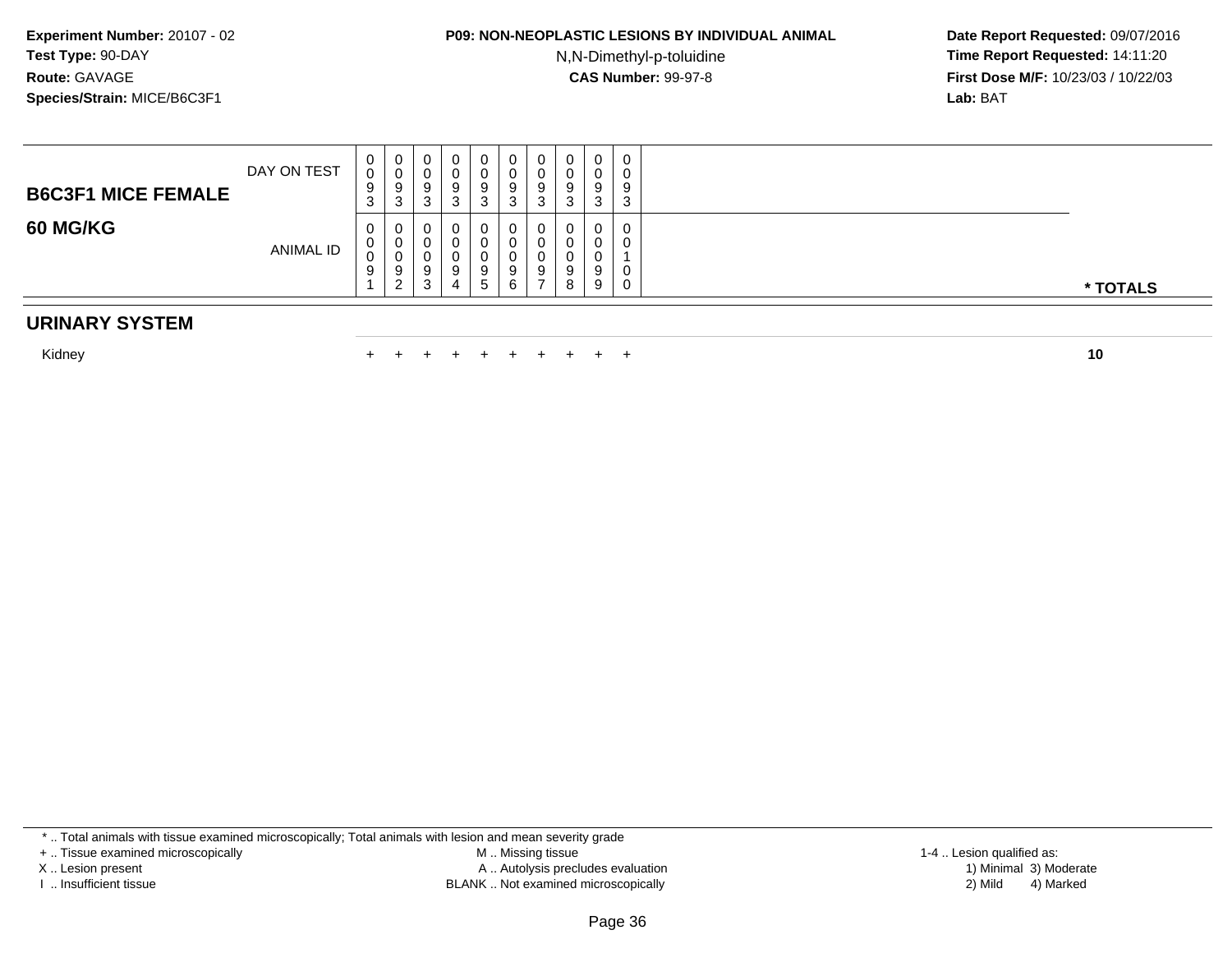# **P09: NON-NEOPLASTIC LESIONS BY INDIVIDUAL ANIMAL**

N,N-Dimethyl-p-toluidine

 **Date Report Requested:** 09/07/2016 **Time Report Requested:** 14:11:20 **First Dose M/F:** 10/23/03 / 10/22/03<br>**Lab:** BAT **Lab:** BAT

| <b>B6C3F1 MICE FEMALE</b> | DAY ON TEST      | $\mathbf{0}$<br>0<br>9<br>3            | 0<br>v<br>9<br>3      | 0<br>υ<br>Ο<br>ູ<br>n<br>ັ            | -0<br>w | 0<br>υ<br>د | U<br>9<br>J | U<br>9<br>3 | J | 0<br>v<br>$\Omega$<br>c<br>3 | v<br>റ<br>◠<br>ື |          |
|---------------------------|------------------|----------------------------------------|-----------------------|---------------------------------------|---------|-------------|-------------|-------------|---|------------------------------|------------------|----------|
| <b>60 MG/KG</b>           | <b>ANIMAL ID</b> | $\mathbf{0}$<br>$\mathbf{0}$<br>0<br>9 | U<br>U<br>◡<br>9<br>ົ | U<br>υ<br>υ<br>9<br><sup>o</sup><br>ັ | 4       | D.          | 9           | 0<br>9      |   | 0<br>u<br>a<br>c<br>9        |                  | * TOTALS |

#### **URINARY SYSTEM**

Kidney $\mathsf y$ 

<sup>+</sup> <sup>+</sup> <sup>+</sup> <sup>+</sup> <sup>+</sup> <sup>+</sup> <sup>+</sup> <sup>+</sup> <sup>+</sup> **<sup>10</sup>**

\* .. Total animals with tissue examined microscopically; Total animals with lesion and mean severity grade

+ .. Tissue examined microscopically

X .. Lesion present

I .. Insufficient tissue

 M .. Missing tissueA .. Autolysis precludes evaluation

1-4 .. Lesion qualified as:<br>1) Minimal 3) Moderate BLANK .. Not examined microscopically 2) Mild 4) Marked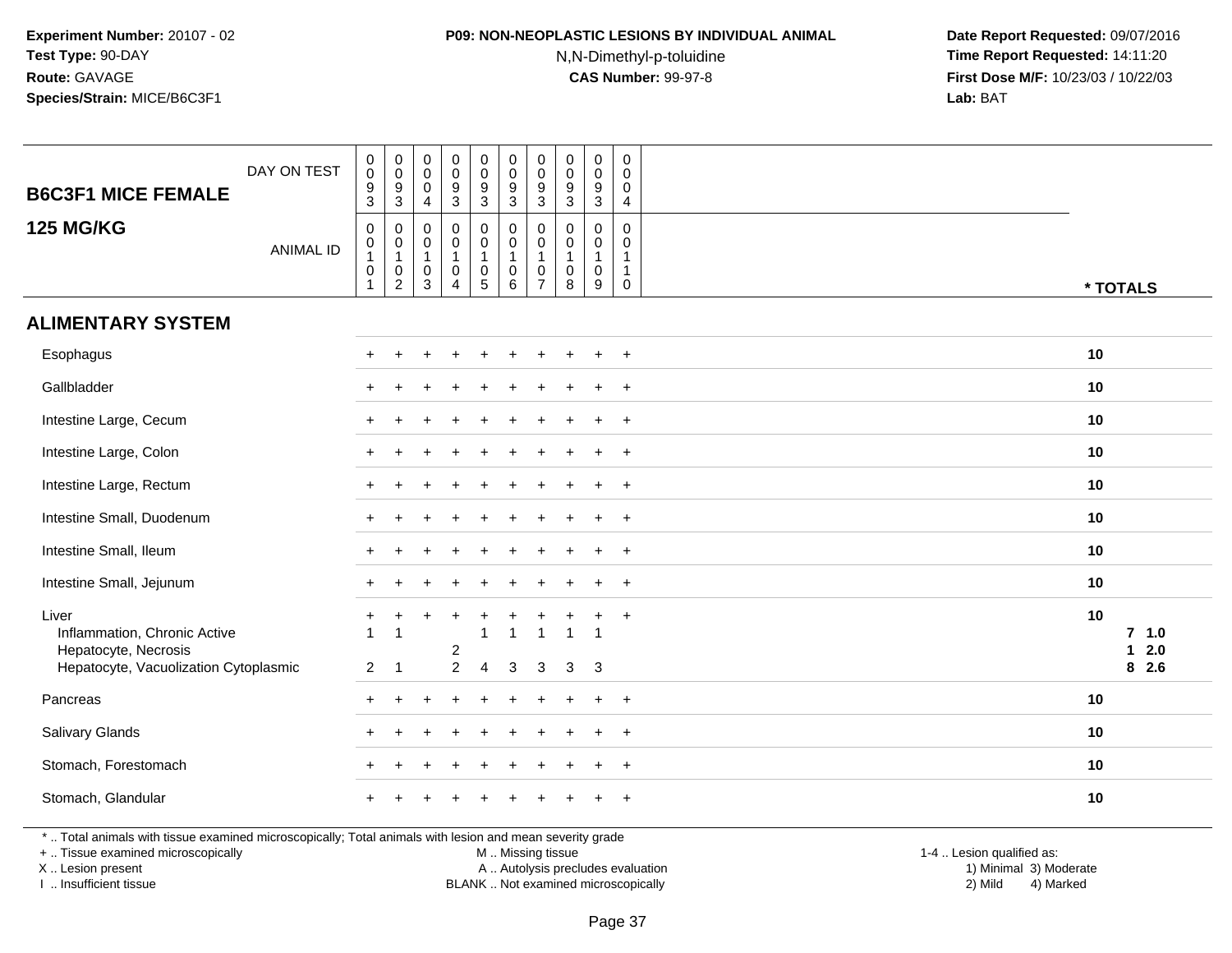## **P09: NON-NEOPLASTIC LESIONS BY INDIVIDUAL ANIMAL**

N,N-Dimethyl-p-toluidine

 **Date Report Requested:** 09/07/2016 **Time Report Requested:** 14:11:20 **First Dose M/F:** 10/23/03 / 10/22/03<br>**Lab:** BAT **Lab:** BAT

| <b>B6C3F1 MICE FEMALE</b>                                                                                | DAY ON TEST      | $\boldsymbol{0}$<br>$\mathsf{O}\xspace$<br>$\boldsymbol{9}$<br>$\sqrt{3}$ | $_{\rm 0}^{\rm 0}$<br>$\boldsymbol{9}$<br>$\mathbf{3}$ | $\pmb{0}$<br>$\mathbf 0$<br>0<br>4 | $_{\rm 0}^{\rm 0}$<br>$\boldsymbol{9}$<br>$\mathfrak{S}$ | $\pmb{0}$<br>$\mathbf 0$<br>$\boldsymbol{9}$<br>3                         | $\pmb{0}$<br>$\mathbf 0$<br>$\boldsymbol{9}$<br>$\ensuremath{\mathsf{3}}$ | $\pmb{0}$<br>$\mathbf 0$<br>9<br>3 | $\pmb{0}$<br>$\pmb{0}$<br>9<br>$\ensuremath{\mathsf{3}}$ | $\pmb{0}$<br>$\pmb{0}$<br>$\boldsymbol{9}$<br>$\mathbf{3}$ | $\mathbf 0$<br>$\mathbf 0$<br>$\mathbf 0$<br>$\overline{4}$ |                                                                                                                             |    |                                                |
|----------------------------------------------------------------------------------------------------------|------------------|---------------------------------------------------------------------------|--------------------------------------------------------|------------------------------------|----------------------------------------------------------|---------------------------------------------------------------------------|---------------------------------------------------------------------------|------------------------------------|----------------------------------------------------------|------------------------------------------------------------|-------------------------------------------------------------|-----------------------------------------------------------------------------------------------------------------------------|----|------------------------------------------------|
| <b>125 MG/KG</b>                                                                                         | <b>ANIMAL ID</b> | $\mathbf 0$<br>0<br>1<br>0<br>$\mathbf{1}$                                | 0<br>0<br>$\mathbf{1}$<br>0<br>$\overline{2}$          | 0<br>0<br>1<br>0<br>$\mathbf{3}$   | 0<br>0<br>$\pmb{0}$<br>$\overline{4}$                    | 0<br>$\mathsf{O}\xspace$<br>$\mathbf{1}$<br>$\mathbf 0$<br>$\overline{5}$ | $\mathbf 0$<br>$\mathbf 0$<br>$\mathbf{1}$<br>$\pmb{0}$<br>6              | $\Omega$<br>0<br>0<br>7            | $\Omega$<br>0<br>-1<br>0<br>8                            | $\mathbf 0$<br>0<br>0<br>9                                 | $\mathbf 0$<br>$\mathbf 0$<br>-1<br>$\mathbf{1}$<br>0       |                                                                                                                             |    | * TOTALS                                       |
| <b>ALIMENTARY SYSTEM</b>                                                                                 |                  |                                                                           |                                                        |                                    |                                                          |                                                                           |                                                                           |                                    |                                                          |                                                            |                                                             |                                                                                                                             |    |                                                |
| Esophagus                                                                                                |                  |                                                                           |                                                        |                                    |                                                          |                                                                           |                                                                           |                                    |                                                          | $\div$                                                     | $\ddot{}$                                                   |                                                                                                                             | 10 |                                                |
| Gallbladder                                                                                              |                  |                                                                           |                                                        |                                    |                                                          |                                                                           |                                                                           |                                    |                                                          | ÷                                                          | $^{+}$                                                      |                                                                                                                             | 10 |                                                |
| Intestine Large, Cecum                                                                                   |                  |                                                                           |                                                        |                                    |                                                          |                                                                           |                                                                           |                                    |                                                          |                                                            | $\overline{+}$                                              |                                                                                                                             | 10 |                                                |
| Intestine Large, Colon                                                                                   |                  |                                                                           |                                                        |                                    |                                                          |                                                                           |                                                                           |                                    |                                                          | $\pm$                                                      | $+$                                                         |                                                                                                                             | 10 |                                                |
| Intestine Large, Rectum                                                                                  |                  |                                                                           |                                                        |                                    |                                                          |                                                                           |                                                                           |                                    |                                                          | $\div$                                                     | $\overline{+}$                                              |                                                                                                                             | 10 |                                                |
| Intestine Small, Duodenum                                                                                |                  |                                                                           |                                                        |                                    |                                                          |                                                                           |                                                                           |                                    |                                                          | $\ddot{}$                                                  | $+$                                                         |                                                                                                                             | 10 |                                                |
| Intestine Small, Ileum                                                                                   |                  |                                                                           |                                                        |                                    |                                                          |                                                                           |                                                                           |                                    |                                                          | $\div$                                                     | $+$                                                         |                                                                                                                             | 10 |                                                |
| Intestine Small, Jejunum                                                                                 |                  |                                                                           |                                                        |                                    |                                                          |                                                                           |                                                                           |                                    |                                                          | $\ddot{}$                                                  | $+$                                                         |                                                                                                                             | 10 |                                                |
| Liver<br>Inflammation, Chronic Active<br>Hepatocyte, Necrosis<br>Hepatocyte, Vacuolization Cytoplasmic   |                  | -1<br>$\overline{2}$                                                      | -1<br>$\overline{1}$                                   |                                    | $\overline{c}$<br>$\overline{2}$                         | 1<br>$\overline{4}$                                                       | $\overline{1}$<br>3                                                       | 1<br>3                             | 3                                                        | $\div$<br>-1<br>3                                          | $+$                                                         |                                                                                                                             | 10 | $7$ 1.0<br>2.0<br>$\blacktriangleleft$<br>82.6 |
| Pancreas                                                                                                 |                  |                                                                           |                                                        |                                    |                                                          |                                                                           |                                                                           |                                    |                                                          |                                                            | $\ddot{}$                                                   |                                                                                                                             | 10 |                                                |
| Salivary Glands                                                                                          |                  |                                                                           |                                                        |                                    |                                                          |                                                                           |                                                                           |                                    |                                                          | $\pm$                                                      | $+$                                                         |                                                                                                                             | 10 |                                                |
| Stomach, Forestomach                                                                                     |                  |                                                                           |                                                        |                                    |                                                          |                                                                           |                                                                           |                                    |                                                          |                                                            | $+$                                                         |                                                                                                                             | 10 |                                                |
| Stomach, Glandular                                                                                       |                  |                                                                           |                                                        |                                    |                                                          |                                                                           |                                                                           |                                    |                                                          | $\div$                                                     | $+$                                                         |                                                                                                                             | 10 |                                                |
| *  Total animals with tissue examined microscopically; Total animals with lesion and mean severity grade |                  |                                                                           |                                                        |                                    |                                                          |                                                                           |                                                                           |                                    |                                                          |                                                            |                                                             | the contract of the contract of the contract of the contract of the contract of the contract of the contract of<br>$\cdots$ |    |                                                |

+ .. Tissue examined microscopically

X .. Lesion present

I .. Insufficient tissue

M .. Missing tissue

Lesion present A .. Autolysis precludes evaluation 1) Minimal 3) Moderate

 1-4 .. Lesion qualified as: BLANK .. Not examined microscopically 2) Mild 4) Marked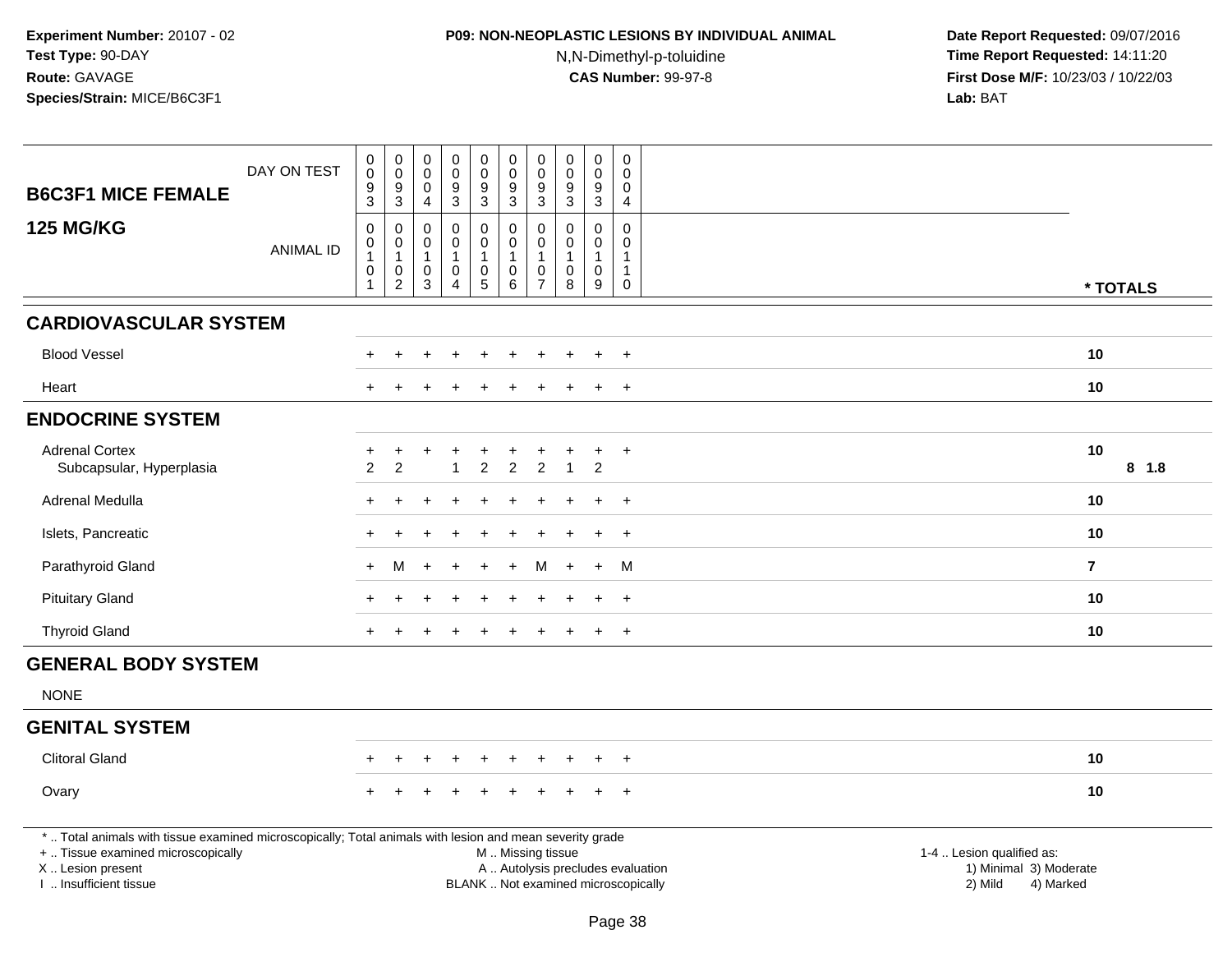## **P09: NON-NEOPLASTIC LESIONS BY INDIVIDUAL ANIMAL**

N,N-Dimethyl-p-toluidine

| <b>B6C3F1 MICE FEMALE</b>                                                                                                                                                                     | DAY ON TEST      | $\mathbf 0$<br>$\mathbf 0$<br>$\overline{9}$<br>3         | $\pmb{0}$<br>$\mathsf{O}\xspace$<br>9<br>$\mathbf{3}$         | $\mathbf 0$<br>$\mathbf 0$<br>$\mathbf 0$<br>$\overline{4}$     | 0<br>$\mathbf 0$<br>$\boldsymbol{9}$<br>$\mathbf{3}$    | $\pmb{0}$<br>$\mathsf{O}\xspace$<br>9<br>$\mathbf{3}$                 | $\mathbf 0$<br>$\mathbf 0$<br>9<br>$\mathbf{3}$ | $\pmb{0}$<br>0<br>9<br>3                                             | $\pmb{0}$<br>$\mathsf{O}\xspace$<br>$\overline{9}$<br>$\mathbf{3}$ | $\mathbf 0$<br>$\mathbf 0$<br>9<br>$\mathbf{3}$      | $\mathsf{O}\xspace$<br>$\Omega$<br>0<br>$\overline{4}$                     |                                                                                                                                                         |         |
|-----------------------------------------------------------------------------------------------------------------------------------------------------------------------------------------------|------------------|-----------------------------------------------------------|---------------------------------------------------------------|-----------------------------------------------------------------|---------------------------------------------------------|-----------------------------------------------------------------------|-------------------------------------------------|----------------------------------------------------------------------|--------------------------------------------------------------------|------------------------------------------------------|----------------------------------------------------------------------------|---------------------------------------------------------------------------------------------------------------------------------------------------------|---------|
| <b>125 MG/KG</b>                                                                                                                                                                              | <b>ANIMAL ID</b> | $\mathbf 0$<br>$\boldsymbol{0}$<br>$\mathbf{1}$<br>0<br>1 | $\mathbf 0$<br>$\,0\,$<br>$\mathbf{1}$<br>0<br>$\overline{2}$ | $\mathbf 0$<br>$\mathbf 0$<br>$\mathbf{1}$<br>0<br>$\mathbf{3}$ | 0<br>$\pmb{0}$<br>$\overline{1}$<br>0<br>$\overline{4}$ | $\mathbf 0$<br>$\pmb{0}$<br>$\mathbf{1}$<br>$\mathbf 0$<br>$\sqrt{5}$ | $\Omega$<br>0<br>1<br>0<br>6                    | $\Omega$<br>$\Omega$<br>$\overline{1}$<br>$\Omega$<br>$\overline{7}$ | $\Omega$<br>$\mathbf 0$<br>$\mathbf{1}$<br>$\mathbf 0$<br>8        | $\mathbf 0$<br>$\mathbf 0$<br>$\mathbf{1}$<br>0<br>9 | $\Omega$<br>$\mathbf 0$<br>$\overline{1}$<br>$\overline{1}$<br>$\mathbf 0$ | * TOTALS                                                                                                                                                |         |
| <b>CARDIOVASCULAR SYSTEM</b>                                                                                                                                                                  |                  |                                                           |                                                               |                                                                 |                                                         |                                                                       |                                                 |                                                                      |                                                                    |                                                      |                                                                            |                                                                                                                                                         |         |
| <b>Blood Vessel</b>                                                                                                                                                                           |                  |                                                           |                                                               |                                                                 |                                                         |                                                                       |                                                 |                                                                      |                                                                    | $\ddot{}$                                            | $\overline{+}$                                                             | 10                                                                                                                                                      |         |
| Heart                                                                                                                                                                                         |                  |                                                           |                                                               |                                                                 |                                                         |                                                                       |                                                 |                                                                      |                                                                    |                                                      | $\ddot{}$                                                                  | 10                                                                                                                                                      |         |
| <b>ENDOCRINE SYSTEM</b>                                                                                                                                                                       |                  |                                                           |                                                               |                                                                 |                                                         |                                                                       |                                                 |                                                                      |                                                                    |                                                      |                                                                            |                                                                                                                                                         |         |
| <b>Adrenal Cortex</b><br>Subcapsular, Hyperplasia                                                                                                                                             |                  | +<br>$\overline{c}$                                       | ÷<br>$\overline{c}$                                           | $\div$                                                          | +                                                       | $\overline{c}$                                                        | $\overline{2}$                                  | $\overline{c}$                                                       | $\overline{1}$                                                     | +<br>$\overline{c}$                                  | $+$                                                                        | 10                                                                                                                                                      | $8$ 1.8 |
| Adrenal Medulla                                                                                                                                                                               |                  | $\div$                                                    |                                                               |                                                                 |                                                         |                                                                       |                                                 |                                                                      |                                                                    | ÷.                                                   | $\overline{+}$                                                             | 10                                                                                                                                                      |         |
| Islets, Pancreatic                                                                                                                                                                            |                  | $\ddot{}$                                                 |                                                               |                                                                 |                                                         |                                                                       |                                                 |                                                                      |                                                                    | $\ddot{}$                                            | $+$                                                                        | 10                                                                                                                                                      |         |
| Parathyroid Gland                                                                                                                                                                             |                  | $\ddot{}$                                                 | M                                                             |                                                                 |                                                         |                                                                       |                                                 |                                                                      |                                                                    | $\ddot{}$                                            | M                                                                          | $\overline{7}$                                                                                                                                          |         |
| <b>Pituitary Gland</b>                                                                                                                                                                        |                  |                                                           |                                                               |                                                                 |                                                         |                                                                       |                                                 |                                                                      |                                                                    |                                                      | $+$                                                                        | 10                                                                                                                                                      |         |
| <b>Thyroid Gland</b>                                                                                                                                                                          |                  | $\ddot{}$                                                 |                                                               |                                                                 |                                                         |                                                                       |                                                 |                                                                      |                                                                    | $\ddot{}$                                            | $+$                                                                        | 10                                                                                                                                                      |         |
| <b>GENERAL BODY SYSTEM</b>                                                                                                                                                                    |                  |                                                           |                                                               |                                                                 |                                                         |                                                                       |                                                 |                                                                      |                                                                    |                                                      |                                                                            |                                                                                                                                                         |         |
| <b>NONE</b>                                                                                                                                                                                   |                  |                                                           |                                                               |                                                                 |                                                         |                                                                       |                                                 |                                                                      |                                                                    |                                                      |                                                                            |                                                                                                                                                         |         |
| <b>GENITAL SYSTEM</b>                                                                                                                                                                         |                  |                                                           |                                                               |                                                                 |                                                         |                                                                       |                                                 |                                                                      |                                                                    |                                                      |                                                                            |                                                                                                                                                         |         |
| <b>Clitoral Gland</b>                                                                                                                                                                         |                  |                                                           |                                                               |                                                                 |                                                         |                                                                       |                                                 |                                                                      |                                                                    |                                                      | $\ddot{}$                                                                  | 10                                                                                                                                                      |         |
| Ovary                                                                                                                                                                                         |                  |                                                           |                                                               |                                                                 |                                                         |                                                                       |                                                 |                                                                      |                                                                    |                                                      | $+$                                                                        | 10                                                                                                                                                      |         |
| *  Total animals with tissue examined microscopically; Total animals with lesion and mean severity grade<br>+  Tissue examined microscopically<br>X  Lesion present<br>I  Insufficient tissue |                  |                                                           |                                                               |                                                                 |                                                         |                                                                       | M  Missing tissue                               |                                                                      |                                                                    |                                                      |                                                                            | 1-4  Lesion qualified as:<br>A  Autolysis precludes evaluation<br>1) Minimal 3) Moderate<br>BLANK  Not examined microscopically<br>2) Mild<br>4) Marked |         |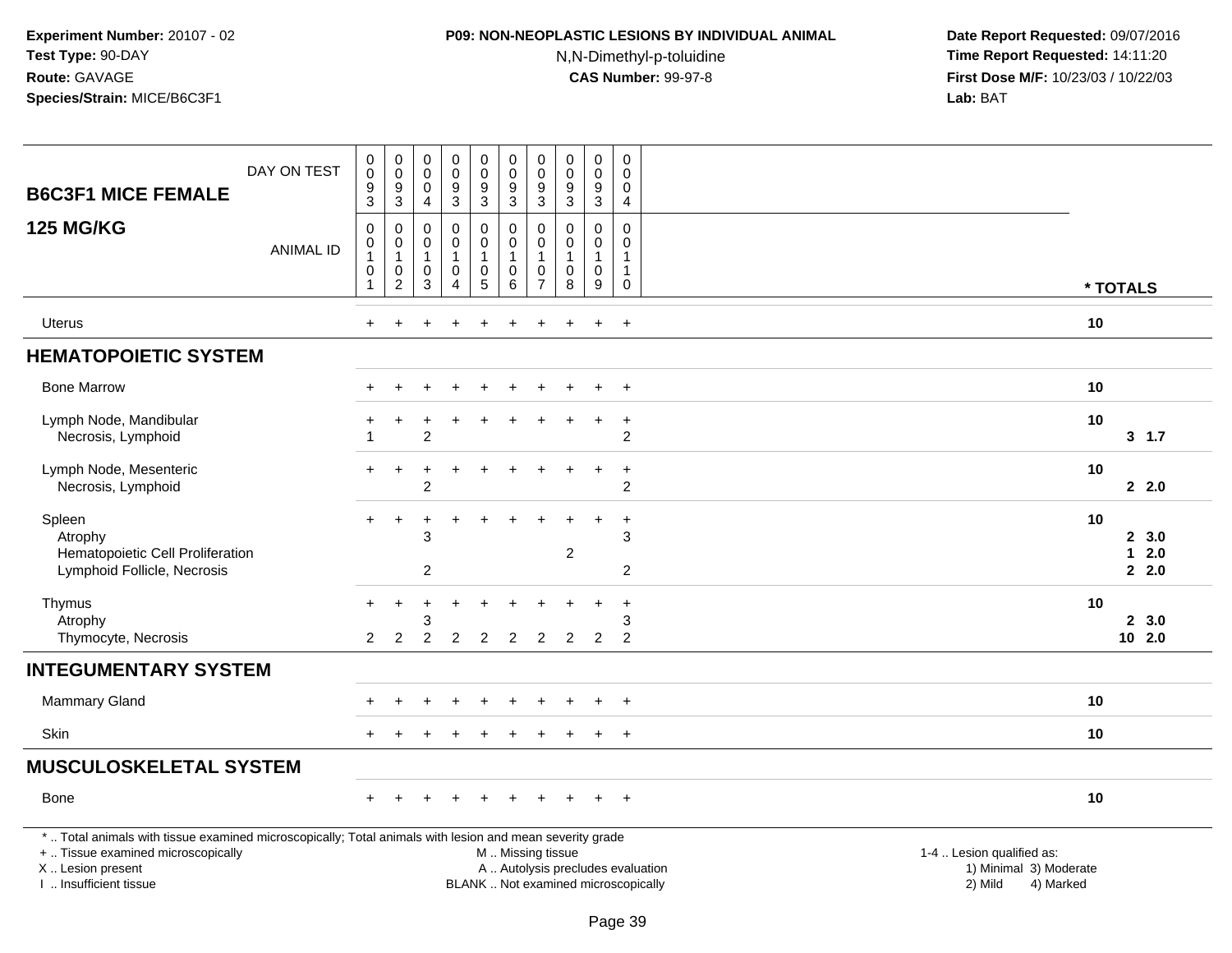## **P09: NON-NEOPLASTIC LESIONS BY INDIVIDUAL ANIMAL**

N,N-Dimethyl-p-toluidine

| <b>B6C3F1 MICE FEMALE</b>                                                                                                                                                                     | DAY ON TEST      | $\pmb{0}$<br>$\mathsf 0$<br>$\boldsymbol{9}$<br>3                                          | $_{\rm 0}^{\rm 0}$<br>$\boldsymbol{9}$<br>$\sqrt{3}$                      | $\pmb{0}$<br>0<br>$\mathbf 0$<br>$\overline{4}$    | $_{\rm 0}^{\rm 0}$<br>$\overline{9}$<br>3               | $\pmb{0}$<br>$\mathbf 0$<br>$\overline{9}$<br>3               | $\pmb{0}$<br>$\mathbf 0$<br>$\boldsymbol{9}$<br>$\mathbf{3}$ | $\pmb{0}$<br>$\mathbf 0$<br>$\boldsymbol{9}$<br>$\mathbf{3}$     | $\mathsf 0$<br>0<br>$\boldsymbol{9}$<br>3                   | $\pmb{0}$<br>0<br>$\boldsymbol{9}$<br>3 | $\mathsf 0$<br>$\mathbf 0$<br>$\mathbf 0$<br>$\overline{4}$               |                                                                                                                                                         |                         |
|-----------------------------------------------------------------------------------------------------------------------------------------------------------------------------------------------|------------------|--------------------------------------------------------------------------------------------|---------------------------------------------------------------------------|----------------------------------------------------|---------------------------------------------------------|---------------------------------------------------------------|--------------------------------------------------------------|------------------------------------------------------------------|-------------------------------------------------------------|-----------------------------------------|---------------------------------------------------------------------------|---------------------------------------------------------------------------------------------------------------------------------------------------------|-------------------------|
| <b>125 MG/KG</b>                                                                                                                                                                              | <b>ANIMAL ID</b> | $\mathbf 0$<br>$\begin{smallmatrix}0\\1\end{smallmatrix}$<br>$\mathbf 0$<br>$\overline{1}$ | $\mathbf 0$<br>$\pmb{0}$<br>$\mathbf{1}$<br>$\mathbf 0$<br>$\overline{c}$ | $\mathbf 0$<br>$\pmb{0}$<br>$\mathbf{1}$<br>0<br>3 | $\mathbf 0$<br>0<br>$\mathbf{1}$<br>0<br>$\overline{4}$ | 0<br>$\pmb{0}$<br>$\mathbf{1}$<br>$\pmb{0}$<br>$\overline{5}$ | $\mathbf 0$<br>$\pmb{0}$<br>$\overline{1}$<br>$\pmb{0}$<br>6 | $\Omega$<br>0<br>$\overline{1}$<br>$\mathbf 0$<br>$\overline{7}$ | $\Omega$<br>$\mathbf 0$<br>$\mathbf{1}$<br>$\mathbf 0$<br>8 | 0<br>0<br>$\mathbf{1}$<br>0<br>9        | $\mathbf 0$<br>$\mathbf 0$<br>$\mathbf{1}$<br>$\mathbf{1}$<br>$\mathbf 0$ | * TOTALS                                                                                                                                                |                         |
| Uterus                                                                                                                                                                                        |                  | $\ddot{}$                                                                                  | $\ddot{}$                                                                 |                                                    | $\ddot{}$                                               | $\ddot{}$                                                     | $\ddot{}$                                                    | +                                                                | $\ddot{}$                                                   | $\ddot{}$                               | $+$                                                                       | 10                                                                                                                                                      |                         |
| <b>HEMATOPOIETIC SYSTEM</b>                                                                                                                                                                   |                  |                                                                                            |                                                                           |                                                    |                                                         |                                                               |                                                              |                                                                  |                                                             |                                         |                                                                           |                                                                                                                                                         |                         |
| <b>Bone Marrow</b>                                                                                                                                                                            |                  |                                                                                            |                                                                           |                                                    |                                                         |                                                               |                                                              |                                                                  |                                                             |                                         | $\ddot{}$                                                                 | 10                                                                                                                                                      |                         |
| Lymph Node, Mandibular<br>Necrosis, Lymphoid                                                                                                                                                  |                  | $\overline{ }$                                                                             | $\div$                                                                    | $\overline{2}$                                     |                                                         |                                                               |                                                              |                                                                  |                                                             | $\ddot{}$                               | $\ddot{}$<br>$\overline{c}$                                               | 10                                                                                                                                                      | 3, 1.7                  |
| Lymph Node, Mesenteric<br>Necrosis, Lymphoid                                                                                                                                                  |                  |                                                                                            |                                                                           | $\overline{c}$                                     |                                                         |                                                               |                                                              |                                                                  |                                                             | $\ddot{}$                               | $\ddot{}$<br>$\overline{c}$                                               | 10                                                                                                                                                      | 2.0                     |
| Spleen<br>Atrophy<br>Hematopoietic Cell Proliferation<br>Lymphoid Follicle, Necrosis                                                                                                          |                  | $+$                                                                                        | $\ddot{}$                                                                 | 3<br>$\overline{c}$                                |                                                         |                                                               |                                                              |                                                                  | $\overline{c}$                                              | $\ddot{}$                               | $\ddot{}$<br>3<br>$\overline{c}$                                          | 10                                                                                                                                                      | 2, 3.0<br>$12.0$<br>2.0 |
| Thymus<br>Atrophy<br>Thymocyte, Necrosis                                                                                                                                                      |                  | $\pm$<br>2                                                                                 | $\ddot{}$<br>2                                                            | 2                                                  | 2                                                       | $\overline{2}$                                                | 2                                                            | 2                                                                | 2                                                           | ÷<br>2                                  | $\ddot{}$<br>3<br>2                                                       | 10                                                                                                                                                      | 2, 3.0<br>102.0         |
| <b>INTEGUMENTARY SYSTEM</b>                                                                                                                                                                   |                  |                                                                                            |                                                                           |                                                    |                                                         |                                                               |                                                              |                                                                  |                                                             |                                         |                                                                           |                                                                                                                                                         |                         |
| <b>Mammary Gland</b>                                                                                                                                                                          |                  |                                                                                            |                                                                           |                                                    |                                                         |                                                               |                                                              |                                                                  |                                                             |                                         | $\overline{+}$                                                            | 10                                                                                                                                                      |                         |
| Skin                                                                                                                                                                                          |                  |                                                                                            |                                                                           |                                                    |                                                         |                                                               |                                                              |                                                                  |                                                             |                                         | $+$                                                                       | 10                                                                                                                                                      |                         |
| <b>MUSCULOSKELETAL SYSTEM</b>                                                                                                                                                                 |                  |                                                                                            |                                                                           |                                                    |                                                         |                                                               |                                                              |                                                                  |                                                             |                                         |                                                                           |                                                                                                                                                         |                         |
| Bone                                                                                                                                                                                          |                  |                                                                                            |                                                                           |                                                    |                                                         |                                                               |                                                              |                                                                  |                                                             |                                         | $\ddot{}$                                                                 | 10                                                                                                                                                      |                         |
| *  Total animals with tissue examined microscopically; Total animals with lesion and mean severity grade<br>+  Tissue examined microscopically<br>X  Lesion present<br>I. Insufficient tissue |                  |                                                                                            |                                                                           |                                                    |                                                         |                                                               | M  Missing tissue                                            |                                                                  |                                                             |                                         |                                                                           | 1-4  Lesion qualified as:<br>1) Minimal 3) Moderate<br>A  Autolysis precludes evaluation<br>BLANK  Not examined microscopically<br>2) Mild<br>4) Marked |                         |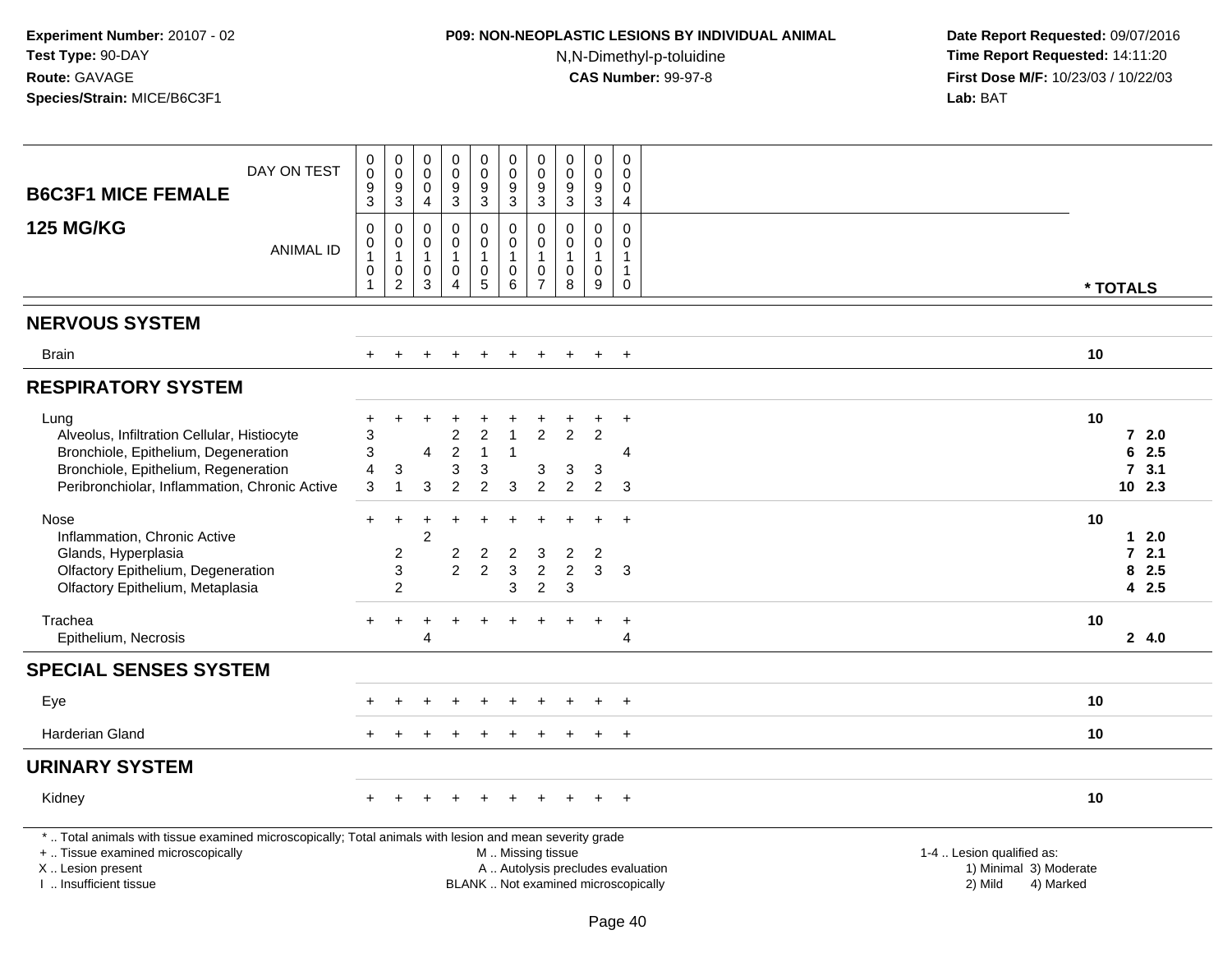## **P09: NON-NEOPLASTIC LESIONS BY INDIVIDUAL ANIMAL**

N,N-Dimethyl-p-toluidine

| DAY ON TEST                                                                                              | $\pmb{0}$<br>$\pmb{0}$<br>$\boldsymbol{9}$                  | $_{\rm 0}^{\rm 0}$<br>$\boldsymbol{9}$                    | $\mathbf 0$<br>$\mathbf 0$<br>$\mathbf 0$                         | $\pmb{0}$<br>$\mathbf 0$<br>$9\,$                                 | $\pmb{0}$<br>$\mathbf 0$<br>9    | $\pmb{0}$<br>$\mathsf{O}\xspace$<br>$\boldsymbol{9}$       | $\pmb{0}$<br>$\mathbf 0$<br>9                         | $\pmb{0}$<br>0<br>$\boldsymbol{9}$         | $\mathsf 0$<br>$\mathbf 0$<br>$\boldsymbol{9}$                 | $\mathbf 0$<br>$\Omega$<br>$\Omega$                   |                                                                          |                                                |          |
|----------------------------------------------------------------------------------------------------------|-------------------------------------------------------------|-----------------------------------------------------------|-------------------------------------------------------------------|-------------------------------------------------------------------|----------------------------------|------------------------------------------------------------|-------------------------------------------------------|--------------------------------------------|----------------------------------------------------------------|-------------------------------------------------------|--------------------------------------------------------------------------|------------------------------------------------|----------|
| <b>B6C3F1 MICE FEMALE</b>                                                                                | $\mathfrak{Z}$                                              | $\mathbf{3}$                                              | $\overline{4}$                                                    | $\mathbf{3}$                                                      | 3                                | 3                                                          | 3                                                     | 3                                          | 3                                                              | 4                                                     |                                                                          |                                                |          |
| <b>125 MG/KG</b><br><b>ANIMAL ID</b>                                                                     | $\pmb{0}$<br>$\pmb{0}$<br>$\mathbf{1}$<br>0<br>$\mathbf{1}$ | 0<br>$\pmb{0}$<br>$\mathbf{1}$<br>$\pmb{0}$<br>$\sqrt{2}$ | $\mathbf 0$<br>$\mathbf 0$<br>$\overline{1}$<br>0<br>$\mathbf{3}$ | $\mathbf 0$<br>$\mathbf 0$<br>$\mathbf{1}$<br>0<br>$\overline{4}$ | 0<br>0<br>$\mathbf{1}$<br>0<br>5 | $\pmb{0}$<br>$\mathbf 0$<br>$\mathbf{1}$<br>$\pmb{0}$<br>6 | 0<br>$\pmb{0}$<br>$\mathbf{1}$<br>0<br>$\overline{7}$ | $\mathbf 0$<br>0<br>$\mathbf{1}$<br>0<br>8 | $\mathbf 0$<br>$\mathbf 0$<br>$\mathbf{1}$<br>$\mathbf 0$<br>9 | 0<br>0<br>$\mathbf{1}$<br>$\mathbf{1}$<br>$\mathbf 0$ |                                                                          |                                                | * TOTALS |
| <b>NERVOUS SYSTEM</b>                                                                                    |                                                             |                                                           |                                                                   |                                                                   |                                  |                                                            |                                                       |                                            |                                                                |                                                       |                                                                          |                                                |          |
| <b>Brain</b>                                                                                             |                                                             |                                                           |                                                                   |                                                                   |                                  |                                                            | $\pm$                                                 |                                            | $\pm$                                                          | $+$                                                   |                                                                          | 10                                             |          |
| <b>RESPIRATORY SYSTEM</b>                                                                                |                                                             |                                                           |                                                                   |                                                                   |                                  |                                                            |                                                       |                                            |                                                                |                                                       |                                                                          |                                                |          |
| Lung                                                                                                     | $\ddot{}$                                                   | ÷.                                                        |                                                                   |                                                                   |                                  |                                                            |                                                       |                                            |                                                                | $\overline{+}$                                        |                                                                          | 10                                             |          |
| Alveolus, Infiltration Cellular, Histiocyte                                                              | 3                                                           |                                                           |                                                                   | 2                                                                 | $\overline{2}$                   |                                                            | $\overline{2}$                                        | $\overline{2}$                             | 2                                                              |                                                       |                                                                          |                                                | 72.0     |
| Bronchiole, Epithelium, Degeneration                                                                     | 3                                                           |                                                           | 4                                                                 | $\overline{2}$                                                    | $\mathbf{1}$                     | $\overline{1}$                                             |                                                       |                                            |                                                                | 4                                                     |                                                                          |                                                | 6<br>2.5 |
| Bronchiole, Epithelium, Regeneration                                                                     | 4                                                           | 3                                                         |                                                                   | 3                                                                 | 3                                |                                                            | 3                                                     | 3                                          | 3                                                              |                                                       |                                                                          |                                                | 7, 3.1   |
| Peribronchiolar, Inflammation, Chronic Active                                                            | 3                                                           | -1                                                        | 3                                                                 | $\overline{2}$                                                    | $\overline{c}$                   | 3                                                          | $\overline{c}$                                        | $\overline{c}$                             | $\overline{c}$                                                 | 3                                                     |                                                                          |                                                | $10$ 2.3 |
| Nose                                                                                                     | $+$                                                         | $\ddot{}$                                                 | ÷                                                                 | $\div$                                                            | $\ddot{}$                        |                                                            |                                                       |                                            |                                                                | $+$                                                   |                                                                          | 10                                             |          |
| Inflammation, Chronic Active                                                                             |                                                             |                                                           | $\overline{c}$                                                    |                                                                   |                                  |                                                            |                                                       |                                            |                                                                |                                                       |                                                                          |                                                | 12.0     |
| Glands, Hyperplasia                                                                                      |                                                             | $\overline{c}$                                            |                                                                   | $\overline{\mathbf{c}}$                                           | $\boldsymbol{2}$                 | 2                                                          | 3                                                     | $\overline{c}$                             | $\overline{2}$                                                 |                                                       |                                                                          |                                                | $72.1$   |
| Olfactory Epithelium, Degeneration                                                                       |                                                             | $\mathbf{3}$                                              |                                                                   | $\overline{2}$                                                    | $\overline{2}$                   | 3                                                          | $\overline{c}$                                        | $\overline{2}$                             | 3                                                              | 3                                                     |                                                                          |                                                | 8<br>2.5 |
| Olfactory Epithelium, Metaplasia                                                                         |                                                             | $\overline{2}$                                            |                                                                   |                                                                   |                                  | 3                                                          | $\overline{2}$                                        | 3                                          |                                                                |                                                       |                                                                          |                                                | 4 2.5    |
| Trachea                                                                                                  | $+$                                                         | $\overline{+}$                                            | +                                                                 | ÷                                                                 | $\ddot{}$                        |                                                            | +                                                     | $\pm$                                      | $\ddot{}$                                                      | $+$                                                   |                                                                          | 10                                             |          |
| Epithelium, Necrosis                                                                                     |                                                             |                                                           | 4                                                                 |                                                                   |                                  |                                                            |                                                       |                                            |                                                                | 4                                                     |                                                                          |                                                | 24.0     |
| <b>SPECIAL SENSES SYSTEM</b>                                                                             |                                                             |                                                           |                                                                   |                                                                   |                                  |                                                            |                                                       |                                            |                                                                |                                                       |                                                                          |                                                |          |
| Eye                                                                                                      |                                                             |                                                           |                                                                   |                                                                   |                                  |                                                            |                                                       |                                            |                                                                | $+$                                                   |                                                                          | 10                                             |          |
| Harderian Gland                                                                                          |                                                             |                                                           |                                                                   |                                                                   |                                  |                                                            |                                                       |                                            |                                                                | $+$                                                   |                                                                          | 10                                             |          |
| <b>URINARY SYSTEM</b>                                                                                    |                                                             |                                                           |                                                                   |                                                                   |                                  |                                                            |                                                       |                                            |                                                                |                                                       |                                                                          |                                                |          |
| Kidney                                                                                                   |                                                             |                                                           |                                                                   |                                                                   |                                  |                                                            |                                                       |                                            |                                                                | $+$                                                   |                                                                          | 10                                             |          |
| *  Total animals with tissue examined microscopically; Total animals with lesion and mean severity grade |                                                             |                                                           |                                                                   |                                                                   |                                  |                                                            |                                                       |                                            |                                                                |                                                       |                                                                          |                                                |          |
| +  Tissue examined microscopically                                                                       |                                                             |                                                           |                                                                   |                                                                   |                                  | M  Missing tissue                                          |                                                       |                                            |                                                                |                                                       |                                                                          | 1-4  Lesion qualified as:                      |          |
| X  Lesion present<br>I. Insufficient tissue                                                              |                                                             |                                                           |                                                                   |                                                                   |                                  |                                                            |                                                       |                                            |                                                                |                                                       | A  Autolysis precludes evaluation<br>BLANK  Not examined microscopically | 1) Minimal 3) Moderate<br>2) Mild<br>4) Marked |          |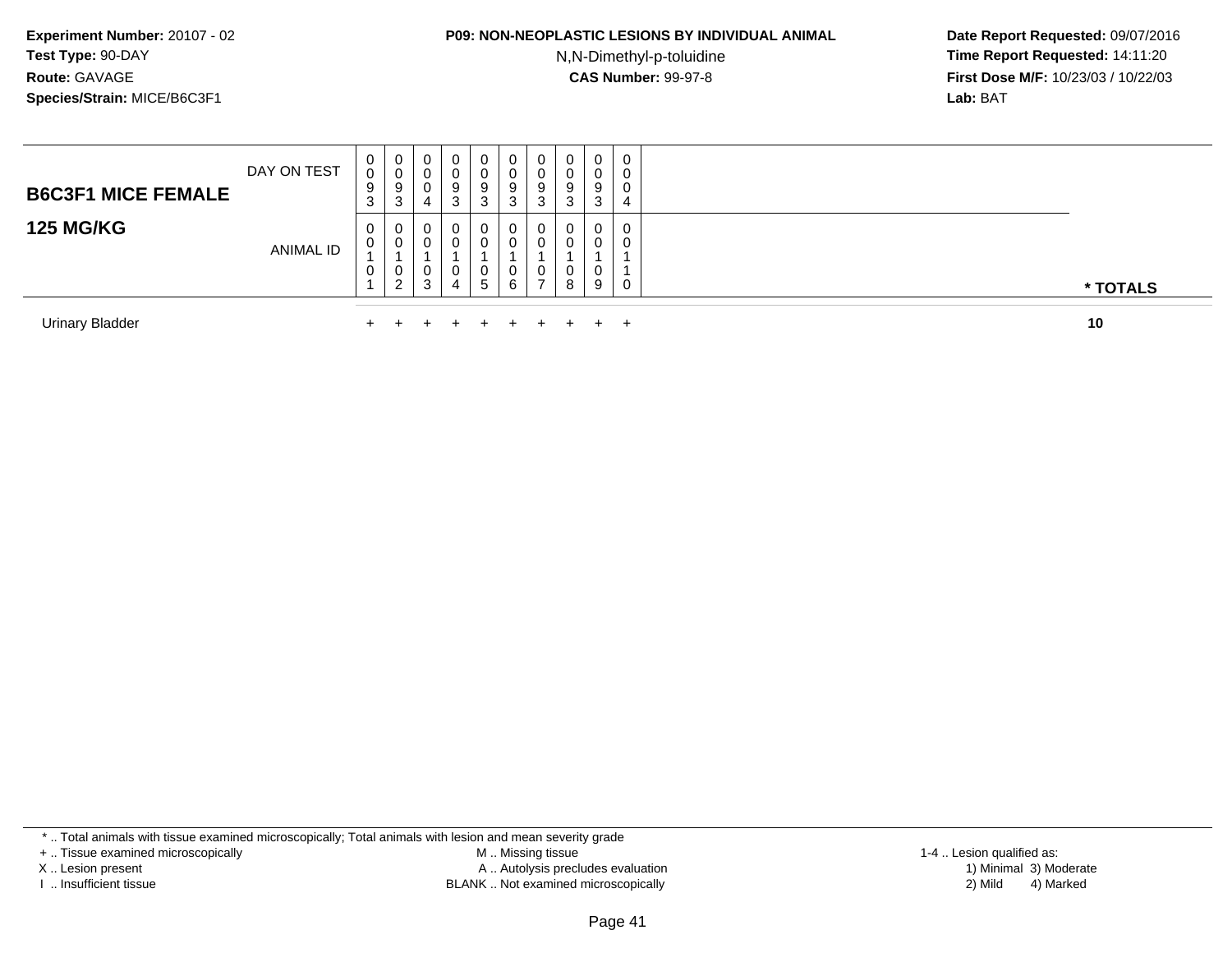#### **P09: NON-NEOPLASTIC LESIONS BY INDIVIDUAL ANIMAL**

N,N-Dimethyl-p-toluidine

 **Date Report Requested:** 09/07/2016 **Time Report Requested:** 14:11:20 **First Dose M/F:** 10/23/03 / 10/22/03<br>**Lab:** BAT **Lab:** BAT

| <b>B6C3F1 MICE FEMALE</b> | DAY ON TEST      | U<br>9<br>۰J | 0<br>υ<br>9<br>3      | U<br>U<br>4      | $\mathbf{0}$<br><b>U</b><br>9<br>3 | 0<br>9<br>ົ<br>J  | 0<br>U<br>9<br>J | 9 | 0<br>3      | 0<br>0<br>9<br>3 | 0<br>0<br>0<br>4      |          |
|---------------------------|------------------|--------------|-----------------------|------------------|------------------------------------|-------------------|------------------|---|-------------|------------------|-----------------------|----------|
| <b>125 MG/KG</b>          | <b>ANIMAL ID</b> | U<br>U<br>U  | 0<br>0<br>0<br>ົ<br>∠ | 0<br>U<br>U<br>3 | 0<br>0<br>0<br>4                   | 0<br>U<br>U<br>.5 | 0<br>U<br>0<br>6 | ◡ | 0<br>0<br>8 | 0<br>0<br>0<br>9 | 0<br>0<br>$\mathbf 0$ | * TOTALS |
| <b>Urinary Bladder</b>    |                  |              |                       |                  |                                    |                   |                  |   |             |                  |                       | 10       |

\* .. Total animals with tissue examined microscopically; Total animals with lesion and mean severity grade

+ .. Tissue examined microscopically

X .. Lesion present

I .. Insufficient tissue

 M .. Missing tissueA .. Autolysis precludes evaluation

BLANK .. Not examined microscopically 2) Mild 4) Marked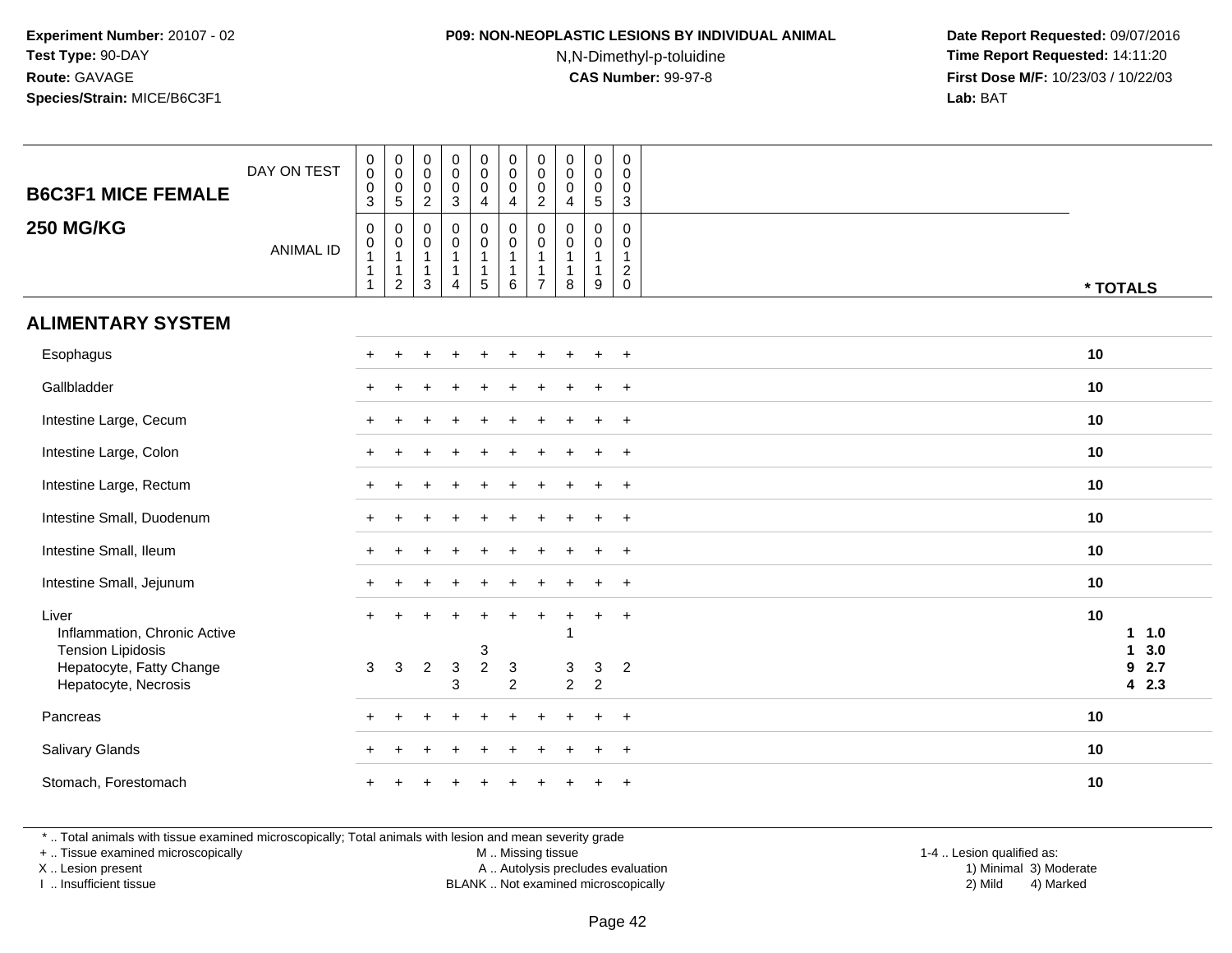## **P09: NON-NEOPLASTIC LESIONS BY INDIVIDUAL ANIMAL**

N,N-Dimethyl-p-toluidine

 **Date Report Requested:** 09/07/2016 **Time Report Requested:** 14:11:20 **First Dose M/F:** 10/23/03 / 10/22/03<br>**Lab:** BAT **Lab:** BAT

| <b>B6C3F1 MICE FEMALE</b>                                         | DAY ON TEST      | $\begin{smallmatrix} 0\\0 \end{smallmatrix}$<br>$\mathsf 0$<br>$\mathsf 3$ | $\begin{smallmatrix}0\\0\end{smallmatrix}$<br>$\mathbf 0$<br>$\,$ 5 $\,$ | $\pmb{0}$<br>$\boldsymbol{0}$<br>$\mathbf 0$<br>$\sqrt{2}$      | $\pmb{0}$<br>$\mathbf 0$<br>$\mathbf 0$<br>$\mathbf{3}$ | $\pmb{0}$<br>$\mathbf 0$<br>$\mathbf 0$<br>4                  | $\pmb{0}$<br>$\pmb{0}$<br>$\mathbf 0$<br>4       | $\begin{smallmatrix} 0\\0 \end{smallmatrix}$<br>$\pmb{0}$<br>$\overline{2}$ | $\pmb{0}$<br>$\pmb{0}$<br>$\mathbf 0$<br>$\overline{\mathbf{4}}$ | $\pmb{0}$<br>$\mathbf 0$<br>$\mathbf 0$<br>5         | $\pmb{0}$<br>$\mathsf{O}\xspace$<br>$\mathbf 0$<br>$\mathbf{3}$         |    |                   |
|-------------------------------------------------------------------|------------------|----------------------------------------------------------------------------|--------------------------------------------------------------------------|-----------------------------------------------------------------|---------------------------------------------------------|---------------------------------------------------------------|--------------------------------------------------|-----------------------------------------------------------------------------|------------------------------------------------------------------|------------------------------------------------------|-------------------------------------------------------------------------|----|-------------------|
| <b>250 MG/KG</b>                                                  | <b>ANIMAL ID</b> | $\mathbf 0$<br>$\pmb{0}$<br>$\mathbf{1}$<br>$\mathbf 1$<br>1               | 0<br>$\pmb{0}$<br>$\overline{1}$<br>$\overline{1}$<br>$\sqrt{2}$         | $\mathbf 0$<br>$\mathbf 0$<br>$\mathbf{1}$<br>$\mathbf{1}$<br>3 | 0<br>$\mathsf 0$<br>$\mathbf{1}$<br>$\mathbf{1}$<br>4   | 0<br>$\mathsf{O}\xspace$<br>$\mathbf{1}$<br>$\mathbf{1}$<br>5 | $\pmb{0}$<br>$\pmb{0}$<br>$\mathbf{1}$<br>1<br>6 | 0<br>$\mathbf 0$<br>$\mathbf{1}$<br>$\overline{1}$<br>$\overline{7}$        | $\mathbf 0$<br>$\mathbf 0$<br>$\mathbf{1}$<br>$\mathbf{1}$<br>8  | $\mathbf 0$<br>0<br>$\mathbf{1}$<br>$\mathbf 1$<br>9 | $\mathbf 0$<br>$\mathbf 0$<br>$\mathbf{1}$<br>$\sqrt{2}$<br>$\mathbf 0$ |    | * TOTALS          |
| <b>ALIMENTARY SYSTEM</b>                                          |                  |                                                                            |                                                                          |                                                                 |                                                         |                                                               |                                                  |                                                                             |                                                                  |                                                      |                                                                         |    |                   |
| Esophagus                                                         |                  |                                                                            |                                                                          |                                                                 |                                                         |                                                               |                                                  |                                                                             |                                                                  |                                                      | $+$                                                                     | 10 |                   |
| Gallbladder                                                       |                  |                                                                            |                                                                          |                                                                 |                                                         |                                                               |                                                  |                                                                             |                                                                  |                                                      | $\ddot{}$                                                               | 10 |                   |
| Intestine Large, Cecum                                            |                  |                                                                            |                                                                          |                                                                 |                                                         |                                                               |                                                  |                                                                             |                                                                  |                                                      | $\ddot{}$                                                               | 10 |                   |
| Intestine Large, Colon                                            |                  |                                                                            |                                                                          |                                                                 |                                                         |                                                               |                                                  |                                                                             |                                                                  | $\ddot{}$                                            | $+$                                                                     | 10 |                   |
| Intestine Large, Rectum                                           |                  |                                                                            |                                                                          |                                                                 |                                                         |                                                               |                                                  |                                                                             |                                                                  | $\ddot{}$                                            | $^{+}$                                                                  | 10 |                   |
| Intestine Small, Duodenum                                         |                  |                                                                            |                                                                          |                                                                 |                                                         |                                                               |                                                  |                                                                             |                                                                  | ÷                                                    | $^{+}$                                                                  | 10 |                   |
| Intestine Small, Ileum                                            |                  |                                                                            |                                                                          |                                                                 |                                                         |                                                               |                                                  |                                                                             |                                                                  |                                                      | $\overline{+}$                                                          | 10 |                   |
| Intestine Small, Jejunum                                          |                  | $\pm$                                                                      |                                                                          |                                                                 |                                                         |                                                               |                                                  |                                                                             |                                                                  | $\ddot{}$                                            | $+$                                                                     | 10 |                   |
| Liver<br>Inflammation, Chronic Active<br><b>Tension Lipidosis</b> |                  | $\pm$                                                                      |                                                                          |                                                                 |                                                         | $\ddot{}$<br>3                                                | $\ddot{}$                                        | $\ddot{}$                                                                   | $\ddot{}$                                                        | $\ddot{}$                                            | $+$                                                                     | 10 | 11.0<br>3.0<br>1  |
| Hepatocyte, Fatty Change<br>Hepatocyte, Necrosis                  |                  | 3                                                                          | 3                                                                        | $\overline{2}$                                                  | $\mathbf{3}$<br>3                                       | $\overline{2}$                                                | $\mathbf{3}$<br>$\overline{2}$                   |                                                                             | 3<br>$\overline{2}$                                              | $\ensuremath{\mathsf{3}}$<br>$\overline{2}$          | $\overline{2}$                                                          |    | 2.7<br>9<br>4 2.3 |
| Pancreas                                                          |                  |                                                                            |                                                                          |                                                                 |                                                         |                                                               |                                                  |                                                                             |                                                                  |                                                      | $\ddot{}$                                                               | 10 |                   |
| Salivary Glands                                                   |                  |                                                                            |                                                                          |                                                                 |                                                         |                                                               |                                                  |                                                                             |                                                                  |                                                      | $\ddot{}$                                                               | 10 |                   |
| Stomach, Forestomach                                              |                  |                                                                            |                                                                          |                                                                 |                                                         |                                                               |                                                  |                                                                             |                                                                  |                                                      |                                                                         | 10 |                   |

\* .. Total animals with tissue examined microscopically; Total animals with lesion and mean severity grade

+ .. Tissue examined microscopically

X .. Lesion present

I .. Insufficient tissue

M .. Missing tissue

Lesion present A .. Autolysis precludes evaluation 1) Minimal 3) Moderate

1-4 .. Lesion qualified as:<br>1) Minimal 3) Moderate BLANK .. Not examined microscopically 2) Mild 4) Marked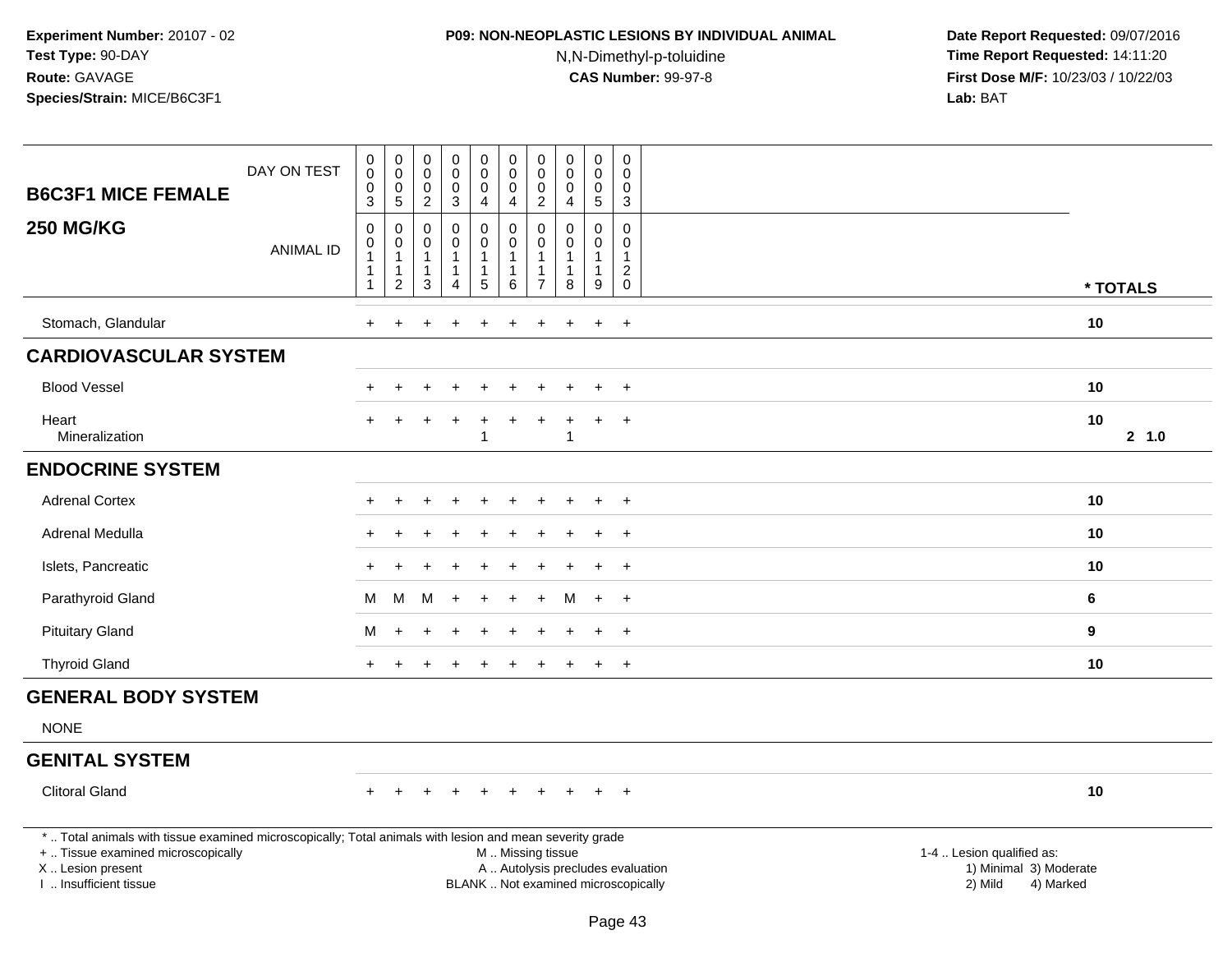# **P09: NON-NEOPLASTIC LESIONS BY INDIVIDUAL ANIMAL**

N,N-Dimethyl-p-toluidine

| <b>B6C3F1 MICE FEMALE</b>                                                                                                                                                                     | DAY ON TEST      | $\pmb{0}$<br>$\overline{0}$<br>$\boldsymbol{0}$          | 0<br>$\overline{0}$<br>$\,0\,$ | $_{\rm 0}^{\rm 0}$<br>$\pmb{0}$        | $_0^0$<br>$\pmb{0}$                   | 0<br>$\overline{0}$<br>$\mathsf{O}\xspace$ | $\pmb{0}$<br>$\overline{0}$<br>$\mathbf 0$                     | $\mathbf 0$<br>$\mathbf 0$<br>$\mathbf 0$ | $\pmb{0}$<br>$\mathbf 0$<br>$\pmb{0}$                | 0<br>$\tilde{0}$<br>$\pmb{0}$                    | $\mathbf 0$<br>$\mathbf 0$<br>$\mathsf 0$            |                                                                                                                                                         |        |
|-----------------------------------------------------------------------------------------------------------------------------------------------------------------------------------------------|------------------|----------------------------------------------------------|--------------------------------|----------------------------------------|---------------------------------------|--------------------------------------------|----------------------------------------------------------------|-------------------------------------------|------------------------------------------------------|--------------------------------------------------|------------------------------------------------------|---------------------------------------------------------------------------------------------------------------------------------------------------------|--------|
|                                                                                                                                                                                               |                  | 3                                                        | 5                              | $\overline{2}$                         | $\overline{3}$                        | $\overline{4}$                             | $\overline{4}$                                                 | $\overline{2}$                            | $\overline{4}$                                       | 5                                                | $\mathbf{3}$                                         |                                                                                                                                                         |        |
| <b>250 MG/KG</b>                                                                                                                                                                              | <b>ANIMAL ID</b> | $\pmb{0}$<br>$\pmb{0}$<br>$\overline{1}$<br>$\mathbf{1}$ | 0<br>0<br>1<br>1               | 0<br>0<br>$\mathbf{1}$<br>$\mathbf{1}$ | $\mathsf 0$<br>0<br>1<br>$\mathbf{1}$ | 0<br>$\mathbf 0$<br>1                      | $\mathbf 0$<br>$\mathbf 0$<br>$\overline{1}$<br>$\overline{1}$ | $\Omega$<br>$\Omega$<br>1                 | $\Omega$<br>$\Omega$<br>$\mathbf{1}$<br>$\mathbf{1}$ | 0<br>$\mathbf 0$<br>$\mathbf{1}$<br>$\mathbf{1}$ | $\pmb{0}$<br>$\Omega$<br>$\mathbf 1$<br>$^2_{\rm 0}$ |                                                                                                                                                         |        |
|                                                                                                                                                                                               |                  | $\mathbf{1}$                                             | $\overline{c}$                 | $\mathbf{3}$                           | 4                                     | $\overline{5}$                             | 6                                                              | $\overline{7}$                            | 8                                                    | 9                                                |                                                      | * TOTALS                                                                                                                                                |        |
| Stomach, Glandular                                                                                                                                                                            |                  | ÷.                                                       |                                |                                        |                                       |                                            |                                                                |                                           |                                                      | $\ddot{}$                                        | $\ddot{}$                                            | 10                                                                                                                                                      |        |
| <b>CARDIOVASCULAR SYSTEM</b>                                                                                                                                                                  |                  |                                                          |                                |                                        |                                       |                                            |                                                                |                                           |                                                      |                                                  |                                                      |                                                                                                                                                         |        |
| <b>Blood Vessel</b>                                                                                                                                                                           |                  |                                                          |                                |                                        |                                       |                                            |                                                                |                                           |                                                      |                                                  | $\overline{+}$                                       | 10                                                                                                                                                      |        |
| Heart<br>Mineralization                                                                                                                                                                       |                  |                                                          |                                |                                        |                                       |                                            |                                                                | ÷                                         | -1                                                   | $\div$                                           | $\overline{+}$                                       | 10                                                                                                                                                      | 2, 1.0 |
| <b>ENDOCRINE SYSTEM</b>                                                                                                                                                                       |                  |                                                          |                                |                                        |                                       |                                            |                                                                |                                           |                                                      |                                                  |                                                      |                                                                                                                                                         |        |
| <b>Adrenal Cortex</b>                                                                                                                                                                         |                  |                                                          | $\div$                         |                                        | $\ddot{}$                             | $\ddot{}$                                  |                                                                |                                           |                                                      | $\ddot{}$                                        | $\overline{+}$                                       | 10                                                                                                                                                      |        |
| Adrenal Medulla                                                                                                                                                                               |                  |                                                          |                                |                                        |                                       |                                            |                                                                |                                           |                                                      |                                                  | $\ddot{}$                                            | 10                                                                                                                                                      |        |
| Islets, Pancreatic                                                                                                                                                                            |                  |                                                          |                                |                                        |                                       |                                            |                                                                |                                           |                                                      |                                                  | $\div$                                               | 10                                                                                                                                                      |        |
| Parathyroid Gland                                                                                                                                                                             |                  | М                                                        | м                              | M                                      | $\overline{+}$                        | $\ddot{}$                                  |                                                                | $+$                                       | м                                                    | $+$                                              | $+$                                                  | 6                                                                                                                                                       |        |
| <b>Pituitary Gland</b>                                                                                                                                                                        |                  | М                                                        | $\ddot{}$                      |                                        | $\ddot{}$                             | ÷                                          |                                                                |                                           |                                                      | $\ddot{}$                                        | $+$                                                  | 9                                                                                                                                                       |        |
| <b>Thyroid Gland</b>                                                                                                                                                                          |                  |                                                          |                                |                                        |                                       |                                            |                                                                |                                           |                                                      |                                                  | $\overline{+}$                                       | 10                                                                                                                                                      |        |
| <b>GENERAL BODY SYSTEM</b>                                                                                                                                                                    |                  |                                                          |                                |                                        |                                       |                                            |                                                                |                                           |                                                      |                                                  |                                                      |                                                                                                                                                         |        |
| <b>NONE</b>                                                                                                                                                                                   |                  |                                                          |                                |                                        |                                       |                                            |                                                                |                                           |                                                      |                                                  |                                                      |                                                                                                                                                         |        |
| <b>GENITAL SYSTEM</b>                                                                                                                                                                         |                  |                                                          |                                |                                        |                                       |                                            |                                                                |                                           |                                                      |                                                  |                                                      |                                                                                                                                                         |        |
| <b>Clitoral Gland</b>                                                                                                                                                                         |                  | $+$                                                      |                                |                                        | $+$                                   | $+$                                        | $+$                                                            | $+$                                       | $+$                                                  | $+$                                              | $+$                                                  | 10                                                                                                                                                      |        |
| *  Total animals with tissue examined microscopically; Total animals with lesion and mean severity grade<br>+  Tissue examined microscopically<br>X  Lesion present<br>I  Insufficient tissue |                  |                                                          |                                |                                        |                                       |                                            | M  Missing tissue                                              |                                           |                                                      |                                                  |                                                      | 1-4  Lesion qualified as:<br>A  Autolysis precludes evaluation<br>1) Minimal 3) Moderate<br>BLANK  Not examined microscopically<br>2) Mild<br>4) Marked |        |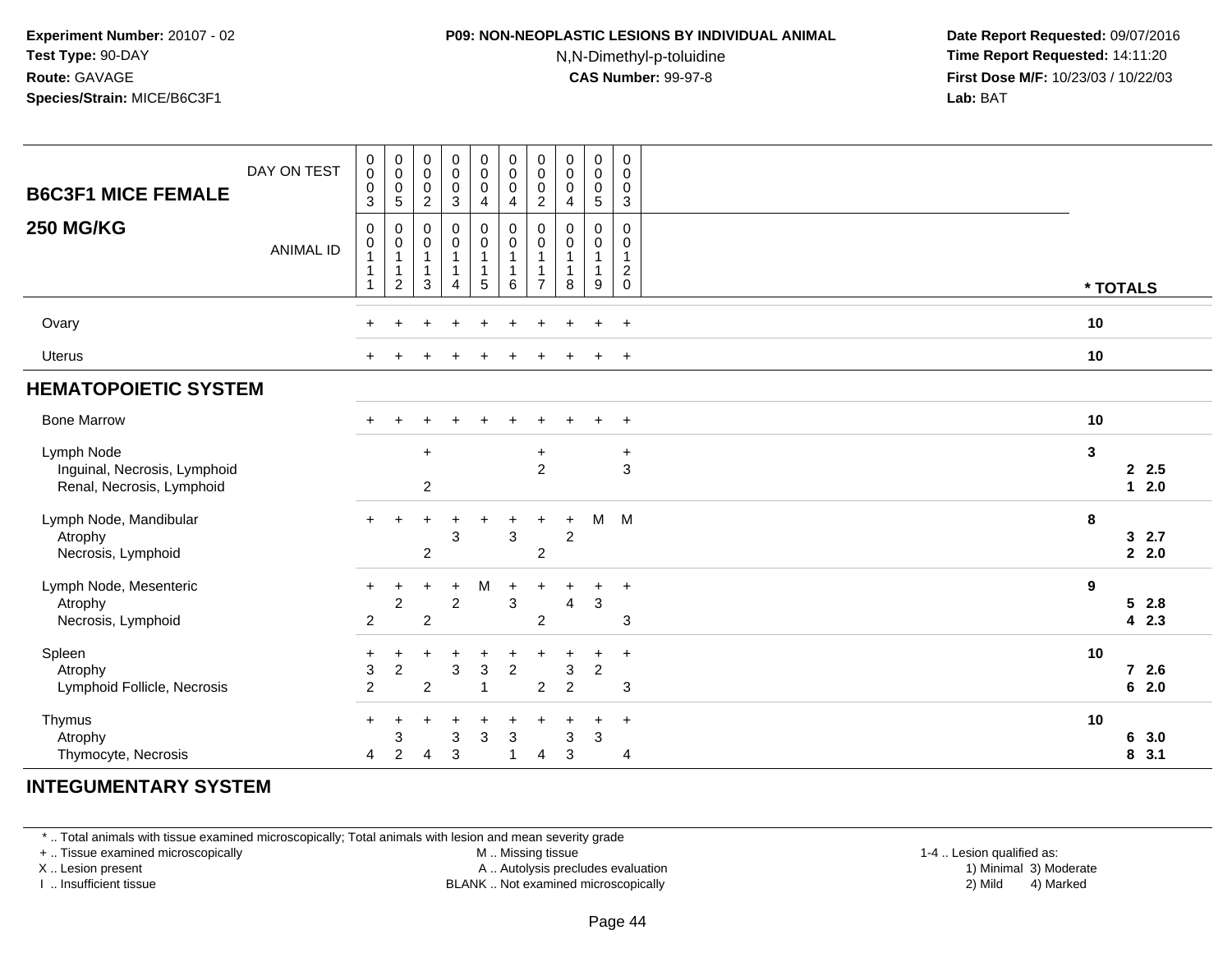#### **P09: NON-NEOPLASTIC LESIONS BY INDIVIDUAL ANIMAL**

N,N-Dimethyl-p-toluidine

 **Date Report Requested:** 09/07/2016 **Time Report Requested:** 14:11:20 **First Dose M/F:** 10/23/03 / 10/22/03<br>**Lab:** BAT **Lab:** BAT

| <b>B6C3F1 MICE FEMALE</b><br><b>250 MG/KG</b>                           | DAY ON TEST      | $\pmb{0}$<br>$\boldsymbol{0}$<br>0<br>3<br>0<br>0 | $\pmb{0}$<br>$\pmb{0}$<br>$\pmb{0}$<br>$\overline{5}$<br>0<br>0 | $\pmb{0}$<br>$\mathsf{O}\xspace$<br>$\mathbf 0$<br>$\overline{2}$<br>$\mathbf 0$<br>$\mathbf 0$ | $\pmb{0}$<br>$\mathbf 0$<br>$\pmb{0}$<br>3<br>$\pmb{0}$<br>$\pmb{0}$ | 0<br>$\mathbf 0$<br>$\pmb{0}$<br>4<br>$\pmb{0}$<br>$\pmb{0}$ | $\mathbf 0$<br>$\mathbf 0$<br>$\pmb{0}$<br>$\overline{4}$<br>$\pmb{0}$<br>$\pmb{0}$ | $\pmb{0}$<br>0<br>0<br>$\overline{c}$<br>0<br>0 | $\pmb{0}$<br>$\mathbf 0$<br>$\mathbf 0$<br>4<br>$\mathbf 0$<br>$\mathbf 0$ | $\pmb{0}$<br>$\pmb{0}$<br>$\pmb{0}$<br>$\sqrt{5}$<br>0<br>$\pmb{0}$ | $\pmb{0}$<br>$\pmb{0}$<br>$\pmb{0}$<br>$\mathbf{3}$<br>$\mathbf 0$<br>$\mathbf 0$ |          |                               |
|-------------------------------------------------------------------------|------------------|---------------------------------------------------|-----------------------------------------------------------------|-------------------------------------------------------------------------------------------------|----------------------------------------------------------------------|--------------------------------------------------------------|-------------------------------------------------------------------------------------|-------------------------------------------------|----------------------------------------------------------------------------|---------------------------------------------------------------------|-----------------------------------------------------------------------------------|----------|-------------------------------|
|                                                                         | <b>ANIMAL ID</b> | $\mathbf{1}$<br>$\mathbf 1$<br>$\mathbf{1}$       | $\mathbf{1}$<br>1<br>$\overline{2}$                             | $\mathbf{1}$<br>$\mathbf{1}$<br>3                                                               | $\mathbf{1}$<br>1<br>4                                               | $\mathbf{1}$<br>$\mathbf{1}$<br>5                            | $\mathbf{1}$<br>1<br>6                                                              | $\overline{7}$                                  | 1<br>1<br>8                                                                | $\mathbf{1}$<br>1<br>$\boldsymbol{9}$                               | $\mathbf{1}$<br>$\overline{c}$<br>$\mathbf 0$                                     | * TOTALS |                               |
| Ovary                                                                   |                  | ÷                                                 |                                                                 |                                                                                                 |                                                                      |                                                              |                                                                                     |                                                 |                                                                            | ÷                                                                   | $\ddot{}$                                                                         | 10       |                               |
| <b>Uterus</b>                                                           |                  |                                                   |                                                                 |                                                                                                 |                                                                      |                                                              |                                                                                     |                                                 |                                                                            |                                                                     | $\ddot{}$                                                                         | 10       |                               |
| <b>HEMATOPOIETIC SYSTEM</b>                                             |                  |                                                   |                                                                 |                                                                                                 |                                                                      |                                                              |                                                                                     |                                                 |                                                                            |                                                                     |                                                                                   |          |                               |
| <b>Bone Marrow</b>                                                      |                  | $+$                                               | $\ddot{}$                                                       | $\div$                                                                                          | $+$                                                                  | $\div$                                                       | $\ddot{}$                                                                           | $+$                                             | $\div$                                                                     | $+$                                                                 | $+$                                                                               | 10       |                               |
| Lymph Node<br>Inguinal, Necrosis, Lymphoid<br>Renal, Necrosis, Lymphoid |                  |                                                   |                                                                 | $+$<br>$\boldsymbol{2}$                                                                         |                                                                      |                                                              |                                                                                     | $\ddot{}$<br>$\overline{2}$                     |                                                                            |                                                                     | $\ddot{}$<br>$\overline{3}$                                                       | 3        | 2.5<br>$12.0$                 |
| Lymph Node, Mandibular<br>Atrophy<br>Necrosis, Lymphoid                 |                  | $+$                                               |                                                                 | $\overline{2}$                                                                                  | 3                                                                    |                                                              | 3                                                                                   | +<br>$\overline{2}$                             | $\ddot{}$<br>$\overline{2}$                                                | M                                                                   | M                                                                                 | 8        | 32.7<br>2, 2.0                |
| Lymph Node, Mesenteric<br>Atrophy<br>Necrosis, Lymphoid                 |                  | $+$<br>$\overline{c}$                             | +<br>$\overline{c}$                                             | $\overline{2}$                                                                                  | $\ddot{}$<br>$\overline{c}$                                          | M                                                            | $\ddot{}$<br>3                                                                      | $\overline{2}$                                  | 4                                                                          | $\ddot{}$<br>3                                                      | $\ddot{}$<br>3                                                                    | 9        | 52.8<br>4 2.3                 |
| Spleen<br>Atrophy<br>Lymphoid Follicle, Necrosis                        |                  | +<br>$\ensuremath{\mathsf{3}}$<br>$\overline{2}$  | ٠<br>$\overline{c}$                                             | 2                                                                                               | $\ddot{}$<br>3                                                       | 3<br>1                                                       | ÷<br>$\overline{2}$                                                                 | $\overline{2}$                                  | 3<br>$\overline{2}$                                                        | +<br>$\boldsymbol{2}$                                               | $\ddot{}$<br>3                                                                    | 10       | $\overline{7}$<br>2.6<br>62.0 |
| Thymus<br>Atrophy<br>Thymocyte, Necrosis                                |                  | $\ddot{}$<br>4                                    | 3<br>$\overline{2}$                                             | $\overline{4}$                                                                                  | ÷<br>3<br>3                                                          | 3                                                            | ÷<br>$\mathbf{3}$<br>$\overline{1}$                                                 | $\overline{4}$                                  | 3<br>3                                                                     | $\ddot{}$<br>$\sqrt{3}$                                             | $\ddot{}$<br>$\overline{4}$                                                       | 10       | 6<br>3.0<br>8, 3.1            |

### **INTEGUMENTARY SYSTEM**

\* .. Total animals with tissue examined microscopically; Total animals with lesion and mean severity grade

+ .. Tissue examined microscopically

X .. Lesion present

I .. Insufficient tissue

 M .. Missing tissueA .. Autolysis precludes evaluation

1-4 .. Lesion qualified as:<br>1) Minimal 3) Moderate BLANK .. Not examined microscopically 2) Mild 4) Marked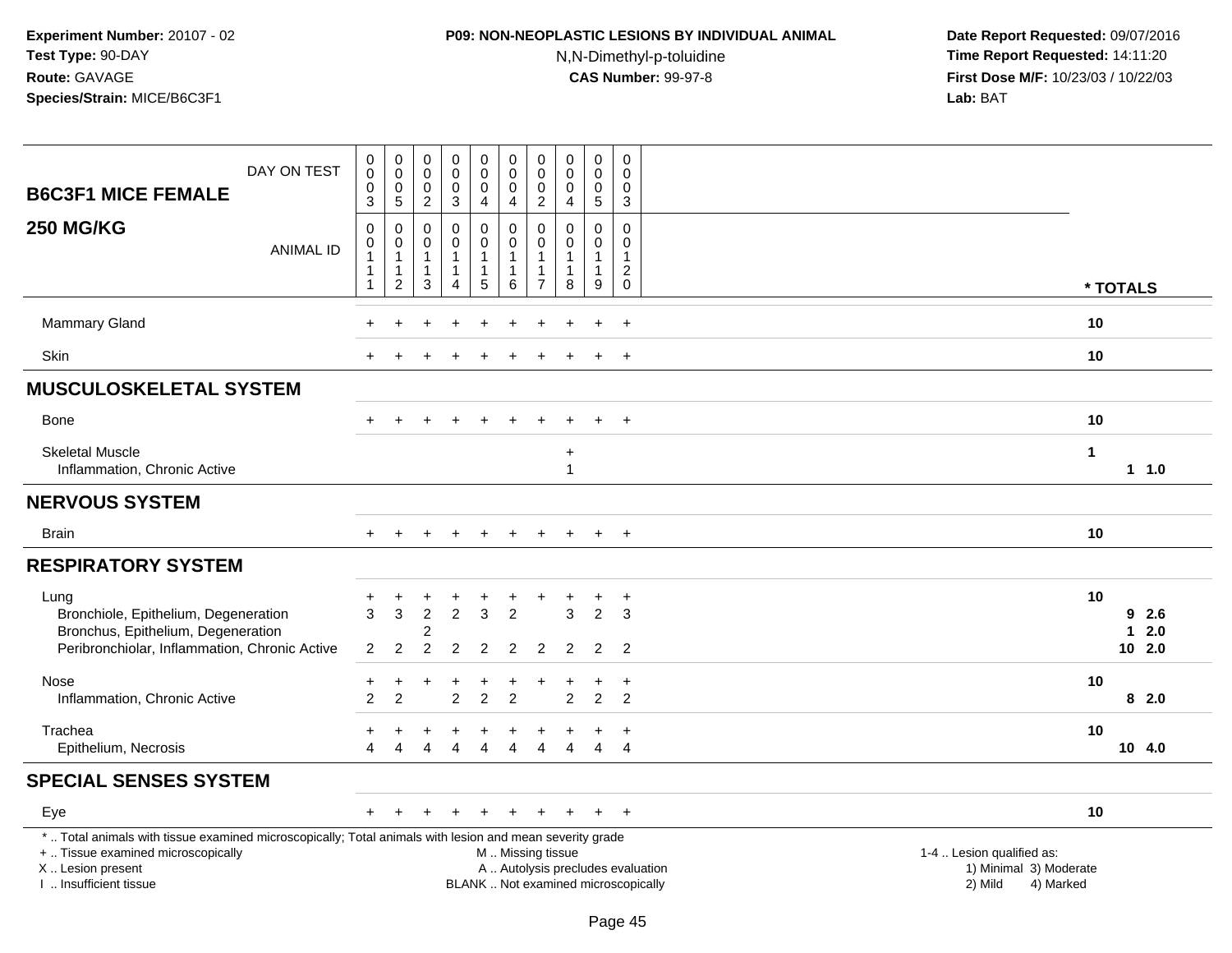#### **P09: NON-NEOPLASTIC LESIONS BY INDIVIDUAL ANIMAL**

N,N-Dimethyl-p-toluidine

| DAY ON TEST<br><b>B6C3F1 MICE FEMALE</b>                                                                                                                                                      | $\pmb{0}$<br>$\boldsymbol{0}$<br>$\mathbf 0$                                        | $\pmb{0}$<br>$\pmb{0}$<br>$\mathbf 0$                    | 0<br>$\mathbf 0$<br>$\mathbf 0$                         | $\pmb{0}$<br>$\pmb{0}$<br>$\mathsf 0$         | $\pmb{0}$<br>$\mathbf 0$<br>0                                      | $\pmb{0}$<br>$\pmb{0}$<br>$\mathbf 0$                    | $\mathbf 0$<br>$\mathbf 0$<br>$\mathbf 0$                | 0<br>$\mathbf 0$<br>$\mathbf 0$                               | 0<br>$\mathbf 0$<br>0      | 0<br>$\Omega$<br>$\mathbf 0$           |                                                                                                                  |            |
|-----------------------------------------------------------------------------------------------------------------------------------------------------------------------------------------------|-------------------------------------------------------------------------------------|----------------------------------------------------------|---------------------------------------------------------|-----------------------------------------------|--------------------------------------------------------------------|----------------------------------------------------------|----------------------------------------------------------|---------------------------------------------------------------|----------------------------|----------------------------------------|------------------------------------------------------------------------------------------------------------------|------------|
|                                                                                                                                                                                               | $\mathbf{3}$                                                                        | $\sqrt{5}$                                               | $\overline{2}$                                          | $\mathbf{3}$                                  | 4                                                                  | 4                                                        | $\overline{2}$                                           | $\overline{\mathbf{4}}$                                       | 5                          | $\mathbf{3}$                           |                                                                                                                  |            |
| <b>250 MG/KG</b><br><b>ANIMAL ID</b>                                                                                                                                                          | $\boldsymbol{0}$<br>$\pmb{0}$<br>$\overline{1}$<br>$\overline{1}$<br>$\overline{1}$ | 0<br>0<br>$\mathbf{1}$<br>$\mathbf{1}$<br>$\overline{c}$ | $\mathbf 0$<br>0<br>$\mathbf{1}$<br>$\overline{1}$<br>3 | 0<br>0<br>$\mathbf 1$<br>$\mathbf{1}$<br>4    | $\mathsf 0$<br>0<br>$\mathbf{1}$<br>$\mathbf{1}$<br>$\overline{5}$ | 0<br>$\mathbf 0$<br>1<br>1<br>6                          | $\mathbf 0$<br>$\mathbf 0$<br>-1<br>-1<br>$\overline{7}$ | $\pmb{0}$<br>$\mathbf 0$<br>$\mathbf{1}$<br>$\mathbf{1}$<br>8 | $\mathbf 0$<br>0<br>1<br>9 | 0<br>0<br>$\mathbf{1}$<br>$^2_{\rm 0}$ |                                                                                                                  |            |
|                                                                                                                                                                                               |                                                                                     |                                                          |                                                         |                                               |                                                                    |                                                          |                                                          |                                                               |                            |                                        | * TOTALS                                                                                                         |            |
| <b>Mammary Gland</b>                                                                                                                                                                          |                                                                                     |                                                          |                                                         |                                               |                                                                    |                                                          |                                                          |                                                               |                            |                                        | 10                                                                                                               |            |
| <b>Skin</b>                                                                                                                                                                                   |                                                                                     |                                                          |                                                         |                                               |                                                                    |                                                          |                                                          |                                                               |                            | $\ddot{}$                              | 10                                                                                                               |            |
| <b>MUSCULOSKELETAL SYSTEM</b>                                                                                                                                                                 |                                                                                     |                                                          |                                                         |                                               |                                                                    |                                                          |                                                          |                                                               |                            |                                        |                                                                                                                  |            |
| <b>Bone</b>                                                                                                                                                                                   |                                                                                     | $\div$                                                   |                                                         |                                               | $\pm$                                                              |                                                          |                                                          |                                                               | $\div$                     | $^{+}$                                 | 10                                                                                                               |            |
| <b>Skeletal Muscle</b><br>Inflammation, Chronic Active                                                                                                                                        |                                                                                     |                                                          |                                                         |                                               |                                                                    |                                                          |                                                          | $\ddot{}$<br>$\mathbf{1}$                                     |                            |                                        | $\mathbf{1}$<br>$1 1.0$                                                                                          |            |
| <b>NERVOUS SYSTEM</b>                                                                                                                                                                         |                                                                                     |                                                          |                                                         |                                               |                                                                    |                                                          |                                                          |                                                               |                            |                                        |                                                                                                                  |            |
| <b>Brain</b>                                                                                                                                                                                  |                                                                                     |                                                          |                                                         |                                               | $\pm$                                                              | $\div$                                                   |                                                          |                                                               | $\overline{+}$             | $+$                                    | 10                                                                                                               |            |
| <b>RESPIRATORY SYSTEM</b>                                                                                                                                                                     |                                                                                     |                                                          |                                                         |                                               |                                                                    |                                                          |                                                          |                                                               |                            |                                        |                                                                                                                  |            |
| Lung<br>Bronchiole, Epithelium, Degeneration<br>Bronchus, Epithelium, Degeneration<br>Peribronchiolar, Inflammation, Chronic Active                                                           | +<br>$\overline{3}$<br>$\overline{2}$                                               | $\mathbf{3}$<br>$\overline{c}$                           | $\overline{2}$<br>$\overline{2}$                        | $\ddot{}$<br>$\overline{2}$<br>$\overline{c}$ | +<br>3<br>$\overline{2}$                                           | $\overline{2}$<br>$\overline{2}$                         | $\overline{2}$                                           | 3<br>$\overline{2}$                                           | +<br>$\overline{2}$<br>2   | $\overline{a}$<br>3<br>$\overline{2}$  | 10<br>9<br>$\mathbf{1}$<br>$10$ 2.0                                                                              | 2.6<br>2.0 |
| Nose                                                                                                                                                                                          | +                                                                                   | $\ddot{}$                                                |                                                         | $\ddot{}$                                     | $\ddot{}$                                                          | +                                                        | ÷                                                        |                                                               | $\ddot{}$                  | $\ddot{}$                              | 10                                                                                                               |            |
| Inflammation, Chronic Active                                                                                                                                                                  | $\mathfrak{p}$                                                                      | $\overline{2}$                                           |                                                         | $\overline{2}$                                | $\overline{2}$                                                     | $\overline{2}$                                           |                                                          | $\overline{2}$                                                | $\overline{2}$             | 2                                      | 82.0                                                                                                             |            |
| Trachea<br>Epithelium, Necrosis                                                                                                                                                               | Δ                                                                                   |                                                          |                                                         | Δ                                             |                                                                    |                                                          |                                                          |                                                               | $\overline{4}$             | $\ddot{}$<br>$\overline{4}$            | 10<br>10, 4.0                                                                                                    |            |
| <b>SPECIAL SENSES SYSTEM</b>                                                                                                                                                                  |                                                                                     |                                                          |                                                         |                                               |                                                                    |                                                          |                                                          |                                                               |                            |                                        |                                                                                                                  |            |
| Eye                                                                                                                                                                                           | $+$                                                                                 | $\div$                                                   | +                                                       | $\div$                                        | $\ddot{}$                                                          | $\div$                                                   | ÷.                                                       | $\ddot{}$                                                     | $+$                        | $+$                                    | 10                                                                                                               |            |
| *  Total animals with tissue examined microscopically; Total animals with lesion and mean severity grade<br>+  Tissue examined microscopically<br>X  Lesion present<br>I. Insufficient tissue |                                                                                     |                                                          |                                                         |                                               |                                                                    | M  Missing tissue<br>BLANK  Not examined microscopically |                                                          |                                                               |                            |                                        | 1-4  Lesion qualified as:<br>A  Autolysis precludes evaluation<br>1) Minimal 3) Moderate<br>2) Mild<br>4) Marked |            |